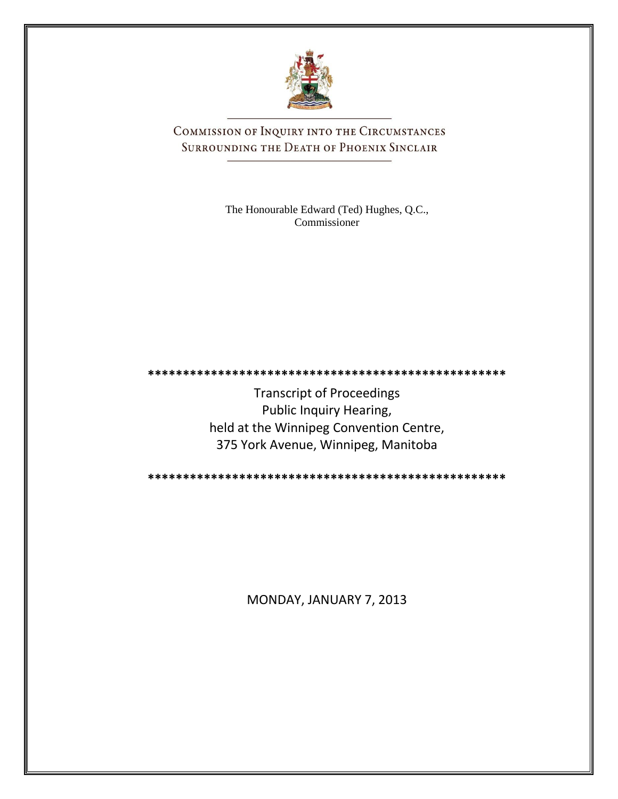

COMMISSION OF INQUIRY INTO THE CIRCUMSTANCES SURROUNDING THE DEATH OF PHOENIX SINCLAIR

> The Honourable Edward (Ted) Hughes, Q.C., Commissioner

Transcript of Proceedings Public Inquiry Hearing, held at the Winnipeg Convention Centre, 375 York Avenue, Winnipeg, Manitoba

**\*\*\*\*\*\*\*\*\*\*\*\*\*\*\*\*\*\*\*\*\*\*\*\*\*\*\*\*\*\*\*\*\*\*\*\*\*\*\*\*\*\*\*\*\*\*\*\*\*\*\***

**\*\*\*\*\*\*\*\*\*\*\*\*\*\*\*\*\*\*\*\*\*\*\*\*\*\*\*\*\*\*\*\*\*\*\*\*\*\*\*\*\*\*\*\*\*\*\*\*\*\*\***

MONDAY, JANUARY 7, 2013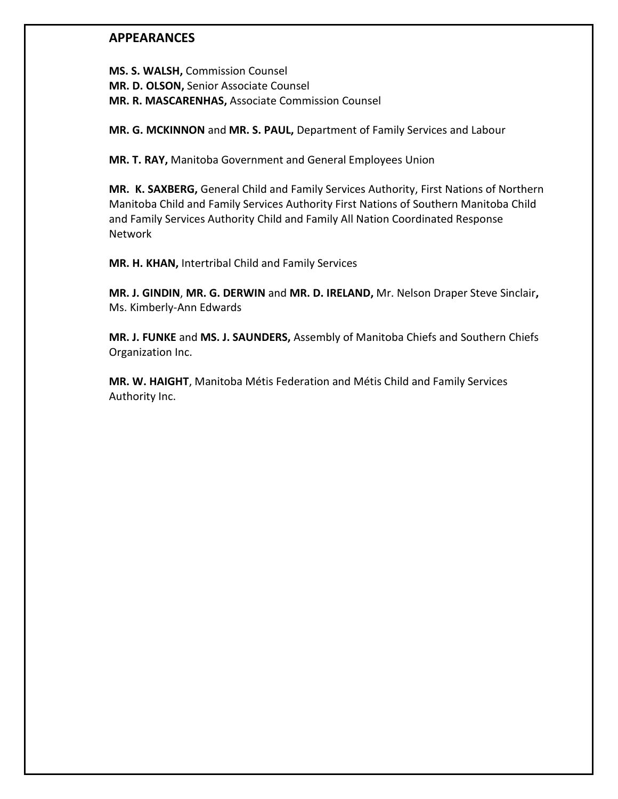### **APPEARANCES**

**MS. S. WALSH,** Commission Counsel **MR. D. OLSON,** Senior Associate Counsel **MR. R. MASCARENHAS,** Associate Commission Counsel

**MR. G. MCKINNON** and **MR. S. PAUL,** Department of Family Services and Labour

**MR. T. RAY,** Manitoba Government and General Employees Union

**MR. K. SAXBERG,** General Child and Family Services Authority, First Nations of Northern Manitoba Child and Family Services Authority First Nations of Southern Manitoba Child and Family Services Authority Child and Family All Nation Coordinated Response Network

**MR. H. KHAN,** Intertribal Child and Family Services

**MR. J. GINDIN**, **MR. G. DERWIN** and **MR. D. IRELAND,** Mr. Nelson Draper Steve Sinclair**,** Ms. Kimberly-Ann Edwards

**MR. J. FUNKE** and **MS. J. SAUNDERS,** Assembly of Manitoba Chiefs and Southern Chiefs Organization Inc.

**MR. W. HAIGHT**, Manitoba Métis Federation and Métis Child and Family Services Authority Inc.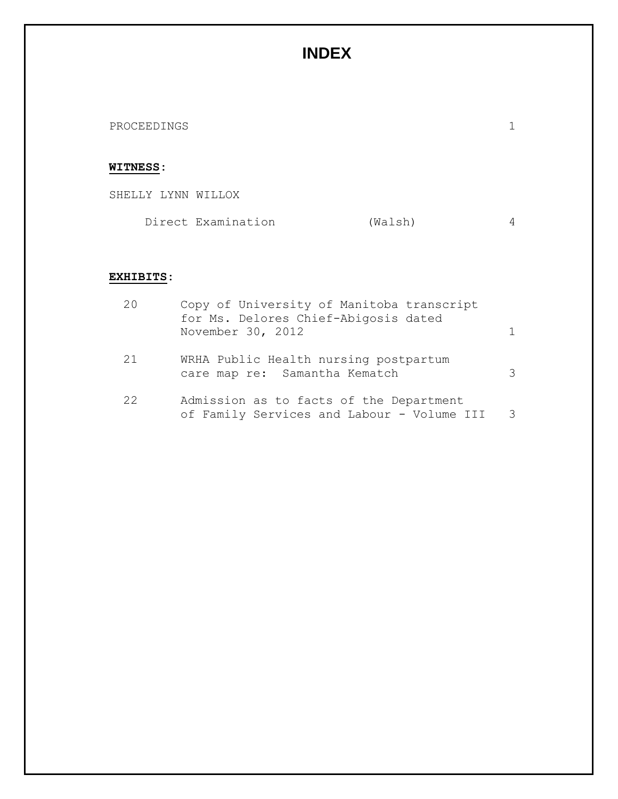# **INDEX**

| PROCEEDINGS        |                                                                                                        |         |   |
|--------------------|--------------------------------------------------------------------------------------------------------|---------|---|
| <b>WITNESS:</b>    |                                                                                                        |         |   |
| SHELLY LYNN WILLOX |                                                                                                        |         |   |
|                    | Direct Examination                                                                                     | (Walsh) | 4 |
|                    |                                                                                                        |         |   |
| EXHIBITS:          |                                                                                                        |         |   |
| 20                 | Copy of University of Manitoba transcript<br>for Ms. Delores Chief-Abigosis dated<br>November 30, 2012 |         |   |

## 21 WRHA Public Health nursing postpartum care map re: Samantha Kematch 3

22 Admission as to facts of the Department of Family Services and Labour - Volume III 3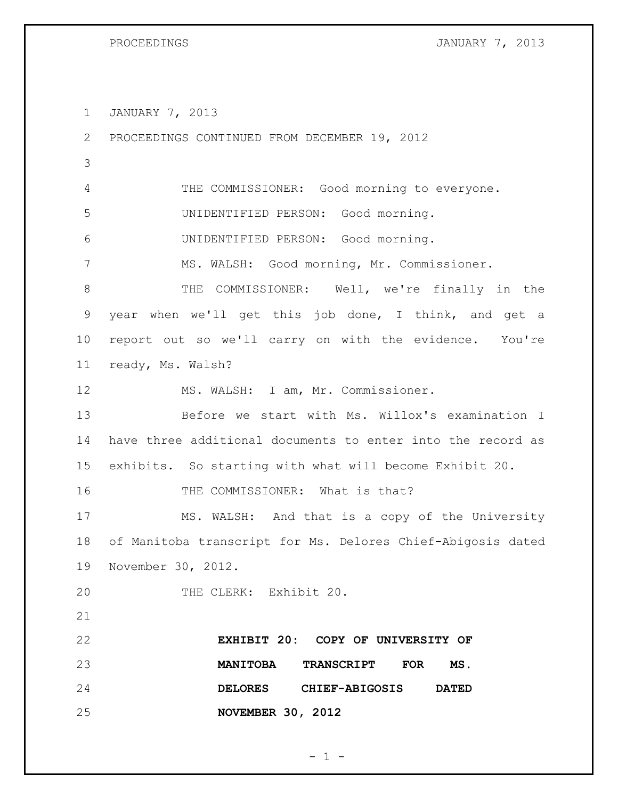PROCEEDINGS **FOUR SERVICE SERVICE SERVICE SERVICE SERVICE SERVICE SERVICE SERVICE SERVICE SERVICE SERVICE SERVICE SERVICE SERVICE SERVICE SERVICE SERVICE SERVICE SERVICE SERVICE SERVICE SERVICE SERVICE SERVICE SERVICE SERV** 

JANUARY 7, 2013

| 2     | PROCEEDINGS CONTINUED FROM DECEMBER 19, 2012                |
|-------|-------------------------------------------------------------|
| 3     |                                                             |
| 4     | THE COMMISSIONER: Good morning to everyone.                 |
| 5     | UNIDENTIFIED PERSON: Good morning.                          |
| 6     | UNIDENTIFIED PERSON: Good morning.                          |
| 7     | MS. WALSH: Good morning, Mr. Commissioner.                  |
| $8\,$ | THE COMMISSIONER: Well, we're finally in the                |
| 9     | year when we'll get this job done, I think, and get a       |
| 10    | report out so we'll carry on with the evidence. You're      |
| 11    | ready, Ms. Walsh?                                           |
| 12    | MS. WALSH: I am, Mr. Commissioner.                          |
| 13    | Before we start with Ms. Willox's examination I             |
| 14    | have three additional documents to enter into the record as |
| 15    | exhibits. So starting with what will become Exhibit 20.     |
| 16    | THE COMMISSIONER: What is that?                             |
| 17    | MS. WALSH: And that is a copy of the University             |
| 18    | of Manitoba transcript for Ms. Delores Chief-Abigosis dated |
| 19    | November 30, 2012.                                          |
| 20    | THE CLERK: Exhibit 20.                                      |
| 21    |                                                             |
| 22    | EXHIBIT 20: COPY OF UNIVERSITY OF                           |
| 23    | MANITOBA TRANSCRIPT FOR<br>MS.                              |
| 24    | DELORES CHIEF-ABIGOSIS DATED                                |
| 25    | <b>NOVEMBER 30, 2012</b>                                    |

 $- 1 -$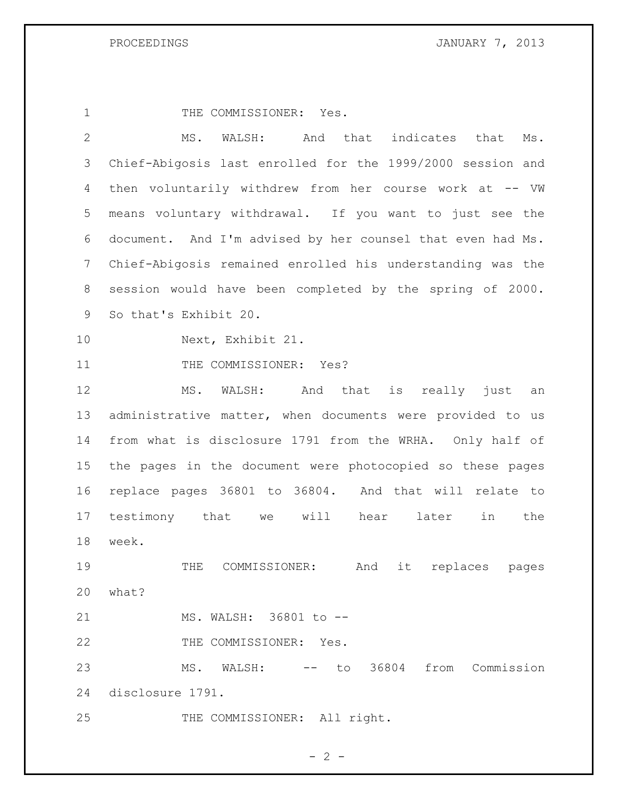1 THE COMMISSIONER: Yes. MS. WALSH: And that indicates that Ms. Chief-Abigosis last enrolled for the 1999/2000 session and 4 then voluntarily withdrew from her course work at -- VW means voluntary withdrawal. If you want to just see the document. And I'm advised by her counsel that even had Ms. Chief-Abigosis remained enrolled his understanding was the session would have been completed by the spring of 2000. So that's Exhibit 20. Next, Exhibit 21. 11 THE COMMISSIONER: Yes? MS. WALSH: And that is really just an administrative matter, when documents were provided to us from what is disclosure 1791 from the WRHA. Only half of the pages in the document were photocopied so these pages replace pages 36801 to 36804. And that will relate to testimony that we will hear later in the week. THE COMMISSIONER: And it replaces pages what? MS. WALSH: 36801 to -- 22 THE COMMISSIONER: Yes. 23 MS. WALSH: -- to 36804 from Commission disclosure 1791. 25 THE COMMISSIONER: All right.

 $- 2 -$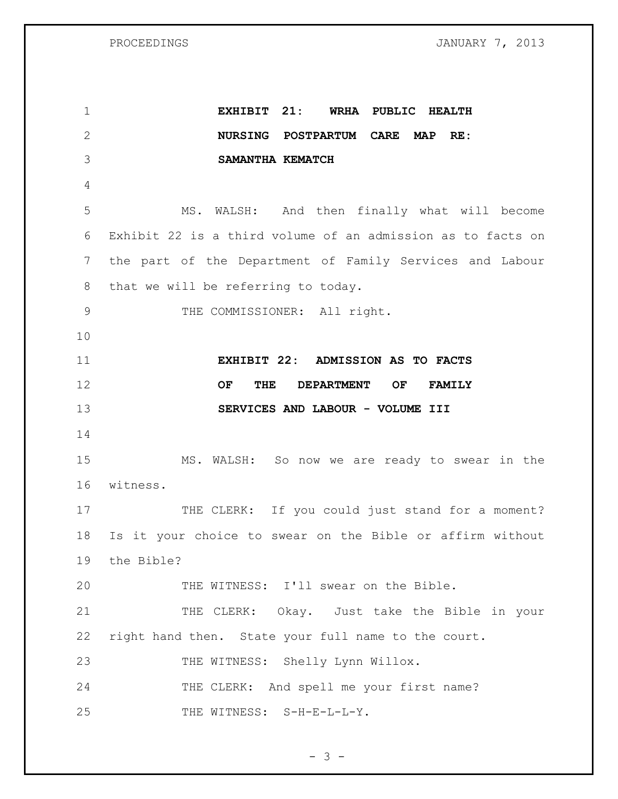PROCEEDINGS **JANUARY 7, 2013** 

 **EXHIBIT 21: WRHA PUBLIC HEALTH NURSING POSTPARTUM CARE MAP RE: SAMANTHA KEMATCH** MS. WALSH: And then finally what will become Exhibit 22 is a third volume of an admission as to facts on the part of the Department of Family Services and Labour that we will be referring to today. 9 THE COMMISSIONER: All right. **EXHIBIT 22: ADMISSION AS TO FACTS OF THE DEPARTMENT OF FAMILY SERVICES AND LABOUR - VOLUME III** MS. WALSH: So now we are ready to swear in the witness. 17 THE CLERK: If you could just stand for a moment? Is it your choice to swear on the Bible or affirm without the Bible? THE WITNESS: I'll swear on the Bible. 21 THE CLERK: Okay. Just take the Bible in your right hand then. State your full name to the court. THE WITNESS: Shelly Lynn Willox. 24 THE CLERK: And spell me your first name? 25 THE WITNESS: S-H-E-L-L-Y.

 $- 3 -$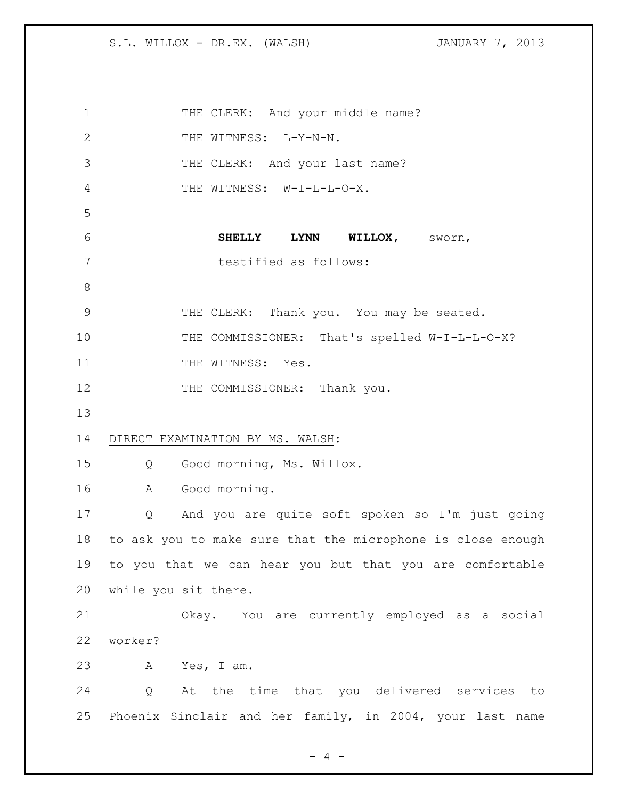| 1     | THE CLERK: And your middle name?                            |
|-------|-------------------------------------------------------------|
| 2     | THE WITNESS: L-Y-N-N.                                       |
| 3     | THE CLERK: And your last name?                              |
| 4     | THE WITNESS: W-I-L-L-O-X.                                   |
| 5     |                                                             |
| 6     | <b>SHELLY</b><br>LYNN WILLOX, SWOrn,                        |
| 7     | testified as follows:                                       |
| $8\,$ |                                                             |
| 9     | THE CLERK: Thank you. You may be seated.                    |
| 10    | THE COMMISSIONER: That's spelled W-I-L-L-O-X?               |
| 11    | THE WITNESS: Yes.                                           |
| 12    | THE COMMISSIONER: Thank you.                                |
| 13    |                                                             |
| 14    | DIRECT EXAMINATION BY MS. WALSH:                            |
| 15    | Good morning, Ms. Willox.<br>Q                              |
| 16    | Good morning.<br>A                                          |
| 17    | And you are quite soft spoken so I'm just going<br>Q        |
| 18    | to ask you to make sure that the microphone is close enough |
| 19    | to you that we can hear you but that you are comfortable    |
| 20    | while you sit there.                                        |
| 21    | Okay. You are currently employed as a social                |
| 22    | worker?                                                     |
| 23    | A Yes, I am.                                                |
| 24    | Q At the time that you delivered services to                |
| 25    | Phoenix Sinclair and her family, in 2004, your last name    |

- 4 -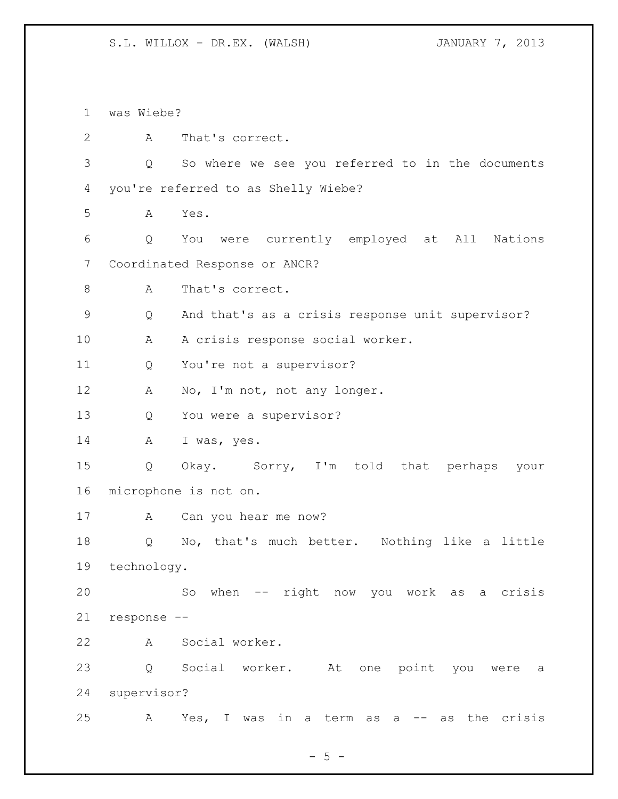S.L. WILLOX - DR.EX. (WALSH) (3.1)

 was Wiebe? A That's correct. Q So where we see you referred to in the documents you're referred to as Shelly Wiebe? A Yes. Q You were currently employed at All Nations Coordinated Response or ANCR? 8 A That's correct. Q And that's as a crisis response unit supervisor? A A crisis response social worker. Q You're not a supervisor? 12 A No, I'm not, not any longer. Q You were a supervisor? 14 A I was, yes. Q Okay. Sorry, I'm told that perhaps your microphone is not on. 17 A Can you hear me now? Q No, that's much better. Nothing like a little technology. So when -- right now you work as a crisis response -- A Social worker. Q Social worker. At one point you were a supervisor? A Yes, I was in a term as a -- as the crisis

 $- 5 -$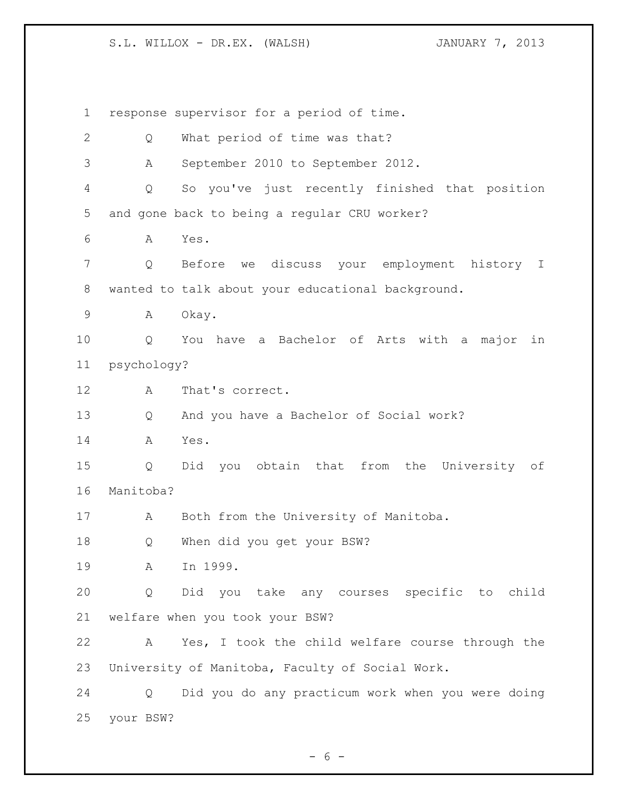response supervisor for a period of time. Q What period of time was that? A September 2010 to September 2012. Q So you've just recently finished that position and gone back to being a regular CRU worker? A Yes. Q Before we discuss your employment history I wanted to talk about your educational background. A Okay. Q You have a Bachelor of Arts with a major in psychology? A That's correct. Q And you have a Bachelor of Social work? A Yes. Q Did you obtain that from the University of Manitoba? 17 A Both from the University of Manitoba. Q When did you get your BSW? A In 1999. Q Did you take any courses specific to child welfare when you took your BSW? A Yes, I took the child welfare course through the University of Manitoba, Faculty of Social Work. Q Did you do any practicum work when you were doing your BSW?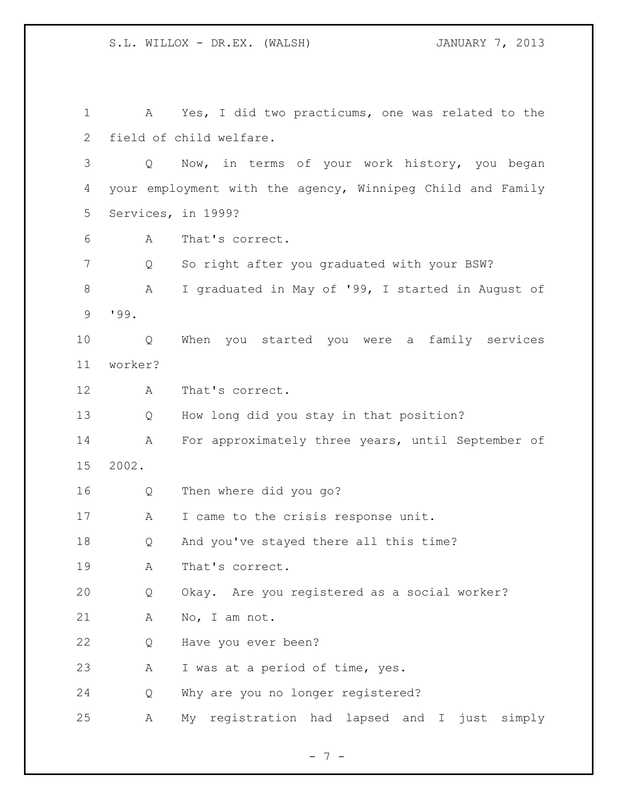S.L. WILLOX - DR.EX. (WALSH) (3.1)

| 1           | A                  | Yes, I did two practicums, one was related to the          |
|-------------|--------------------|------------------------------------------------------------|
| 2           |                    | field of child welfare.                                    |
| 3           | Q                  | Now, in terms of your work history, you began              |
| 4           |                    | your employment with the agency, Winnipeg Child and Family |
| 5           | Services, in 1999? |                                                            |
| 6           | Α                  | That's correct.                                            |
| 7           | Q                  | So right after you graduated with your BSW?                |
| 8           | A                  | I graduated in May of '99, I started in August of          |
| $\mathsf 9$ | 199.               |                                                            |
| 10          | Q                  | When you started you were a family services                |
| 11          | worker?            |                                                            |
| 12          | A                  | That's correct.                                            |
| 13          | Q                  | How long did you stay in that position?                    |
| 14          | А                  | For approximately three years, until September of          |
| 15          | 2002.              |                                                            |
| 16          | Q                  | Then where did you go?                                     |
| 17          | А                  | I came to the crisis response unit.                        |
| 18          | Q                  | And you've stayed there all this time?                     |
| 19          | A                  | That's correct.                                            |
| 20          | Q                  | Okay. Are you registered as a social worker?               |
| 21          | Α                  | No, I am not.                                              |
| 22          | Q                  | Have you ever been?                                        |
| 23          | Α                  | I was at a period of time, yes.                            |
| 24          | Q                  | Why are you no longer registered?                          |
| 25          | Α                  | My registration had lapsed and I just simply               |

- 7 -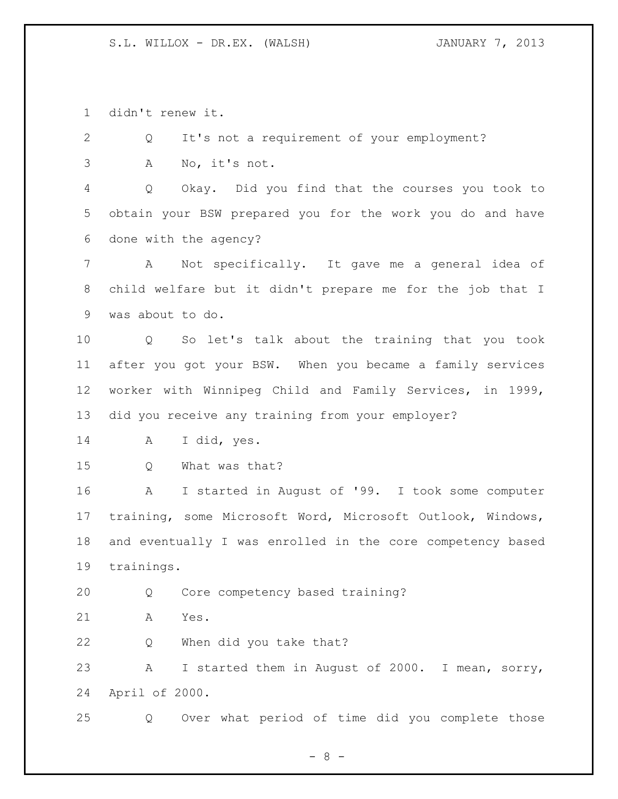didn't renew it.

Q It's not a requirement of your employment?

A No, it's not.

 Q Okay. Did you find that the courses you took to obtain your BSW prepared you for the work you do and have done with the agency?

 A Not specifically. It gave me a general idea of child welfare but it didn't prepare me for the job that I was about to do.

 Q So let's talk about the training that you took after you got your BSW. When you became a family services worker with Winnipeg Child and Family Services, in 1999, did you receive any training from your employer?

A I did, yes.

Q What was that?

 A I started in August of '99. I took some computer training, some Microsoft Word, Microsoft Outlook, Windows, and eventually I was enrolled in the core competency based trainings.

Q Core competency based training?

A Yes.

Q When did you take that?

 A I started them in August of 2000. I mean, sorry, April of 2000.

Q Over what period of time did you complete those

- 8 -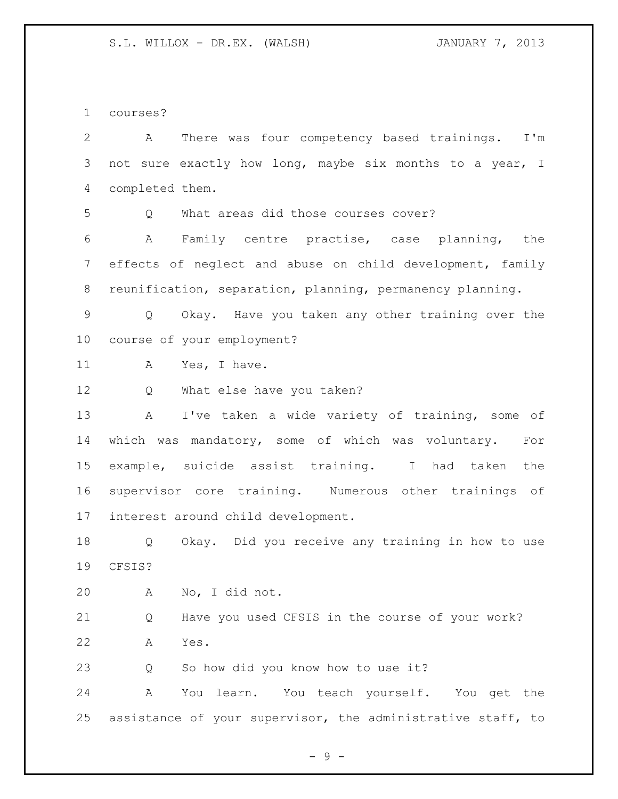courses?

 A There was four competency based trainings. I'm not sure exactly how long, maybe six months to a year, I completed them. Q What areas did those courses cover? A Family centre practise, case planning, the effects of neglect and abuse on child development, family reunification, separation, planning, permanency planning. Q Okay. Have you taken any other training over the course of your employment? A Yes, I have. Q What else have you taken? A I've taken a wide variety of training, some of which was mandatory, some of which was voluntary. For example, suicide assist training. I had taken the supervisor core training. Numerous other trainings of interest around child development. Q Okay. Did you receive any training in how to use CFSIS? A No, I did not. Q Have you used CFSIS in the course of your work? A Yes. Q So how did you know how to use it? A You learn. You teach yourself. You get the assistance of your supervisor, the administrative staff, to

 $-9 -$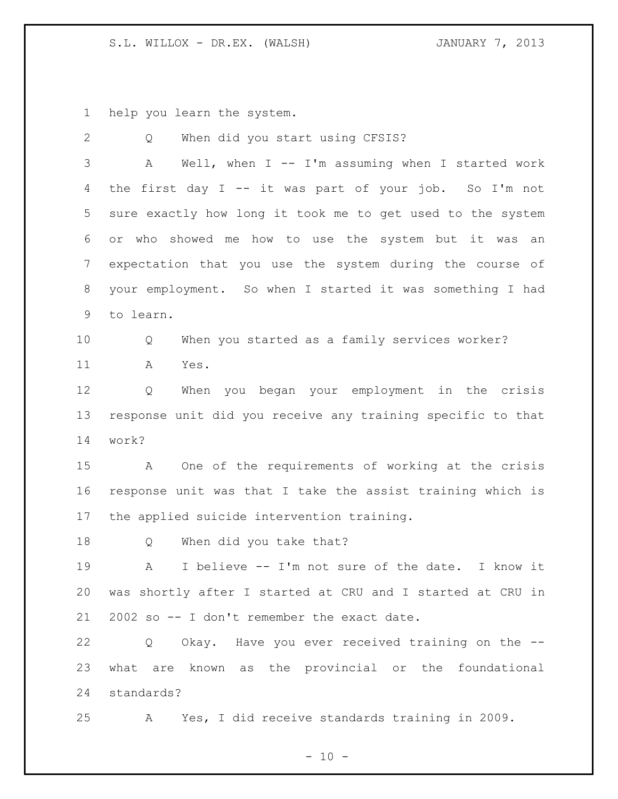S.L. WILLOX - DR.EX. (WALSH) (3.1)

help you learn the system.

| 2  | When did you start using CFSIS?<br>Q                        |
|----|-------------------------------------------------------------|
| 3  | Well, when $I - - I'm$ assuming when I started work<br>A    |
| 4  | the first day I -- it was part of your job. So I'm not      |
| 5  | sure exactly how long it took me to get used to the system  |
| 6  | or who showed me how to use the system but it was an        |
| 7  | expectation that you use the system during the course of    |
| 8  | your employment. So when I started it was something I had   |
| 9  | to learn.                                                   |
| 10 | When you started as a family services worker?<br>Q          |
| 11 | Α<br>Yes.                                                   |
| 12 | Q<br>When you began your employment in the crisis           |
| 13 | response unit did you receive any training specific to that |
| 14 | work?                                                       |
| 15 | One of the requirements of working at the crisis<br>A       |
| 16 | response unit was that I take the assist training which is  |
| 17 | the applied suicide intervention training.                  |
| 18 | When did you take that?<br>Q                                |
| 19 | I believe -- I'm not sure of the date. I know it<br>Α       |
| 20 | was shortly after I started at CRU and I started at CRU in  |
| 21 | 2002 so -- I don't remember the exact date.                 |
| 22 | Okay. Have you ever received training on the --<br>Q        |
| 23 | what are known as the provincial or the foundational        |
| 24 | standards?                                                  |
| 25 | Yes, I did receive standards training in 2009.<br>Α         |
|    |                                                             |

 $- 10 -$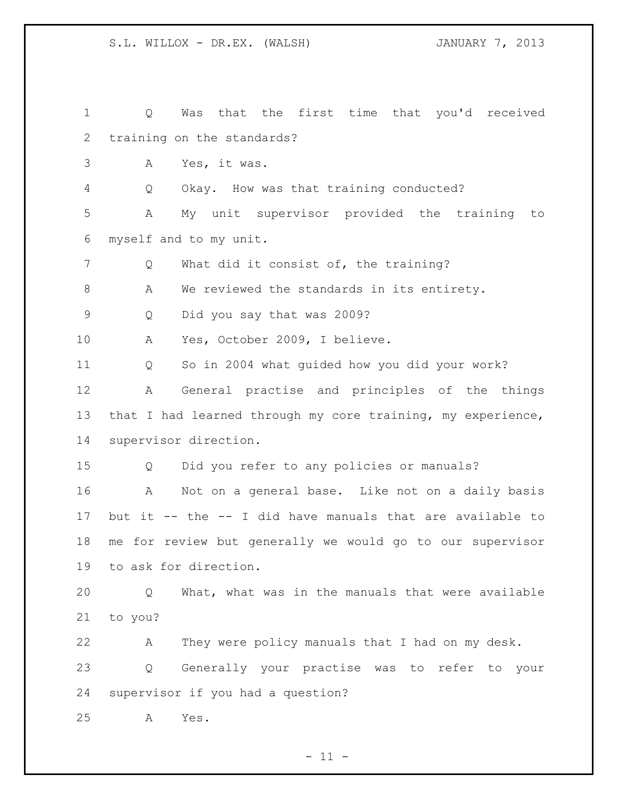Q Was that the first time that you'd received training on the standards? A Yes, it was. Q Okay. How was that training conducted? A My unit supervisor provided the training to myself and to my unit. 7 Q What did it consist of, the training? A We reviewed the standards in its entirety. Q Did you say that was 2009? A Yes, October 2009, I believe. Q So in 2004 what guided how you did your work? A General practise and principles of the things 13 that I had learned through my core training, my experience, supervisor direction. Q Did you refer to any policies or manuals? A Not on a general base. Like not on a daily basis but it -- the -- I did have manuals that are available to me for review but generally we would go to our supervisor to ask for direction. Q What, what was in the manuals that were available to you? A They were policy manuals that I had on my desk. Q Generally your practise was to refer to your supervisor if you had a question? A Yes.

 $- 11 -$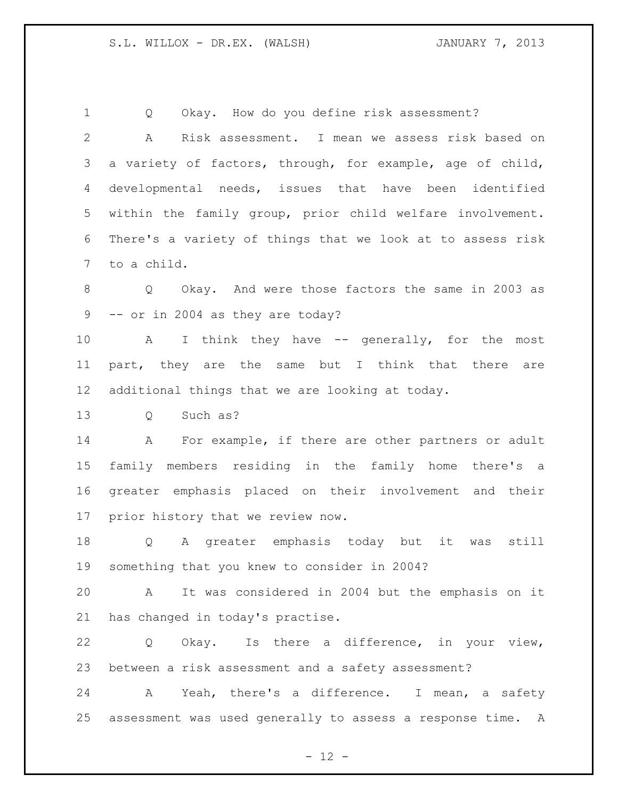Q Okay. How do you define risk assessment? A Risk assessment. I mean we assess risk based on a variety of factors, through, for example, age of child, developmental needs, issues that have been identified within the family group, prior child welfare involvement. There's a variety of things that we look at to assess risk to a child. Q Okay. And were those factors the same in 2003 as -- or in 2004 as they are today? 10 A I think they have -- generally, for the most part, they are the same but I think that there are additional things that we are looking at today. Q Such as? A For example, if there are other partners or adult family members residing in the family home there's a greater emphasis placed on their involvement and their prior history that we review now. Q A greater emphasis today but it was still something that you knew to consider in 2004? A It was considered in 2004 but the emphasis on it has changed in today's practise. Q Okay. Is there a difference, in your view, between a risk assessment and a safety assessment?

 A Yeah, there's a difference. I mean, a safety assessment was used generally to assess a response time. A

 $- 12 -$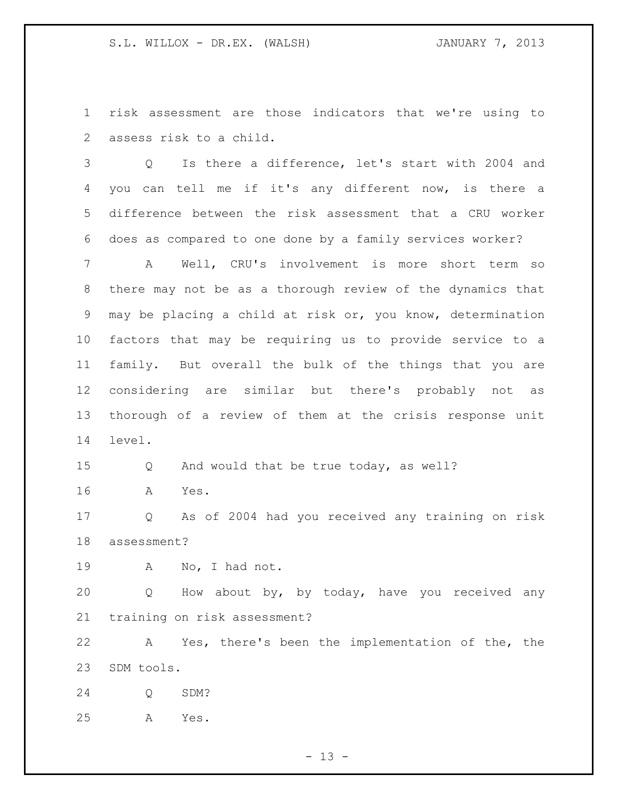risk assessment are those indicators that we're using to assess risk to a child.

 Q Is there a difference, let's start with 2004 and you can tell me if it's any different now, is there a difference between the risk assessment that a CRU worker does as compared to one done by a family services worker?

 A Well, CRU's involvement is more short term so there may not be as a thorough review of the dynamics that may be placing a child at risk or, you know, determination factors that may be requiring us to provide service to a family. But overall the bulk of the things that you are considering are similar but there's probably not as thorough of a review of them at the crisis response unit level.

Q And would that be true today, as well?

A Yes.

 Q As of 2004 had you received any training on risk assessment?

A No, I had not.

 Q How about by, by today, have you received any training on risk assessment?

 A Yes, there's been the implementation of the, the SDM tools.

Q SDM?

A Yes.

 $- 13 -$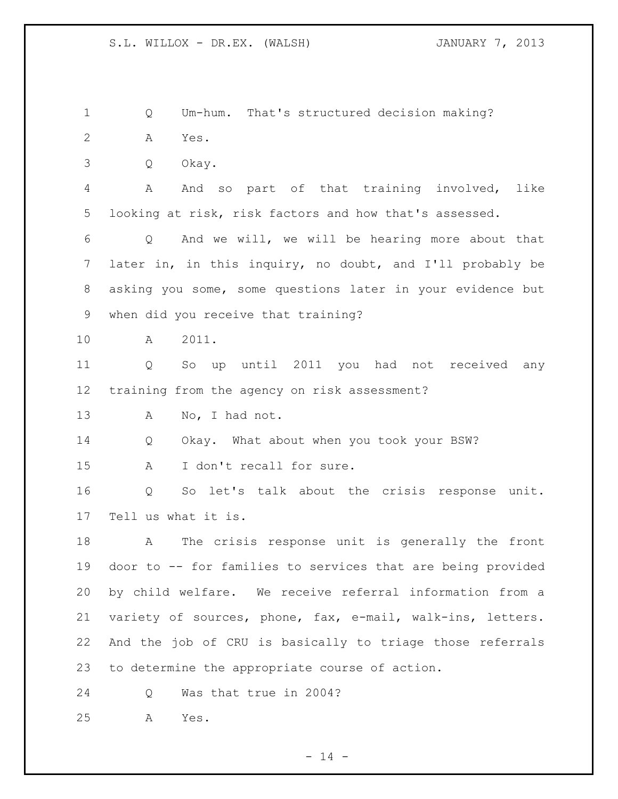Q Um-hum. That's structured decision making? A Yes. Q Okay. A And so part of that training involved, like looking at risk, risk factors and how that's assessed. Q And we will, we will be hearing more about that later in, in this inquiry, no doubt, and I'll probably be asking you some, some questions later in your evidence but when did you receive that training? A 2011. Q So up until 2011 you had not received any training from the agency on risk assessment? A No, I had not. Q Okay. What about when you took your BSW? A I don't recall for sure. Q So let's talk about the crisis response unit. Tell us what it is. A The crisis response unit is generally the front door to -- for families to services that are being provided by child welfare. We receive referral information from a variety of sources, phone, fax, e-mail, walk-ins, letters. And the job of CRU is basically to triage those referrals to determine the appropriate course of action. Q Was that true in 2004? A Yes.

 $- 14 -$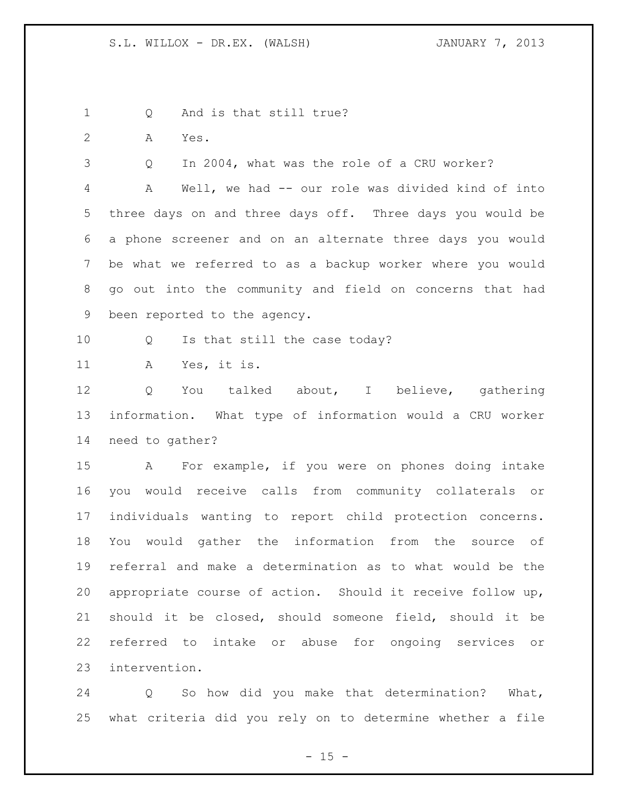1 Q And is that still true? A Yes. Q In 2004, what was the role of a CRU worker? A Well, we had -- our role was divided kind of into three days on and three days off. Three days you would be a phone screener and on an alternate three days you would be what we referred to as a backup worker where you would go out into the community and field on concerns that had been reported to the agency. 10 Q Is that still the case today? A Yes, it is. Q You talked about, I believe, gathering information. What type of information would a CRU worker need to gather?

 A For example, if you were on phones doing intake you would receive calls from community collaterals or individuals wanting to report child protection concerns. You would gather the information from the source of referral and make a determination as to what would be the appropriate course of action. Should it receive follow up, should it be closed, should someone field, should it be referred to intake or abuse for ongoing services or intervention.

 Q So how did you make that determination? What, what criteria did you rely on to determine whether a file

 $- 15 -$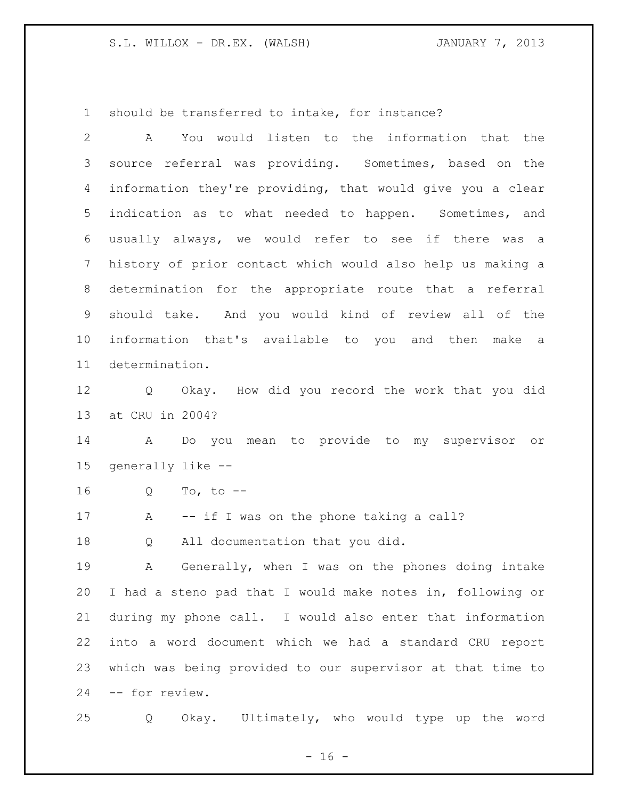should be transferred to intake, for instance?

 A You would listen to the information that the source referral was providing. Sometimes, based on the information they're providing, that would give you a clear indication as to what needed to happen. Sometimes, and usually always, we would refer to see if there was a history of prior contact which would also help us making a determination for the appropriate route that a referral should take. And you would kind of review all of the information that's available to you and then make a determination. Q Okay. How did you record the work that you did at CRU in 2004? A Do you mean to provide to my supervisor or generally like -- Q To, to -- 17 A -- if I was on the phone taking a call? Q All documentation that you did. A Generally, when I was on the phones doing intake I had a steno pad that I would make notes in, following or during my phone call. I would also enter that information into a word document which we had a standard CRU report which was being provided to our supervisor at that time to -- for review.

Q Okay. Ultimately, who would type up the word

 $- 16 -$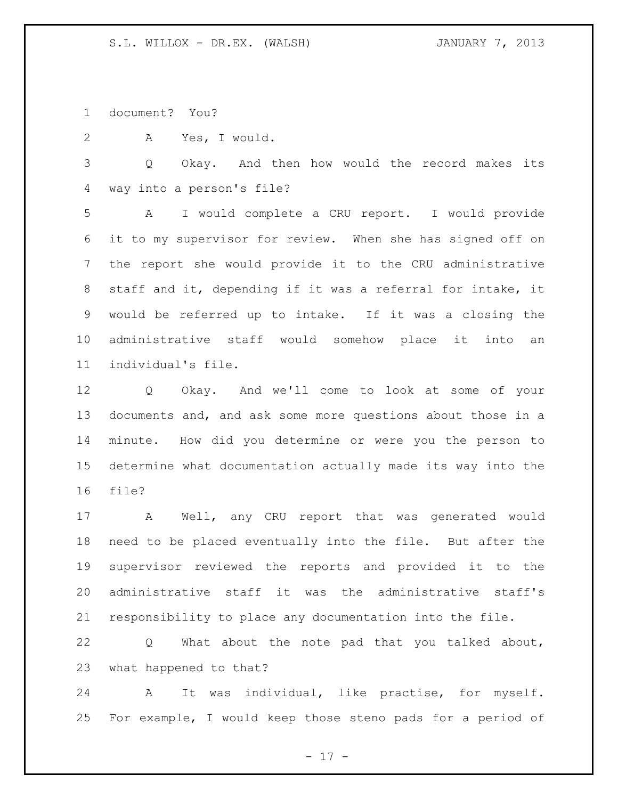document? You?

A Yes, I would.

 Q Okay. And then how would the record makes its way into a person's file?

 A I would complete a CRU report. I would provide it to my supervisor for review. When she has signed off on the report she would provide it to the CRU administrative staff and it, depending if it was a referral for intake, it would be referred up to intake. If it was a closing the administrative staff would somehow place it into an individual's file.

 Q Okay. And we'll come to look at some of your documents and, and ask some more questions about those in a minute. How did you determine or were you the person to determine what documentation actually made its way into the file?

 A Well, any CRU report that was generated would need to be placed eventually into the file. But after the supervisor reviewed the reports and provided it to the administrative staff it was the administrative staff's responsibility to place any documentation into the file.

 Q What about the note pad that you talked about, what happened to that?

 A It was individual, like practise, for myself. For example, I would keep those steno pads for a period of

 $- 17 -$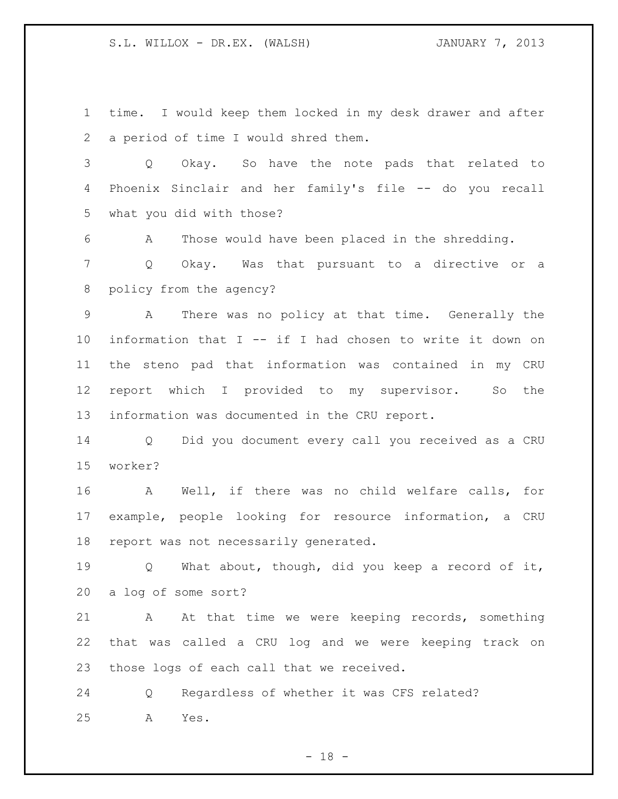time. I would keep them locked in my desk drawer and after a period of time I would shred them.

 Q Okay. So have the note pads that related to Phoenix Sinclair and her family's file -- do you recall what you did with those?

A Those would have been placed in the shredding.

 Q Okay. Was that pursuant to a directive or a policy from the agency?

 A There was no policy at that time. Generally the information that I -- if I had chosen to write it down on the steno pad that information was contained in my CRU report which I provided to my supervisor. So the information was documented in the CRU report.

 Q Did you document every call you received as a CRU worker?

 A Well, if there was no child welfare calls, for example, people looking for resource information, a CRU report was not necessarily generated.

 Q What about, though, did you keep a record of it, a log of some sort?

21 A At that time we were keeping records, something that was called a CRU log and we were keeping track on those logs of each call that we received.

 Q Regardless of whether it was CFS related? A Yes.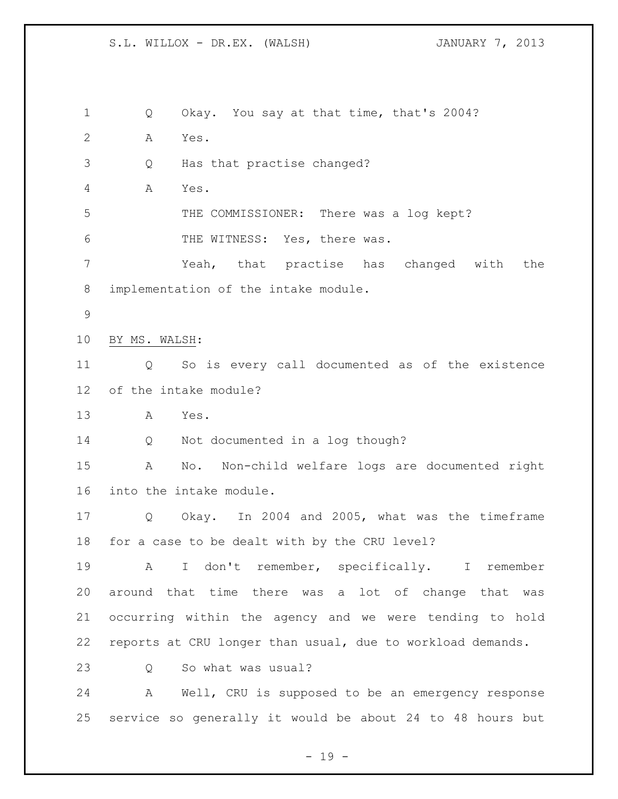1 Q Okay. You say at that time, that's 2004? A Yes. Q Has that practise changed? A Yes. THE COMMISSIONER: There was a log kept? THE WITNESS: Yes, there was. Yeah, that practise has changed with the implementation of the intake module. BY MS. WALSH: Q So is every call documented as of the existence of the intake module? A Yes. Q Not documented in a log though? A No. Non-child welfare logs are documented right into the intake module. Q Okay. In 2004 and 2005, what was the timeframe for a case to be dealt with by the CRU level? A I don't remember, specifically. I remember around that time there was a lot of change that was occurring within the agency and we were tending to hold reports at CRU longer than usual, due to workload demands. 23 O So what was usual? A Well, CRU is supposed to be an emergency response service so generally it would be about 24 to 48 hours but

- 19 -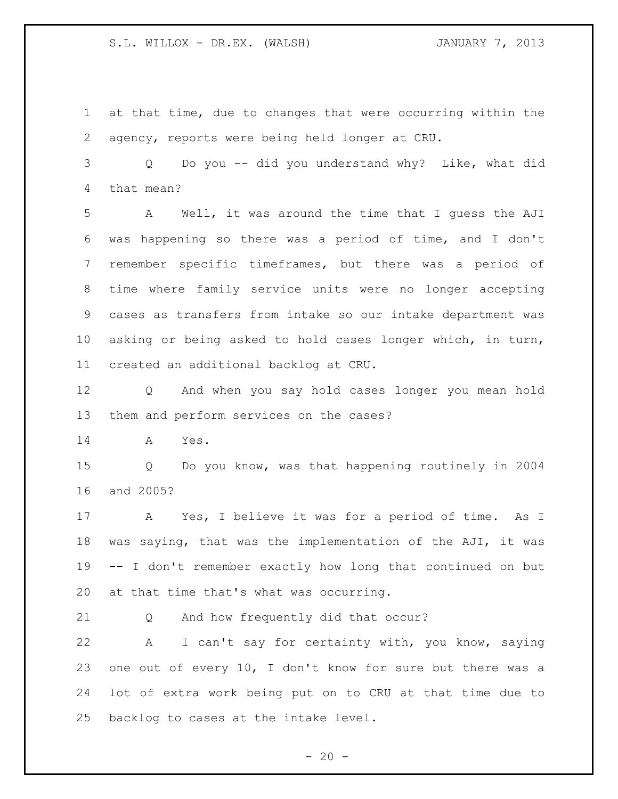at that time, due to changes that were occurring within the agency, reports were being held longer at CRU.

 Q Do you -- did you understand why? Like, what did that mean?

 A Well, it was around the time that I guess the AJI was happening so there was a period of time, and I don't remember specific timeframes, but there was a period of time where family service units were no longer accepting cases as transfers from intake so our intake department was asking or being asked to hold cases longer which, in turn, created an additional backlog at CRU.

 Q And when you say hold cases longer you mean hold them and perform services on the cases?

A Yes.

 Q Do you know, was that happening routinely in 2004 and 2005?

 A Yes, I believe it was for a period of time. As I was saying, that was the implementation of the AJI, it was -- I don't remember exactly how long that continued on but at that time that's what was occurring.

Q And how frequently did that occur?

 A I can't say for certainty with, you know, saying one out of every 10, I don't know for sure but there was a lot of extra work being put on to CRU at that time due to backlog to cases at the intake level.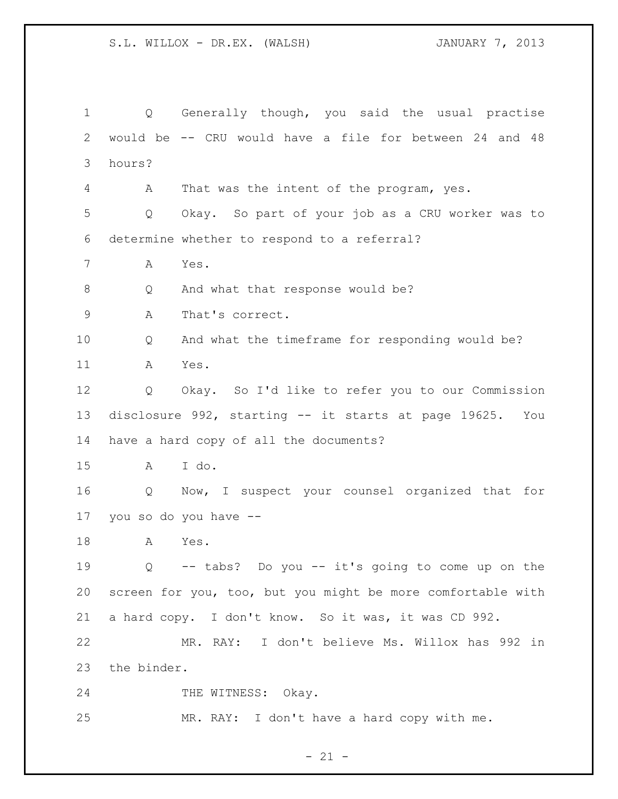Q Generally though, you said the usual practise would be -- CRU would have a file for between 24 and 48 hours? A That was the intent of the program, yes. Q Okay. So part of your job as a CRU worker was to determine whether to respond to a referral? A Yes. 8 O And what that response would be? A That's correct. Q And what the timeframe for responding would be? A Yes. Q Okay. So I'd like to refer you to our Commission disclosure 992, starting -- it starts at page 19625. You have a hard copy of all the documents? A I do. Q Now, I suspect your counsel organized that for you so do you have -- A Yes. Q -- tabs? Do you -- it's going to come up on the screen for you, too, but you might be more comfortable with a hard copy. I don't know. So it was, it was CD 992. MR. RAY: I don't believe Ms. Willox has 992 in the binder. 24 THE WITNESS: Okay. MR. RAY: I don't have a hard copy with me.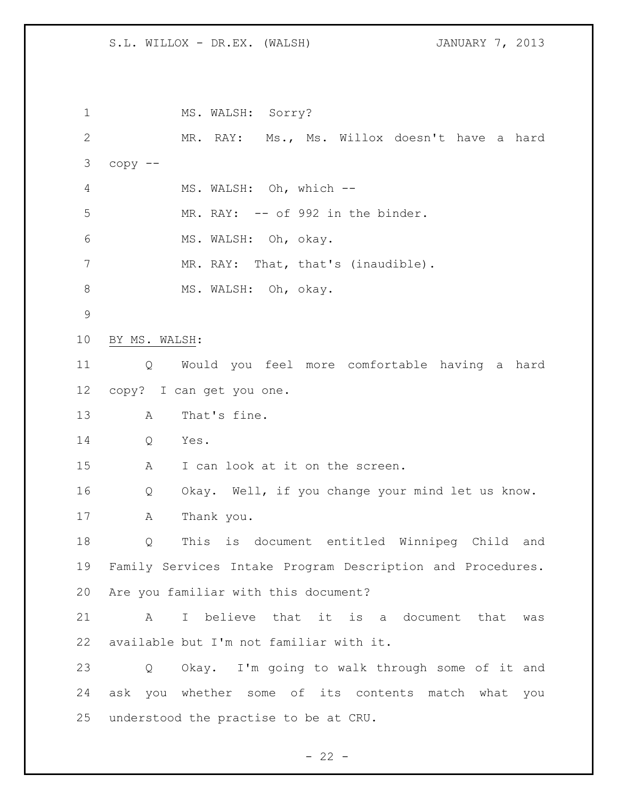1 MS. WALSH: Sorry? MR. RAY: Ms., Ms. Willox doesn't have a hard copy -- MS. WALSH: Oh, which -- MR. RAY: -- of 992 in the binder. MS. WALSH: Oh, okay. 7 MR. RAY: That, that's (inaudible). 8 MS. WALSH: Oh, okay. BY MS. WALSH: Q Would you feel more comfortable having a hard copy? I can get you one. A That's fine. Q Yes. A I can look at it on the screen. Q Okay. Well, if you change your mind let us know. A Thank you. Q This is document entitled Winnipeg Child and Family Services Intake Program Description and Procedures. Are you familiar with this document? A I believe that it is a document that was available but I'm not familiar with it. Q Okay. I'm going to walk through some of it and ask you whether some of its contents match what you understood the practise to be at CRU.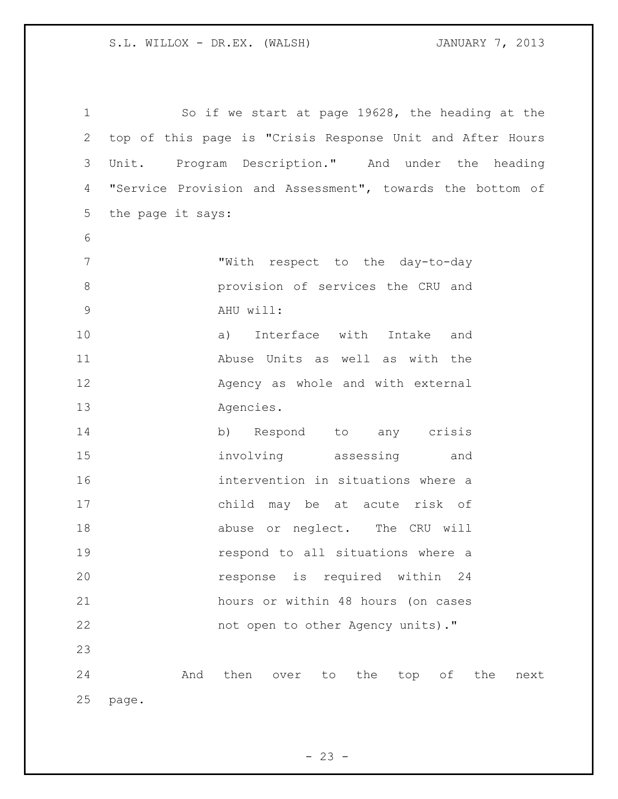So if we start at page 19628, the heading at the top of this page is "Crisis Response Unit and After Hours Unit. Program Description." And under the heading "Service Provision and Assessment", towards the bottom of the page it says: 7 With respect to the day-to-day provision of services the CRU and AHU will: a) Interface with Intake and Abuse Units as well as with the 12 Agency as whole and with external Agencies. b) Respond to any crisis involving assessing and intervention in situations where a child may be at acute risk of 18 abuse or neglect. The CRU will respond to all situations where a response is required within 24 hours or within 48 hours (on cases 22 not open to other Agency units)." And then over to the top of the next page.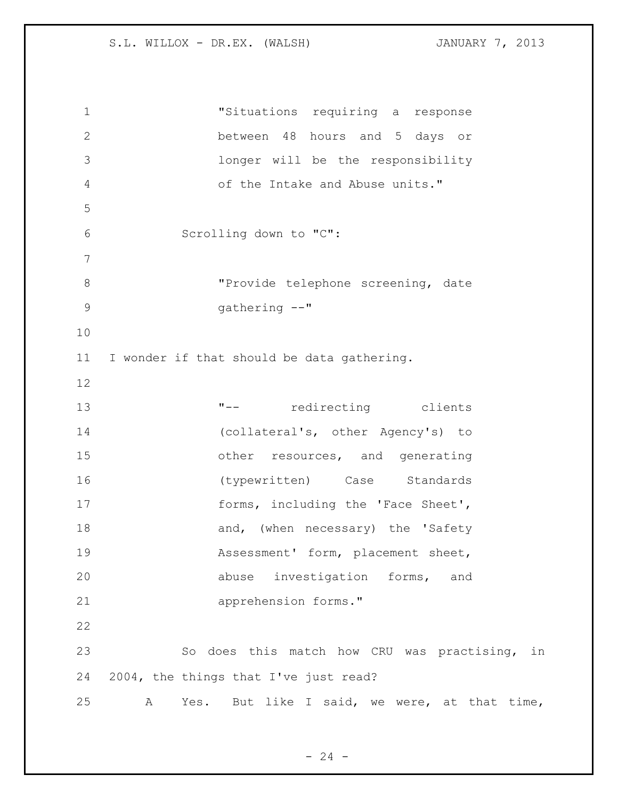"Situations requiring a response between 48 hours and 5 days or longer will be the responsibility of the Intake and Abuse units." Scrolling down to "C": 8 "Provide telephone screening, date 9 gathering  $-$ " I wonder if that should be data gathering.  $"--$  redirecting clients (collateral's, other Agency's) to other resources, and generating (typewritten) Case Standards 17 forms, including the 'Face Sheet', 18 and, (when necessary) the 'Safety Assessment' form, placement sheet, abuse investigation forms, and apprehension forms." So does this match how CRU was practising, in 2004, the things that I've just read? A Yes. But like I said, we were, at that time,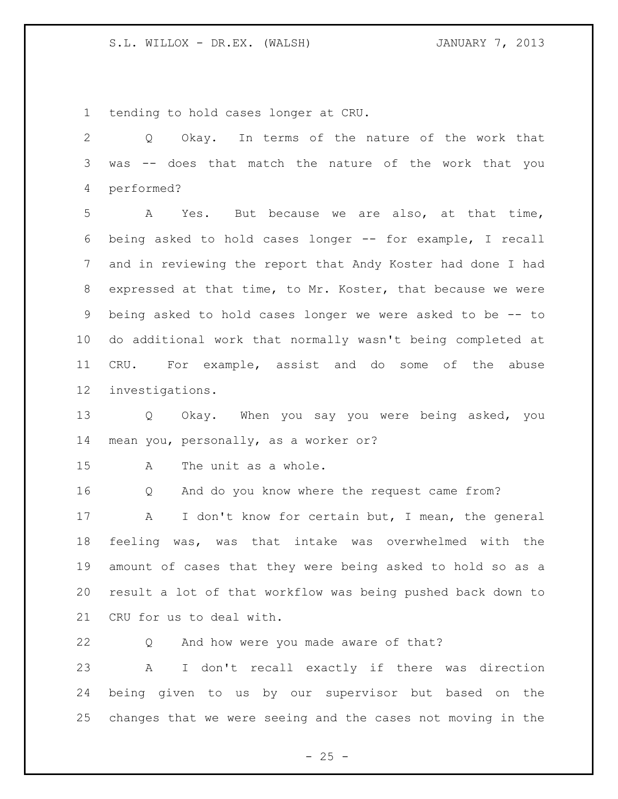tending to hold cases longer at CRU.

 Q Okay. In terms of the nature of the work that was -- does that match the nature of the work that you performed?

 A Yes. But because we are also, at that time, being asked to hold cases longer -- for example, I recall and in reviewing the report that Andy Koster had done I had expressed at that time, to Mr. Koster, that because we were being asked to hold cases longer we were asked to be -- to do additional work that normally wasn't being completed at CRU. For example, assist and do some of the abuse investigations.

 Q Okay. When you say you were being asked, you mean you, personally, as a worker or?

A The unit as a whole.

Q And do you know where the request came from?

 A I don't know for certain but, I mean, the general feeling was, was that intake was overwhelmed with the amount of cases that they were being asked to hold so as a result a lot of that workflow was being pushed back down to CRU for us to deal with.

 Q And how were you made aware of that? A I don't recall exactly if there was direction being given to us by our supervisor but based on the changes that we were seeing and the cases not moving in the

 $- 25 -$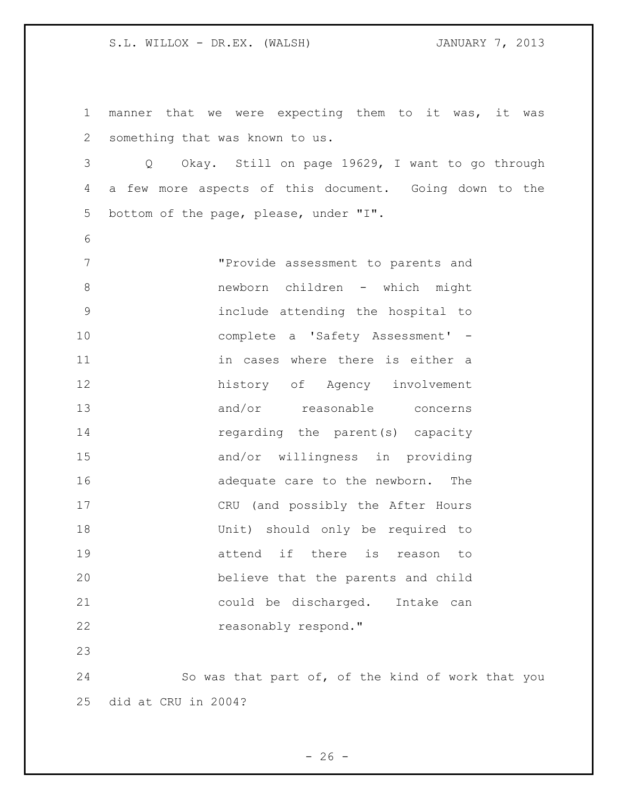manner that we were expecting them to it was, it was something that was known to us. Q Okay. Still on page 19629, I want to go through a few more aspects of this document. Going down to the bottom of the page, please, under "I". "Provide assessment to parents and newborn children - which might include attending the hospital to complete a 'Safety Assessment' - 11 in cases where there is either a history of Agency involvement and/or reasonable concerns **regarding the parent(s)** capacity and/or willingness in providing **16 adequate care to the newborn.** The CRU (and possibly the After Hours Unit) should only be required to attend if there is reason to believe that the parents and child could be discharged. Intake can 22 reasonably respond." So was that part of, of the kind of work that you did at CRU in 2004?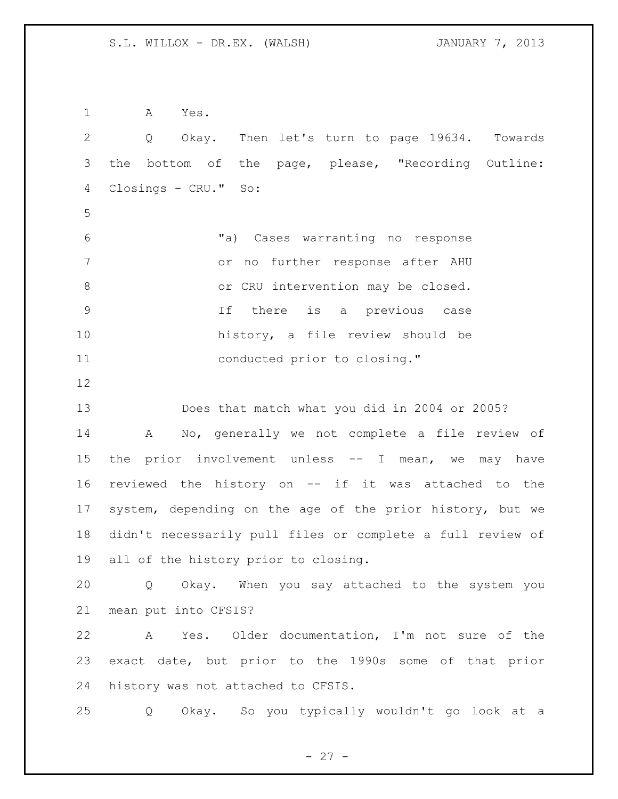A Yes. Q Okay. Then let's turn to page 19634. Towards the bottom of the page, please, "Recording Outline: Closings - CRU." So: "a) Cases warranting no response or no further response after AHU or CRU intervention may be closed. If there is a previous case history, a file review should be conducted prior to closing." Does that match what you did in 2004 or 2005? A No, generally we not complete a file review of the prior involvement unless -- I mean, we may have reviewed the history on -- if it was attached to the system, depending on the age of the prior history, but we didn't necessarily pull files or complete a full review of all of the history prior to closing. Q Okay. When you say attached to the system you mean put into CFSIS? A Yes. Older documentation, I'm not sure of the exact date, but prior to the 1990s some of that prior history was not attached to CFSIS. Q Okay. So you typically wouldn't go look at a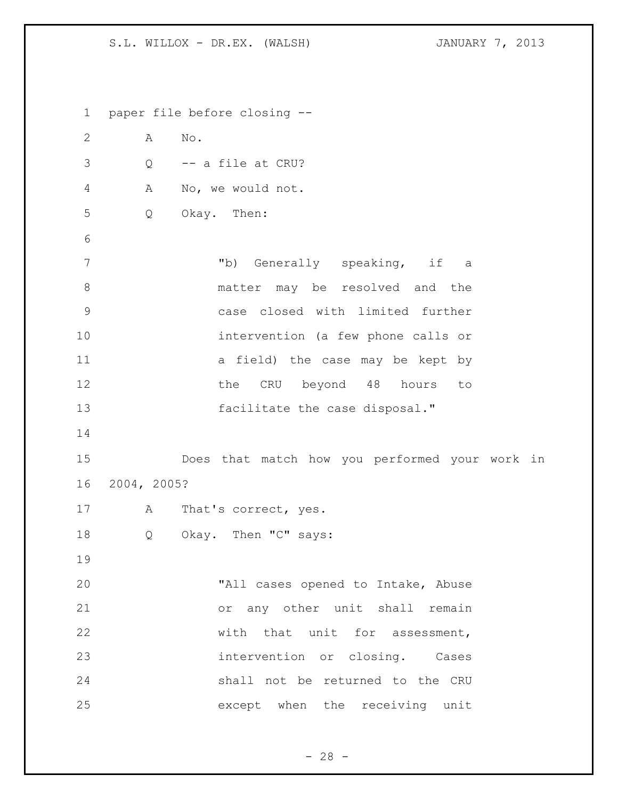paper file before closing -- A No. Q -- a file at CRU? A No, we would not. Q Okay. Then: "b) Generally speaking, if a 8 matter may be resolved and the case closed with limited further intervention (a few phone calls or 11 a field) the case may be kept by 12 the CRU beyond 48 hours to facilitate the case disposal." Does that match how you performed your work in 2004, 2005? A That's correct, yes. 18 Q Okay. Then "C" says: "All cases opened to Intake, Abuse or any other unit shall remain 22 with that unit for assessment, intervention or closing. Cases shall not be returned to the CRU except when the receiving unit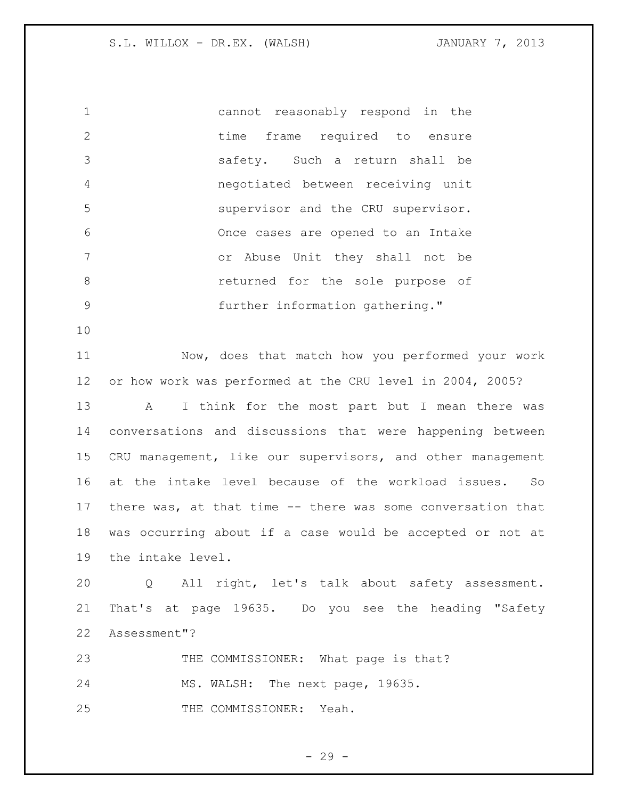cannot reasonably respond in the time frame required to ensure safety. Such a return shall be negotiated between receiving unit supervisor and the CRU supervisor. Once cases are opened to an Intake or Abuse Unit they shall not be returned for the sole purpose of further information gathering."

 Now, does that match how you performed your work or how work was performed at the CRU level in 2004, 2005?

 A I think for the most part but I mean there was conversations and discussions that were happening between CRU management, like our supervisors, and other management at the intake level because of the workload issues. So there was, at that time -- there was some conversation that was occurring about if a case would be accepted or not at the intake level.

 Q All right, let's talk about safety assessment. That's at page 19635. Do you see the heading "Safety Assessment"?

23 THE COMMISSIONER: What page is that? MS. WALSH: The next page, 19635. 25 THE COMMISSIONER: Yeah.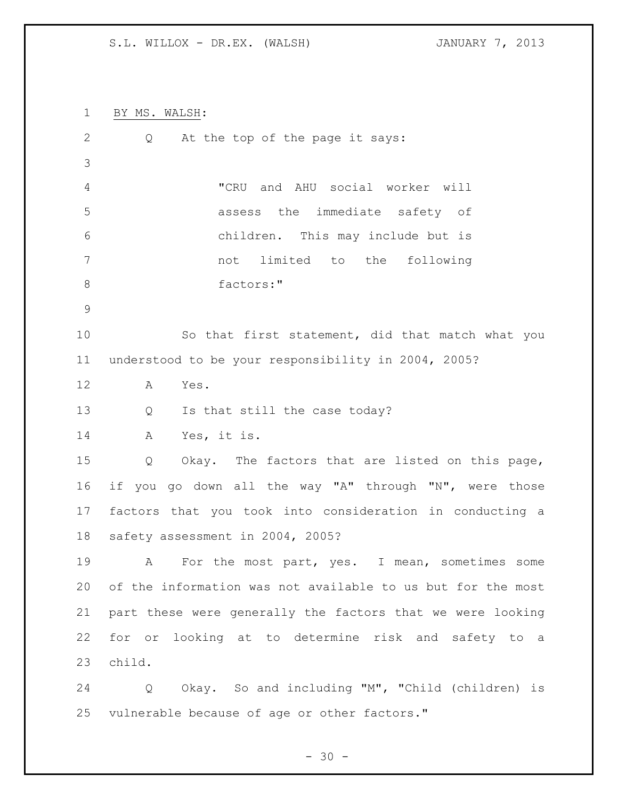BY MS. WALSH: Q At the top of the page it says: "CRU and AHU social worker will assess the immediate safety of children. This may include but is not limited to the following factors:" So that first statement, did that match what you understood to be your responsibility in 2004, 2005? A Yes. 13 Q Is that still the case today? A Yes, it is. Q Okay. The factors that are listed on this page, if you go down all the way "A" through "N", were those factors that you took into consideration in conducting a safety assessment in 2004, 2005? A For the most part, yes. I mean, sometimes some of the information was not available to us but for the most part these were generally the factors that we were looking for or looking at to determine risk and safety to a child. Q Okay. So and including "M", "Child (children) is vulnerable because of age or other factors."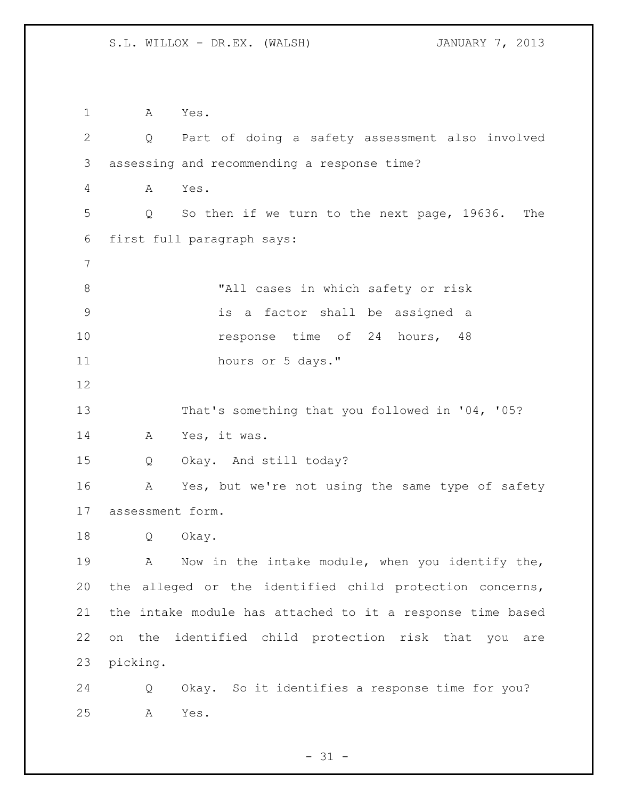A Yes. Q Part of doing a safety assessment also involved assessing and recommending a response time? A Yes. Q So then if we turn to the next page, 19636. The first full paragraph says: "All cases in which safety or risk is a factor shall be assigned a **response time of 24 hours, 48** 11 hours or 5 days." That's something that you followed in '04, '05? A Yes, it was. Q Okay. And still today? A Yes, but we're not using the same type of safety assessment form. Q Okay. A Now in the intake module, when you identify the, the alleged or the identified child protection concerns, the intake module has attached to it a response time based on the identified child protection risk that you are picking. Q Okay. So it identifies a response time for you? A Yes.

 $- 31 -$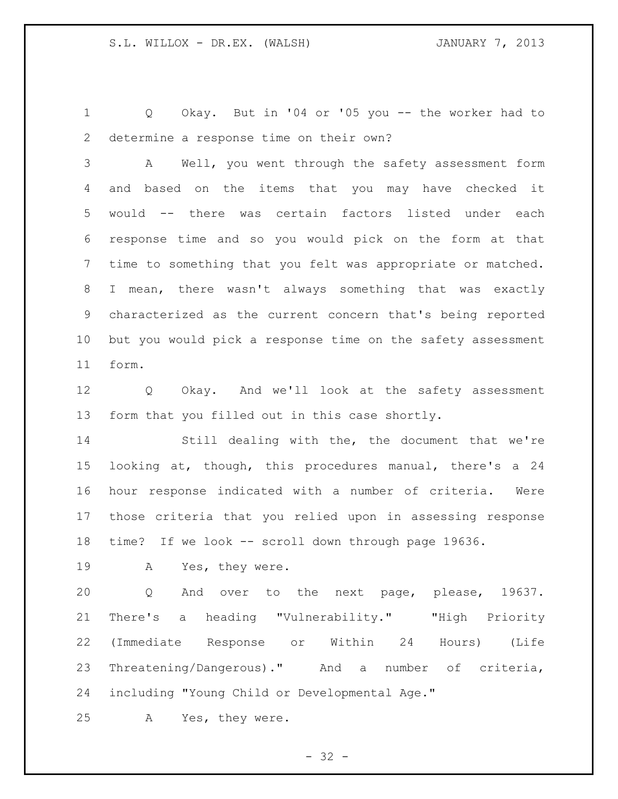Q Okay. But in '04 or '05 you -- the worker had to determine a response time on their own?

 A Well, you went through the safety assessment form and based on the items that you may have checked it would -- there was certain factors listed under each response time and so you would pick on the form at that time to something that you felt was appropriate or matched. I mean, there wasn't always something that was exactly characterized as the current concern that's being reported but you would pick a response time on the safety assessment form.

 Q Okay. And we'll look at the safety assessment form that you filled out in this case shortly.

 Still dealing with the, the document that we're looking at, though, this procedures manual, there's a 24 hour response indicated with a number of criteria. Were those criteria that you relied upon in assessing response time? If we look -- scroll down through page 19636.

A Yes, they were.

 Q And over to the next page, please, 19637. There's a heading "Vulnerability." "High Priority (Immediate Response or Within 24 Hours) (Life Threatening/Dangerous)." And a number of criteria, including "Young Child or Developmental Age."

A Yes, they were.

 $- 32 -$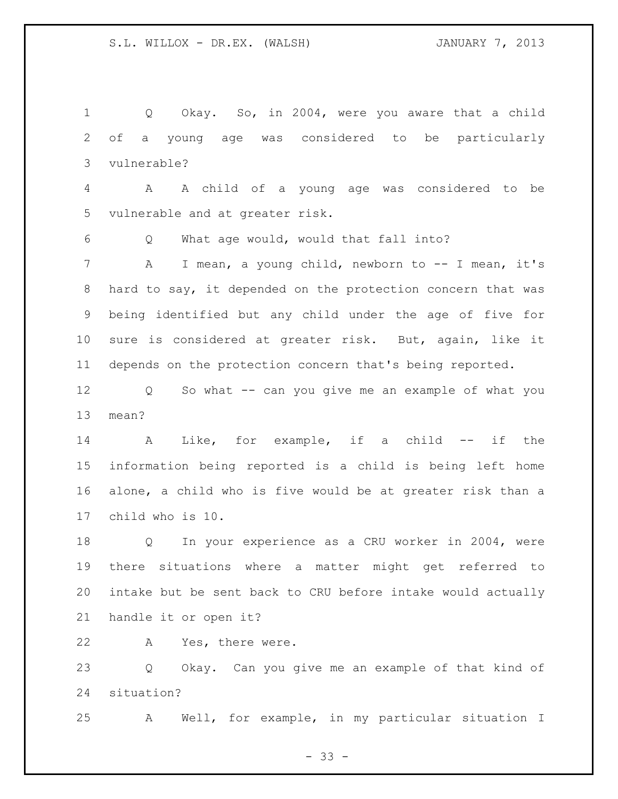Q Okay. So, in 2004, were you aware that a child of a young age was considered to be particularly vulnerable? A A child of a young age was considered to be vulnerable and at greater risk. Q What age would, would that fall into? 7 A I mean, a young child, newborn to -- I mean, it's hard to say, it depended on the protection concern that was being identified but any child under the age of five for sure is considered at greater risk. But, again, like it depends on the protection concern that's being reported. Q So what -- can you give me an example of what you mean? A Like, for example, if a child -- if the information being reported is a child is being left home alone, a child who is five would be at greater risk than a child who is 10. Q In your experience as a CRU worker in 2004, were there situations where a matter might get referred to intake but be sent back to CRU before intake would actually handle it or open it?

A Yes, there were.

 Q Okay. Can you give me an example of that kind of situation?

A Well, for example, in my particular situation I

 $- 33 -$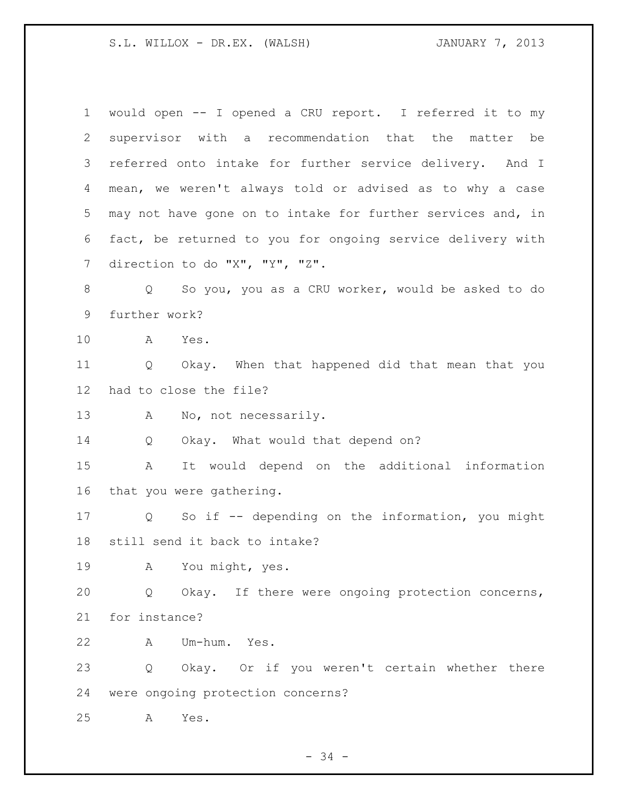S.L. WILLOX - DR.EX. (WALSH) (3.1)

| $\mathbf 1$  | would open -- I opened a CRU report. I referred it to my              |
|--------------|-----------------------------------------------------------------------|
| $\mathbf{2}$ | supervisor with a recommendation that the matter be                   |
| 3            | referred onto intake for further service delivery. And I              |
| 4            | mean, we weren't always told or advised as to why a case              |
| 5            | may not have gone on to intake for further services and, in           |
| 6            | fact, be returned to you for ongoing service delivery with            |
| 7            | direction to do "X", "Y", "Z".                                        |
| 8            | So you, you as a CRU worker, would be asked to do<br>$Q_{\perp}$      |
| 9            | further work?                                                         |
| 10           | Yes.<br>A                                                             |
| 11           | Q Okay. When that happened did that mean that you                     |
| 12           | had to close the file?                                                |
| 13           | No, not necessarily.<br>A                                             |
| 14           | Okay. What would that depend on?<br>Q                                 |
| 15           | It would depend on the additional information<br>A                    |
| 16           | that you were gathering.                                              |
| 17           | So if -- depending on the information, you might<br>$Q \qquad \qquad$ |
| 18           | still send it back to intake?                                         |
| 19           | You might, yes.<br>A                                                  |
| 20           | Okay. If there were ongoing protection concerns,<br>Q                 |
| 21           | for instance?                                                         |
| 22           | Um-hum. Yes.<br>A                                                     |
| 23           | Okay. Or if you weren't certain whether there<br>Q                    |
| 24           | were ongoing protection concerns?                                     |
| 25           | Yes.<br>A                                                             |

- 34 -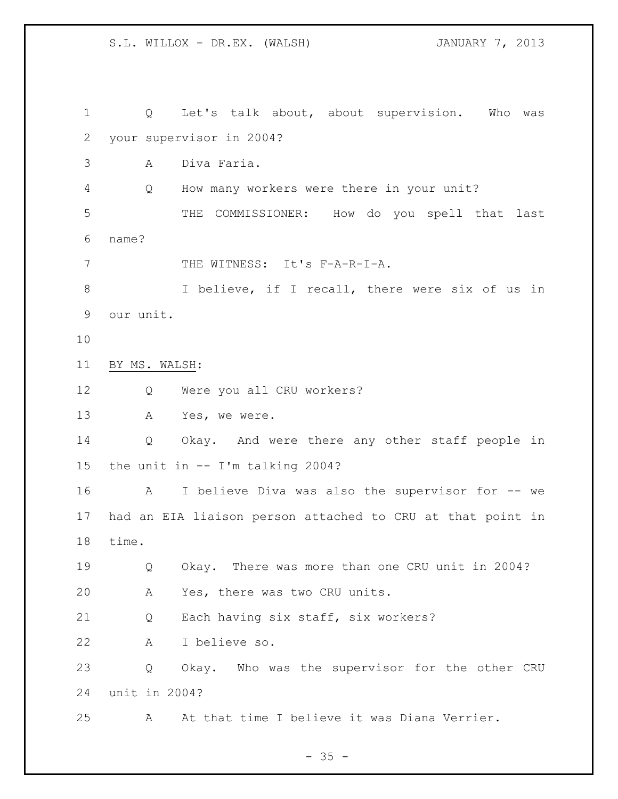Q Let's talk about, about supervision. Who was your supervisor in 2004? A Diva Faria. Q How many workers were there in your unit? THE COMMISSIONER: How do you spell that last name? 7 THE WITNESS: It's F-A-R-I-A. 8 I believe, if I recall, there were six of us in our unit. BY MS. WALSH: Q Were you all CRU workers? 13 A Yes, we were. Q Okay. And were there any other staff people in the unit in -- I'm talking 2004? A I believe Diva was also the supervisor for -- we had an EIA liaison person attached to CRU at that point in time. Q Okay. There was more than one CRU unit in 2004? A Yes, there was two CRU units. Q Each having six staff, six workers? A I believe so. Q Okay. Who was the supervisor for the other CRU unit in 2004? A At that time I believe it was Diana Verrier.

 $- 35 -$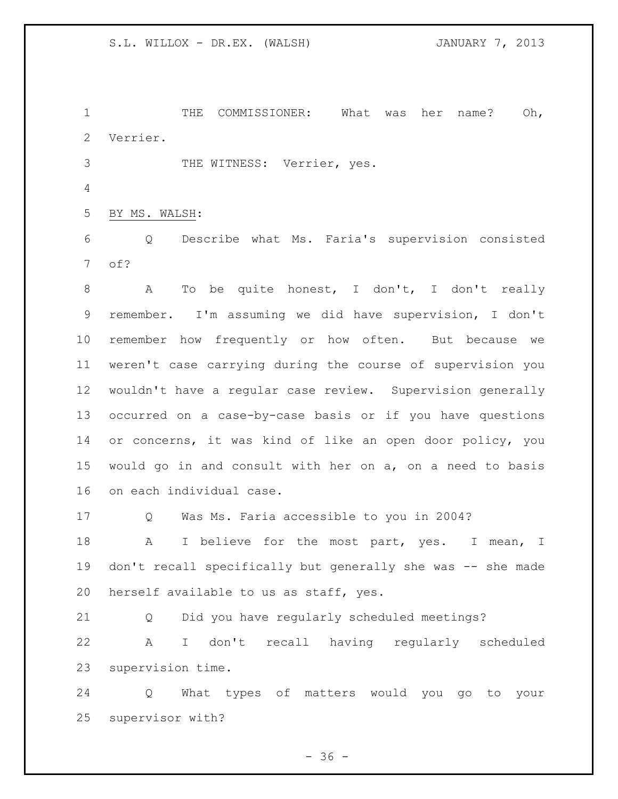THE COMMISSIONER: What was her name? Oh, Verrier.

THE WITNESS: Verrier, yes.

BY MS. WALSH:

supervision time.

 Q Describe what Ms. Faria's supervision consisted of?

 A To be quite honest, I don't, I don't really remember. I'm assuming we did have supervision, I don't remember how frequently or how often. But because we weren't case carrying during the course of supervision you wouldn't have a regular case review. Supervision generally occurred on a case-by-case basis or if you have questions or concerns, it was kind of like an open door policy, you would go in and consult with her on a, on a need to basis on each individual case.

Q Was Ms. Faria accessible to you in 2004?

18 A I believe for the most part, yes. I mean, I don't recall specifically but generally she was -- she made herself available to us as staff, yes.

 Q Did you have regularly scheduled meetings? A I don't recall having regularly scheduled

 Q What types of matters would you go to your supervisor with?

 $-36 -$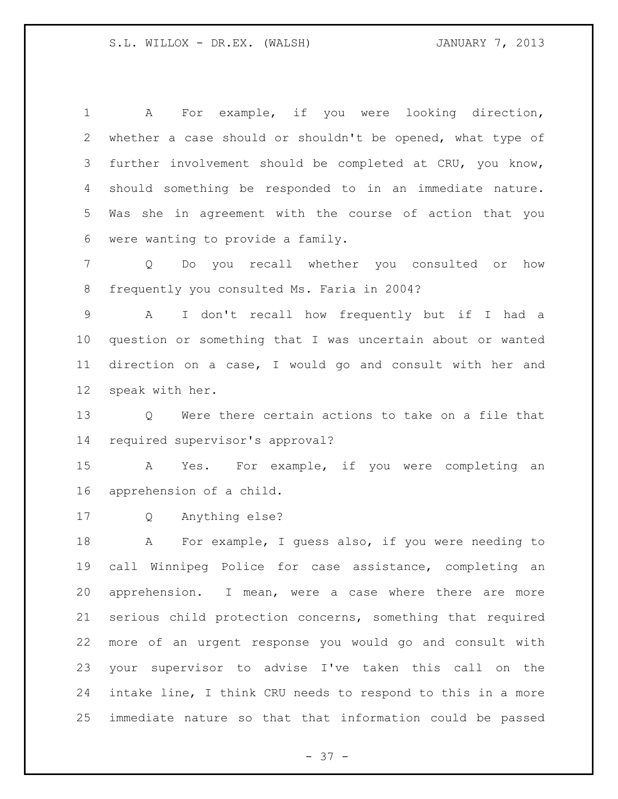A For example, if you were looking direction, whether a case should or shouldn't be opened, what type of further involvement should be completed at CRU, you know, should something be responded to in an immediate nature. Was she in agreement with the course of action that you were wanting to provide a family.

 Q Do you recall whether you consulted or how frequently you consulted Ms. Faria in 2004?

 A I don't recall how frequently but if I had a question or something that I was uncertain about or wanted direction on a case, I would go and consult with her and speak with her.

 Q Were there certain actions to take on a file that required supervisor's approval?

 A Yes. For example, if you were completing an apprehension of a child.

Q Anything else?

 A For example, I guess also, if you were needing to call Winnipeg Police for case assistance, completing an apprehension. I mean, were a case where there are more serious child protection concerns, something that required more of an urgent response you would go and consult with your supervisor to advise I've taken this call on the intake line, I think CRU needs to respond to this in a more immediate nature so that that information could be passed

 $- 37 -$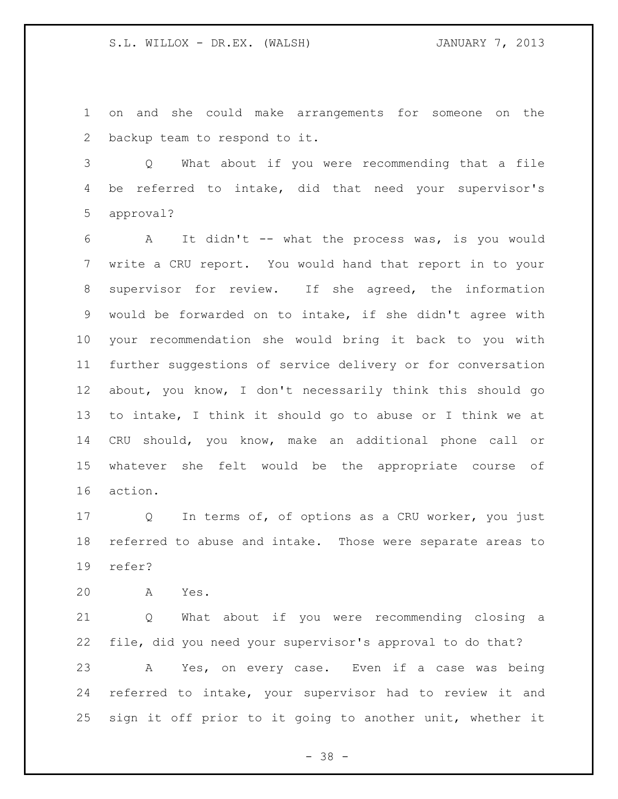on and she could make arrangements for someone on the backup team to respond to it.

 Q What about if you were recommending that a file be referred to intake, did that need your supervisor's approval?

 A It didn't -- what the process was, is you would write a CRU report. You would hand that report in to your supervisor for review. If she agreed, the information would be forwarded on to intake, if she didn't agree with your recommendation she would bring it back to you with further suggestions of service delivery or for conversation about, you know, I don't necessarily think this should go to intake, I think it should go to abuse or I think we at CRU should, you know, make an additional phone call or whatever she felt would be the appropriate course of action.

 Q In terms of, of options as a CRU worker, you just referred to abuse and intake. Those were separate areas to refer?

A Yes.

 Q What about if you were recommending closing a file, did you need your supervisor's approval to do that? A Yes, on every case. Even if a case was being referred to intake, your supervisor had to review it and sign it off prior to it going to another unit, whether it

 $- 38 -$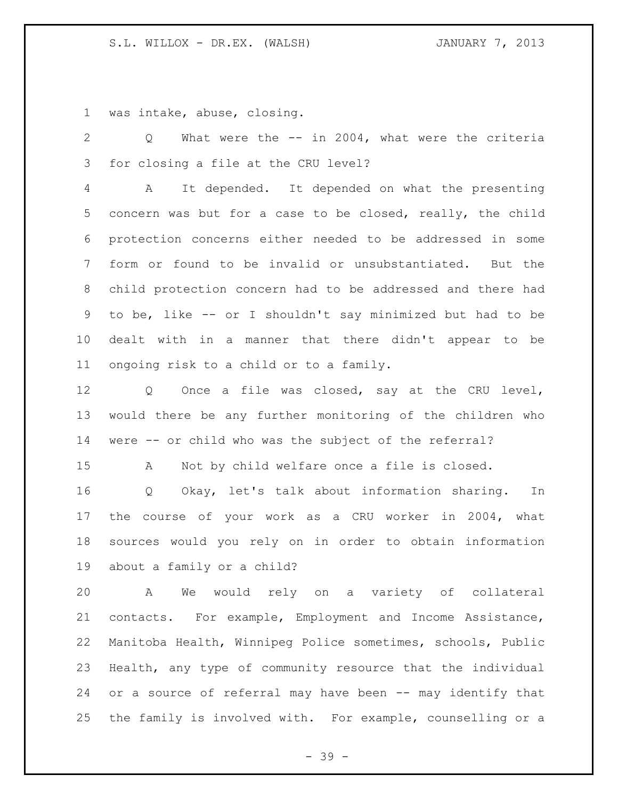was intake, abuse, closing.

 Q What were the -- in 2004, what were the criteria for closing a file at the CRU level?

 A It depended. It depended on what the presenting concern was but for a case to be closed, really, the child protection concerns either needed to be addressed in some form or found to be invalid or unsubstantiated. But the child protection concern had to be addressed and there had to be, like -- or I shouldn't say minimized but had to be dealt with in a manner that there didn't appear to be ongoing risk to a child or to a family.

 Q Once a file was closed, say at the CRU level, would there be any further monitoring of the children who were -- or child who was the subject of the referral?

A Not by child welfare once a file is closed.

 Q Okay, let's talk about information sharing. In the course of your work as a CRU worker in 2004, what sources would you rely on in order to obtain information about a family or a child?

 A We would rely on a variety of collateral contacts. For example, Employment and Income Assistance, Manitoba Health, Winnipeg Police sometimes, schools, Public Health, any type of community resource that the individual or a source of referral may have been -- may identify that the family is involved with. For example, counselling or a

- 39 -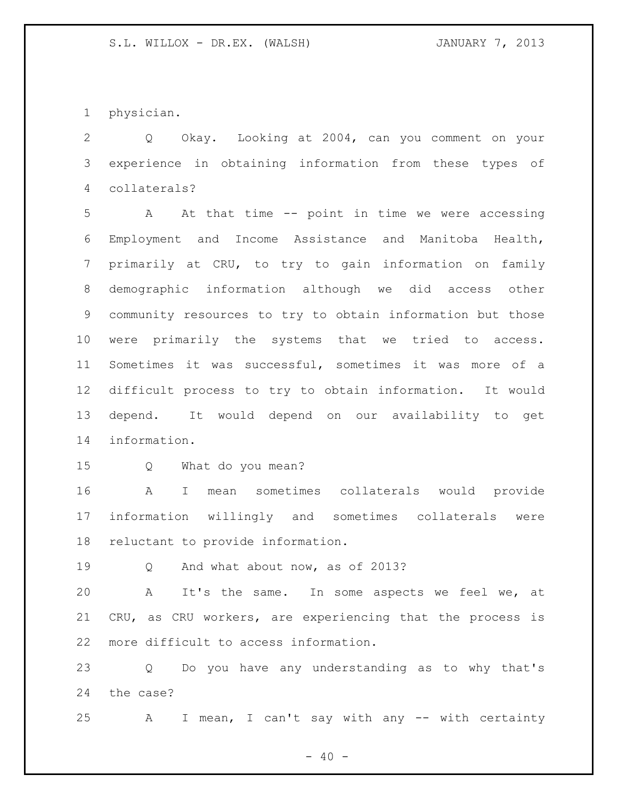physician.

 Q Okay. Looking at 2004, can you comment on your experience in obtaining information from these types of collaterals?

 A At that time -- point in time we were accessing Employment and Income Assistance and Manitoba Health, primarily at CRU, to try to gain information on family demographic information although we did access other community resources to try to obtain information but those were primarily the systems that we tried to access. Sometimes it was successful, sometimes it was more of a difficult process to try to obtain information. It would depend. It would depend on our availability to get information.

Q What do you mean?

 A I mean sometimes collaterals would provide information willingly and sometimes collaterals were reluctant to provide information.

Q And what about now, as of 2013?

 A It's the same. In some aspects we feel we, at CRU, as CRU workers, are experiencing that the process is more difficult to access information.

 Q Do you have any understanding as to why that's the case?

A I mean, I can't say with any -- with certainty

 $- 40 -$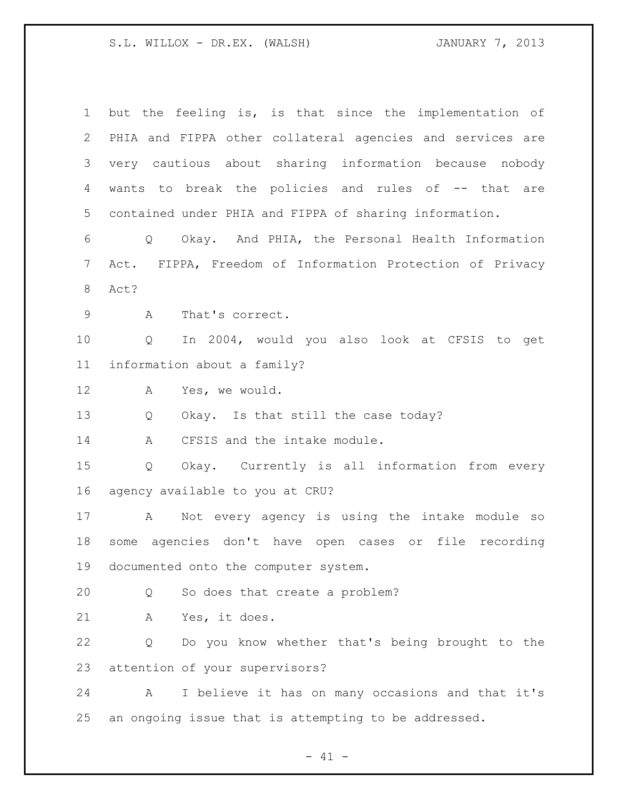S.L. WILLOX - DR.EX. (WALSH) (3.1)

| $\mathbf{1}$   |      | but the feeling is, is that since the implementation of   |
|----------------|------|-----------------------------------------------------------|
| $\mathbf{2}$   |      | PHIA and FIPPA other collateral agencies and services are |
| 3              |      | very cautious about sharing information because nobody    |
| 4              |      | wants to break the policies and rules of -- that are      |
| 5              |      | contained under PHIA and FIPPA of sharing information.    |
| 6              | Q    | Okay. And PHIA, the Personal Health Information           |
| $\overline{7}$ |      | Act. FIPPA, Freedom of Information Protection of Privacy  |
| 8              | Act? |                                                           |
| $\mathsf 9$    | A    | That's correct.                                           |
| 10             | Q    | In 2004, would you also look at CFSIS to get              |
| 11             |      | information about a family?                               |
| 12             | Α    | Yes, we would.                                            |
| 13             | Q    | Okay. Is that still the case today?                       |
| 14             | A    | CFSIS and the intake module.                              |
| 15             | Q    | Okay. Currently is all information from every             |
| 16             |      | agency available to you at CRU?                           |
| 17             | A    | Not every agency is using the intake module so            |
| 18             |      | some agencies don't have open cases or file recording     |
| 19             |      | documented onto the computer system.                      |
| 20             | Q    | So does that create a problem?                            |
| 21             | А    | Yes, it does.                                             |
| 22             | Q    | Do you know whether that's being brought to the           |
| 23             |      | attention of your supervisors?                            |
| 24             | Α    | I believe it has on many occasions and that it's          |
| 25             |      | an ongoing issue that is attempting to be addressed.      |

 $- 41 -$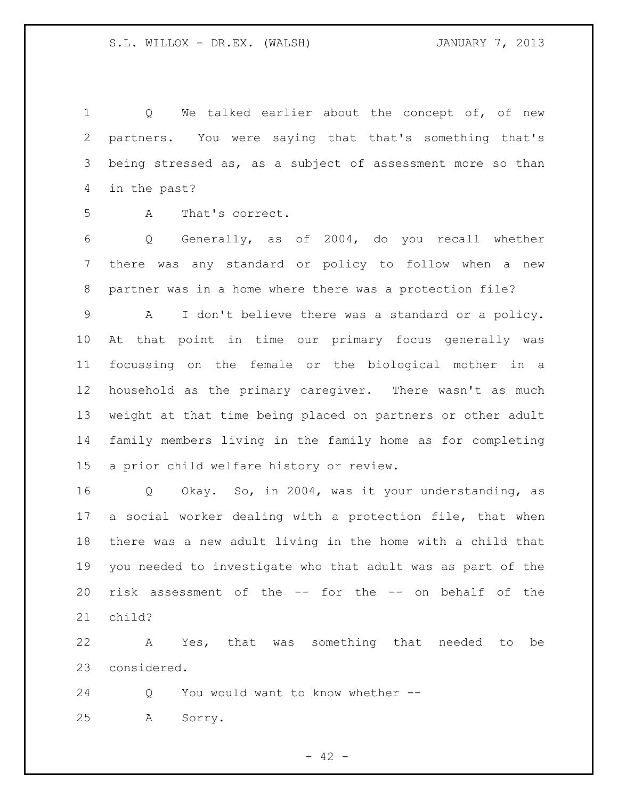1 Q We talked earlier about the concept of, of new partners. You were saying that that's something that's being stressed as, as a subject of assessment more so than in the past?

A That's correct.

 Q Generally, as of 2004, do you recall whether there was any standard or policy to follow when a new partner was in a home where there was a protection file?

 A I don't believe there was a standard or a policy. At that point in time our primary focus generally was focussing on the female or the biological mother in a household as the primary caregiver. There wasn't as much weight at that time being placed on partners or other adult family members living in the family home as for completing a prior child welfare history or review.

 Q Okay. So, in 2004, was it your understanding, as a social worker dealing with a protection file, that when there was a new adult living in the home with a child that you needed to investigate who that adult was as part of the risk assessment of the -- for the -- on behalf of the child?

 A Yes, that was something that needed to be considered.

 Q You would want to know whether -- A Sorry.

 $- 42 -$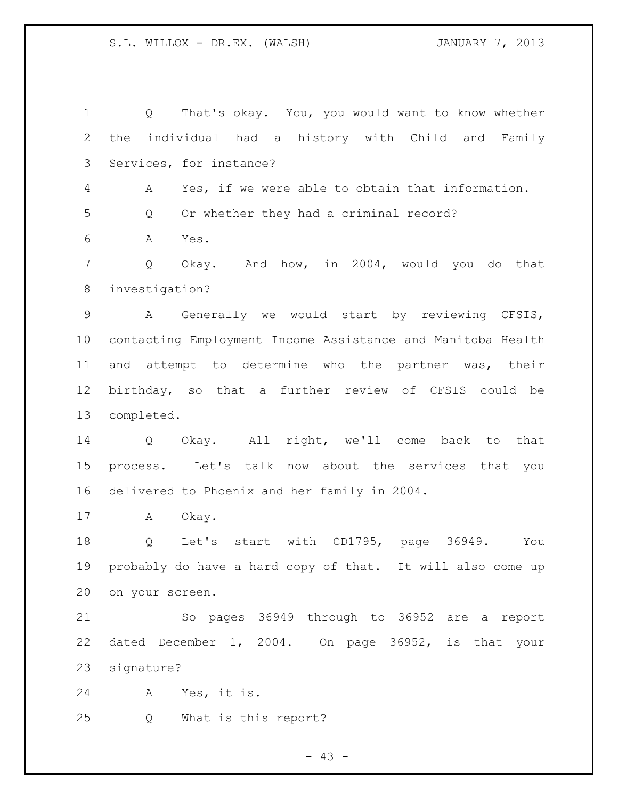Q That's okay. You, you would want to know whether the individual had a history with Child and Family Services, for instance? A Yes, if we were able to obtain that information. Q Or whether they had a criminal record? A Yes. Q Okay. And how, in 2004, would you do that investigation? A Generally we would start by reviewing CFSIS, contacting Employment Income Assistance and Manitoba Health and attempt to determine who the partner was, their birthday, so that a further review of CFSIS could be completed. Q Okay. All right, we'll come back to that process. Let's talk now about the services that you delivered to Phoenix and her family in 2004. A Okay. Q Let's start with CD1795, page 36949. You probably do have a hard copy of that. It will also come up on your screen. So pages 36949 through to 36952 are a report dated December 1, 2004. On page 36952, is that your signature? A Yes, it is. Q What is this report?

 $- 43 -$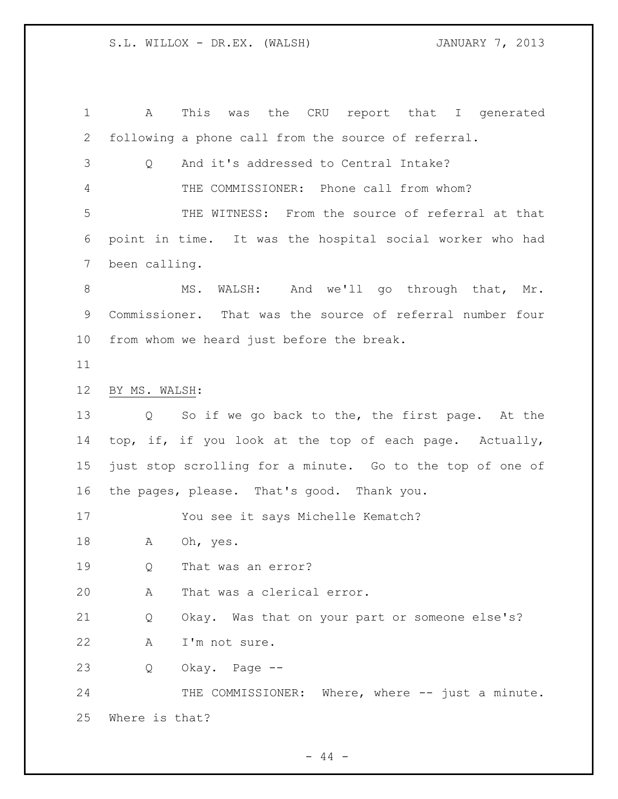A This was the CRU report that I generated following a phone call from the source of referral. Q And it's addressed to Central Intake? THE COMMISSIONER: Phone call from whom? THE WITNESS: From the source of referral at that point in time. It was the hospital social worker who had been calling. 8 MS. WALSH: And we'll go through that, Mr. Commissioner. That was the source of referral number four from whom we heard just before the break. BY MS. WALSH: Q So if we go back to the, the first page. At the top, if, if you look at the top of each page. Actually, just stop scrolling for a minute. Go to the top of one of the pages, please. That's good. Thank you. You see it says Michelle Kematch? 18 A Oh, yes. Q That was an error? A That was a clerical error. Q Okay. Was that on your part or someone else's? A I'm not sure. Q Okay. Page -- 24 THE COMMISSIONER: Where, where -- just a minute. Where is that?

 $-44 -$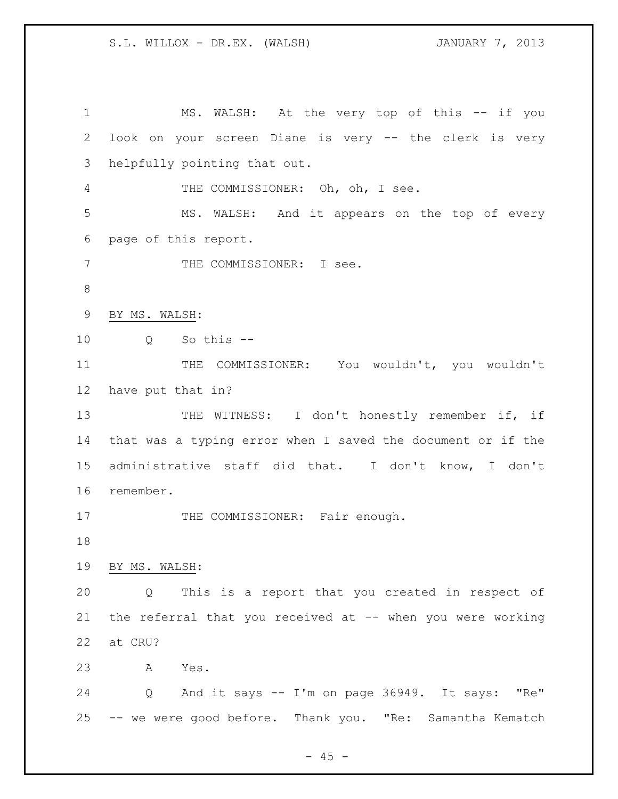1 MS. WALSH: At the very top of this -- if you look on your screen Diane is very -- the clerk is very helpfully pointing that out. THE COMMISSIONER: Oh, oh, I see. MS. WALSH: And it appears on the top of every page of this report. 7 THE COMMISSIONER: I see. BY MS. WALSH: Q So this -- THE COMMISSIONER: You wouldn't, you wouldn't have put that in? 13 THE WITNESS: I don't honestly remember if, if that was a typing error when I saved the document or if the administrative staff did that. I don't know, I don't remember. 17 THE COMMISSIONER: Fair enough. BY MS. WALSH: Q This is a report that you created in respect of 21 the referral that you received at -- when you were working at CRU? A Yes. Q And it says -- I'm on page 36949. It says: "Re" -- we were good before. Thank you. "Re: Samantha Kematch

 $- 45 -$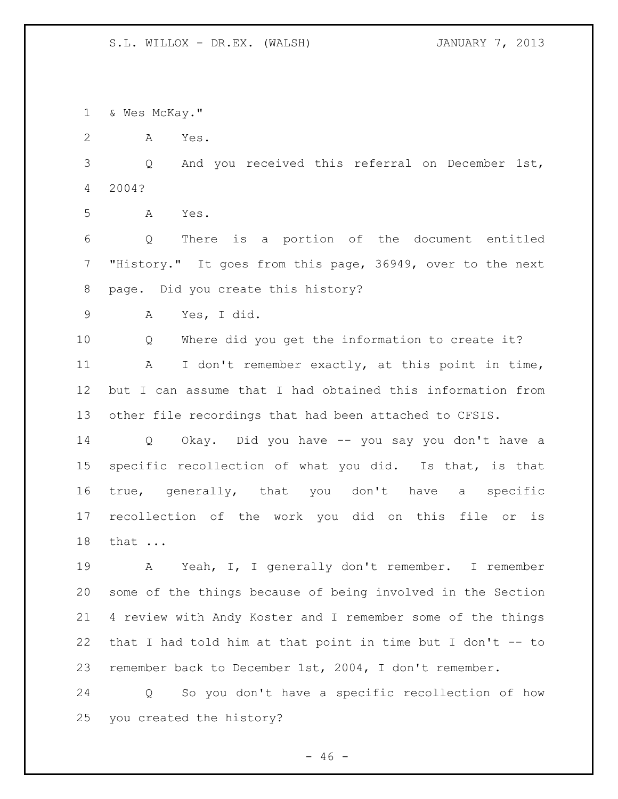& Wes McKay."

A Yes.

 Q And you received this referral on December 1st, 2004?

A Yes.

 Q There is a portion of the document entitled "History." It goes from this page, 36949, over to the next page. Did you create this history?

A Yes, I did.

 Q Where did you get the information to create it? A I don't remember exactly, at this point in time, but I can assume that I had obtained this information from other file recordings that had been attached to CFSIS.

 Q Okay. Did you have -- you say you don't have a specific recollection of what you did. Is that, is that true, generally, that you don't have a specific recollection of the work you did on this file or is that ...

 A Yeah, I, I generally don't remember. I remember some of the things because of being involved in the Section 4 review with Andy Koster and I remember some of the things that I had told him at that point in time but I don't -- to remember back to December 1st, 2004, I don't remember.

 Q So you don't have a specific recollection of how you created the history?

 $- 46 -$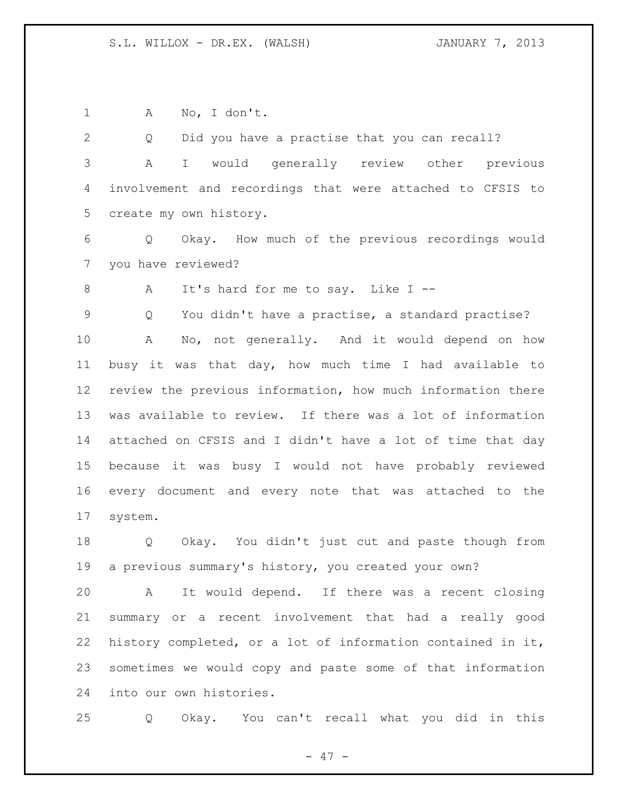A No, I don't.

 Q Did you have a practise that you can recall? A I would generally review other previous involvement and recordings that were attached to CFSIS to create my own history.

 Q Okay. How much of the previous recordings would you have reviewed?

A It's hard for me to say. Like I --

 Q You didn't have a practise, a standard practise? A No, not generally. And it would depend on how busy it was that day, how much time I had available to review the previous information, how much information there was available to review. If there was a lot of information attached on CFSIS and I didn't have a lot of time that day because it was busy I would not have probably reviewed every document and every note that was attached to the system.

 Q Okay. You didn't just cut and paste though from a previous summary's history, you created your own?

 A It would depend. If there was a recent closing summary or a recent involvement that had a really good history completed, or a lot of information contained in it, sometimes we would copy and paste some of that information into our own histories.

Q Okay. You can't recall what you did in this

- 47 -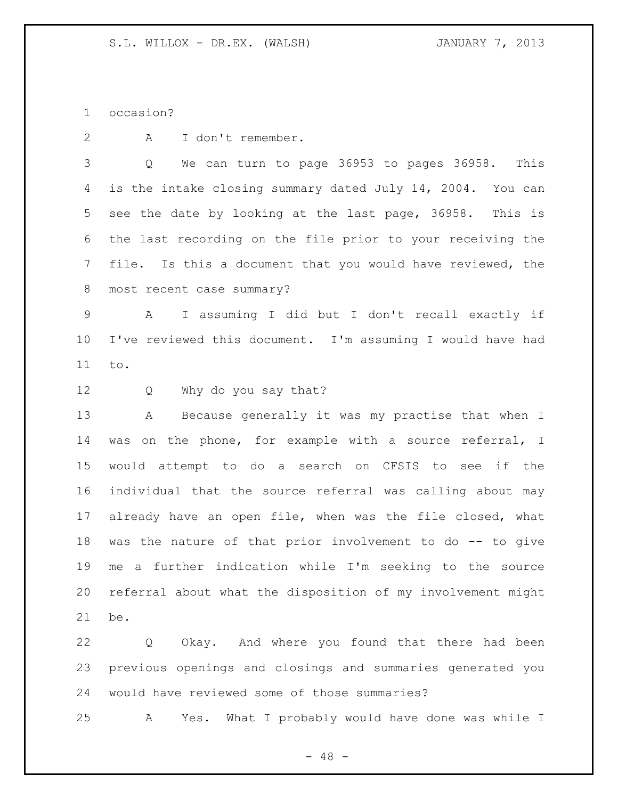occasion?

A I don't remember.

 Q We can turn to page 36953 to pages 36958. This is the intake closing summary dated July 14, 2004. You can see the date by looking at the last page, 36958. This is the last recording on the file prior to your receiving the file. Is this a document that you would have reviewed, the most recent case summary?

 A I assuming I did but I don't recall exactly if I've reviewed this document. I'm assuming I would have had to.

Q Why do you say that?

 A Because generally it was my practise that when I was on the phone, for example with a source referral, I would attempt to do a search on CFSIS to see if the individual that the source referral was calling about may already have an open file, when was the file closed, what was the nature of that prior involvement to do -- to give me a further indication while I'm seeking to the source referral about what the disposition of my involvement might be.

 Q Okay. And where you found that there had been previous openings and closings and summaries generated you would have reviewed some of those summaries?

A Yes. What I probably would have done was while I

 $- 48 -$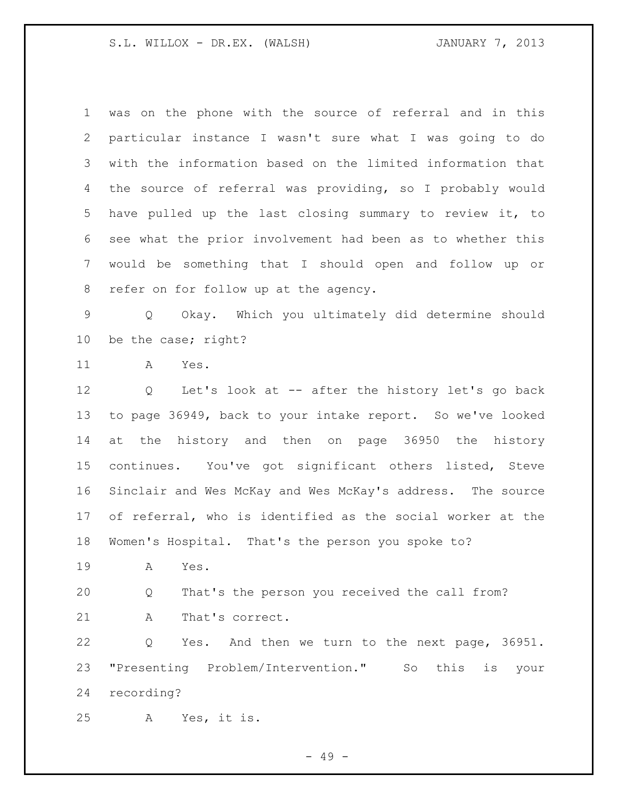was on the phone with the source of referral and in this particular instance I wasn't sure what I was going to do with the information based on the limited information that the source of referral was providing, so I probably would have pulled up the last closing summary to review it, to see what the prior involvement had been as to whether this would be something that I should open and follow up or refer on for follow up at the agency.

 Q Okay. Which you ultimately did determine should be the case; right?

A Yes.

 Q Let's look at -- after the history let's go back to page 36949, back to your intake report. So we've looked at the history and then on page 36950 the history continues. You've got significant others listed, Steve Sinclair and Wes McKay and Wes McKay's address. The source of referral, who is identified as the social worker at the Women's Hospital. That's the person you spoke to?

A Yes.

 Q That's the person you received the call from? 21 A That's correct.

 Q Yes. And then we turn to the next page, 36951. "Presenting Problem/Intervention." So this is your recording?

A Yes, it is.

- 49 -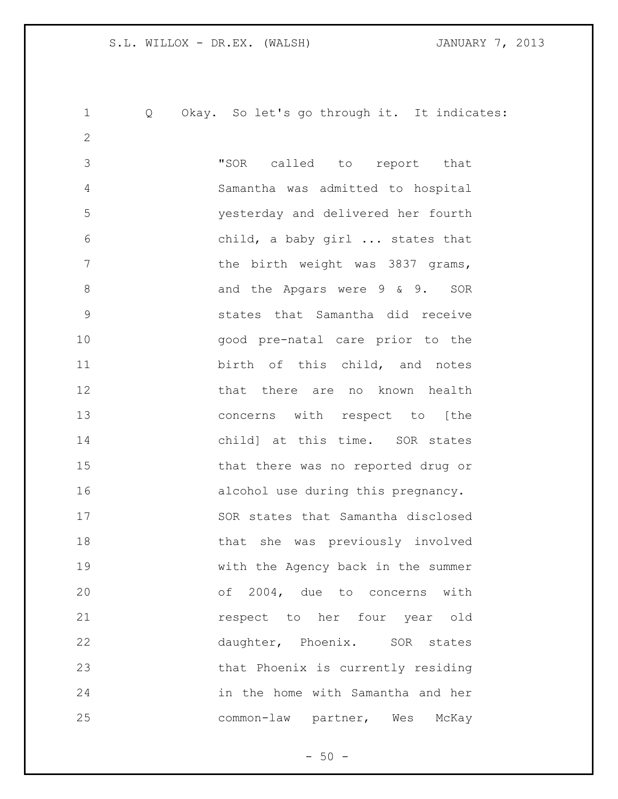Q Okay. So let's go through it. It indicates: "SOR called to report that Samantha was admitted to hospital yesterday and delivered her fourth child, a baby girl ... states that 7 the birth weight was 3837 grams, 8 and the Apgars were 9 & 9. SOR states that Samantha did receive good pre-natal care prior to the **birth of this child, and notes** 12 that there are no known health concerns with respect to [the child] at this time. SOR states that there was no reported drug or 16 alcohol use during this pregnancy. SOR states that Samantha disclosed that she was previously involved with the Agency back in the summer of 2004, due to concerns with respect to her four year old 22 daughter, Phoenix. SOR states that Phoenix is currently residing in the home with Samantha and her common-law partner, Wes McKay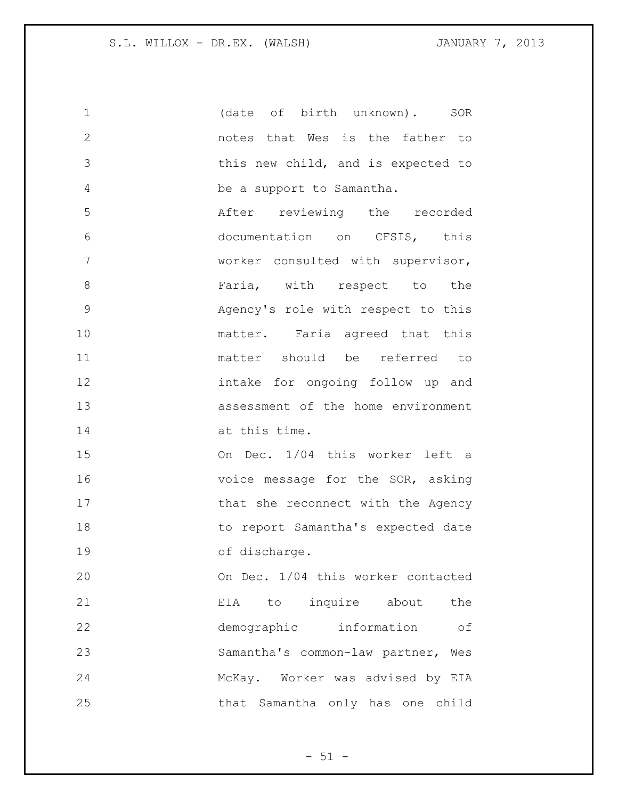(date of birth unknown). SOR notes that Wes is the father to this new child, and is expected to be a support to Samantha. After reviewing the recorded documentation on CFSIS, this worker consulted with supervisor, 8 Faria, with respect to the Agency's role with respect to this 10 matter. Faria agreed that this matter should be referred to intake for ongoing follow up and assessment of the home environment at this time. On Dec. 1/04 this worker left a 16 voice message for the SOR, asking 17 that she reconnect with the Agency 18 to report Samantha's expected date of discharge. On Dec. 1/04 this worker contacted EIA to inquire about the demographic information of Samantha's common-law partner, Wes McKay. Worker was advised by EIA that Samantha only has one child

 $-51 -$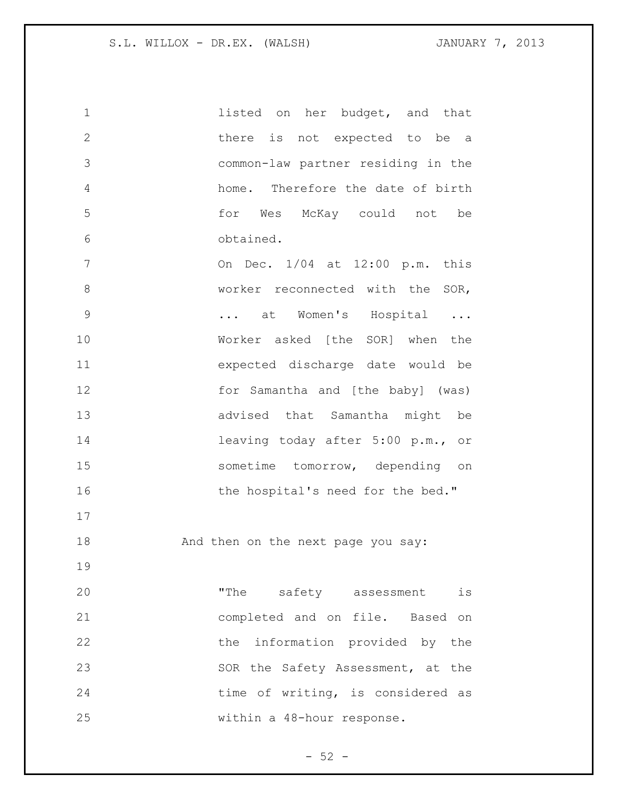| $\mathbf 1$   | listed on her budget, and that     |
|---------------|------------------------------------|
| $\mathbf{2}$  | there is not expected to be a      |
| 3             | common-law partner residing in the |
| 4             | home. Therefore the date of birth  |
| 5             | for Wes McKay could not be         |
| 6             | obtained.                          |
| 7             | On Dec. 1/04 at 12:00 p.m. this    |
| 8             | worker reconnected with the SOR,   |
| $\mathcal{G}$ | at Women's Hospital<br>$\ddots$    |
| 10            | Worker asked [the SOR] when the    |
| 11            | expected discharge date would be   |
| 12            | for Samantha and [the baby] (was)  |
| 13            | advised that Samantha might be     |
| 14            | leaving today after 5:00 p.m., or  |
| 15            | sometime tomorrow, depending on    |
| 16            | the hospital's need for the bed."  |
| 17            |                                    |
| 18            | And then on the next page you say: |
| 19            |                                    |
| 20            | "The safety assessment is          |
| 21            | completed and on file. Based on    |
| 22            | the information provided by the    |
| 23            | SOR the Safety Assessment, at the  |
| 24            | time of writing, is considered as  |
| 25            | within a 48-hour response.         |

- 52 -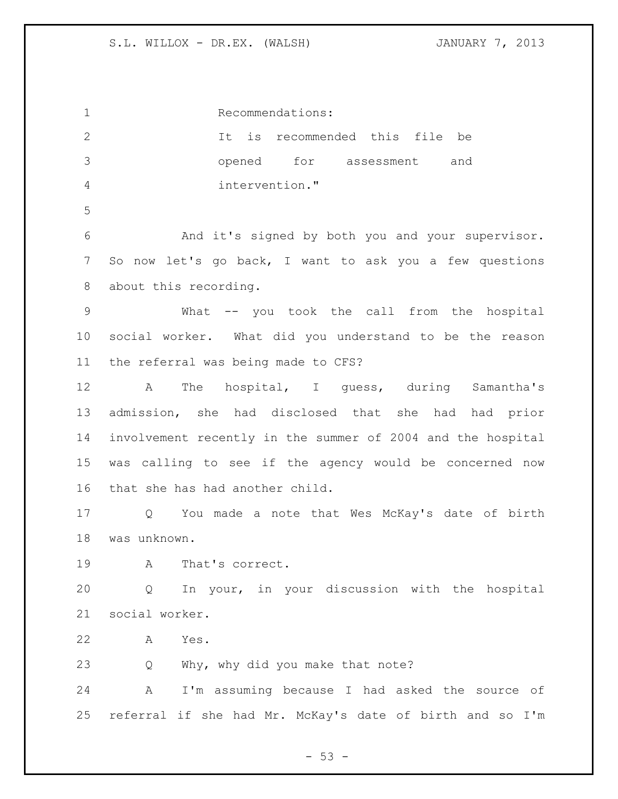| $\mathbf 1$  | Recommendations:                                            |
|--------------|-------------------------------------------------------------|
| $\mathbf{2}$ | It is recommended this file be                              |
| 3            | opened for assessment and                                   |
| 4            | intervention."                                              |
| 5            |                                                             |
| 6            | And it's signed by both you and your supervisor.            |
| 7            | So now let's go back, I want to ask you a few questions     |
| 8            | about this recording.                                       |
| $\mathsf 9$  | What -- you took the call from the hospital                 |
| 10           | social worker. What did you understand to be the reason     |
| 11           | the referral was being made to CFS?                         |
| 12           | The hospital, I guess, during Samantha's<br>$\mathbb A$     |
| 13           | admission, she had disclosed that she had had prior         |
| 14           | involvement recently in the summer of 2004 and the hospital |
| 15           | was calling to see if the agency would be concerned now     |
| 16           | that she has had another child.                             |
| 17           | You made a note that Wes McKay's date of birth<br>Q         |
| 18           | was unknown.                                                |
| 19           | That's correct.<br>A                                        |
| 20           | In your, in your discussion with the hospital<br>Q          |
| 21           | social worker.                                              |
| 22           | Α<br>Yes.                                                   |
| 23           | Why, why did you make that note?<br>Q                       |
| 24           | A<br>I'm assuming because I had asked the source of         |
| 25           | referral if she had Mr. McKay's date of birth and so I'm    |
|              |                                                             |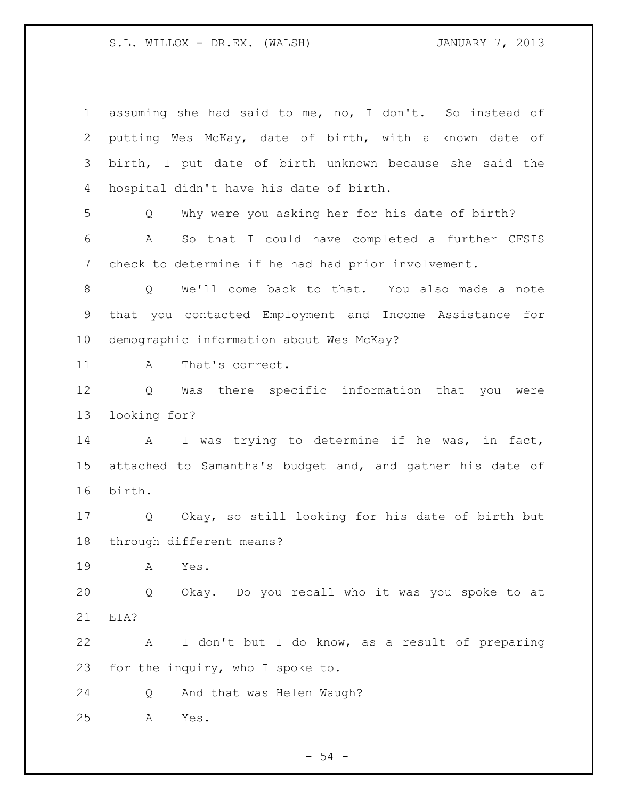S.L. WILLOX - DR.EX. (WALSH) (3.1)

| $\mathbf 1$  | assuming she had said to me, no, I don't. So instead of       |
|--------------|---------------------------------------------------------------|
| $\mathbf{2}$ | putting Wes McKay, date of birth, with a known date of        |
| 3            | birth, I put date of birth unknown because she said the       |
| 4            | hospital didn't have his date of birth.                       |
| 5            | Why were you asking her for his date of birth?<br>Q           |
| 6            | So that I could have completed a further CFSIS<br>A           |
| 7            | check to determine if he had had prior involvement.           |
| $8\,$        | Q We'll come back to that. You also made a note               |
| 9            | that you contacted Employment and Income Assistance for       |
| 10           | demographic information about Wes McKay?                      |
| 11           | That's correct.<br>A                                          |
| 12           | Was there specific information that you were<br>Q             |
| 13           | looking for?                                                  |
| 14           | I was trying to determine if he was, in fact,<br>$\mathbf{A}$ |
| 15           | attached to Samantha's budget and, and gather his date of     |
| 16           | birth.                                                        |
| 17           | Q Okay, so still looking for his date of birth but            |
| 18           | through different means?                                      |
| 19           | Yes.<br>A                                                     |
| 20           | Okay. Do you recall who it was you spoke to at<br>Q           |
| 21           | EIA?                                                          |
| 22           | I don't but I do know, as a result of preparing<br>A          |
| 23           | for the inquiry, who I spoke to.                              |
| 24           | And that was Helen Waugh?<br>Q                                |
| 25           | Yes.<br>Α                                                     |

- 54 -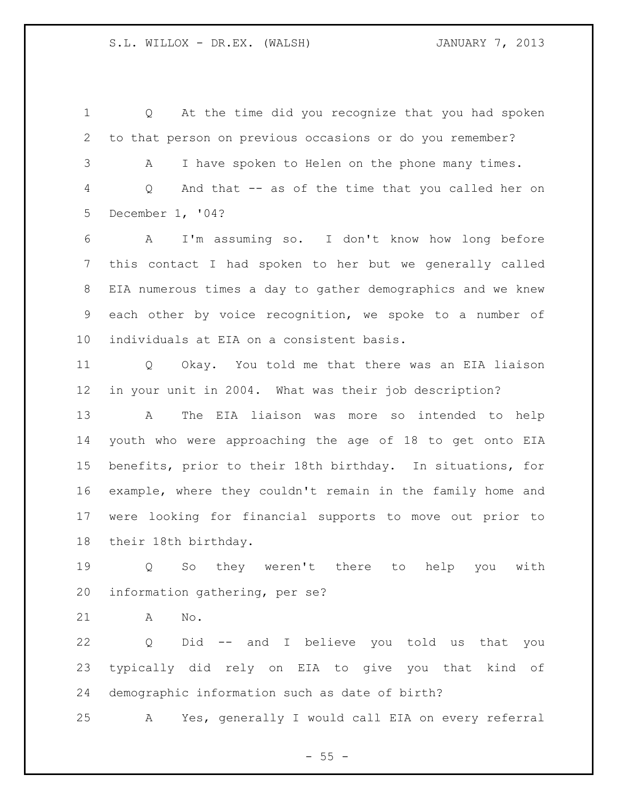Q At the time did you recognize that you had spoken to that person on previous occasions or do you remember?

- A I have spoken to Helen on the phone many times. Q And that -- as of the time that you called her on
- December 1, '04?

 A I'm assuming so. I don't know how long before this contact I had spoken to her but we generally called EIA numerous times a day to gather demographics and we knew each other by voice recognition, we spoke to a number of individuals at EIA on a consistent basis.

 Q Okay. You told me that there was an EIA liaison in your unit in 2004. What was their job description?

 A The EIA liaison was more so intended to help youth who were approaching the age of 18 to get onto EIA benefits, prior to their 18th birthday. In situations, for example, where they couldn't remain in the family home and were looking for financial supports to move out prior to their 18th birthday.

 Q So they weren't there to help you with information gathering, per se?

A No.

 Q Did -- and I believe you told us that you typically did rely on EIA to give you that kind of demographic information such as date of birth?

A Yes, generally I would call EIA on every referral

 $- 55 -$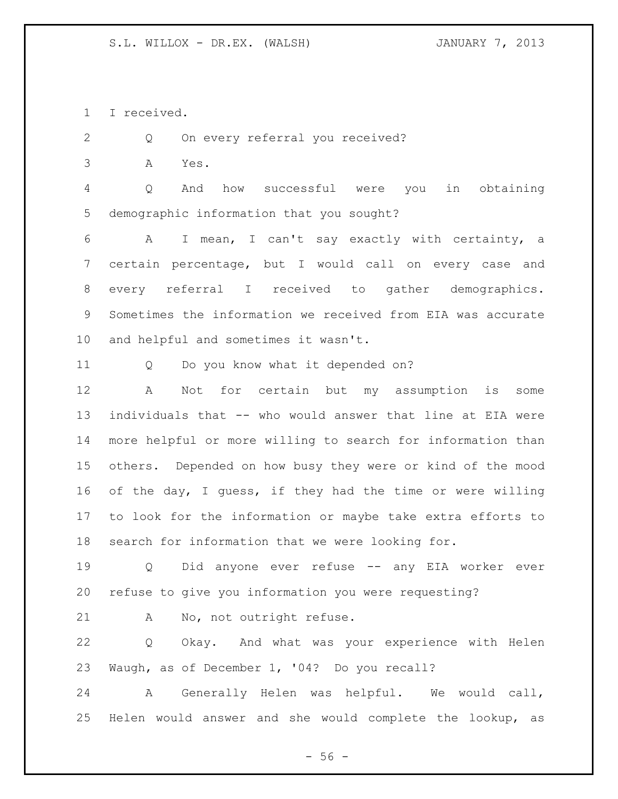I received.

2 Q On every referral you received?

A Yes.

 Q And how successful were you in obtaining demographic information that you sought?

 A I mean, I can't say exactly with certainty, a certain percentage, but I would call on every case and every referral I received to gather demographics. Sometimes the information we received from EIA was accurate and helpful and sometimes it wasn't.

Q Do you know what it depended on?

 A Not for certain but my assumption is some individuals that -- who would answer that line at EIA were more helpful or more willing to search for information than others. Depended on how busy they were or kind of the mood of the day, I guess, if they had the time or were willing to look for the information or maybe take extra efforts to search for information that we were looking for.

 Q Did anyone ever refuse -- any EIA worker ever refuse to give you information you were requesting?

21 A No, not outright refuse.

 Q Okay. And what was your experience with Helen Waugh, as of December 1, '04? Do you recall?

 A Generally Helen was helpful. We would call, Helen would answer and she would complete the lookup, as

 $- 56 -$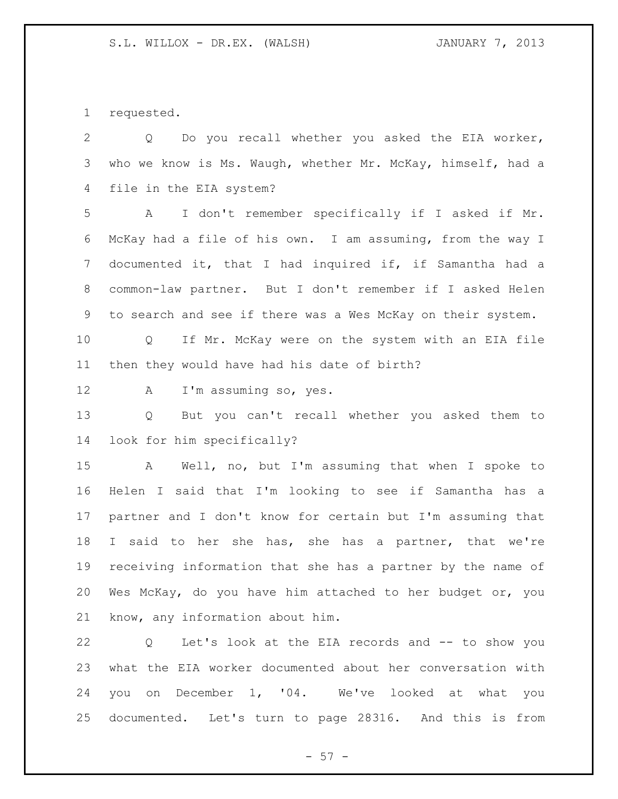requested.

| Do you recall whether you asked the EIA worker,<br>$Q \qquad \qquad$  |
|-----------------------------------------------------------------------|
| who we know is Ms. Waugh, whether Mr. McKay, himself, had a           |
| file in the EIA system?                                               |
| I don't remember specifically if I asked if Mr.<br>A                  |
| McKay had a file of his own. I am assuming, from the way I            |
| documented it, that I had inquired if, if Samantha had a              |
| common-law partner. But I don't remember if I asked Helen             |
| to search and see if there was a Wes McKay on their system.           |
| If Mr. McKay were on the system with an EIA file<br>$Q \qquad \qquad$ |
| then they would have had his date of birth?                           |
| I'm assuming so, yes.<br>A                                            |
| But you can't recall whether you asked them to<br>Q                   |
| look for him specifically?                                            |
| A Well, no, but I'm assuming that when I spoke to                     |
| Helen I said that I'm looking to see if Samantha has a                |
| partner and I don't know for certain but I'm assuming that            |
| I said to her she has, she has a partner, that we're                  |
| receiving information that she has a partner by the name of           |
| Wes McKay, do you have him attached to her budget or, you             |
| know, any information about him.                                      |
| Let's look at the EIA records and -- to show you<br>Q                 |
| what the EIA worker documented about her conversation with            |
| you on December 1, '04. We've looked at what you                      |
| documented. Let's turn to page 28316. And this is from                |
|                                                                       |

- 57 -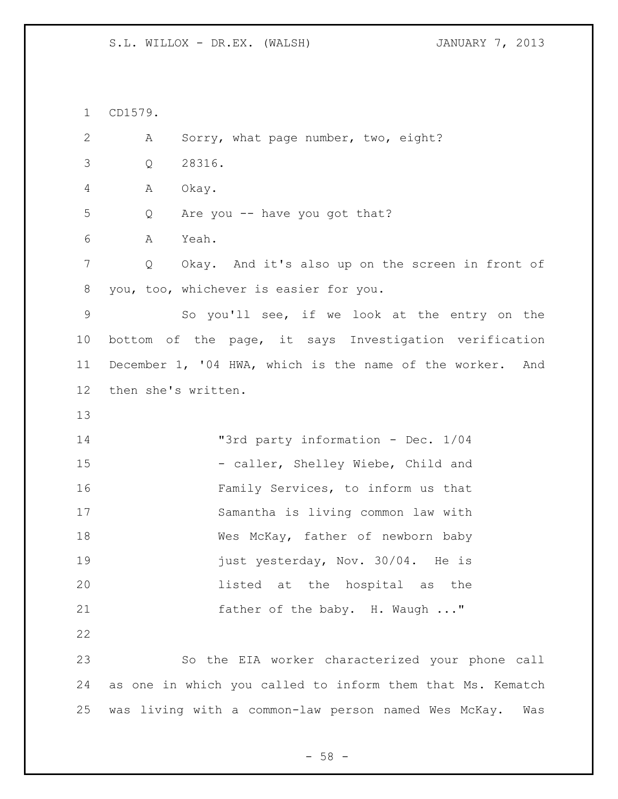CD1579. A Sorry, what page number, two, eight? Q 28316. A Okay. Q Are you -- have you got that? A Yeah. Q Okay. And it's also up on the screen in front of you, too, whichever is easier for you. So you'll see, if we look at the entry on the bottom of the page, it says Investigation verification December 1, '04 HWA, which is the name of the worker. And then she's written. "3rd party information - Dec. 1/04 15 - caller, Shelley Wiebe, Child and Family Services, to inform us that Samantha is living common law with Wes McKay, father of newborn baby **just yesterday, Nov. 30/04.** He is listed at the hospital as the 21 father of the baby. H. Waugh ..." So the EIA worker characterized your phone call as one in which you called to inform them that Ms. Kematch was living with a common-law person named Wes McKay. Was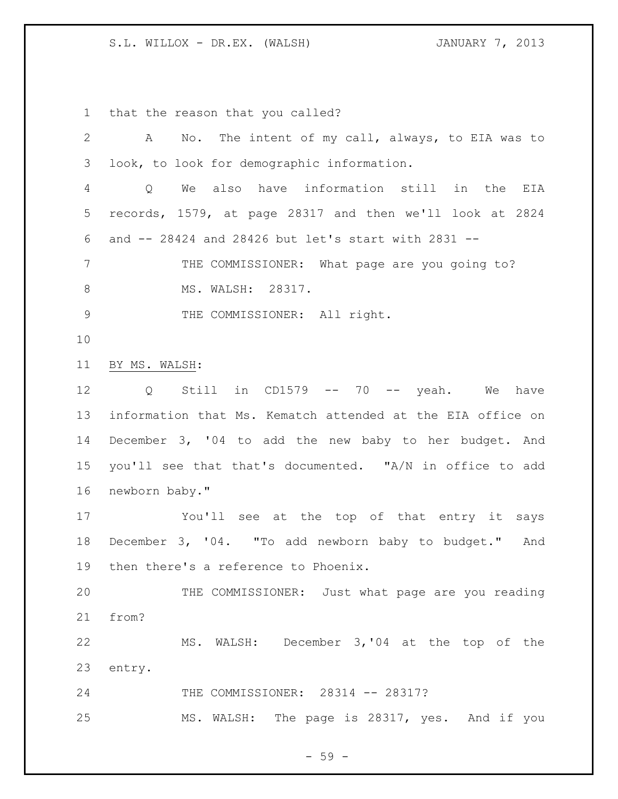that the reason that you called?

| 2  | A<br>No. The intent of my call, always, to EIA was to       |
|----|-------------------------------------------------------------|
| 3  | look, to look for demographic information.                  |
| 4  | also have information still in the EIA<br>Q<br>We           |
| 5  | records, 1579, at page 28317 and then we'll look at 2824    |
| 6  | and -- 28424 and 28426 but let's start with 2831 --         |
| 7  | THE COMMISSIONER: What page are you going to?               |
| 8  | MS. WALSH: 28317.                                           |
| 9  | THE COMMISSIONER: All right.                                |
| 10 |                                                             |
| 11 | BY MS. WALSH:                                               |
| 12 | Still in CD1579 -- 70 -- yeah. We have<br>$Q \qquad \qquad$ |
| 13 | information that Ms. Kematch attended at the EIA office on  |
| 14 | December 3, '04 to add the new baby to her budget. And      |
| 15 | you'll see that that's documented. "A/N in office to add    |
| 16 | newborn baby."                                              |
| 17 | You'll see at the top of that entry it says                 |
| 18 | December 3, '04. "To add newborn baby to budget." And       |
| 19 | then there's a reference to Phoenix.                        |
| 20 | THE COMMISSIONER: Just what page are you reading            |
| 21 | from?                                                       |
| 22 | MS. WALSH: December 3, '04 at the top of the                |
| 23 | entry.                                                      |
| 24 | THE COMMISSIONER: 28314 -- 28317?                           |
| 25 | MS. WALSH: The page is 28317, yes. And if you               |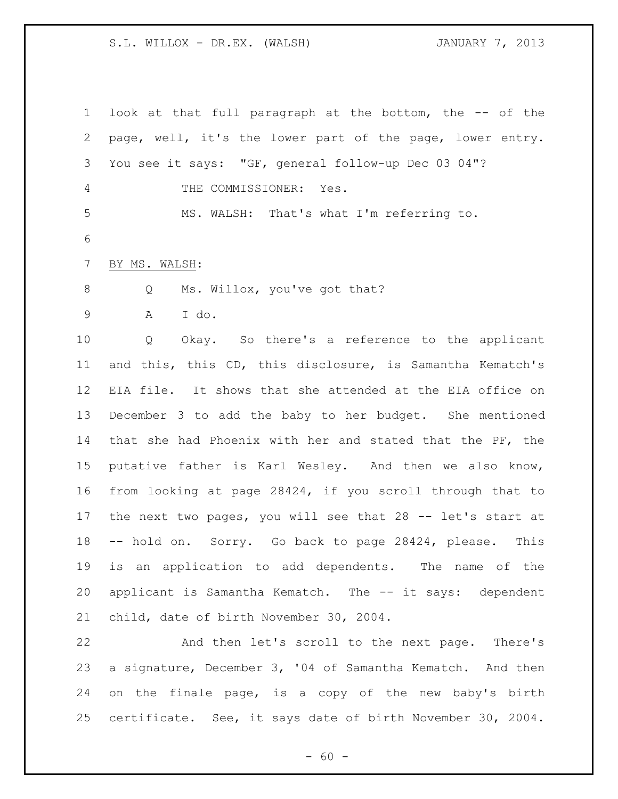look at that full paragraph at the bottom, the -- of the page, well, it's the lower part of the page, lower entry. You see it says: "GF, general follow-up Dec 03 04"? THE COMMISSIONER: Yes. MS. WALSH: That's what I'm referring to. BY MS. WALSH: 8 Q Ms. Willox, you've got that? A I do. Q Okay. So there's a reference to the applicant and this, this CD, this disclosure, is Samantha Kematch's EIA file. It shows that she attended at the EIA office on December 3 to add the baby to her budget. She mentioned that she had Phoenix with her and stated that the PF, the putative father is Karl Wesley. And then we also know, from looking at page 28424, if you scroll through that to 17 the next two pages, you will see that 28 -- let's start at -- hold on. Sorry. Go back to page 28424, please. This is an application to add dependents. The name of the applicant is Samantha Kematch. The -- it says: dependent child, date of birth November 30, 2004. And then let's scroll to the next page. There's a signature, December 3, '04 of Samantha Kematch. And then on the finale page, is a copy of the new baby's birth certificate. See, it says date of birth November 30, 2004.

 $- 60 -$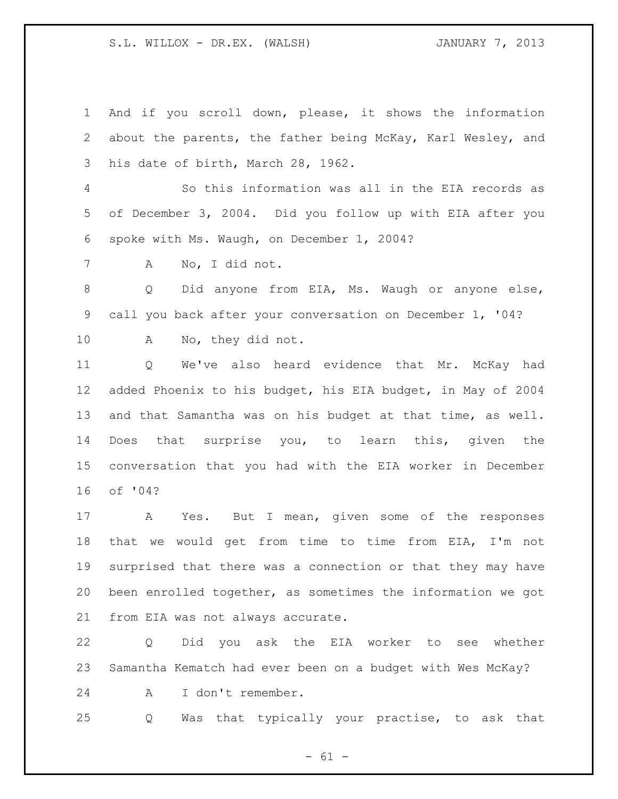And if you scroll down, please, it shows the information about the parents, the father being McKay, Karl Wesley, and his date of birth, March 28, 1962.

 So this information was all in the EIA records as of December 3, 2004. Did you follow up with EIA after you spoke with Ms. Waugh, on December 1, 2004?

A No, I did not.

 Q Did anyone from EIA, Ms. Waugh or anyone else, call you back after your conversation on December 1, '04?

A No, they did not.

 Q We've also heard evidence that Mr. McKay had added Phoenix to his budget, his EIA budget, in May of 2004 and that Samantha was on his budget at that time, as well. Does that surprise you, to learn this, given the conversation that you had with the EIA worker in December of '04?

 A Yes. But I mean, given some of the responses that we would get from time to time from EIA, I'm not surprised that there was a connection or that they may have been enrolled together, as sometimes the information we got from EIA was not always accurate.

 Q Did you ask the EIA worker to see whether Samantha Kematch had ever been on a budget with Wes McKay?

A I don't remember.

Q Was that typically your practise, to ask that

 $- 61 -$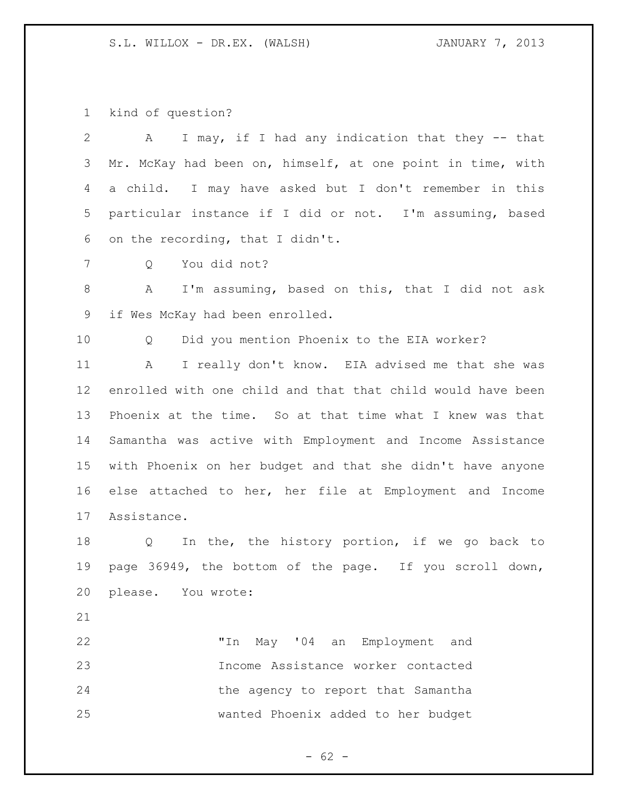kind of question?

| 2       | I may, if I had any indication that they -- that<br>A              |
|---------|--------------------------------------------------------------------|
| 3       | Mr. McKay had been on, himself, at one point in time, with         |
| 4       | a child. I may have asked but I don't remember in this             |
| 5       | particular instance if I did or not. I'm assuming, based           |
| 6       | on the recording, that I didn't.                                   |
| 7       | You did not?<br>Q                                                  |
| 8       | I'm assuming, based on this, that I did not ask<br>A               |
| 9       | if Wes McKay had been enrolled.                                    |
| 10      | Did you mention Phoenix to the EIA worker?<br>Q                    |
| 11      | I really don't know. EIA advised me that she was<br>Α              |
| $12 \,$ | enrolled with one child and that that child would have been        |
| 13      | Phoenix at the time. So at that time what I knew was that          |
| 14      | Samantha was active with Employment and Income Assistance          |
| 15      | with Phoenix on her budget and that she didn't have anyone         |
| 16      | else attached to her, her file at Employment and Income            |
| 17      | Assistance.                                                        |
| 18      | In the, the history portion, if we go back to<br>$Q \qquad \qquad$ |
| 19      | page 36949, the bottom of the page. If you scroll down,            |
| 20      | please. You wrote:                                                 |
| 21      |                                                                    |
| 22      | "In May '04 an Employment and                                      |
| 23      | Income Assistance worker contacted                                 |
| 24      | the agency to report that Samantha                                 |

wanted Phoenix added to her budget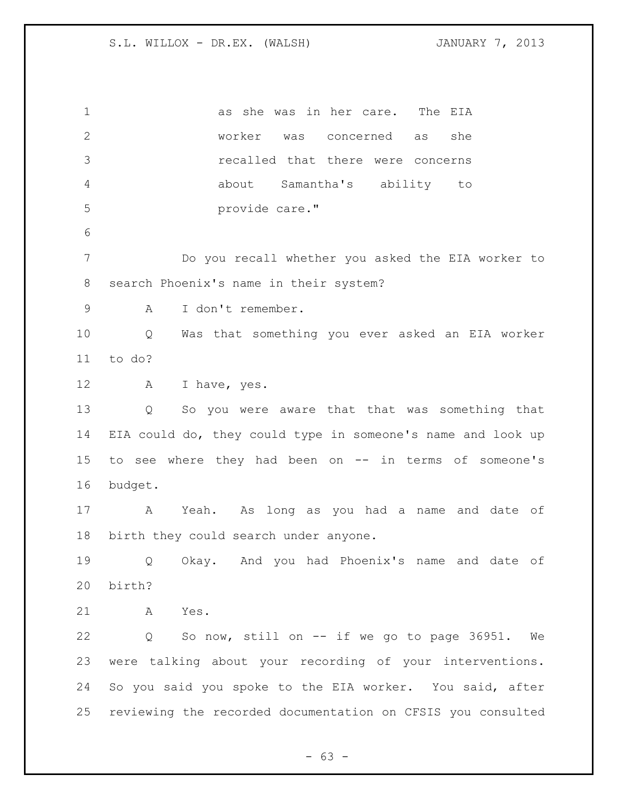1 as she was in her care. The EIA worker was concerned as she recalled that there were concerns about Samantha's ability to provide care." Do you recall whether you asked the EIA worker to search Phoenix's name in their system? A I don't remember. Q Was that something you ever asked an EIA worker to do? 12 A I have, yes. Q So you were aware that that was something that EIA could do, they could type in someone's name and look up to see where they had been on -- in terms of someone's budget. A Yeah. As long as you had a name and date of birth they could search under anyone. Q Okay. And you had Phoenix's name and date of birth? A Yes. Q So now, still on -- if we go to page 36951. We were talking about your recording of your interventions. So you said you spoke to the EIA worker. You said, after reviewing the recorded documentation on CFSIS you consulted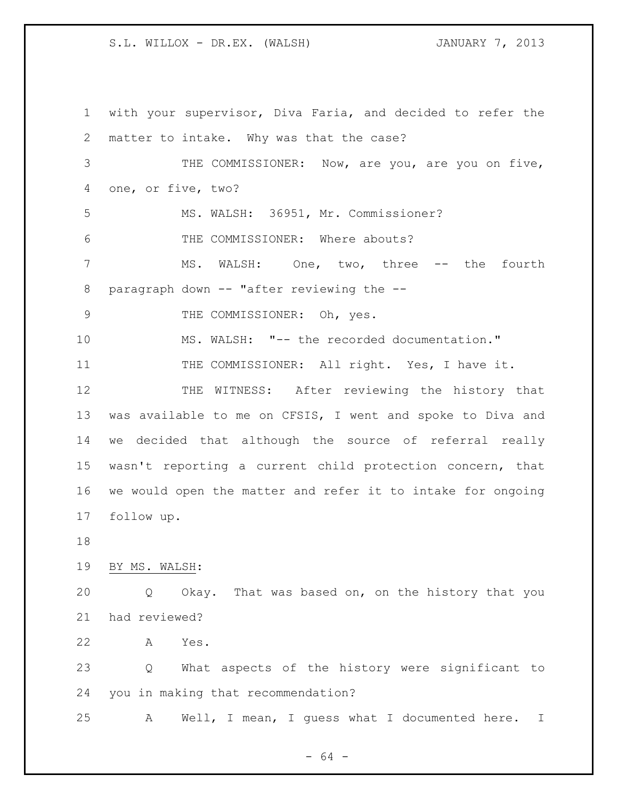with your supervisor, Diva Faria, and decided to refer the matter to intake. Why was that the case? THE COMMISSIONER: Now, are you, are you on five, one, or five, two? MS. WALSH: 36951, Mr. Commissioner? THE COMMISSIONER: Where abouts? MS. WALSH: One, two, three -- the fourth 8 paragraph down -- "after reviewing the -- THE COMMISSIONER: Oh, yes. MS. WALSH: "-- the recorded documentation." 11 THE COMMISSIONER: All right. Yes, I have it. 12 THE WITNESS: After reviewing the history that was available to me on CFSIS, I went and spoke to Diva and we decided that although the source of referral really wasn't reporting a current child protection concern, that we would open the matter and refer it to intake for ongoing follow up. BY MS. WALSH: Q Okay. That was based on, on the history that you had reviewed? A Yes. Q What aspects of the history were significant to you in making that recommendation? A Well, I mean, I guess what I documented here. I

- 64 -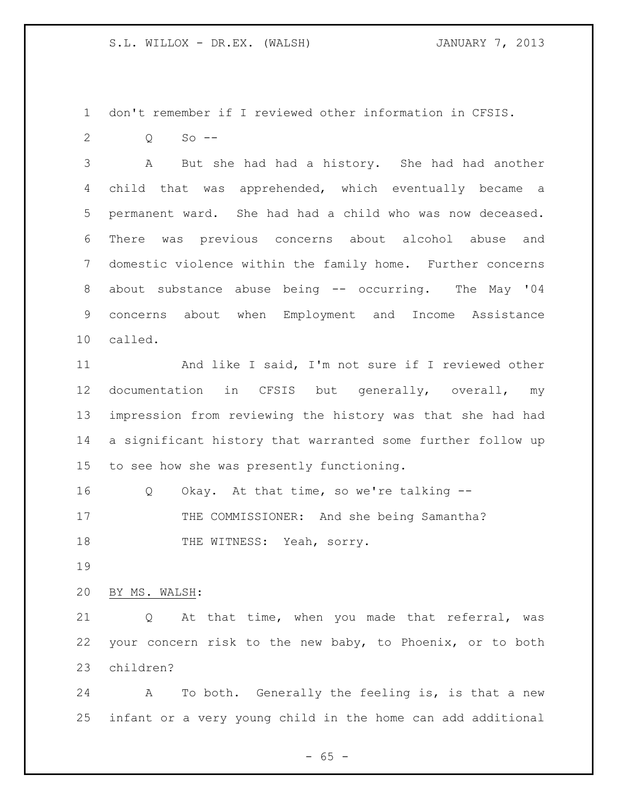don't remember if I reviewed other information in CFSIS.

Q So --

 A But she had had a history. She had had another child that was apprehended, which eventually became a permanent ward. She had had a child who was now deceased. There was previous concerns about alcohol abuse and domestic violence within the family home. Further concerns 8 about substance abuse being -- occurring. The May '04 concerns about when Employment and Income Assistance called.

 And like I said, I'm not sure if I reviewed other documentation in CFSIS but generally, overall, my impression from reviewing the history was that she had had a significant history that warranted some further follow up to see how she was presently functioning.

 Q Okay. At that time, so we're talking -- 17 THE COMMISSIONER: And she being Samantha?

18 THE WITNESS: Yeah, sorry.

BY MS. WALSH:

 Q At that time, when you made that referral, was your concern risk to the new baby, to Phoenix, or to both children?

 A To both. Generally the feeling is, is that a new infant or a very young child in the home can add additional

 $- 65 -$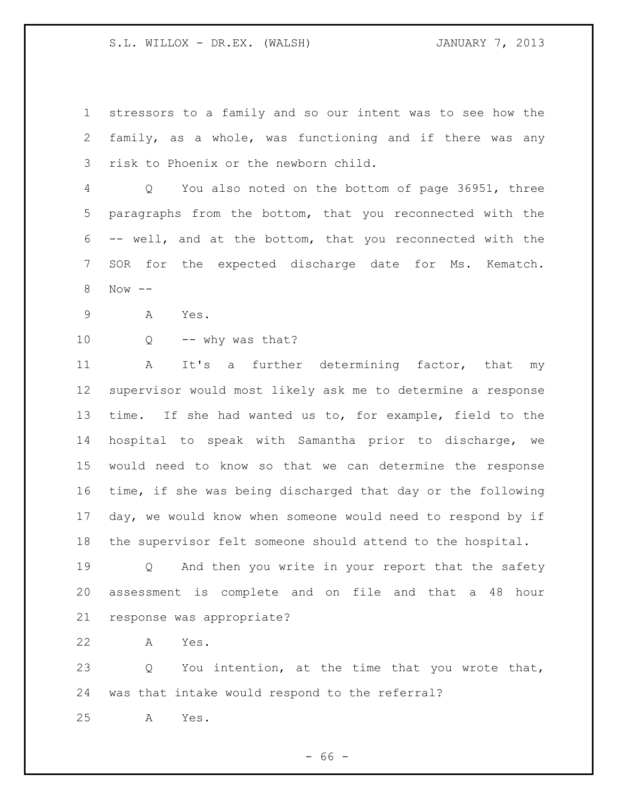stressors to a family and so our intent was to see how the family, as a whole, was functioning and if there was any risk to Phoenix or the newborn child.

 Q You also noted on the bottom of page 36951, three paragraphs from the bottom, that you reconnected with the -- well, and at the bottom, that you reconnected with the SOR for the expected discharge date for Ms. Kematch. Now --

- A Yes.
- 

Q -- why was that?

 A It's a further determining factor, that my supervisor would most likely ask me to determine a response time. If she had wanted us to, for example, field to the hospital to speak with Samantha prior to discharge, we would need to know so that we can determine the response time, if she was being discharged that day or the following day, we would know when someone would need to respond by if the supervisor felt someone should attend to the hospital.

 Q And then you write in your report that the safety assessment is complete and on file and that a 48 hour response was appropriate?

A Yes.

 Q You intention, at the time that you wrote that, was that intake would respond to the referral?

A Yes.

 $- 66 -$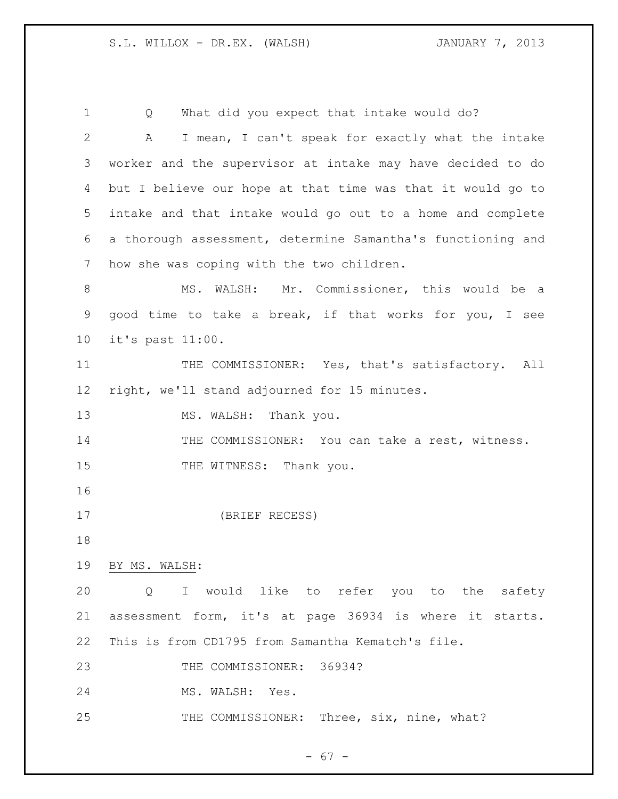Q What did you expect that intake would do? A I mean, I can't speak for exactly what the intake worker and the supervisor at intake may have decided to do but I believe our hope at that time was that it would go to intake and that intake would go out to a home and complete a thorough assessment, determine Samantha's functioning and how she was coping with the two children. MS. WALSH: Mr. Commissioner, this would be a good time to take a break, if that works for you, I see it's past 11:00. THE COMMISSIONER: Yes, that's satisfactory. All right, we'll stand adjourned for 15 minutes. 13 MS. WALSH: Thank you. 14 THE COMMISSIONER: You can take a rest, witness. 15 THE WITNESS: Thank you. (BRIEF RECESS) BY MS. WALSH: Q I would like to refer you to the safety assessment form, it's at page 36934 is where it starts. This is from CD1795 from Samantha Kematch's file. 23 THE COMMISSIONER: 36934? 24 MS. WALSH: Yes. 25 THE COMMISSIONER: Three, six, nine, what?

- 67 -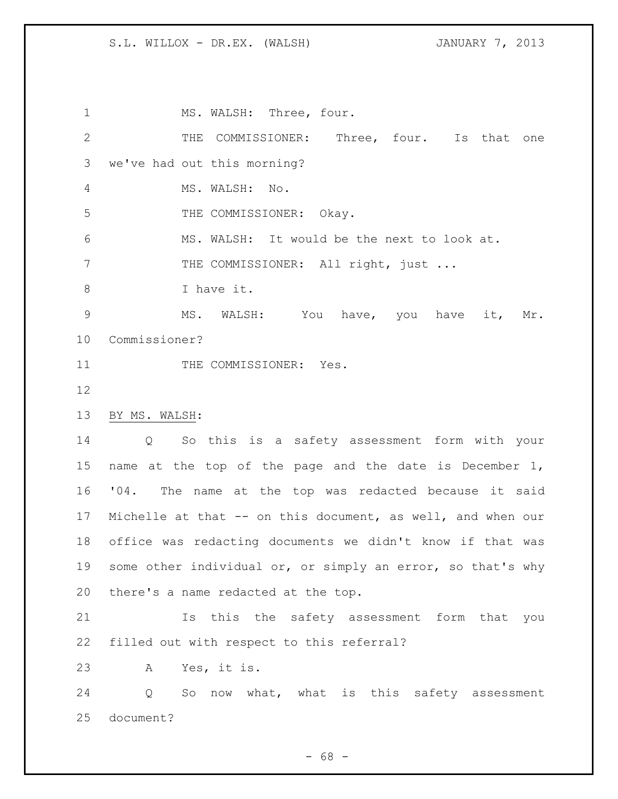1 MS. WALSH: Three, four. THE COMMISSIONER: Three, four. Is that one we've had out this morning? MS. WALSH: No. 5 THE COMMISSIONER: Okay. MS. WALSH: It would be the next to look at. 7 THE COMMISSIONER: All right, just ... I have it. 9 MS. WALSH: You have, you have it, Mr. Commissioner? 11 THE COMMISSIONER: Yes. BY MS. WALSH: Q So this is a safety assessment form with your name at the top of the page and the date is December 1, '04. The name at the top was redacted because it said Michelle at that -- on this document, as well, and when our office was redacting documents we didn't know if that was some other individual or, or simply an error, so that's why there's a name redacted at the top. Is this the safety assessment form that you filled out with respect to this referral? A Yes, it is. Q So now what, what is this safety assessment document?

 $- 68 -$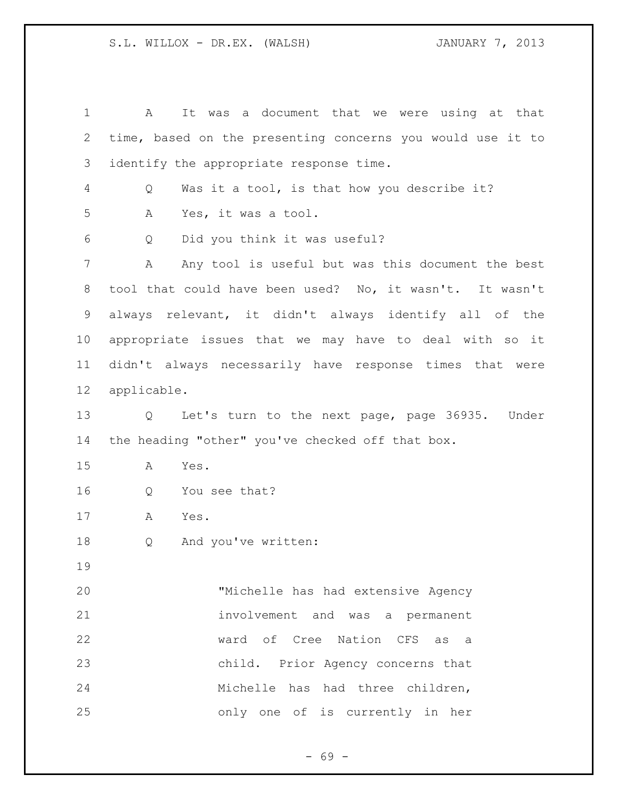| $\mathbf 1$    | It was a document that we were using at that<br>A                      |
|----------------|------------------------------------------------------------------------|
| $\overline{2}$ | time, based on the presenting concerns you would use it to             |
| 3              | identify the appropriate response time.                                |
| 4              | Was it a tool, is that how you describe it?<br>Q                       |
| 5              | Yes, it was a tool.<br>А                                               |
| 6              | Did you think it was useful?<br>Q                                      |
| 7              | Α<br>Any tool is useful but was this document the best                 |
| 8              | tool that could have been used? No, it wasn't. It wasn't               |
| 9              | always relevant, it didn't always identify all of the                  |
| 10             | appropriate issues that we may have to deal with so it                 |
| 11             | didn't always necessarily have response times that were                |
| 12             | applicable.                                                            |
| 13             | Let's turn to the next page, page 36935.<br>$Q \qquad \qquad$<br>Under |
| 14             | the heading "other" you've checked off that box.                       |
| 15             | Α<br>Yes.                                                              |
| 16             | You see that?<br>Q                                                     |
| 17             | Α<br>Yes.                                                              |
| 18             | And you've written:<br>Q                                               |
| 19             |                                                                        |
| 20             | "Michelle has had extensive Agency                                     |
| 21             | involvement and was a permanent                                        |
| 22             | ward of Cree Nation CFS as a                                           |
| 23             | child. Prior Agency concerns that                                      |
| 24             | Michelle has had three children,                                       |
| 25             | only one of is currently in her                                        |

- 69 -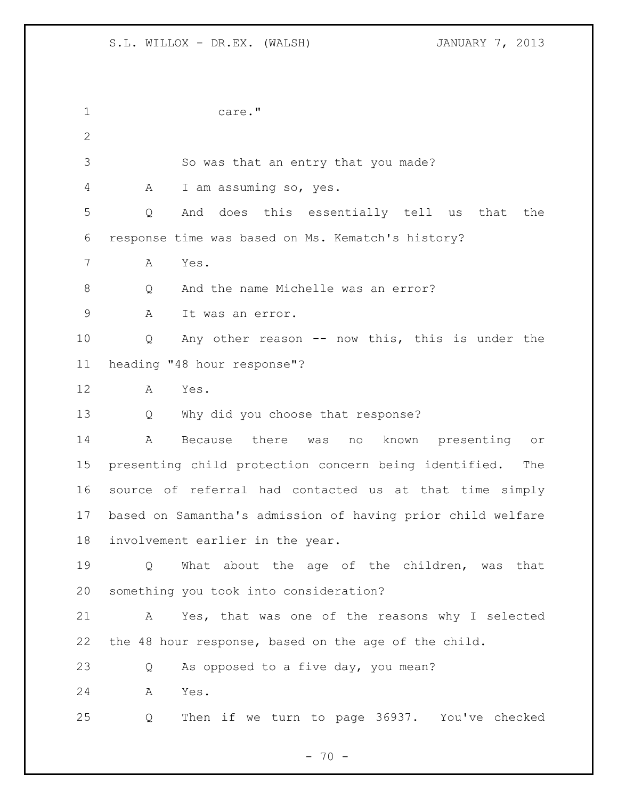| $\mathbf 1$   | care."                                                       |
|---------------|--------------------------------------------------------------|
| $\mathbf{2}$  |                                                              |
| 3             | So was that an entry that you made?                          |
| 4             | I am assuming so, yes.<br>A                                  |
| 5             | And does this essentially tell us that the<br>Q              |
| 6             | response time was based on Ms. Kematch's history?            |
| 7             | A<br>Yes.                                                    |
| $8\,$         | And the name Michelle was an error?<br>Q                     |
| $\mathcal{G}$ | A<br>It was an error.                                        |
| 10            | Any other reason -- now this, this is under the<br>Q         |
| 11            | heading "48 hour response"?                                  |
| 12            | A<br>Yes.                                                    |
| 13            | Why did you choose that response?<br>Q                       |
| 14            | Because there was<br>Α<br>known presenting<br>no<br>or       |
| 15            | presenting child protection concern being identified.<br>The |
| 16            | source of referral had contacted us at that time simply      |
| 17            | based on Samantha's admission of having prior child welfare  |
| 18            | involvement earlier in the year.                             |
| 19            | What about the age of the children, was that<br>Q            |
| 20            | something you took into consideration?                       |
| 21            | Yes, that was one of the reasons why I selected<br>A         |
| 22            | the 48 hour response, based on the age of the child.         |
| 23            | As opposed to a five day, you mean?<br>Q                     |
| 24            | Yes.<br>A                                                    |
| 25            | Then if we turn to page 36937. You've checked<br>Q           |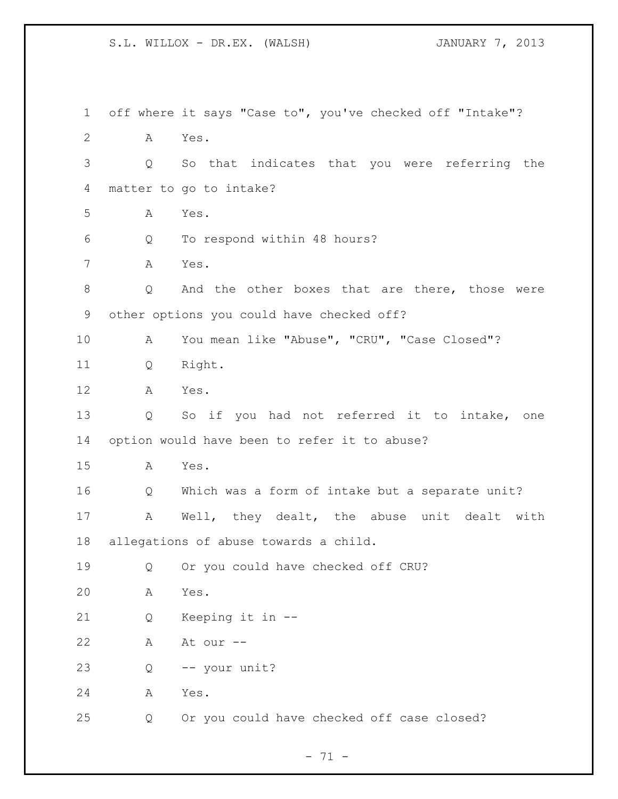S.L. WILLOX - DR.EX. (WALSH) (3.1)

| $\mathbf 1$     |   | off where it says "Case to", you've checked off "Intake"? |
|-----------------|---|-----------------------------------------------------------|
| 2               | Α | Yes.                                                      |
| 3               | Q | So that indicates that you were referring the             |
| 4               |   | matter to go to intake?                                   |
| 5               | Α | Yes.                                                      |
| 6               | Q | To respond within 48 hours?                               |
| 7               | Α | Yes.                                                      |
| 8               | Q | And the other boxes that are there, those were            |
| 9               |   | other options you could have checked off?                 |
| 10 <sub>o</sub> | A | You mean like "Abuse", "CRU", "Case Closed"?              |
| 11              | Q | Right.                                                    |
| 12              | Α | Yes.                                                      |
| 13              | Q | So if you had not referred it to intake, one              |
| 14              |   | option would have been to refer it to abuse?              |
| 15              | Α | Yes.                                                      |
| 16              | Q | Which was a form of intake but a separate unit?           |
| 17              | Α | Well, they dealt, the abuse unit dealt with               |
| 18              |   | allegations of abuse towards a child.                     |
| 19              | Q | Or you could have checked off CRU?                        |
| 20              | Α | Yes.                                                      |
| 21              | Q | Keeping it in --                                          |
| 22              | Α | At our --                                                 |
| 23              | Q | -- your unit?                                             |
| 24              | Α | Yes.                                                      |
| 25              | Q | Or you could have checked off case closed?                |

- 71 -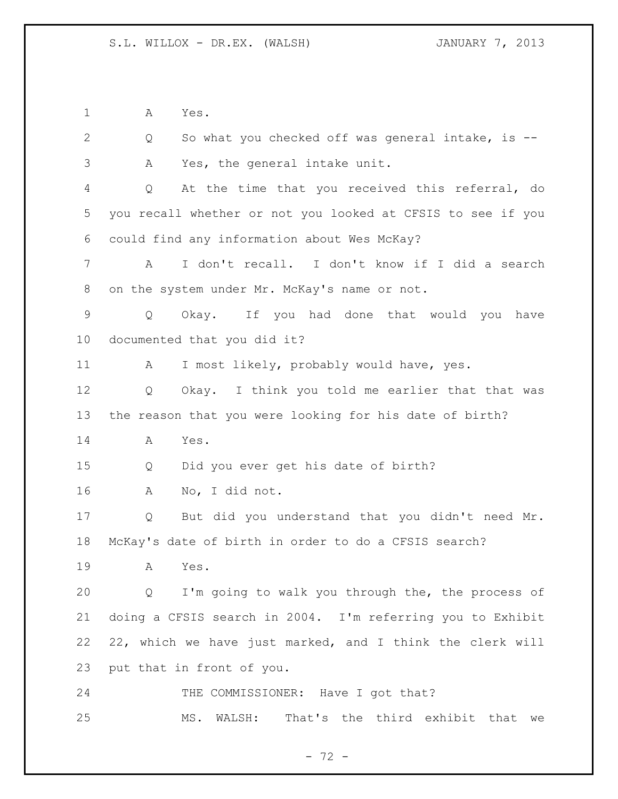A Yes.

 Q So what you checked off was general intake, is -- A Yes, the general intake unit. Q At the time that you received this referral, do you recall whether or not you looked at CFSIS to see if you could find any information about Wes McKay? A I don't recall. I don't know if I did a search 8 on the system under Mr. McKay's name or not. Q Okay. If you had done that would you have documented that you did it? 11 A I most likely, probably would have, yes. Q Okay. I think you told me earlier that that was the reason that you were looking for his date of birth? A Yes. Q Did you ever get his date of birth? A No, I did not. Q But did you understand that you didn't need Mr. McKay's date of birth in order to do a CFSIS search? A Yes. Q I'm going to walk you through the, the process of doing a CFSIS search in 2004. I'm referring you to Exhibit 22, which we have just marked, and I think the clerk will put that in front of you. 24 THE COMMISSIONER: Have I got that? MS. WALSH: That's the third exhibit that we

- 72 -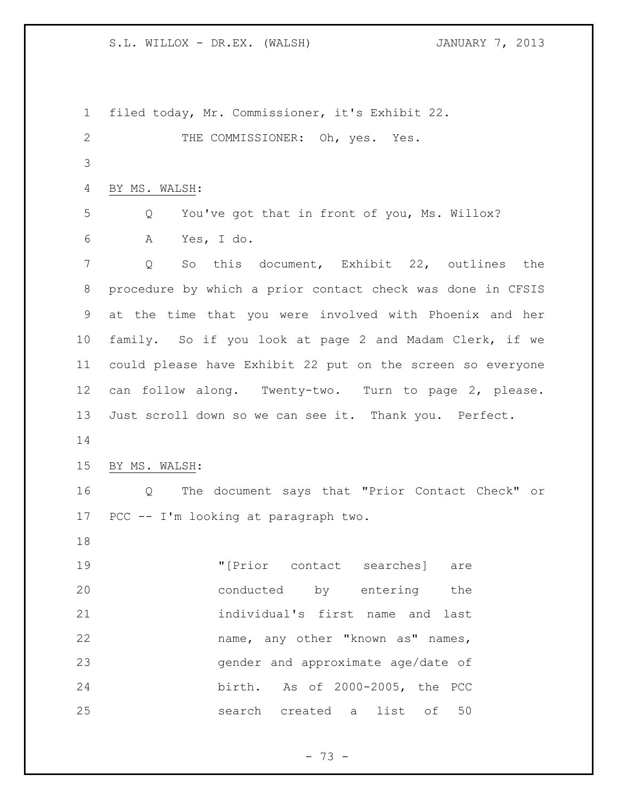filed today, Mr. Commissioner, it's Exhibit 22. 2 THE COMMISSIONER: Oh, yes. Yes. BY MS. WALSH: Q You've got that in front of you, Ms. Willox? A Yes, I do. Q So this document, Exhibit 22, outlines the procedure by which a prior contact check was done in CFSIS at the time that you were involved with Phoenix and her family. So if you look at page 2 and Madam Clerk, if we could please have Exhibit 22 put on the screen so everyone can follow along. Twenty-two. Turn to page 2, please. Just scroll down so we can see it. Thank you. Perfect. BY MS. WALSH: Q The document says that "Prior Contact Check" or PCC -- I'm looking at paragraph two. "[Prior contact searches] are 20 conducted by entering the individual's first name and last name, any other "known as" names, gender and approximate age/date of birth. As of 2000-2005, the PCC search created a list of 50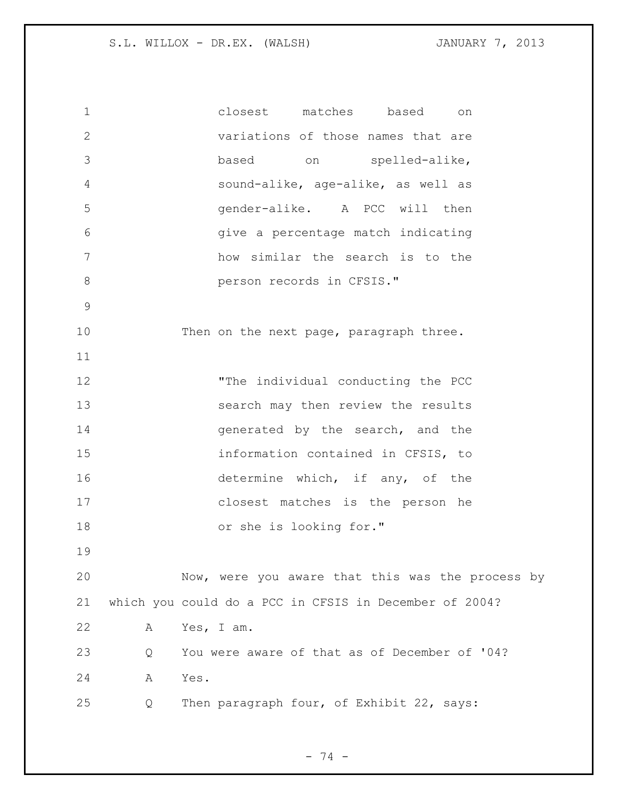S.L. WILLOX - DR.EX. (WALSH) (3.1)

| $\mathbf 1$  |   | closest<br>matches<br>based<br>on                      |
|--------------|---|--------------------------------------------------------|
| $\mathbf{2}$ |   | variations of those names that are                     |
| 3            |   | based on spelled-alike,                                |
| 4            |   | sound-alike, age-alike, as well as                     |
| 5            |   | gender-alike. A PCC will then                          |
| 6            |   | give a percentage match indicating                     |
| 7            |   | how similar the search is to the                       |
| 8            |   | person records in CFSIS."                              |
| 9            |   |                                                        |
| 10           |   | Then on the next page, paragraph three.                |
| 11           |   |                                                        |
| 12           |   | "The individual conducting the PCC                     |
| 13           |   | search may then review the results                     |
| 14           |   | generated by the search, and the                       |
| 15           |   | information contained in CFSIS, to                     |
| 16           |   | determine which, if any, of the                        |
| 17           |   | closest matches is the person he                       |
| 18           |   | or she is looking for."                                |
| 19           |   |                                                        |
| 20           |   | Now, were you aware that this was the process by       |
| 21           |   | which you could do a PCC in CFSIS in December of 2004? |
| 22           | Α | Yes, I am.                                             |
| 23           | Q | You were aware of that as of December of '04?          |
| 24           | A | Yes.                                                   |
| 25           | Q | Then paragraph four, of Exhibit 22, says:              |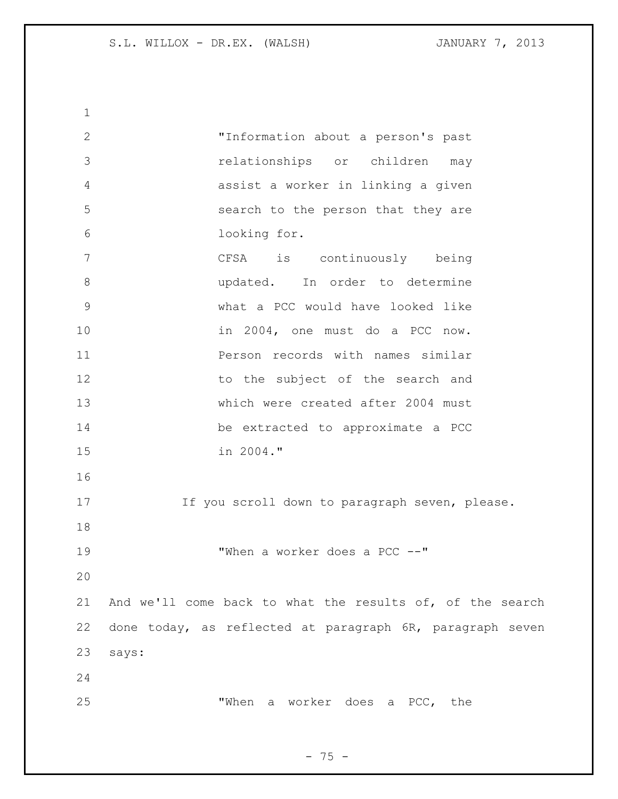"Information about a person's past relationships or children may assist a worker in linking a given search to the person that they are looking for. CFSA is continuously being 8 updated. In order to determine what a PCC would have looked like in 2004, one must do a PCC now. Person records with names similar 12 to the subject of the search and which were created after 2004 must be extracted to approximate a PCC in 2004." 17 17 If you scroll down to paragraph seven, please. "When a worker does a PCC --" And we'll come back to what the results of, of the search done today, as reflected at paragraph 6R, paragraph seven says: 25 "When a worker does a PCC, the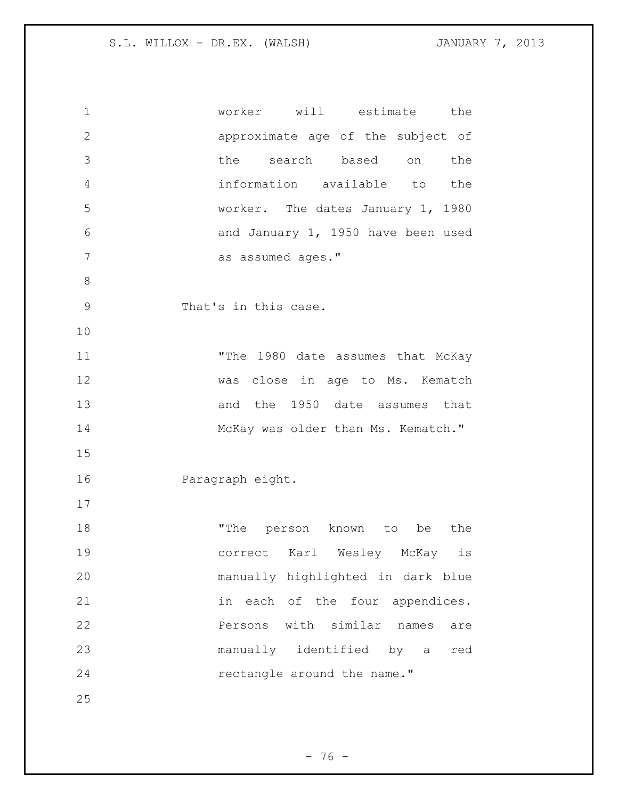worker will estimate the approximate age of the subject of the search based on the information available to the worker. The dates January 1, 1980 and January 1, 1950 have been used as assumed ages." That's in this case. 11 The 1980 date assumes that McKay was close in age to Ms. Kematch and the 1950 date assumes that 14 McKay was older than Ms. Kematch." Paragraph eight. "The person known to be the correct Karl Wesley McKay is manually highlighted in dark blue 21 in each of the four appendices. **Persons with similar names are**  manually identified by a red 24 rectangle around the name."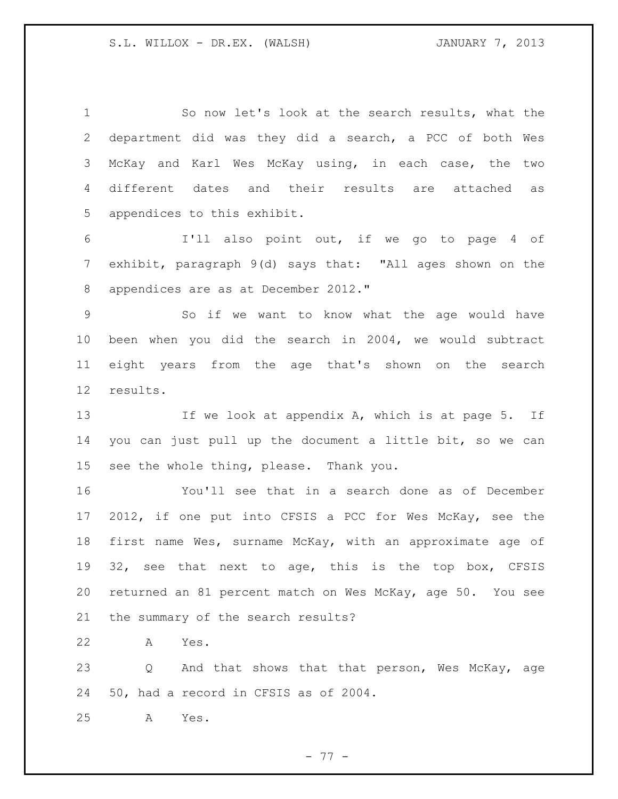So now let's look at the search results, what the department did was they did a search, a PCC of both Wes McKay and Karl Wes McKay using, in each case, the two different dates and their results are attached as appendices to this exhibit.

 I'll also point out, if we go to page 4 of exhibit, paragraph 9(d) says that: "All ages shown on the appendices are as at December 2012."

 So if we want to know what the age would have been when you did the search in 2004, we would subtract eight years from the age that's shown on the search results.

13 If we look at appendix A, which is at page 5. If you can just pull up the document a little bit, so we can see the whole thing, please. Thank you.

 You'll see that in a search done as of December 2012, if one put into CFSIS a PCC for Wes McKay, see the first name Wes, surname McKay, with an approximate age of 32, see that next to age, this is the top box, CFSIS returned an 81 percent match on Wes McKay, age 50. You see the summary of the search results?

A Yes.

 Q And that shows that that person, Wes McKay, age 50, had a record in CFSIS as of 2004.

A Yes.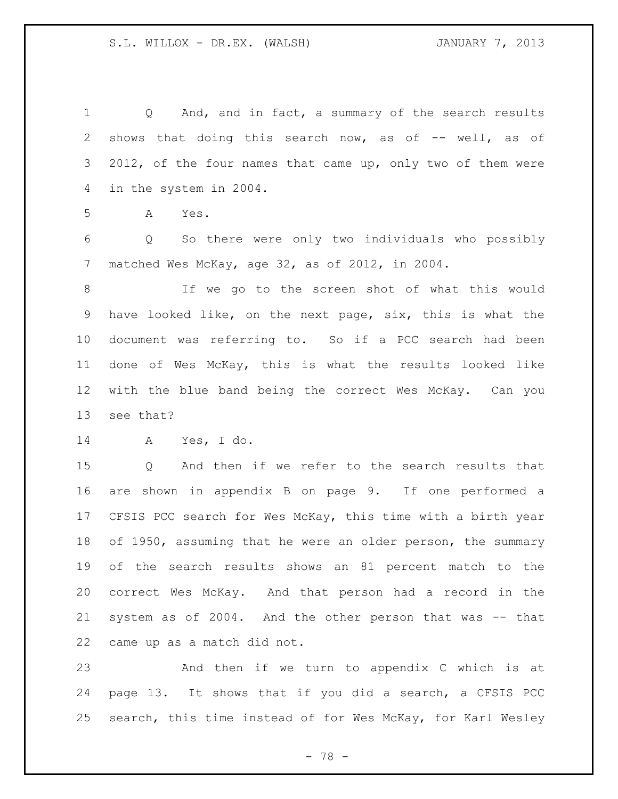1 Q And, and in fact, a summary of the search results shows that doing this search now, as of -- well, as of 2012, of the four names that came up, only two of them were in the system in 2004.

A Yes.

 Q So there were only two individuals who possibly matched Wes McKay, age 32, as of 2012, in 2004.

 If we go to the screen shot of what this would have looked like, on the next page, six, this is what the document was referring to. So if a PCC search had been done of Wes McKay, this is what the results looked like with the blue band being the correct Wes McKay. Can you see that?

A Yes, I do.

 Q And then if we refer to the search results that are shown in appendix B on page 9. If one performed a CFSIS PCC search for Wes McKay, this time with a birth year of 1950, assuming that he were an older person, the summary of the search results shows an 81 percent match to the correct Wes McKay. And that person had a record in the system as of 2004. And the other person that was -- that came up as a match did not.

 And then if we turn to appendix C which is at page 13. It shows that if you did a search, a CFSIS PCC search, this time instead of for Wes McKay, for Karl Wesley

- 78 -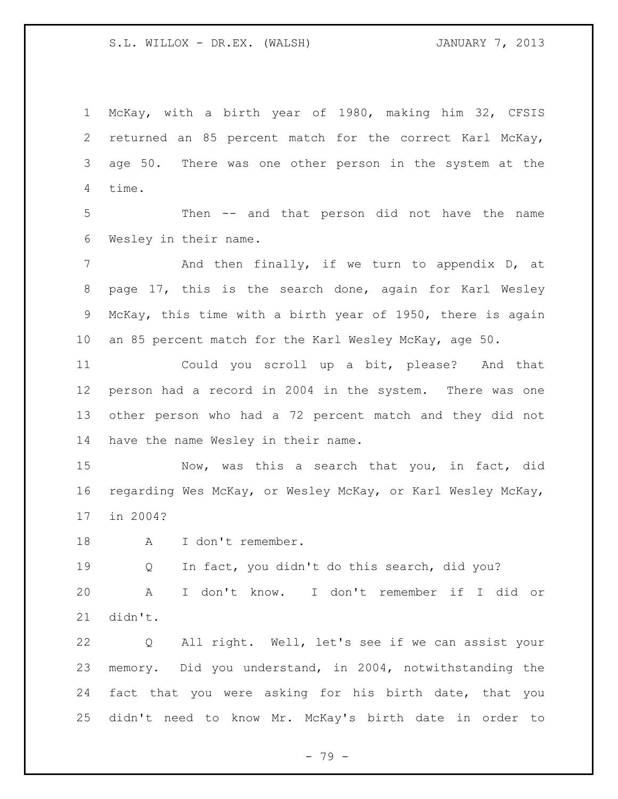McKay, with a birth year of 1980, making him 32, CFSIS returned an 85 percent match for the correct Karl McKay, age 50. There was one other person in the system at the time.

 Then -- and that person did not have the name Wesley in their name.

7 and then finally, if we turn to appendix D, at page 17, this is the search done, again for Karl Wesley McKay, this time with a birth year of 1950, there is again an 85 percent match for the Karl Wesley McKay, age 50.

 Could you scroll up a bit, please? And that person had a record in 2004 in the system. There was one other person who had a 72 percent match and they did not have the name Wesley in their name.

 Now, was this a search that you, in fact, did regarding Wes McKay, or Wesley McKay, or Karl Wesley McKay, in 2004?

A I don't remember.

 Q In fact, you didn't do this search, did you? A I don't know. I don't remember if I did or didn't.

 Q All right. Well, let's see if we can assist your memory. Did you understand, in 2004, notwithstanding the fact that you were asking for his birth date, that you didn't need to know Mr. McKay's birth date in order to

- 79 -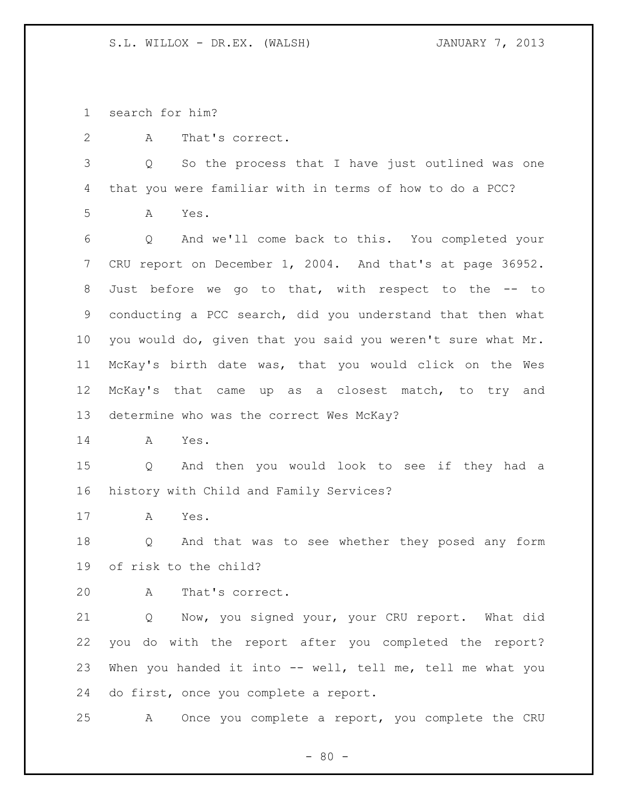search for him?

A That's correct.

 Q So the process that I have just outlined was one that you were familiar with in terms of how to do a PCC? A Yes.

 Q And we'll come back to this. You completed your CRU report on December 1, 2004. And that's at page 36952. Just before we go to that, with respect to the -- to conducting a PCC search, did you understand that then what you would do, given that you said you weren't sure what Mr. McKay's birth date was, that you would click on the Wes McKay's that came up as a closest match, to try and determine who was the correct Wes McKay?

A Yes.

 Q And then you would look to see if they had a history with Child and Family Services?

A Yes.

 Q And that was to see whether they posed any form of risk to the child?

A That's correct.

 Q Now, you signed your, your CRU report. What did you do with the report after you completed the report? When you handed it into -- well, tell me, tell me what you do first, once you complete a report.

A Once you complete a report, you complete the CRU

 $- 80 -$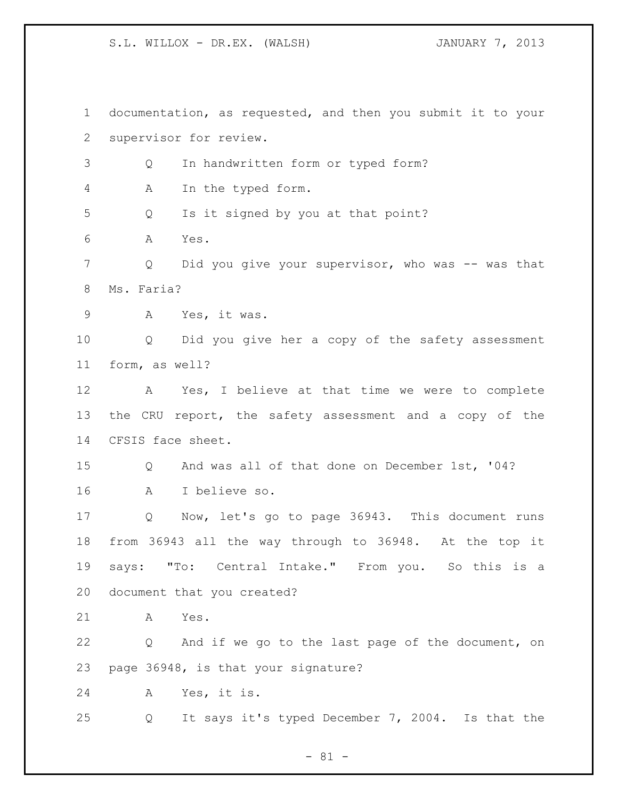documentation, as requested, and then you submit it to your supervisor for review. Q In handwritten form or typed form? A In the typed form. Q Is it signed by you at that point? A Yes. Q Did you give your supervisor, who was -- was that Ms. Faria? A Yes, it was. Q Did you give her a copy of the safety assessment form, as well? A Yes, I believe at that time we were to complete the CRU report, the safety assessment and a copy of the CFSIS face sheet. Q And was all of that done on December 1st, '04? A I believe so. Q Now, let's go to page 36943. This document runs from 36943 all the way through to 36948. At the top it says: "To: Central Intake." From you. So this is a document that you created? A Yes. Q And if we go to the last page of the document, on page 36948, is that your signature? A Yes, it is. Q It says it's typed December 7, 2004. Is that the

- 81 -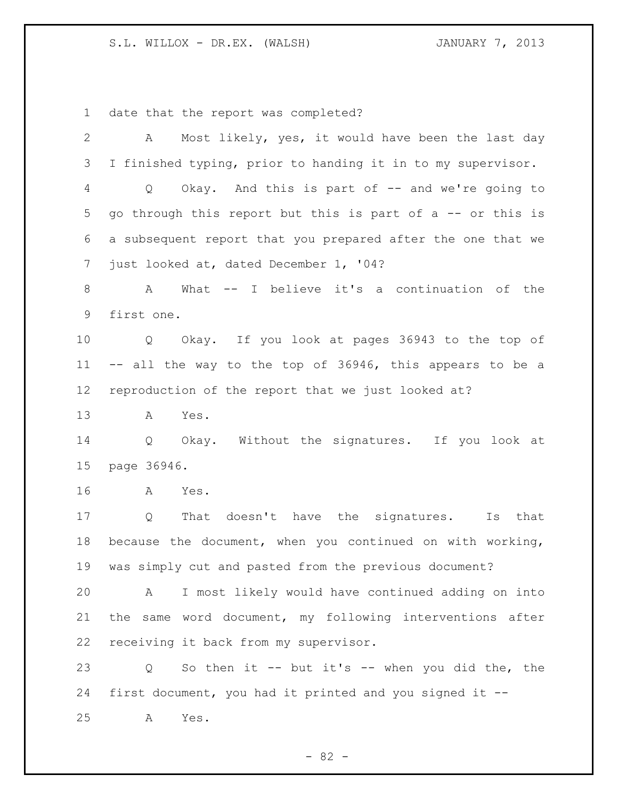## S.L. WILLOX - DR.EX. (WALSH) (3.1)

date that the report was completed?

| $\overline{2}$ | Most likely, yes, it would have been the last day<br>A               |
|----------------|----------------------------------------------------------------------|
| 3              | I finished typing, prior to handing it in to my supervisor.          |
| 4              | Okay. And this is part of -- and we're going to<br>$Q \qquad \qquad$ |
| 5              | go through this report but this is part of a -- or this is           |
| 6              | a subsequent report that you prepared after the one that we          |
| 7              | just looked at, dated December 1, '04?                               |
| 8              | A What -- I believe it's a continuation of the                       |
| 9              | first one.                                                           |
| 10             | Okay. If you look at pages 36943 to the top of<br>Q                  |
| 11             | -- all the way to the top of 36946, this appears to be a             |
| 12             | reproduction of the report that we just looked at?                   |
| 13             | A<br>Yes.                                                            |
| 14             | Okay. Without the signatures. If you look at<br>Q                    |
| 15             | page 36946.                                                          |
| 16             | A<br>Yes.                                                            |
| 17             | That doesn't have the signatures. Is that<br>Q                       |
| 18             | because the document, when you continued on with working,            |
| 19             | was simply cut and pasted from the previous document?                |
| 20             | I most likely would have continued adding on into<br>A               |
| 21             | same word document, my following interventions after<br>the          |
| 22             | receiving it back from my supervisor.                                |
| 23             | So then it -- but it's -- when you did the, the<br>Q                 |
| 24             | first document, you had it printed and you signed it --              |
| 25             | Yes.<br>A                                                            |
|                |                                                                      |

- 82 -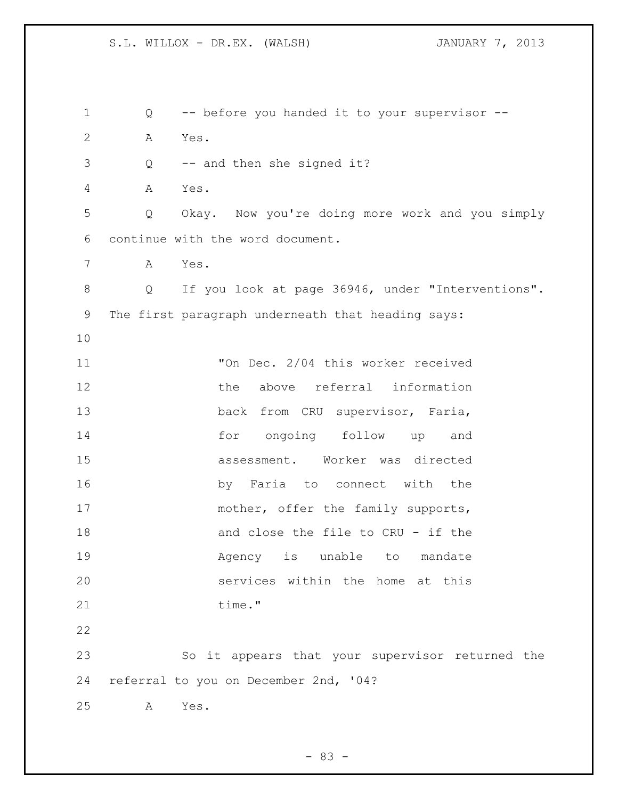S.L. WILLOX - DR.EX. (WALSH) (3.1)

| 1            | Q                 | -- before you handed it to your supervisor --     |
|--------------|-------------------|---------------------------------------------------|
|              |                   |                                                   |
| $\mathbf{2}$ | Α                 | Yes.                                              |
| 3            | Q                 | -- and then she signed it?                        |
| 4            | Α                 | Yes.                                              |
| 5            | Q                 | Okay. Now you're doing more work and you simply   |
| 6            |                   | continue with the word document.                  |
| 7            | A                 | Yes.                                              |
| 8            | $Q \qquad \qquad$ | If you look at page 36946, under "Interventions". |
| 9            |                   | The first paragraph underneath that heading says: |
| 10           |                   |                                                   |
| 11           |                   | "On Dec. 2/04 this worker received                |
| 12           |                   | the above referral information                    |
| 13           |                   | back from CRU supervisor, Faria,                  |
| 14           |                   | for ongoing follow up and                         |
| 15           |                   | assessment. Worker was directed                   |
| 16           |                   | by Faria to connect with the                      |
| 17           |                   | mother, offer the family supports,                |
| 18           |                   | and close the file to CRU - if the                |
| 19           |                   | Agency is unable to mandate                       |
| 20           |                   | services within the home at this                  |
| 21           |                   | time."                                            |
| 22           |                   |                                                   |
| 23           |                   | So it appears that your supervisor returned the   |
| 24           |                   | referral to you on December 2nd, '04?             |
| 25           | Α                 | Yes.                                              |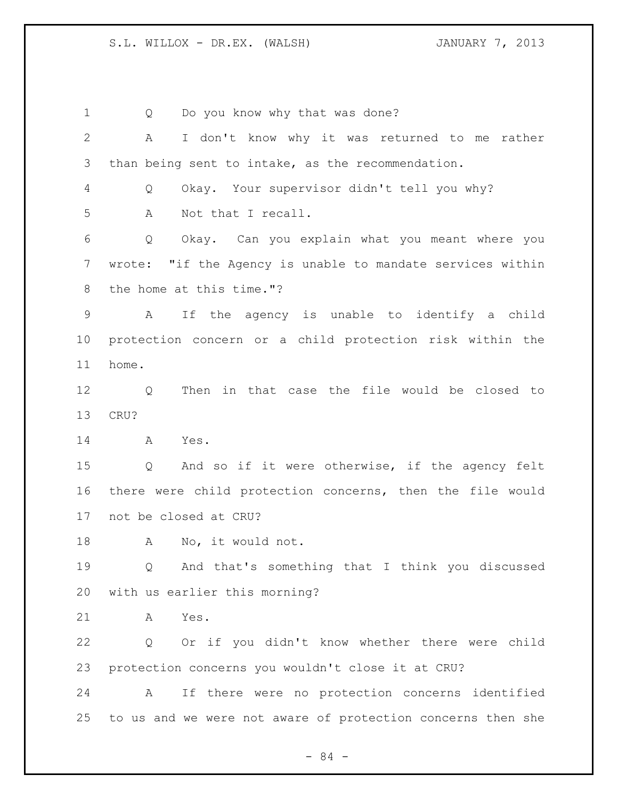1 Q Do you know why that was done? A I don't know why it was returned to me rather than being sent to intake, as the recommendation. Q Okay. Your supervisor didn't tell you why? A Not that I recall. Q Okay. Can you explain what you meant where you wrote: "if the Agency is unable to mandate services within the home at this time."? A If the agency is unable to identify a child protection concern or a child protection risk within the home. Q Then in that case the file would be closed to CRU? A Yes. Q And so if it were otherwise, if the agency felt there were child protection concerns, then the file would not be closed at CRU? A No, it would not. Q And that's something that I think you discussed with us earlier this morning? A Yes. Q Or if you didn't know whether there were child protection concerns you wouldn't close it at CRU? A If there were no protection concerns identified to us and we were not aware of protection concerns then she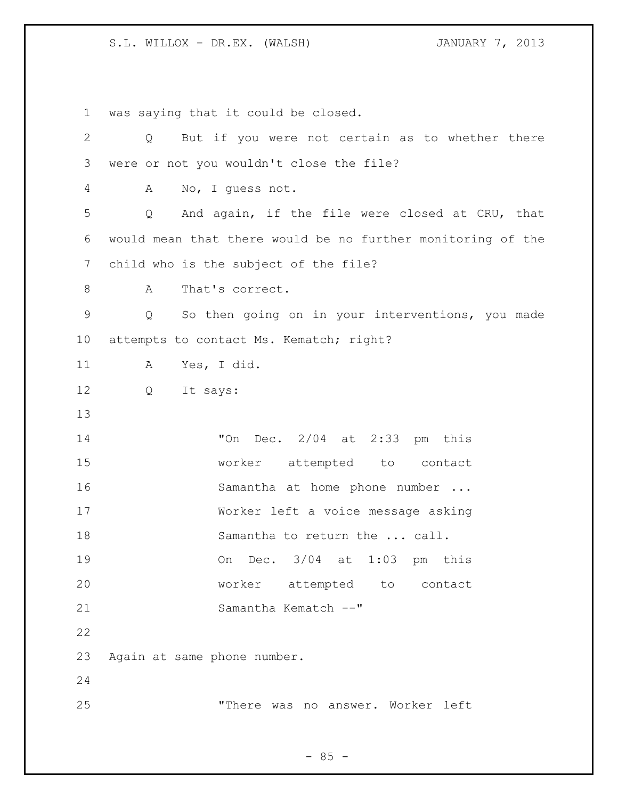was saying that it could be closed. Q But if you were not certain as to whether there were or not you wouldn't close the file? A No, I guess not. Q And again, if the file were closed at CRU, that would mean that there would be no further monitoring of the child who is the subject of the file? 8 A That's correct. Q So then going on in your interventions, you made attempts to contact Ms. Kematch; right? A Yes, I did. Q It says: "On Dec. 2/04 at 2:33 pm this worker attempted to contact 16 Samantha at home phone number ... Worker left a voice message asking 18 Samantha to return the ... call. On Dec. 3/04 at 1:03 pm this worker attempted to contact Samantha Kematch --" Again at same phone number. "There was no answer. Worker left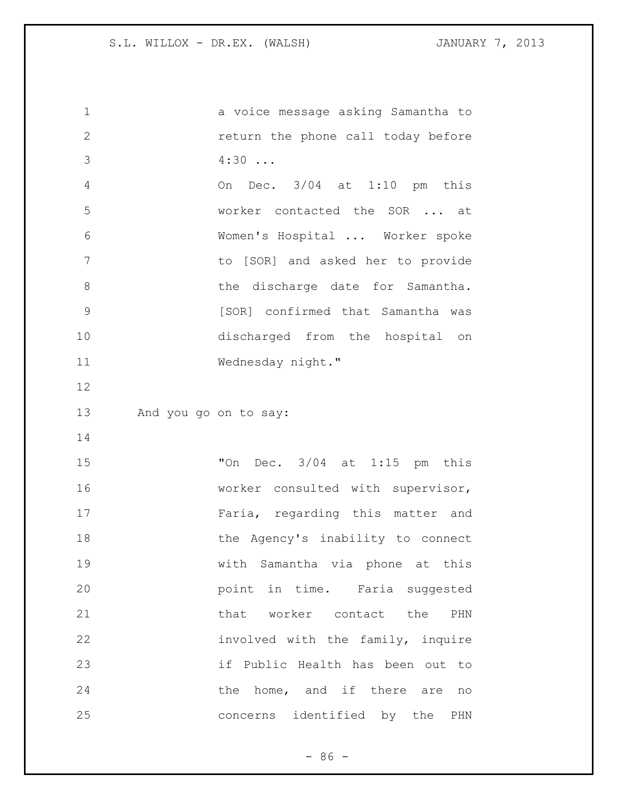a voice message asking Samantha to return the phone call today before 4:30 ... On Dec. 3/04 at 1:10 pm this worker contacted the SOR ... at Women's Hospital ... Worker spoke to [SOR] and asked her to provide 8 b the discharge date for Samantha. **1208** [SOR] confirmed that Samantha was discharged from the hospital on Wednesday night." And you go on to say: "On Dec. 3/04 at 1:15 pm this 16 worker consulted with supervisor, Faria, regarding this matter and 18 the Agency's inability to connect with Samantha via phone at this point in time. Faria suggested **blue that worker contact the PHN** 22 involved with the family, inquire if Public Health has been out to 24 the home, and if there are no concerns identified by the PHN

 $-86 -$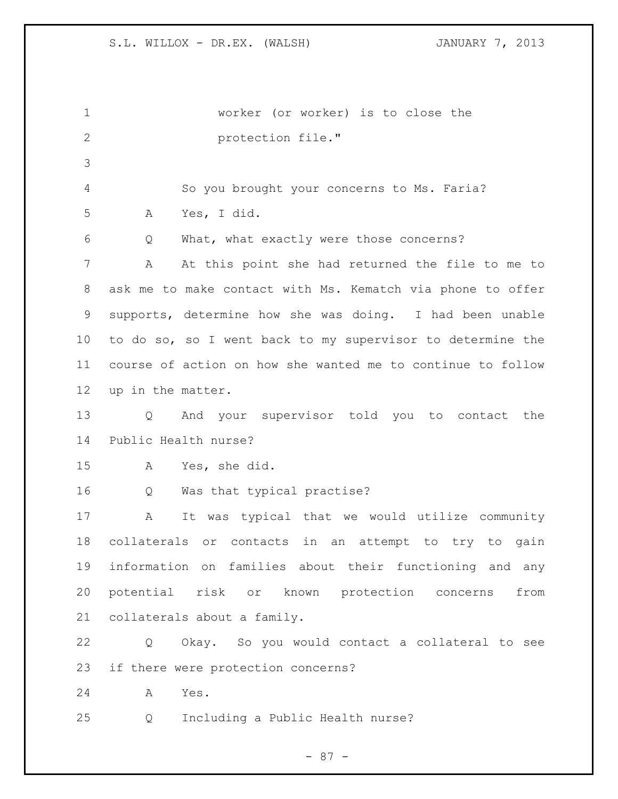| $\mathbf 1$  | worker (or worker) is to close the                            |
|--------------|---------------------------------------------------------------|
| $\mathbf{2}$ | protection file."                                             |
| 3            |                                                               |
| 4            | So you brought your concerns to Ms. Faria?                    |
| 5            | Yes, I did.<br>A                                              |
| 6            | What, what exactly were those concerns?<br>Q                  |
| 7            | At this point she had returned the file to me to<br>Α         |
| 8            | ask me to make contact with Ms. Kematch via phone to offer    |
| 9            | supports, determine how she was doing. I had been unable      |
| 10           | to do so, so I went back to my supervisor to determine the    |
| 11           | course of action on how she wanted me to continue to follow   |
| 12           | up in the matter.                                             |
| 13           | And your supervisor told you to contact the<br>Q              |
| 14           | Public Health nurse?                                          |
| 15           | Yes, she did.<br>A                                            |
| 16           | Was that typical practise?<br>Q                               |
| 17           | It was typical that we would utilize community<br>A           |
| 18           | collaterals or contacts<br>in<br>an attempt to try to<br>gain |
| 19           | information on families about their functioning and any       |
| 20           | potential risk or known protection concerns<br>from           |
| 21           | collaterals about a family.                                   |
| 22           | Okay. So you would contact a collateral to see<br>Q           |
| 23           | if there were protection concerns?                            |
| 24           | Yes.<br>Α                                                     |
| 25           | Including a Public Health nurse?<br>Q                         |

- 87 -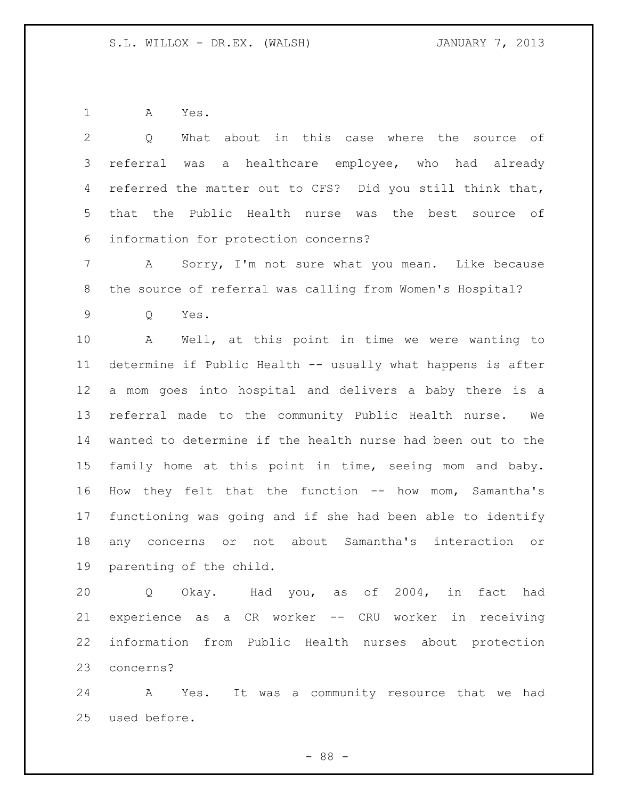A Yes.

 Q What about in this case where the source of referral was a healthcare employee, who had already referred the matter out to CFS? Did you still think that, that the Public Health nurse was the best source of information for protection concerns?

 A Sorry, I'm not sure what you mean. Like because the source of referral was calling from Women's Hospital?

Q Yes.

 A Well, at this point in time we were wanting to determine if Public Health -- usually what happens is after a mom goes into hospital and delivers a baby there is a referral made to the community Public Health nurse. We wanted to determine if the health nurse had been out to the family home at this point in time, seeing mom and baby. How they felt that the function -- how mom, Samantha's functioning was going and if she had been able to identify any concerns or not about Samantha's interaction or parenting of the child.

 Q Okay. Had you, as of 2004, in fact had experience as a CR worker -- CRU worker in receiving information from Public Health nurses about protection concerns?

 A Yes. It was a community resource that we had used before.

- 88 -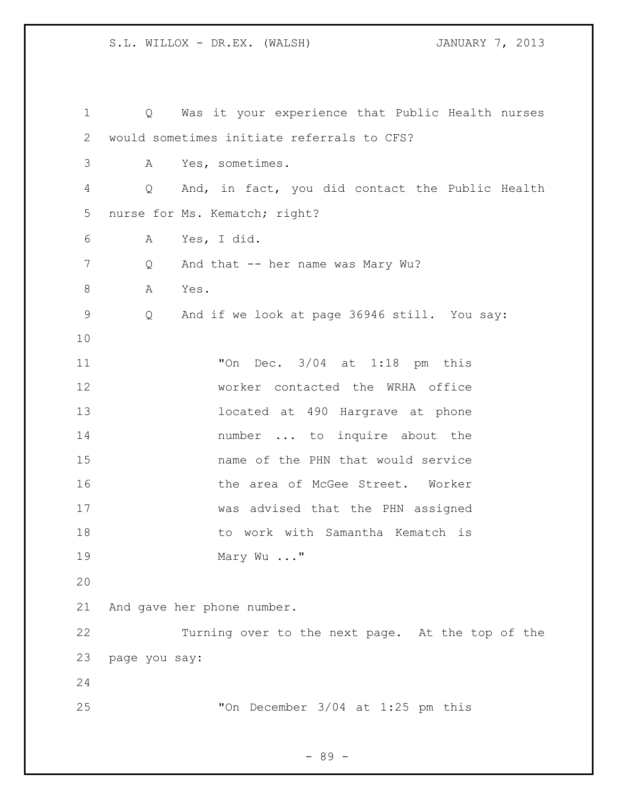S.L. WILLOX - DR.EX. (WALSH) (3.1)

| $\mathbf 1$    | Q             | Was it your experience that Public Health nurses |
|----------------|---------------|--------------------------------------------------|
| 2              |               | would sometimes initiate referrals to CFS?       |
| 3              | A             | Yes, sometimes.                                  |
| $\overline{4}$ | Q             | And, in fact, you did contact the Public Health  |
| 5              |               | nurse for Ms. Kematch; right?                    |
| 6              | A             | Yes, I did.                                      |
| 7              | Q             | And that -- her name was Mary Wu?                |
| 8              | Α             | Yes.                                             |
| 9              | Q             | And if we look at page 36946 still. You say:     |
| 10             |               |                                                  |
| 11             |               | "On Dec. $3/04$ at $1:18$ pm this                |
| 12             |               | worker contacted the WRHA office                 |
| 13             |               | located at 490 Hargrave at phone                 |
| 14             |               | number  to inquire about the                     |
| 15             |               | name of the PHN that would service               |
| 16             |               | the area of McGee Street. Worker                 |
| 17             |               | was advised that the PHN assigned                |
| 18             |               | to work with Samantha Kematch is                 |
| 19             |               | Ħ<br>Mary Wu                                     |
| 20             |               |                                                  |
| 21             |               | And gave her phone number.                       |
| 22             |               | Turning over to the next page. At the top of the |
| 23             | page you say: |                                                  |
| 24             |               |                                                  |
| 25             |               | "On December 3/04 at 1:25 pm this                |
|                |               |                                                  |

- 89 -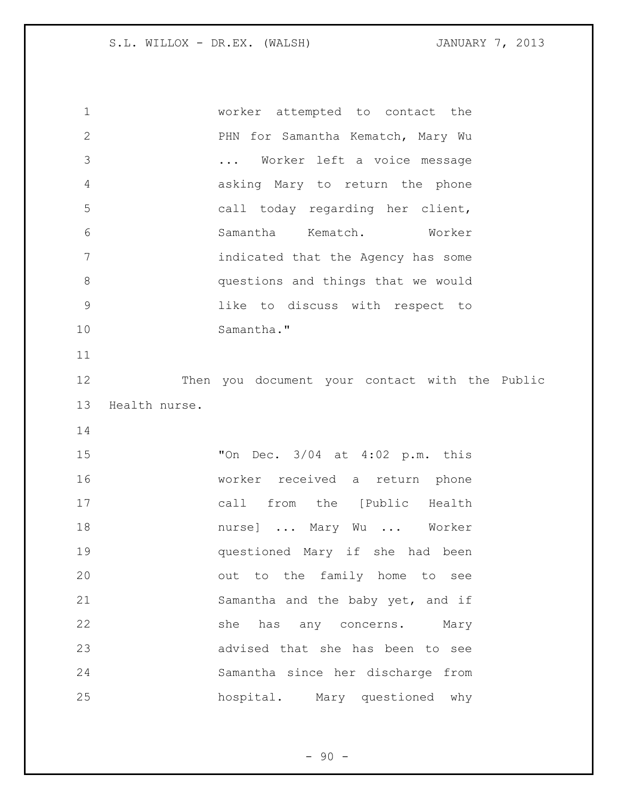worker attempted to contact the PHN for Samantha Kematch, Mary Wu ... Worker left a voice message asking Mary to return the phone call today regarding her client, Samantha Kematch. Worker indicated that the Agency has some questions and things that we would like to discuss with respect to Samantha." Then you document your contact with the Public Health nurse. "On Dec. 3/04 at 4:02 p.m. this worker received a return phone call from the [Public Health **nurse**] ... Mary Wu ... Worker questioned Mary if she had been out to the family home to see 21 Samantha and the baby yet, and if 22 she has any concerns. Mary advised that she has been to see Samantha since her discharge from hospital. Mary questioned why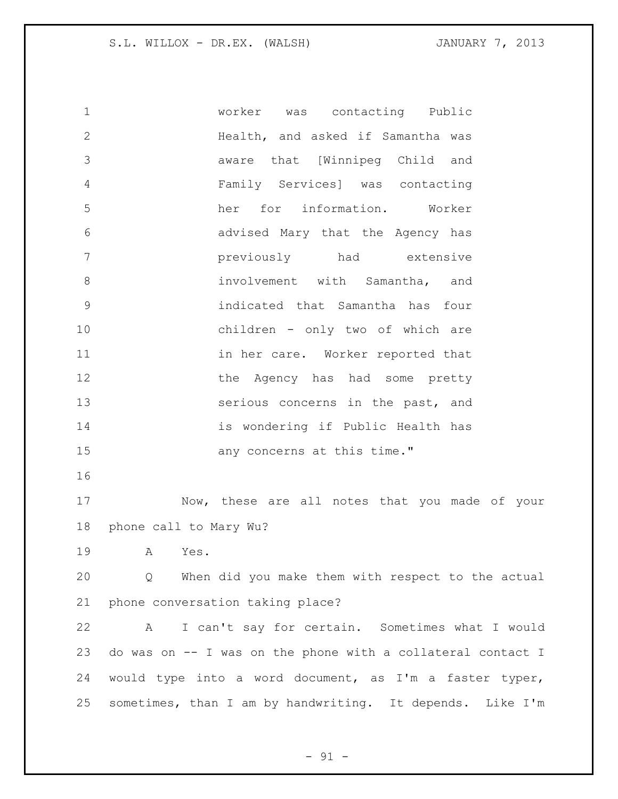worker was contacting Public Health, and asked if Samantha was aware that [Winnipeg Child and Family Services] was contacting her for information. Worker advised Mary that the Agency has previously had extensive **involvement** with Samantha, and indicated that Samantha has four children - only two of which are 11 in her care. Worker reported that 12 the Agency has had some pretty **13** serious concerns in the past, and is wondering if Public Health has 15 any concerns at this time." Now, these are all notes that you made of your phone call to Mary Wu? A Yes. Q When did you make them with respect to the actual phone conversation taking place? A I can't say for certain. Sometimes what I would do was on -- I was on the phone with a collateral contact I would type into a word document, as I'm a faster typer, sometimes, than I am by handwriting. It depends. Like I'm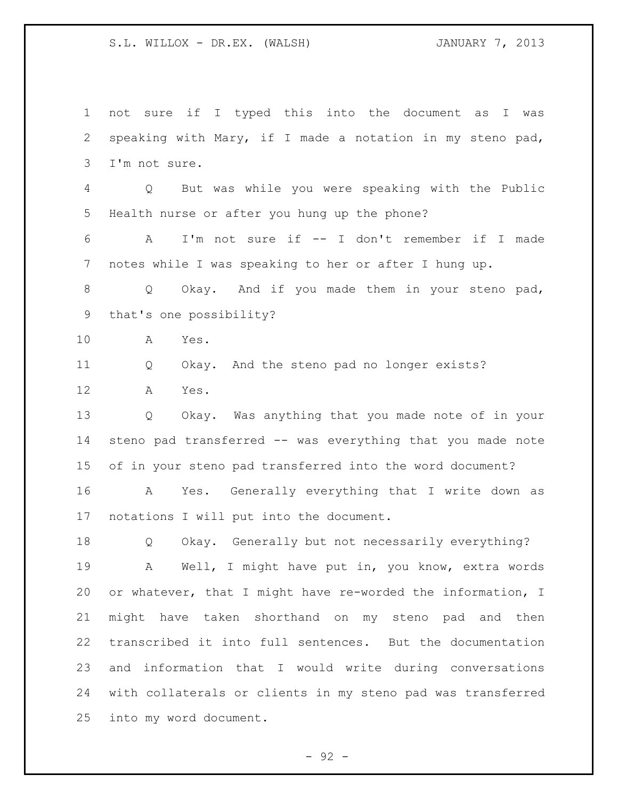not sure if I typed this into the document as I was speaking with Mary, if I made a notation in my steno pad, I'm not sure. Q But was while you were speaking with the Public Health nurse or after you hung up the phone? A I'm not sure if -- I don't remember if I made notes while I was speaking to her or after I hung up. Q Okay. And if you made them in your steno pad, that's one possibility? A Yes. Q Okay. And the steno pad no longer exists? A Yes. Q Okay. Was anything that you made note of in your 14 steno pad transferred -- was everything that you made note of in your steno pad transferred into the word document? A Yes. Generally everything that I write down as notations I will put into the document. Q Okay. Generally but not necessarily everything? A Well, I might have put in, you know, extra words or whatever, that I might have re-worded the information, I might have taken shorthand on my steno pad and then transcribed it into full sentences. But the documentation and information that I would write during conversations with collaterals or clients in my steno pad was transferred into my word document.

 $-92 -$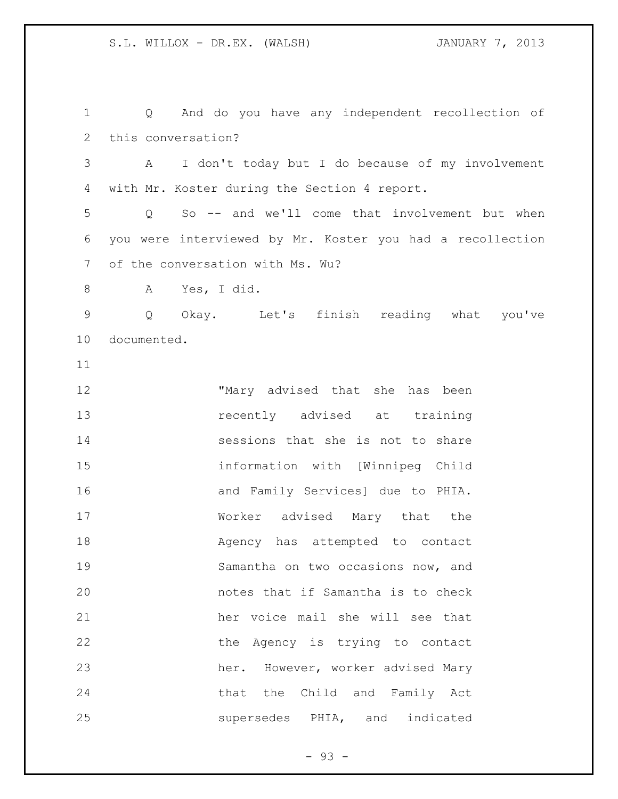Q And do you have any independent recollection of this conversation? A I don't today but I do because of my involvement with Mr. Koster during the Section 4 report. Q So -- and we'll come that involvement but when you were interviewed by Mr. Koster you had a recollection of the conversation with Ms. Wu? A Yes, I did. Q Okay. Let's finish reading what you've documented. "Mary advised that she has been **recently** advised at training sessions that she is not to share information with [Winnipeg Child 16 and Family Services] due to PHIA. Worker advised Mary that the 18 Agency has attempted to contact Samantha on two occasions now, and notes that if Samantha is to check her voice mail she will see that 22 the Agency is trying to contact her. However, worker advised Mary 24 that the Child and Family Act supersedes PHIA, and indicated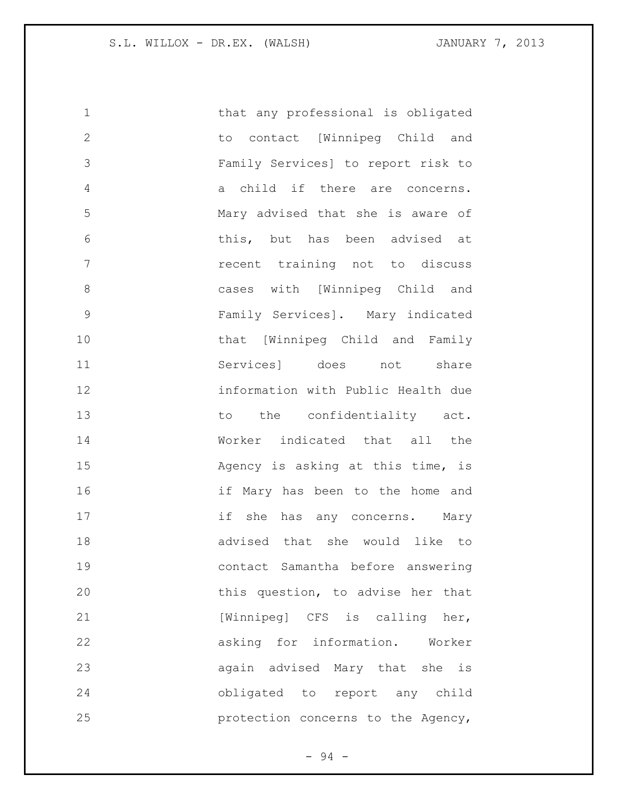1 that any professional is obligated to contact [Winnipeg Child and Family Services] to report risk to a child if there are concerns. Mary advised that she is aware of this, but has been advised at recent training not to discuss cases with [Winnipeg Child and Family Services]. Mary indicated that [Winnipeg Child and Family Services] does not share information with Public Health due 13 to the confidentiality act. Worker indicated that all the 15 Agency is asking at this time, is if Mary has been to the home and 17 if she has any concerns. Mary advised that she would like to contact Samantha before answering this question, to advise her that 21 [Winnipeg] CFS is calling her, asking for information. Worker again advised Mary that she is obligated to report any child protection concerns to the Agency,

- 94 -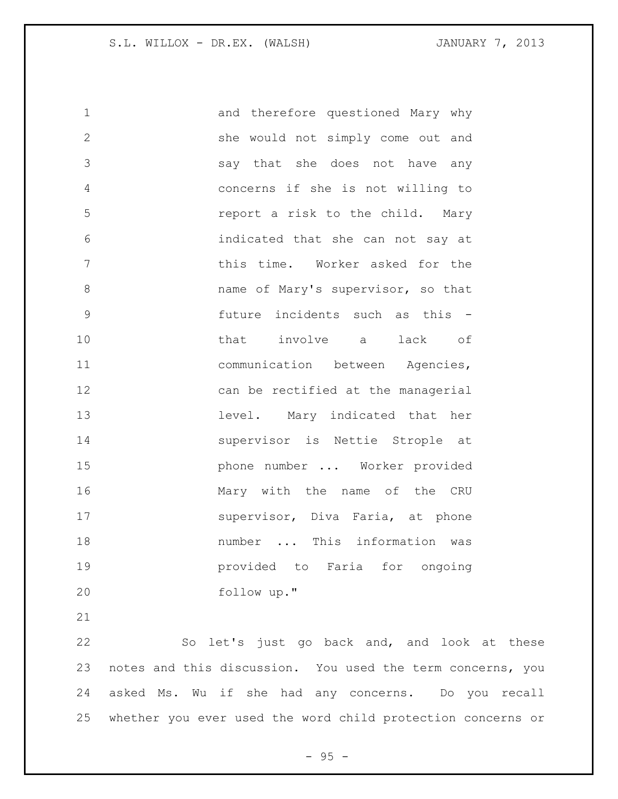and therefore questioned Mary why she would not simply come out and say that she does not have any concerns if she is not willing to report a risk to the child. Mary indicated that she can not say at this time. Worker asked for the name of Mary's supervisor, so that future incidents such as this - that involve a lack of communication between Agencies, can be rectified at the managerial level. Mary indicated that her supervisor is Nettie Strople at phone number ... Worker provided Mary with the name of the CRU 17 supervisor, Diva Faria, at phone number ... This information was provided to Faria for ongoing follow up."

 So let's just go back and, and look at these notes and this discussion. You used the term concerns, you asked Ms. Wu if she had any concerns. Do you recall whether you ever used the word child protection concerns or

 $- 95 -$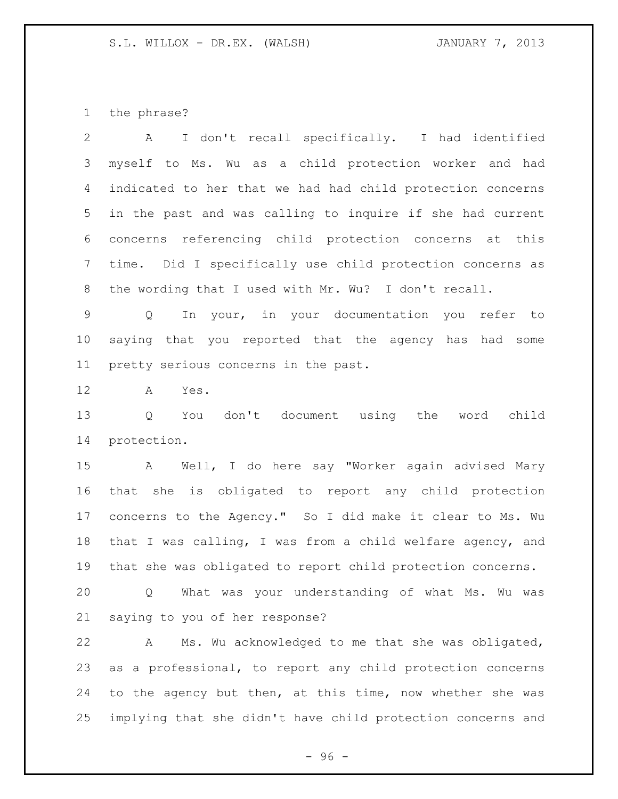the phrase?

 A I don't recall specifically. I had identified myself to Ms. Wu as a child protection worker and had indicated to her that we had had child protection concerns in the past and was calling to inquire if she had current concerns referencing child protection concerns at this time. Did I specifically use child protection concerns as the wording that I used with Mr. Wu? I don't recall.

 Q In your, in your documentation you refer to saying that you reported that the agency has had some pretty serious concerns in the past.

A Yes.

 Q You don't document using the word child protection.

 A Well, I do here say "Worker again advised Mary that she is obligated to report any child protection concerns to the Agency." So I did make it clear to Ms. Wu that I was calling, I was from a child welfare agency, and that she was obligated to report child protection concerns.

 Q What was your understanding of what Ms. Wu was saying to you of her response?

 A Ms. Wu acknowledged to me that she was obligated, as a professional, to report any child protection concerns to the agency but then, at this time, now whether she was implying that she didn't have child protection concerns and

 $-96 -$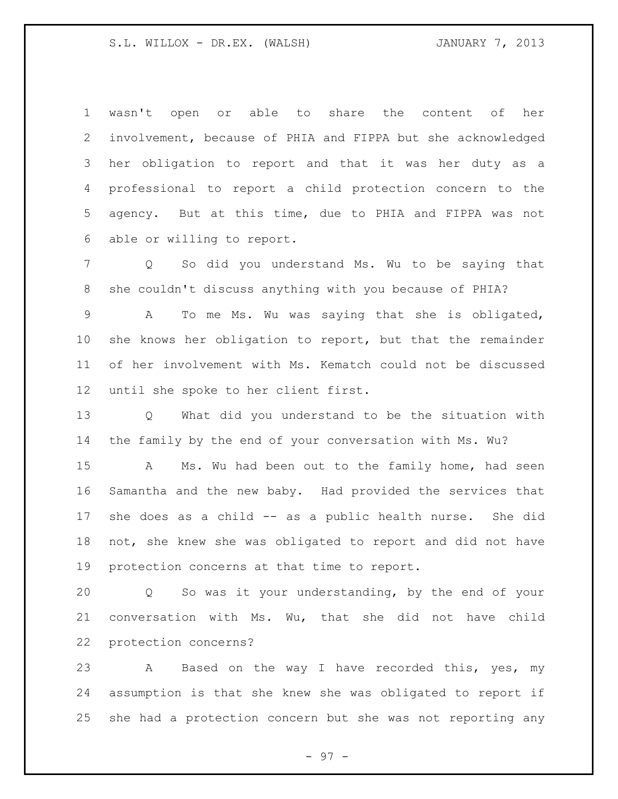wasn't open or able to share the content of her involvement, because of PHIA and FIPPA but she acknowledged her obligation to report and that it was her duty as a professional to report a child protection concern to the agency. But at this time, due to PHIA and FIPPA was not able or willing to report.

 Q So did you understand Ms. Wu to be saying that she couldn't discuss anything with you because of PHIA?

 A To me Ms. Wu was saying that she is obligated, she knows her obligation to report, but that the remainder of her involvement with Ms. Kematch could not be discussed until she spoke to her client first.

 Q What did you understand to be the situation with the family by the end of your conversation with Ms. Wu?

15 A Ms. Wu had been out to the family home, had seen Samantha and the new baby. Had provided the services that she does as a child -- as a public health nurse. She did not, she knew she was obligated to report and did not have protection concerns at that time to report.

 Q So was it your understanding, by the end of your conversation with Ms. Wu, that she did not have child protection concerns?

 A Based on the way I have recorded this, yes, my assumption is that she knew she was obligated to report if she had a protection concern but she was not reporting any

- 97 -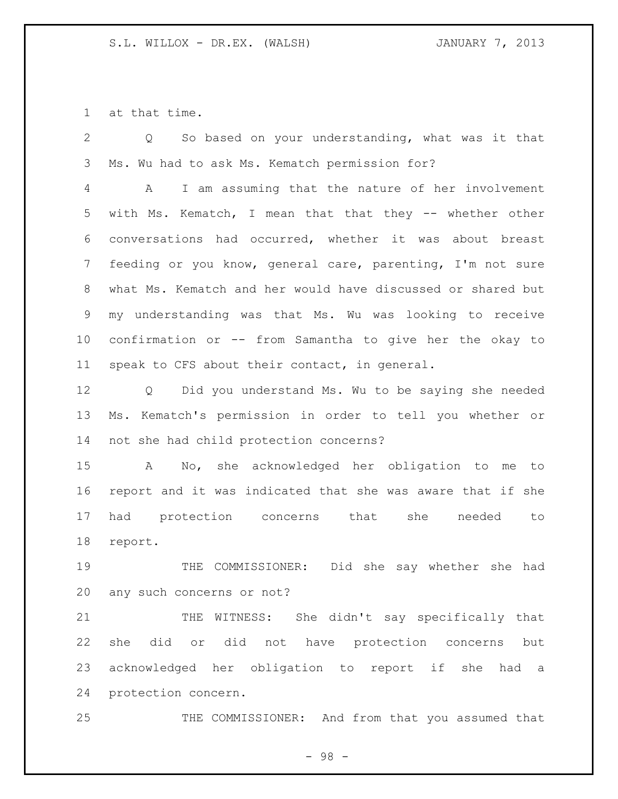at that time.

 Q So based on your understanding, what was it that Ms. Wu had to ask Ms. Kematch permission for?

 A I am assuming that the nature of her involvement with Ms. Kematch, I mean that that they -- whether other conversations had occurred, whether it was about breast feeding or you know, general care, parenting, I'm not sure what Ms. Kematch and her would have discussed or shared but my understanding was that Ms. Wu was looking to receive confirmation or -- from Samantha to give her the okay to speak to CFS about their contact, in general.

 Q Did you understand Ms. Wu to be saying she needed Ms. Kematch's permission in order to tell you whether or not she had child protection concerns?

 A No, she acknowledged her obligation to me to report and it was indicated that she was aware that if she had protection concerns that she needed to report.

 THE COMMISSIONER: Did she say whether she had any such concerns or not?

 THE WITNESS: She didn't say specifically that she did or did not have protection concerns but acknowledged her obligation to report if she had a protection concern.

25 THE COMMISSIONER: And from that you assumed that

- 98 -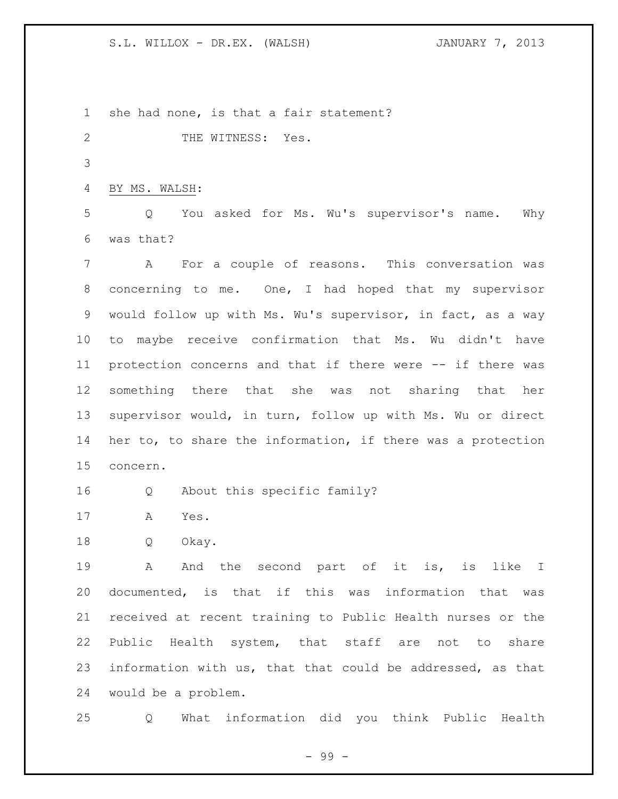she had none, is that a fair statement? 2 THE WITNESS: Yes. BY MS. WALSH: Q You asked for Ms. Wu's supervisor's name. Why was that? A For a couple of reasons. This conversation was concerning to me. One, I had hoped that my supervisor would follow up with Ms. Wu's supervisor, in fact, as a way to maybe receive confirmation that Ms. Wu didn't have protection concerns and that if there were -- if there was something there that she was not sharing that her supervisor would, in turn, follow up with Ms. Wu or direct her to, to share the information, if there was a protection concern. Q About this specific family? A Yes. Q Okay. 19 A And the second part of it is, is like I documented, is that if this was information that was received at recent training to Public Health nurses or the Public Health system, that staff are not to share information with us, that that could be addressed, as that would be a problem. Q What information did you think Public Health

- 99 -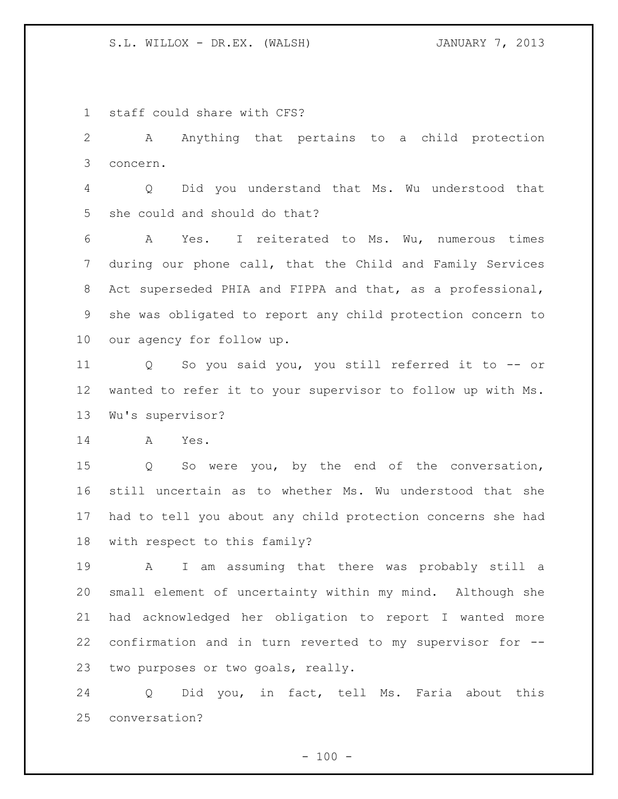staff could share with CFS?

 A Anything that pertains to a child protection concern.

 Q Did you understand that Ms. Wu understood that she could and should do that?

 A Yes. I reiterated to Ms. Wu, numerous times during our phone call, that the Child and Family Services Act superseded PHIA and FIPPA and that, as a professional, she was obligated to report any child protection concern to our agency for follow up.

 Q So you said you, you still referred it to -- or wanted to refer it to your supervisor to follow up with Ms. Wu's supervisor?

A Yes.

 Q So were you, by the end of the conversation, still uncertain as to whether Ms. Wu understood that she had to tell you about any child protection concerns she had with respect to this family?

 A I am assuming that there was probably still a small element of uncertainty within my mind. Although she had acknowledged her obligation to report I wanted more confirmation and in turn reverted to my supervisor for -- two purposes or two goals, really.

 Q Did you, in fact, tell Ms. Faria about this conversation?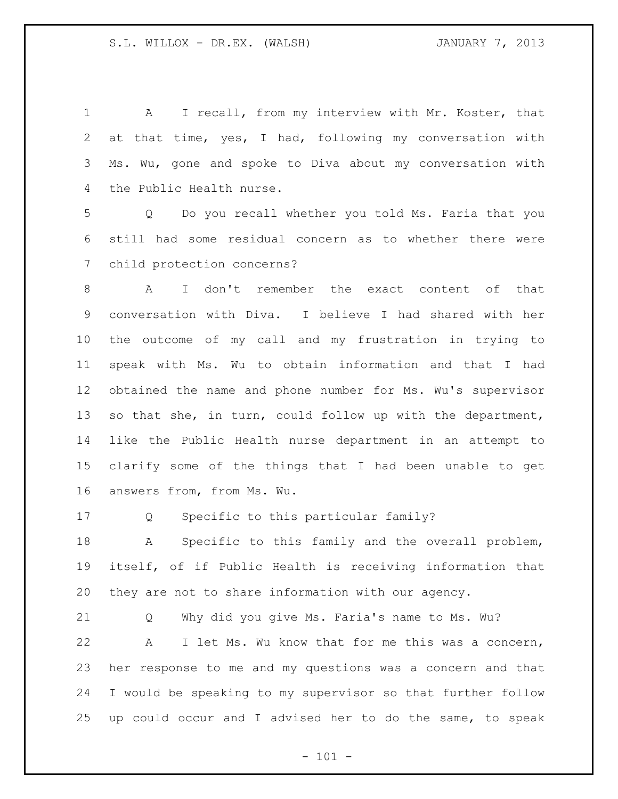1 A I recall, from my interview with Mr. Koster, that at that time, yes, I had, following my conversation with Ms. Wu, gone and spoke to Diva about my conversation with the Public Health nurse.

 Q Do you recall whether you told Ms. Faria that you still had some residual concern as to whether there were child protection concerns?

 A I don't remember the exact content of that conversation with Diva. I believe I had shared with her the outcome of my call and my frustration in trying to speak with Ms. Wu to obtain information and that I had obtained the name and phone number for Ms. Wu's supervisor so that she, in turn, could follow up with the department, like the Public Health nurse department in an attempt to clarify some of the things that I had been unable to get answers from, from Ms. Wu.

Q Specific to this particular family?

 A Specific to this family and the overall problem, itself, of if Public Health is receiving information that they are not to share information with our agency.

Q Why did you give Ms. Faria's name to Ms. Wu?

 A I let Ms. Wu know that for me this was a concern, her response to me and my questions was a concern and that I would be speaking to my supervisor so that further follow up could occur and I advised her to do the same, to speak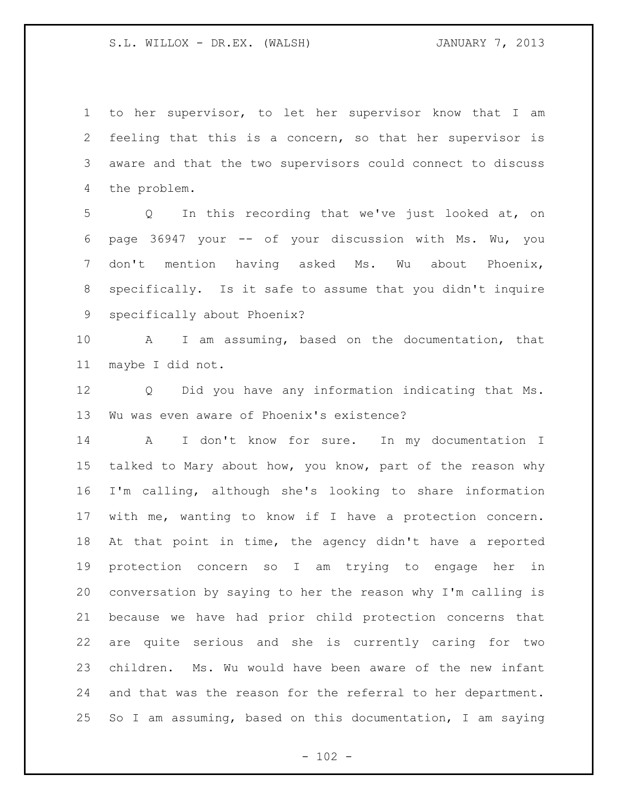to her supervisor, to let her supervisor know that I am feeling that this is a concern, so that her supervisor is aware and that the two supervisors could connect to discuss the problem.

 Q In this recording that we've just looked at, on page 36947 your -- of your discussion with Ms. Wu, you don't mention having asked Ms. Wu about Phoenix, specifically. Is it safe to assume that you didn't inquire specifically about Phoenix?

 A I am assuming, based on the documentation, that maybe I did not.

 Q Did you have any information indicating that Ms. Wu was even aware of Phoenix's existence?

 A I don't know for sure. In my documentation I talked to Mary about how, you know, part of the reason why I'm calling, although she's looking to share information with me, wanting to know if I have a protection concern. At that point in time, the agency didn't have a reported protection concern so I am trying to engage her in conversation by saying to her the reason why I'm calling is because we have had prior child protection concerns that are quite serious and she is currently caring for two children. Ms. Wu would have been aware of the new infant and that was the reason for the referral to her department. So I am assuming, based on this documentation, I am saying

 $- 102 -$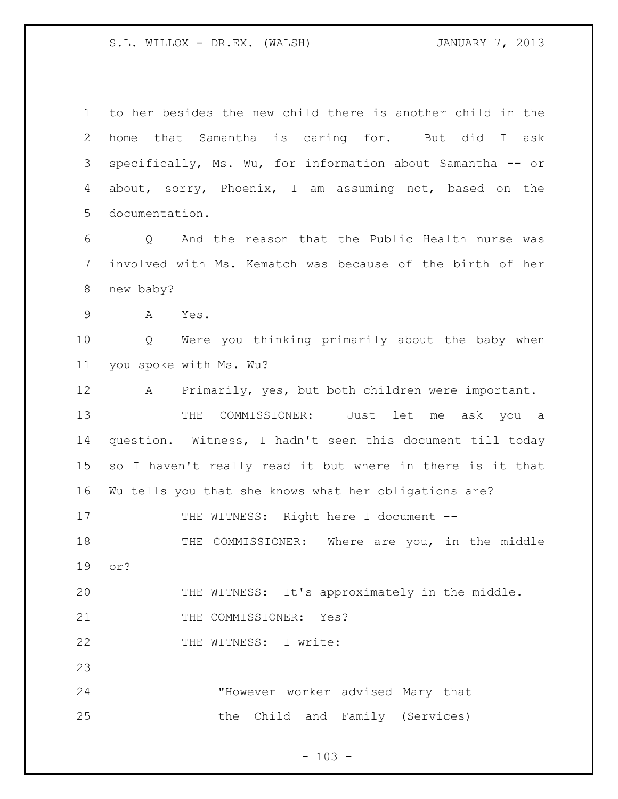to her besides the new child there is another child in the home that Samantha is caring for. But did I ask specifically, Ms. Wu, for information about Samantha -- or about, sorry, Phoenix, I am assuming not, based on the documentation.

 Q And the reason that the Public Health nurse was involved with Ms. Kematch was because of the birth of her new baby?

A Yes.

 Q Were you thinking primarily about the baby when you spoke with Ms. Wu?

 A Primarily, yes, but both children were important. THE COMMISSIONER: Just let me ask you a question. Witness, I hadn't seen this document till today so I haven't really read it but where in there is it that Wu tells you that she knows what her obligations are? 17 THE WITNESS: Right here I document --18 THE COMMISSIONER: Where are you, in the middle or?

THE WITNESS: It's approximately in the middle.

21 THE COMMISSIONER: Yes?

22 THE WITNESS: I write:

 "However worker advised Mary that the Child and Family (Services)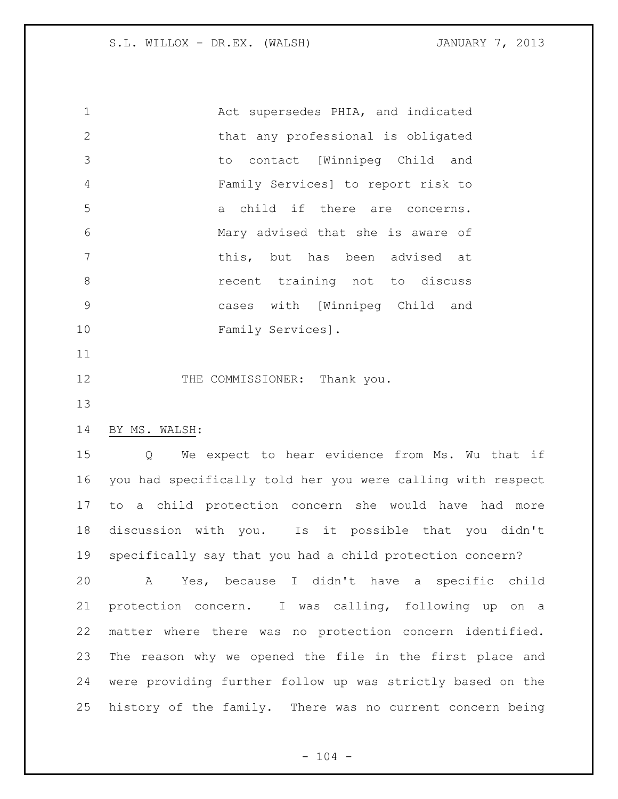1 Act supersedes PHIA, and indicated that any professional is obligated to contact [Winnipeg Child and Family Services] to report risk to a child if there are concerns. Mary advised that she is aware of 7 this, but has been advised at **8 19 Reduction** recent training not to discuss cases with [Winnipeg Child and 10 Family Services]. 

12 THE COMMISSIONER: Thank you.

BY MS. WALSH:

 Q We expect to hear evidence from Ms. Wu that if you had specifically told her you were calling with respect to a child protection concern she would have had more discussion with you. Is it possible that you didn't specifically say that you had a child protection concern?

 A Yes, because I didn't have a specific child protection concern. I was calling, following up on a matter where there was no protection concern identified. The reason why we opened the file in the first place and were providing further follow up was strictly based on the history of the family. There was no current concern being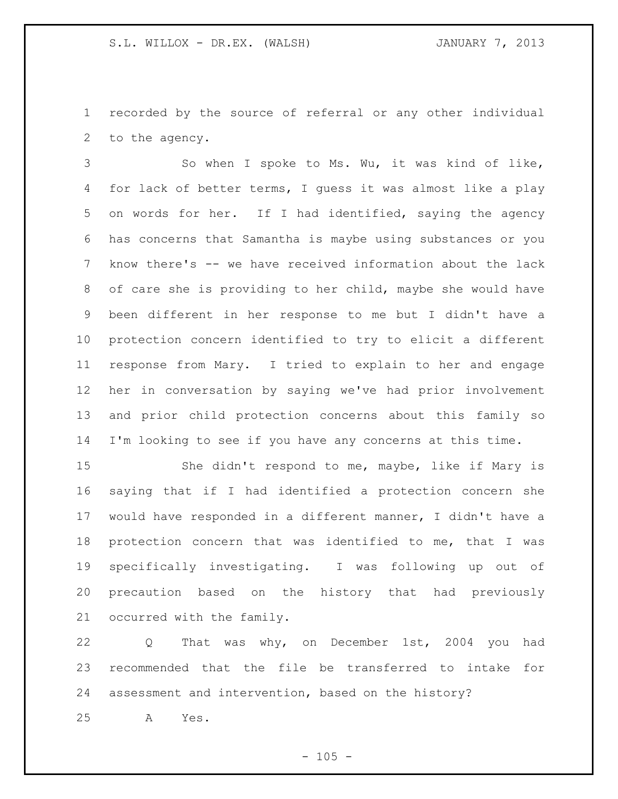recorded by the source of referral or any other individual to the agency.

 So when I spoke to Ms. Wu, it was kind of like, for lack of better terms, I guess it was almost like a play on words for her. If I had identified, saying the agency has concerns that Samantha is maybe using substances or you know there's -- we have received information about the lack of care she is providing to her child, maybe she would have been different in her response to me but I didn't have a protection concern identified to try to elicit a different response from Mary. I tried to explain to her and engage her in conversation by saying we've had prior involvement and prior child protection concerns about this family so I'm looking to see if you have any concerns at this time.

 She didn't respond to me, maybe, like if Mary is saying that if I had identified a protection concern she would have responded in a different manner, I didn't have a protection concern that was identified to me, that I was specifically investigating. I was following up out of precaution based on the history that had previously occurred with the family.

 Q That was why, on December 1st, 2004 you had recommended that the file be transferred to intake for assessment and intervention, based on the history?

A Yes.

 $- 105 -$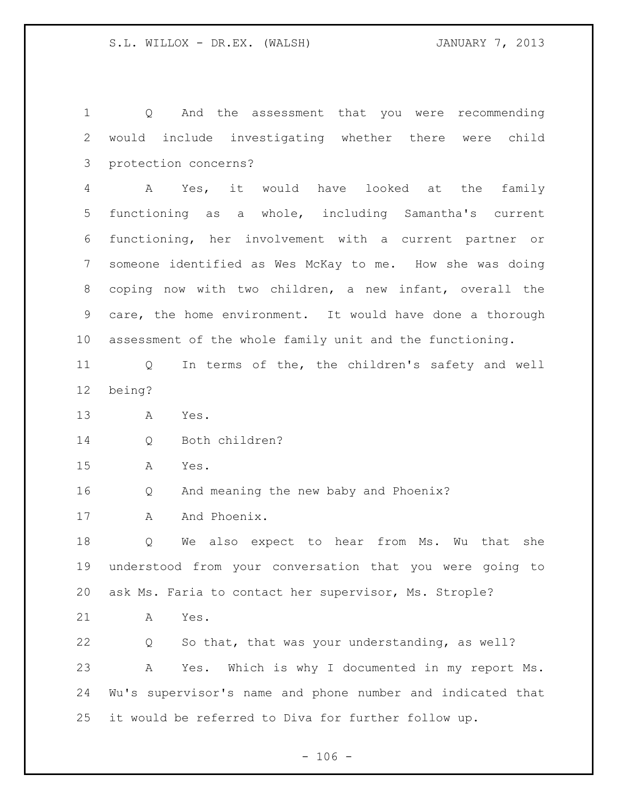Q And the assessment that you were recommending would include investigating whether there were child protection concerns? A Yes, it would have looked at the family functioning as a whole, including Samantha's current functioning, her involvement with a current partner or someone identified as Wes McKay to me. How she was doing coping now with two children, a new infant, overall the care, the home environment. It would have done a thorough assessment of the whole family unit and the functioning. Q In terms of the, the children's safety and well being? A Yes. Q Both children? A Yes. Q And meaning the new baby and Phoenix? 17 A And Phoenix. Q We also expect to hear from Ms. Wu that she understood from your conversation that you were going to ask Ms. Faria to contact her supervisor, Ms. Strople? A Yes. Q So that, that was your understanding, as well? A Yes. Which is why I documented in my report Ms. Wu's supervisor's name and phone number and indicated that it would be referred to Diva for further follow up.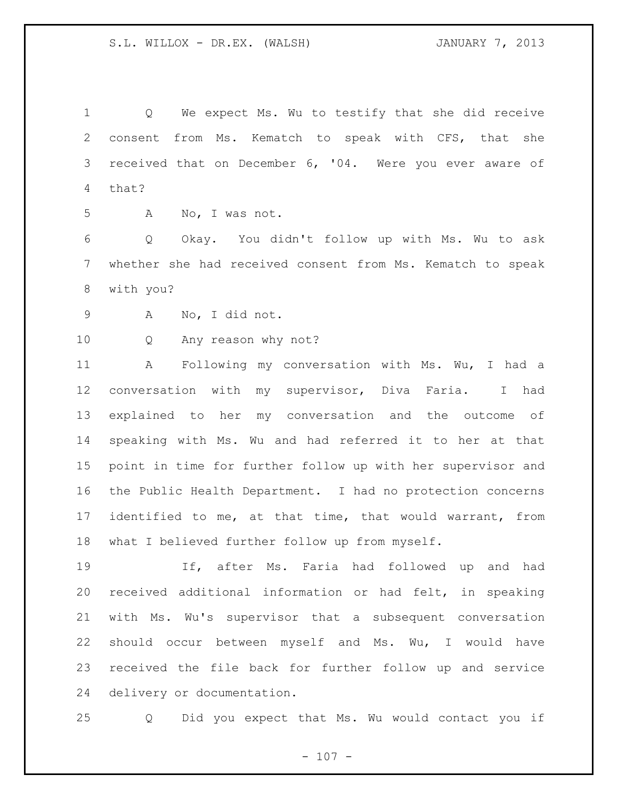Q We expect Ms. Wu to testify that she did receive consent from Ms. Kematch to speak with CFS, that she 3 received that on December 6, '04. Were you ever aware of that?

A No, I was not.

 Q Okay. You didn't follow up with Ms. Wu to ask whether she had received consent from Ms. Kematch to speak with you?

- A No, I did not.
- 
- Q Any reason why not?

 A Following my conversation with Ms. Wu, I had a conversation with my supervisor, Diva Faria. I had explained to her my conversation and the outcome of speaking with Ms. Wu and had referred it to her at that point in time for further follow up with her supervisor and the Public Health Department. I had no protection concerns identified to me, at that time, that would warrant, from what I believed further follow up from myself.

 If, after Ms. Faria had followed up and had received additional information or had felt, in speaking with Ms. Wu's supervisor that a subsequent conversation should occur between myself and Ms. Wu, I would have received the file back for further follow up and service delivery or documentation.

Q Did you expect that Ms. Wu would contact you if

 $- 107 -$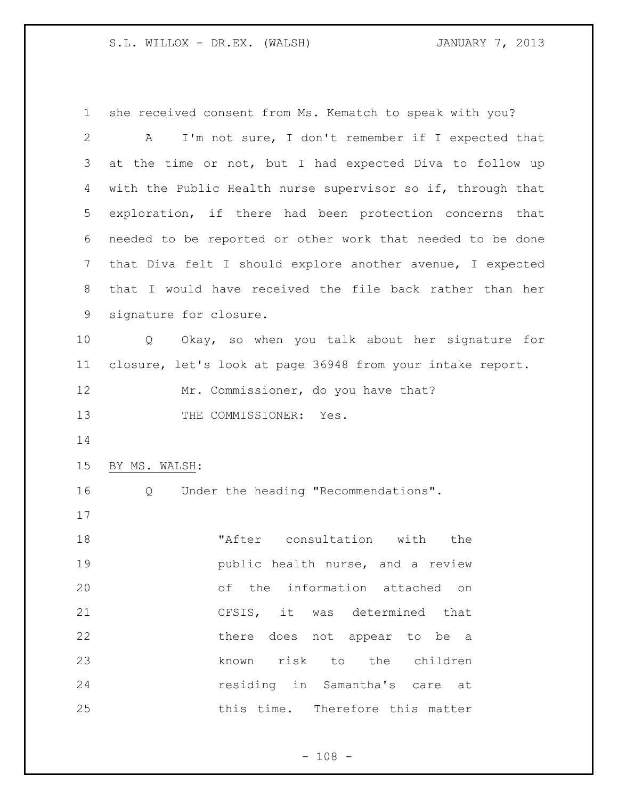she received consent from Ms. Kematch to speak with you? A I'm not sure, I don't remember if I expected that at the time or not, but I had expected Diva to follow up with the Public Health nurse supervisor so if, through that exploration, if there had been protection concerns that needed to be reported or other work that needed to be done that Diva felt I should explore another avenue, I expected that I would have received the file back rather than her signature for closure. Q Okay, so when you talk about her signature for closure, let's look at page 36948 from your intake report. Mr. Commissioner, do you have that? 13 THE COMMISSIONER: Yes. BY MS. WALSH: Q Under the heading "Recommendations". "After consultation with the public health nurse, and a review of the information attached on CFSIS, it was determined that 22 there does not appear to be a known risk to the children residing in Samantha's care at this time. Therefore this matter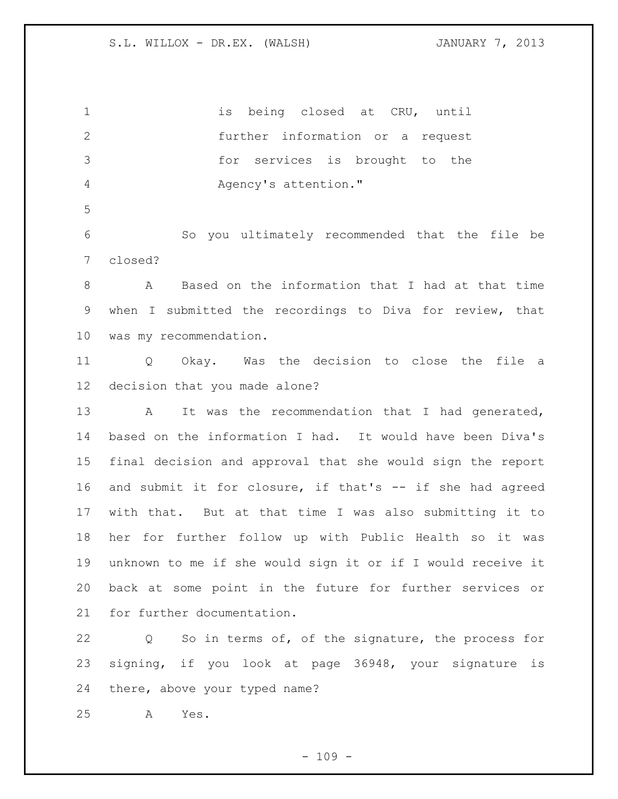1 is being closed at CRU, until further information or a request for services is brought to the Agency's attention." So you ultimately recommended that the file be closed? A Based on the information that I had at that time when I submitted the recordings to Diva for review, that was my recommendation. Q Okay. Was the decision to close the file a decision that you made alone? 13 A It was the recommendation that I had generated, based on the information I had. It would have been Diva's final decision and approval that she would sign the report and submit it for closure, if that's -- if she had agreed with that. But at that time I was also submitting it to her for further follow up with Public Health so it was unknown to me if she would sign it or if I would receive it back at some point in the future for further services or 21 for further documentation. Q So in terms of, of the signature, the process for signing, if you look at page 36948, your signature is

there, above your typed name?

A Yes.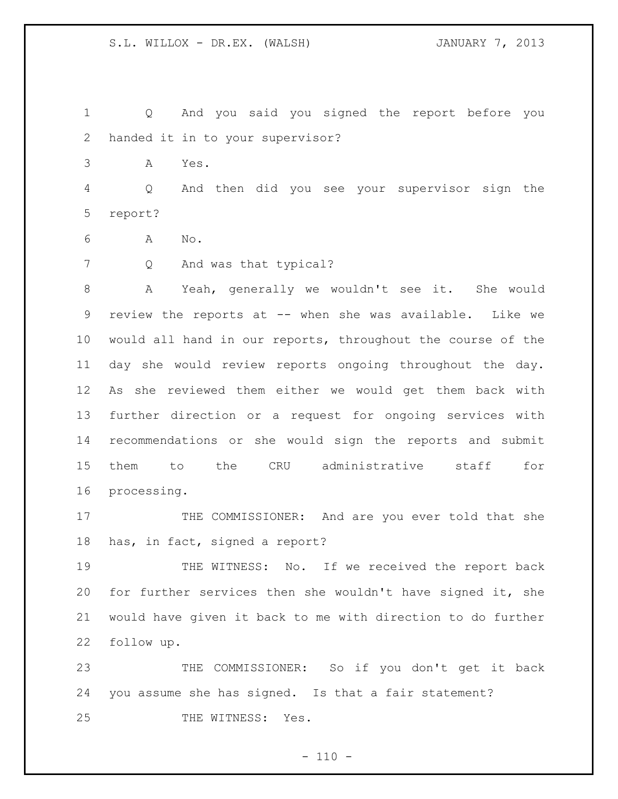Q And you said you signed the report before you handed it in to your supervisor?

A Yes.

 Q And then did you see your supervisor sign the report?

A No.

7 Q And was that typical?

 A Yeah, generally we wouldn't see it. She would review the reports at -- when she was available. Like we would all hand in our reports, throughout the course of the day she would review reports ongoing throughout the day. As she reviewed them either we would get them back with further direction or a request for ongoing services with recommendations or she would sign the reports and submit them to the CRU administrative staff for processing.

17 THE COMMISSIONER: And are you ever told that she has, in fact, signed a report?

 THE WITNESS: No. If we received the report back for further services then she wouldn't have signed it, she would have given it back to me with direction to do further follow up.

 THE COMMISSIONER: So if you don't get it back you assume she has signed. Is that a fair statement? 25 THE WITNESS: Yes.

 $- 110 -$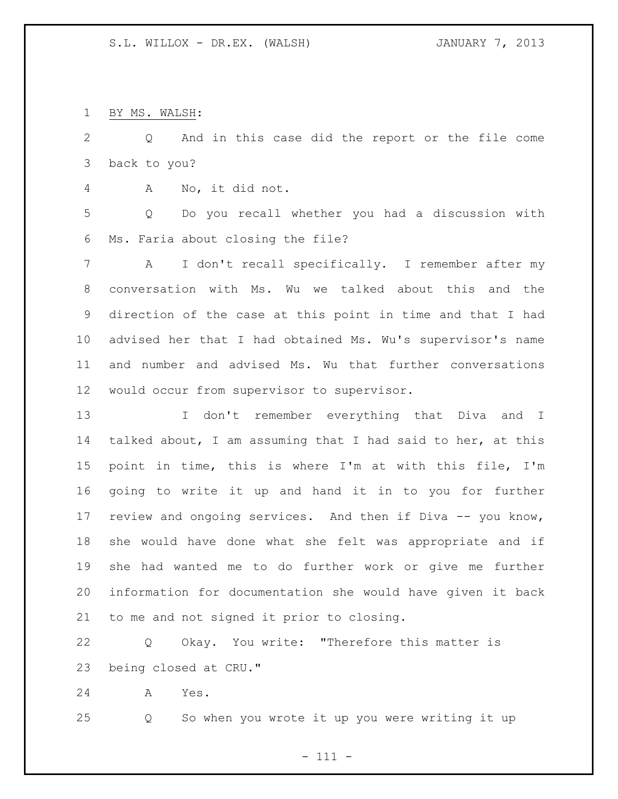BY MS. WALSH:

 Q And in this case did the report or the file come back to you?

A No, it did not.

 Q Do you recall whether you had a discussion with Ms. Faria about closing the file?

 A I don't recall specifically. I remember after my conversation with Ms. Wu we talked about this and the direction of the case at this point in time and that I had advised her that I had obtained Ms. Wu's supervisor's name and number and advised Ms. Wu that further conversations would occur from supervisor to supervisor.

 I don't remember everything that Diva and I talked about, I am assuming that I had said to her, at this point in time, this is where I'm at with this file, I'm going to write it up and hand it in to you for further review and ongoing services. And then if Diva -- you know, she would have done what she felt was appropriate and if she had wanted me to do further work or give me further information for documentation she would have given it back to me and not signed it prior to closing.

 Q Okay. You write: "Therefore this matter is being closed at CRU."

A Yes.

Q So when you wrote it up you were writing it up

- 111 -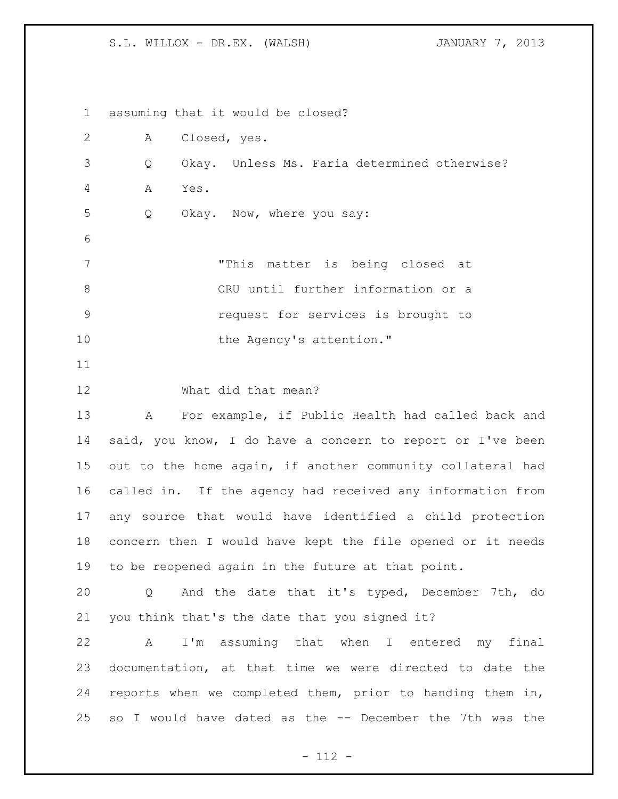assuming that it would be closed? A Closed, yes. Q Okay. Unless Ms. Faria determined otherwise? A Yes. Q Okay. Now, where you say: "This matter is being closed at CRU until further information or a request for services is brought to 10 the Agency's attention." What did that mean? A For example, if Public Health had called back and said, you know, I do have a concern to report or I've been out to the home again, if another community collateral had called in. If the agency had received any information from any source that would have identified a child protection concern then I would have kept the file opened or it needs to be reopened again in the future at that point. Q And the date that it's typed, December 7th, do you think that's the date that you signed it? A I'm assuming that when I entered my final documentation, at that time we were directed to date the reports when we completed them, prior to handing them in, so I would have dated as the -- December the 7th was the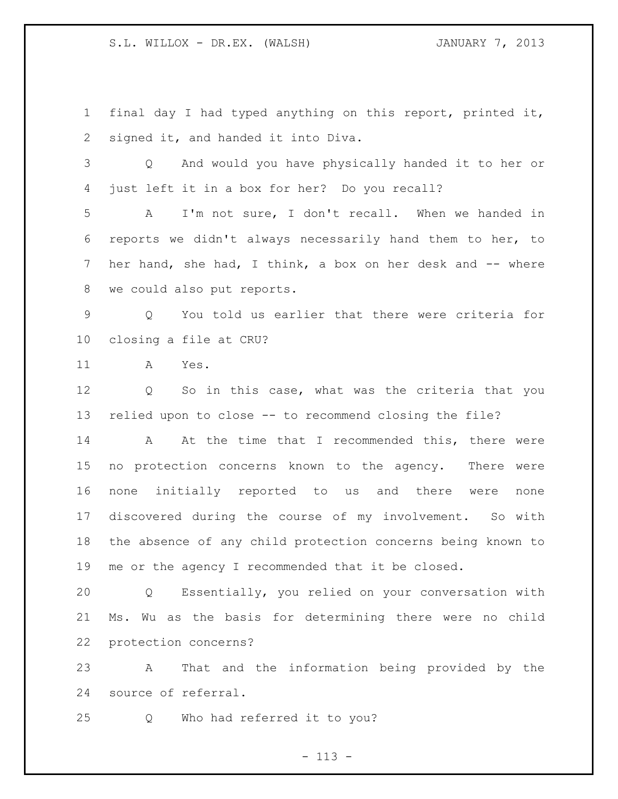final day I had typed anything on this report, printed it, signed it, and handed it into Diva.

 Q And would you have physically handed it to her or just left it in a box for her? Do you recall?

 A I'm not sure, I don't recall. When we handed in reports we didn't always necessarily hand them to her, to her hand, she had, I think, a box on her desk and -- where we could also put reports.

 Q You told us earlier that there were criteria for closing a file at CRU?

A Yes.

 Q So in this case, what was the criteria that you relied upon to close -- to recommend closing the file?

14 A At the time that I recommended this, there were no protection concerns known to the agency. There were none initially reported to us and there were none discovered during the course of my involvement. So with the absence of any child protection concerns being known to me or the agency I recommended that it be closed.

 Q Essentially, you relied on your conversation with Ms. Wu as the basis for determining there were no child protection concerns?

 A That and the information being provided by the source of referral.

Q Who had referred it to you?

 $- 113 -$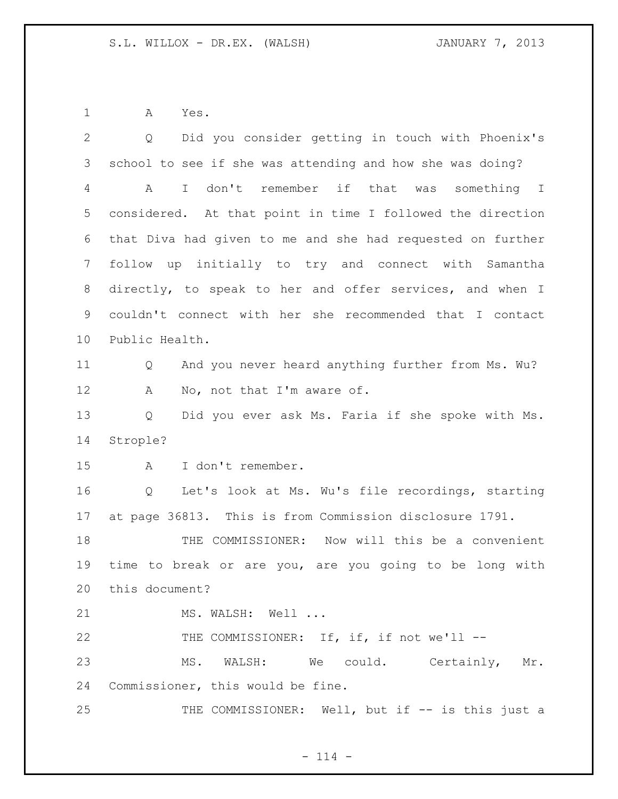A Yes.

| $\overline{2}$ | Did you consider getting in touch with Phoenix's<br>Q      |
|----------------|------------------------------------------------------------|
| 3              | school to see if she was attending and how she was doing?  |
| 4              | I don't remember if that was something I<br>A              |
| 5              | considered. At that point in time I followed the direction |
| 6              | that Diva had given to me and she had requested on further |
| $7\phantom{.}$ | follow up initially to try and connect with Samantha       |
| 8              | directly, to speak to her and offer services, and when I   |
| 9              | couldn't connect with her she recommended that I contact   |
| 10             | Public Health.                                             |
| 11             | And you never heard anything further from Ms. Wu?<br>Q     |
| 12             | No, not that I'm aware of.<br>A                            |
| 13             | Did you ever ask Ms. Faria if she spoke with Ms.<br>Q      |
| 14             | Strople?                                                   |
| 15             | I don't remember.<br>A                                     |
| 16             | Let's look at Ms. Wu's file recordings, starting<br>Q      |
| 17             | at page 36813. This is from Commission disclosure 1791.    |
| 18             | THE COMMISSIONER: Now will this be a convenient            |
| 19             | time to break or are you, are you going to be long with    |
| 20             | this document?                                             |
| 21             | MS. WALSH: Well                                            |
| 22             | THE COMMISSIONER: If, if, if not we'll --                  |
| 23             |                                                            |
|                | MS. WALSH: We could. Certainly, Mr.                        |
| 24             | Commissioner, this would be fine.                          |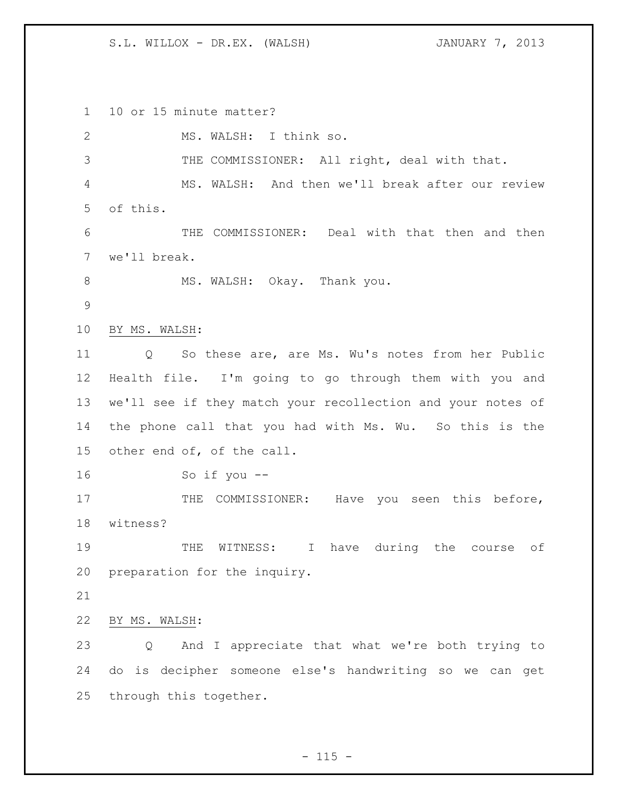10 or 15 minute matter? MS. WALSH: I think so. THE COMMISSIONER: All right, deal with that. MS. WALSH: And then we'll break after our review of this. THE COMMISSIONER: Deal with that then and then we'll break. 8 MS. WALSH: Okay. Thank you. BY MS. WALSH: Q So these are, are Ms. Wu's notes from her Public Health file. I'm going to go through them with you and we'll see if they match your recollection and your notes of the phone call that you had with Ms. Wu. So this is the other end of, of the call. So if you -- 17 THE COMMISSIONER: Have you seen this before, witness? THE WITNESS: I have during the course of preparation for the inquiry. BY MS. WALSH: Q And I appreciate that what we're both trying to do is decipher someone else's handwriting so we can get through this together.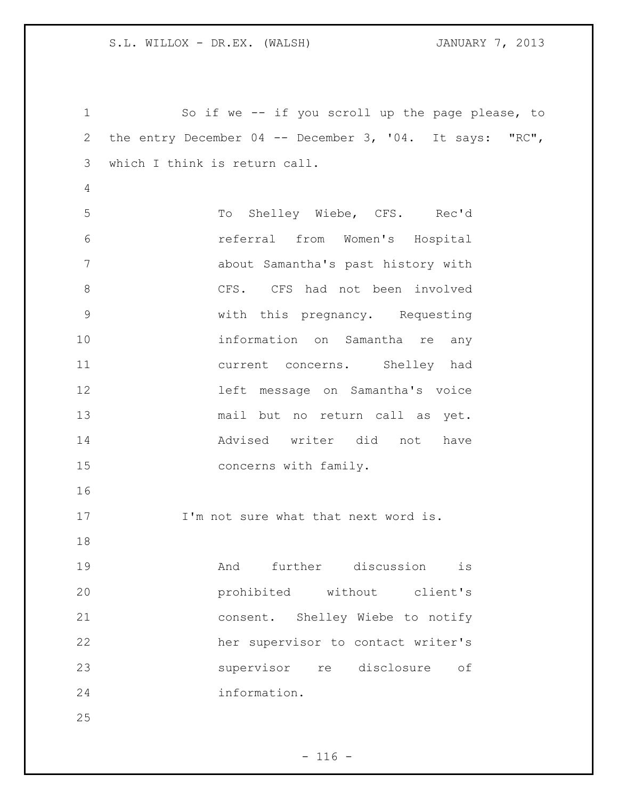So if we -- if you scroll up the page please, to the entry December 04 -- December 3, '04. It says: "RC", which I think is return call. To Shelley Wiebe, CFS. Rec'd referral from Women's Hospital about Samantha's past history with 8 CFS. CFS had not been involved with this pregnancy. Requesting information on Samantha re any current concerns. Shelley had **12 left message on Samantha's voice**  mail but no return call as yet. Advised writer did not have 15 concerns with family. 17 I'm not sure what that next word is. And further discussion is **prohibited** without client's consent. Shelley Wiebe to notify her supervisor to contact writer's supervisor re disclosure of information.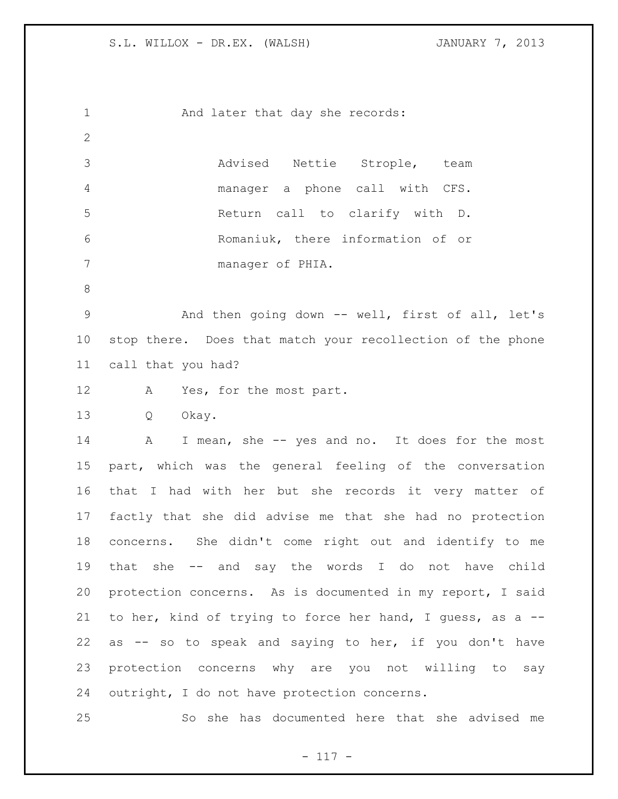1 And later that day she records: Advised Nettie Strople, team manager a phone call with CFS. Return call to clarify with D. Romaniuk, there information of or manager of PHIA. And then going down -- well, first of all, let's stop there. Does that match your recollection of the phone call that you had? A Yes, for the most part. Q Okay. A I mean, she -- yes and no. It does for the most part, which was the general feeling of the conversation that I had with her but she records it very matter of factly that she did advise me that she had no protection concerns. She didn't come right out and identify to me that she -- and say the words I do not have child protection concerns. As is documented in my report, I said to her, kind of trying to force her hand, I guess, as a -- as -- so to speak and saying to her, if you don't have protection concerns why are you not willing to say outright, I do not have protection concerns. So she has documented here that she advised me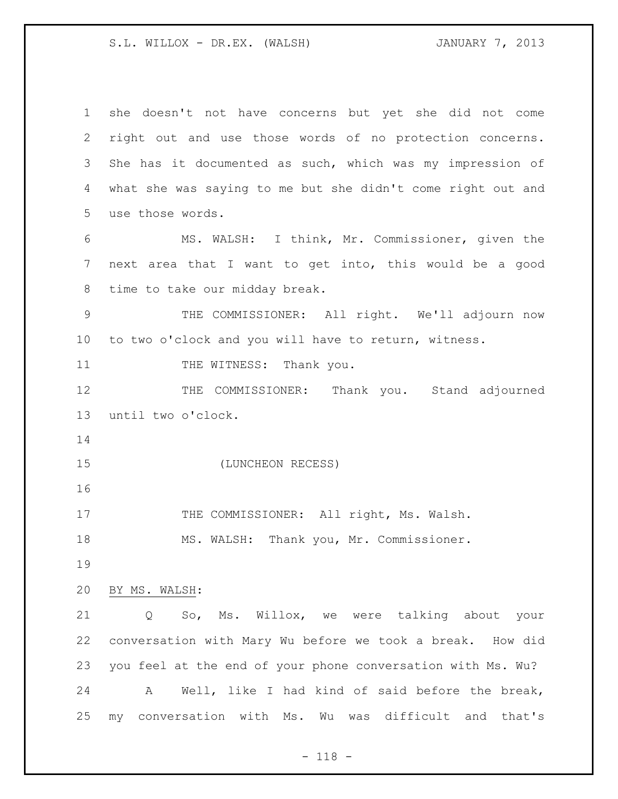she doesn't not have concerns but yet she did not come right out and use those words of no protection concerns. She has it documented as such, which was my impression of what she was saying to me but she didn't come right out and use those words. MS. WALSH: I think, Mr. Commissioner, given the next area that I want to get into, this would be a good time to take our midday break. THE COMMISSIONER: All right. We'll adjourn now to two o'clock and you will have to return, witness. 11 THE WITNESS: Thank you. THE COMMISSIONER: Thank you. Stand adjourned until two o'clock. (LUNCHEON RECESS) 17 THE COMMISSIONER: All right, Ms. Walsh. MS. WALSH: Thank you, Mr. Commissioner. BY MS. WALSH: Q So, Ms. Willox, we were talking about your conversation with Mary Wu before we took a break. How did you feel at the end of your phone conversation with Ms. Wu? A Well, like I had kind of said before the break, my conversation with Ms. Wu was difficult and that's

- 118 -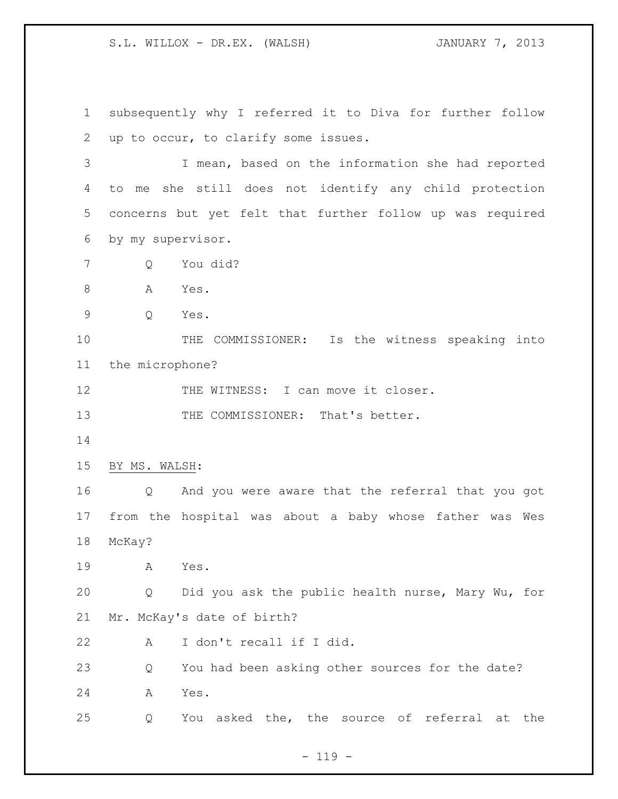subsequently why I referred it to Diva for further follow up to occur, to clarify some issues. I mean, based on the information she had reported to me she still does not identify any child protection concerns but yet felt that further follow up was required by my supervisor. Q You did? 8 A Yes. Q Yes. THE COMMISSIONER: Is the witness speaking into the microphone? 12 THE WITNESS: I can move it closer. 13 THE COMMISSIONER: That's better. BY MS. WALSH: Q And you were aware that the referral that you got from the hospital was about a baby whose father was Wes McKay? A Yes. Q Did you ask the public health nurse, Mary Wu, for Mr. McKay's date of birth? A I don't recall if I did. Q You had been asking other sources for the date? A Yes. Q You asked the, the source of referral at the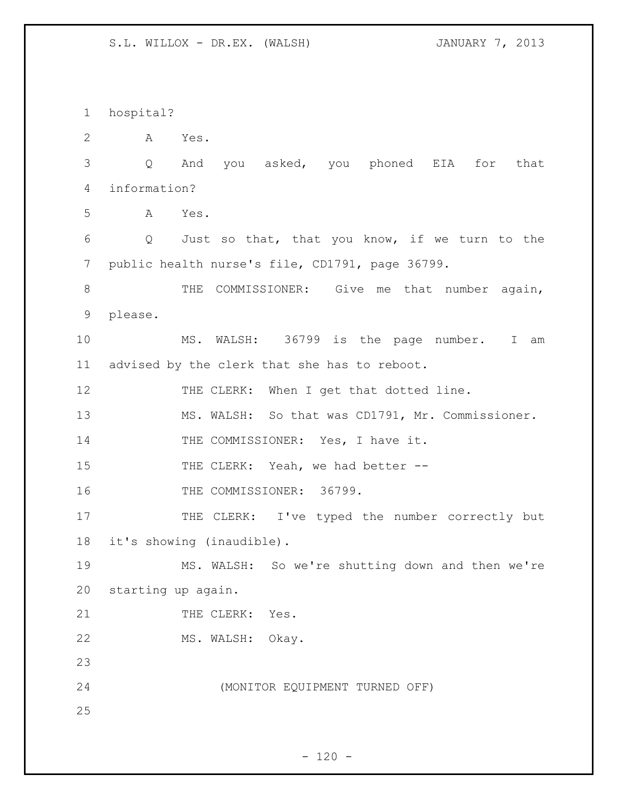hospital? A Yes. Q And you asked, you phoned EIA for that information? A Yes. Q Just so that, that you know, if we turn to the public health nurse's file, CD1791, page 36799. 8 THE COMMISSIONER: Give me that number again, please. MS. WALSH: 36799 is the page number. I am advised by the clerk that she has to reboot. 12 THE CLERK: When I get that dotted line. MS. WALSH: So that was CD1791, Mr. Commissioner. 14 THE COMMISSIONER: Yes, I have it. 15 THE CLERK: Yeah, we had better --16 THE COMMISSIONER: 36799. 17 THE CLERK: I've typed the number correctly but it's showing (inaudible). MS. WALSH: So we're shutting down and then we're starting up again. 21 THE CLERK: Yes. MS. WALSH: Okay. (MONITOR EQUIPMENT TURNED OFF)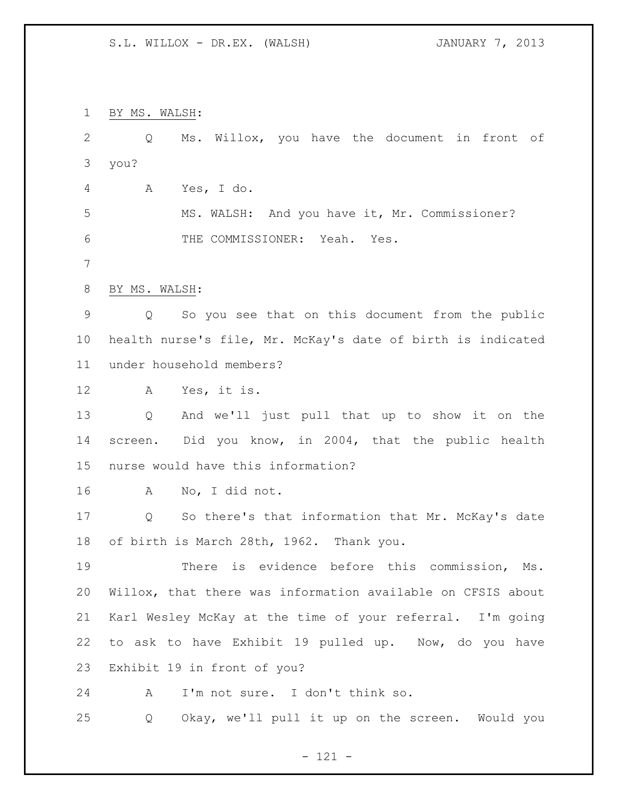BY MS. WALSH: Q Ms. Willox, you have the document in front of you? A Yes, I do. MS. WALSH: And you have it, Mr. Commissioner? THE COMMISSIONER: Yeah. Yes. BY MS. WALSH: Q So you see that on this document from the public health nurse's file, Mr. McKay's date of birth is indicated under household members? A Yes, it is. Q And we'll just pull that up to show it on the screen. Did you know, in 2004, that the public health nurse would have this information? A No, I did not. Q So there's that information that Mr. McKay's date of birth is March 28th, 1962. Thank you. There is evidence before this commission, Ms. Willox, that there was information available on CFSIS about Karl Wesley McKay at the time of your referral. I'm going to ask to have Exhibit 19 pulled up. Now, do you have Exhibit 19 in front of you? A I'm not sure. I don't think so. Q Okay, we'll pull it up on the screen. Would you

- 121 -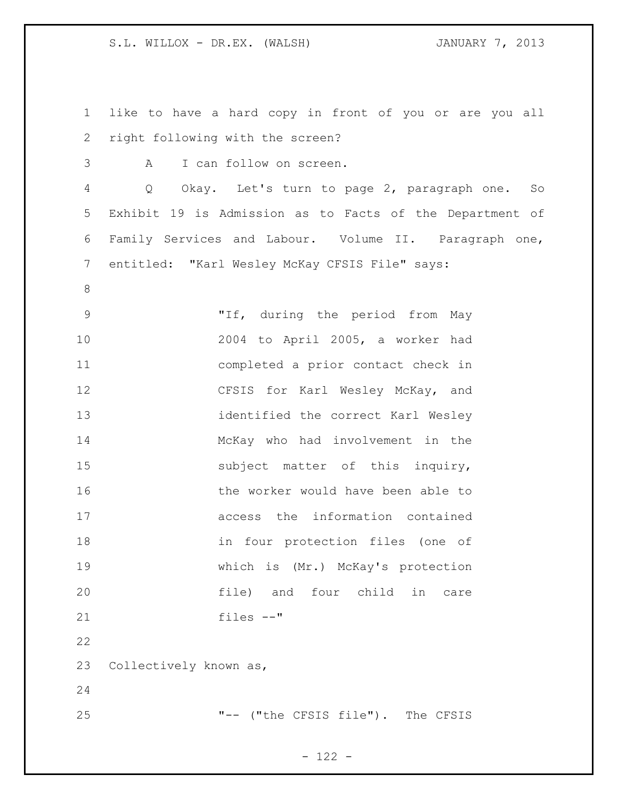like to have a hard copy in front of you or are you all right following with the screen? A I can follow on screen. Q Okay. Let's turn to page 2, paragraph one. So Exhibit 19 is Admission as to Facts of the Department of Family Services and Labour. Volume II. Paragraph one, entitled: "Karl Wesley McKay CFSIS File" says: "If, during the period from May 2004 to April 2005, a worker had completed a prior contact check in CFSIS for Karl Wesley McKay, and identified the correct Karl Wesley McKay who had involvement in the 15 subject matter of this inquiry, 16 the worker would have been able to access the information contained in four protection files (one of which is (Mr.) McKay's protection file) and four child in care files --" Collectively known as, "-- ("the CFSIS file"). The CFSIS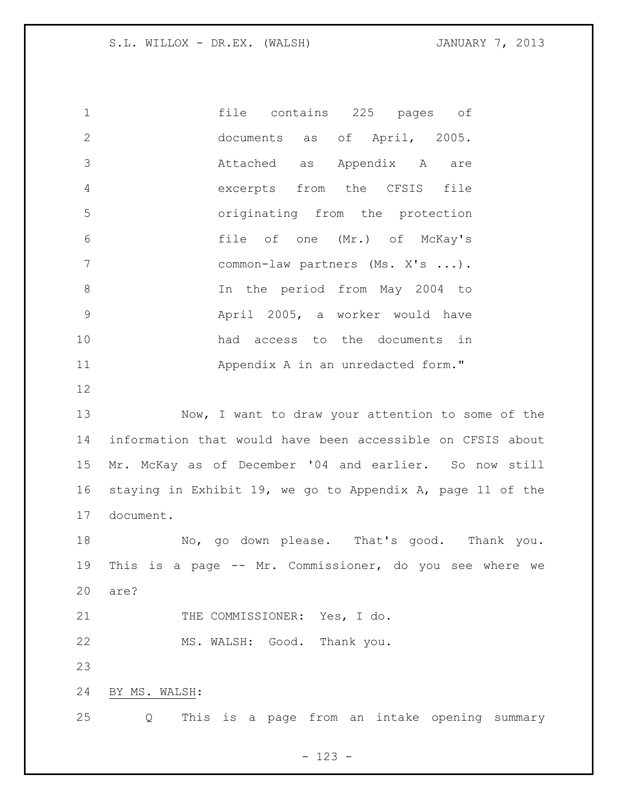file contains 225 pages of documents as of April, 2005. Attached as Appendix A are excerpts from the CFSIS file originating from the protection file of one (Mr.) of McKay's common-law partners (Ms. X's ...). In the period from May 2004 to April 2005, a worker would have had access to the documents in 11 Appendix A in an unredacted form." Now, I want to draw your attention to some of the information that would have been accessible on CFSIS about Mr. McKay as of December '04 and earlier. So now still staying in Exhibit 19, we go to Appendix A, page 11 of the document. No, go down please. That's good. Thank you. This is a page -- Mr. Commissioner, do you see where we are? 21 THE COMMISSIONER: Yes, I do. MS. WALSH: Good. Thank you. BY MS. WALSH: Q This is a page from an intake opening summary

- 123 -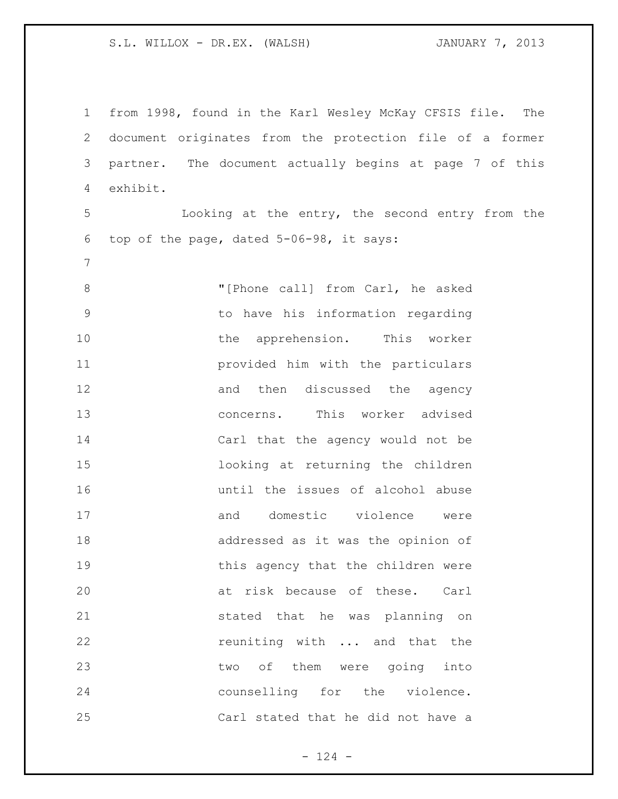from 1998, found in the Karl Wesley McKay CFSIS file. The document originates from the protection file of a former partner. The document actually begins at page 7 of this exhibit.

 Looking at the entry, the second entry from the top of the page, dated 5-06-98, it says:

 "[Phone call] from Carl, he asked to have his information regarding 10 the apprehension. This worker provided him with the particulars 12 and then discussed the agency concerns. This worker advised Carl that the agency would not be looking at returning the children until the issues of alcohol abuse 17 and domestic violence were addressed as it was the opinion of 19 this agency that the children were at risk because of these. Carl stated that he was planning on **reuniting with ... and that the**  two of them were going into counselling for the violence. Carl stated that he did not have a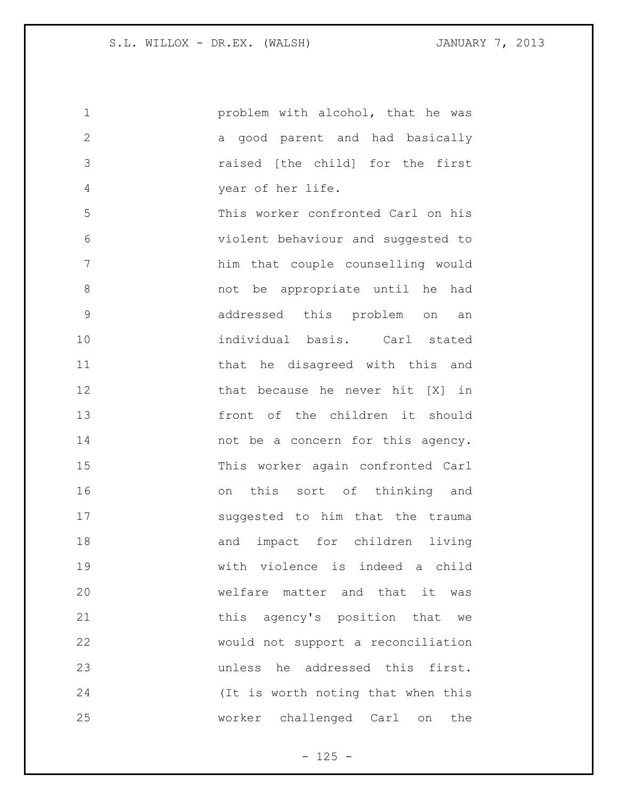| 1             | problem with alcohol, that he was   |
|---------------|-------------------------------------|
| $\mathbf{2}$  | a good parent and had basically     |
| 3             | raised [the child] for the first    |
| 4             | year of her life.                   |
| 5             | This worker confronted Carl on his  |
| 6             | violent behaviour and suggested to  |
| 7             | him that couple counselling would   |
| 8             | not be appropriate until he had     |
| $\mathcal{G}$ | addressed this problem on<br>an     |
| 10            | individual basis. Carl stated       |
| 11            | that he disagreed with this and     |
| 12            | that because he never hit [X] in    |
| 13            | front of the children it should     |
| 14            | not be a concern for this agency.   |
| 15            | This worker again confronted Carl   |
| 16            | on this sort of thinking and        |
| 17            | suggested to him that the trauma    |
| 18            | impact for children living<br>and   |
| 19            | with violence is indeed a child     |
| 20            | welfare matter and that it<br>was   |
| 21            | this agency's position that<br>we   |
| 22            | would not support a reconciliation  |
| 23            | unless he addressed this first.     |
| 24            | (It is worth noting that when this  |
| 25            | worker challenged Carl<br>the<br>on |

- 125 -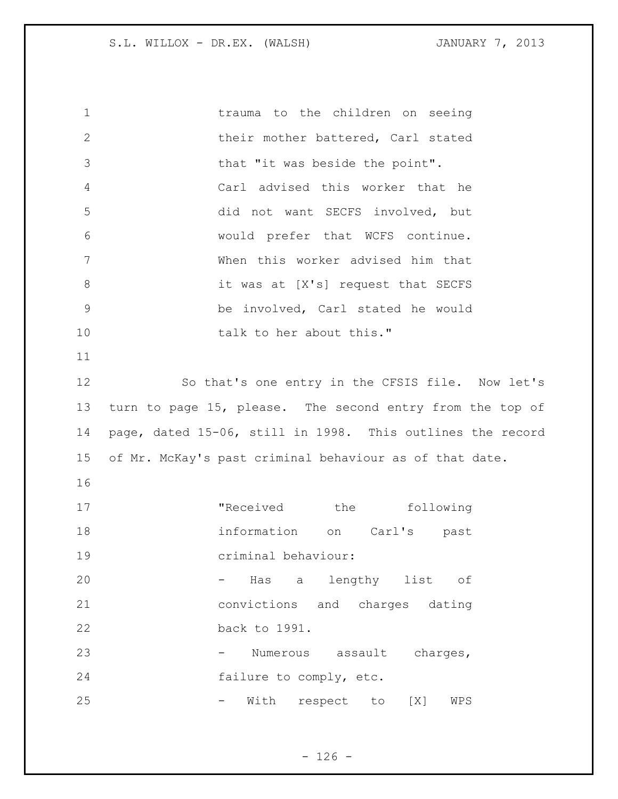| $\mathbf 1$    | trauma to the children on seeing                           |
|----------------|------------------------------------------------------------|
| $\mathbf{2}$   | their mother battered, Carl stated                         |
| 3              | that "it was beside the point".                            |
| $\overline{4}$ | Carl advised this worker that he                           |
| 5              | did not want SECFS involved, but                           |
| 6              | would prefer that WCFS continue.                           |
| 7              | When this worker advised him that                          |
| $\,8\,$        | it was at [X's] request that SECFS                         |
| $\mathcal{G}$  | be involved, Carl stated he would                          |
| 10             | talk to her about this."                                   |
| 11             |                                                            |
| 12             | So that's one entry in the CFSIS file. Now let's           |
| 13             | turn to page 15, please. The second entry from the top of  |
|                |                                                            |
| 14             | page, dated 15-06, still in 1998. This outlines the record |
| 15             | of Mr. McKay's past criminal behaviour as of that date.    |
| 16             |                                                            |
| 17             | "Received the<br>following                                 |
| 18             | information on Carl's<br>past                              |
| 19             | criminal behaviour:                                        |
| 20             | Has a lengthy list of                                      |
| 21             | convictions and charges dating                             |
| 22             | back to 1991.                                              |
| 23             | Numerous assault charges,                                  |
| 24             | failure to comply, etc.                                    |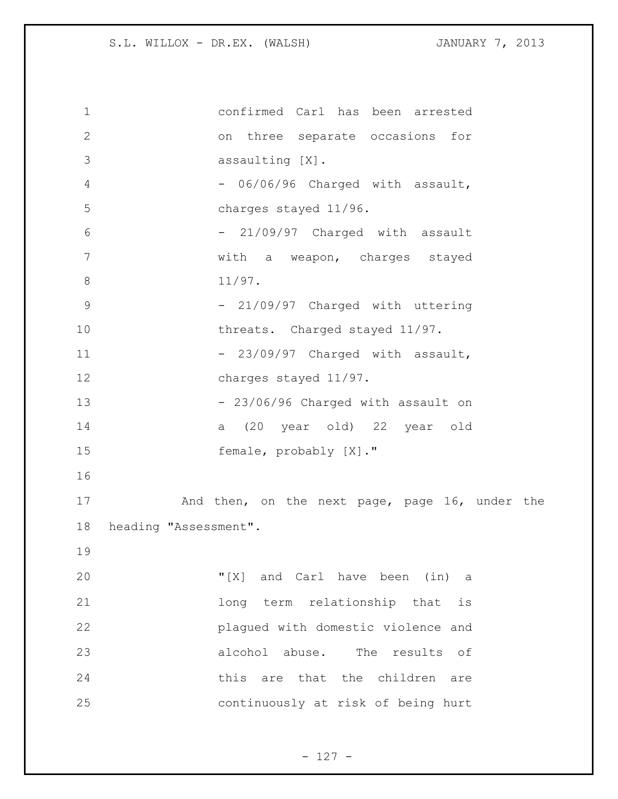confirmed Carl has been arrested on three separate occasions for assaulting [X]. 4 - 06/06/96 Charged with assault, charges stayed 11/96. - 21/09/97 Charged with assault with a weapon, charges stayed 11/97. - 21/09/97 Charged with uttering 10 threats. Charged stayed 11/97. 11 - 23/09/97 Charged with assault, charges stayed 11/97. - 23/06/96 Charged with assault on a (20 year old) 22 year old 15 female, probably [X]." 17 And then, on the next page, page 16, under the heading "Assessment". "[X] and Carl have been (in) a long term relationship that is plagued with domestic violence and alcohol abuse. The results of this are that the children are continuously at risk of being hurt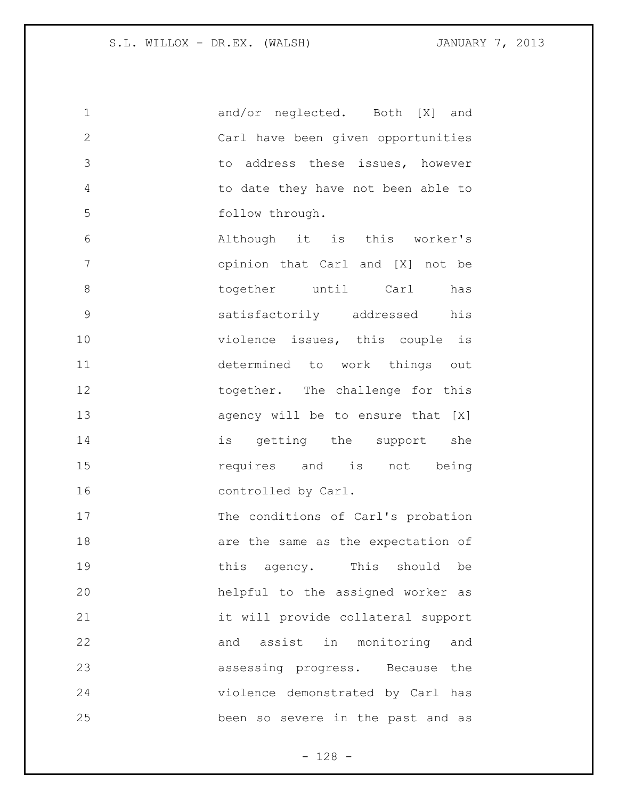1 and/or neglected. Both [X] and Carl have been given opportunities to address these issues, however to date they have not been able to follow through. Although it is this worker's opinion that Carl and [X] not be together until Carl has satisfactorily addressed his 10 violence issues, this couple is determined to work things out 12 together. The challenge for this **agency will be to ensure that [X]** 14 is getting the support she **15** requires and is not being controlled by Carl. 17 The conditions of Carl's probation **18 are the same as the expectation of**  this agency. This should be helpful to the assigned worker as it will provide collateral support and assist in monitoring and assessing progress. Because the violence demonstrated by Carl has been so severe in the past and as

- 128 -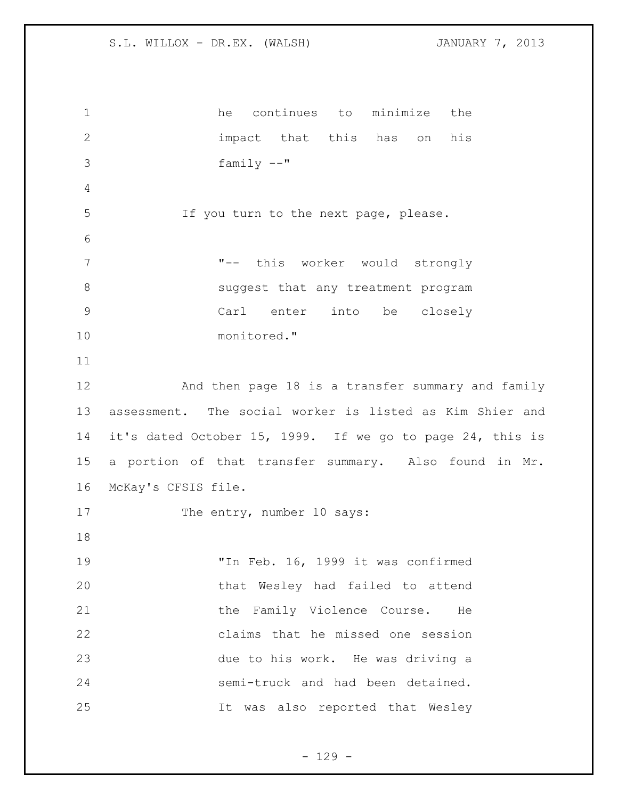he continues to minimize the impact that this has on his family --" If you turn to the next page, please. "-- this worker would strongly 8 suggest that any treatment program Carl enter into be closely monitored." And then page 18 is a transfer summary and family assessment. The social worker is listed as Kim Shier and it's dated October 15, 1999. If we go to page 24, this is a portion of that transfer summary. Also found in Mr. McKay's CFSIS file. 17 The entry, number 10 says: "In Feb. 16, 1999 it was confirmed that Wesley had failed to attend 21 the Family Violence Course. He claims that he missed one session due to his work. He was driving a semi-truck and had been detained. It was also reported that Wesley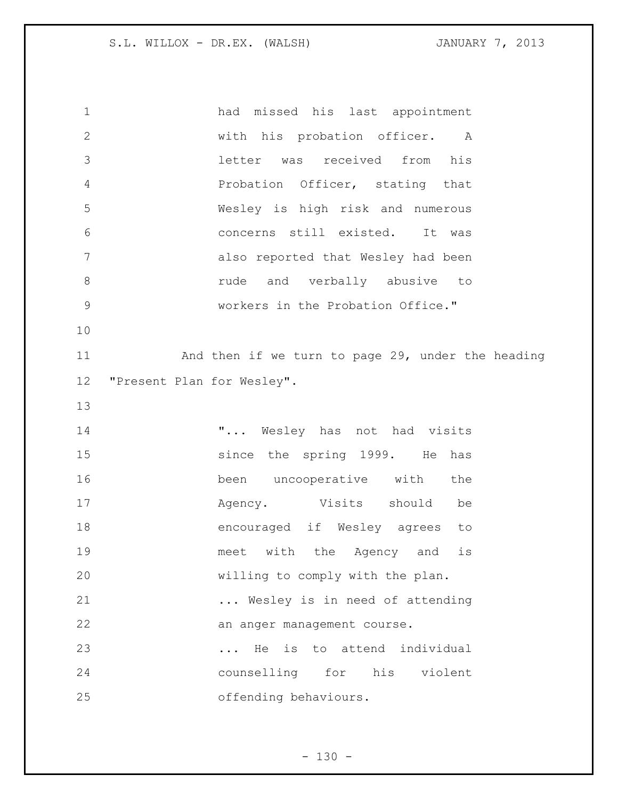had missed his last appointment with his probation officer. A letter was received from his Probation Officer, stating that Wesley is high risk and numerous concerns still existed. It was also reported that Wesley had been **8 19 rude and verbally abusive to** 9 workers in the Probation Office." 11 And then if we turn to page 29, under the heading "Present Plan for Wesley". **"...** Wesley has not had visits 15 since the spring 1999. He has been uncooperative with the **Agency.** Visits should be encouraged if Wesley agrees to 19 meet with the Agency and is willing to comply with the plan. ... Wesley is in need of attending an anger management course. ... He is to attend individual counselling for his violent offending behaviours.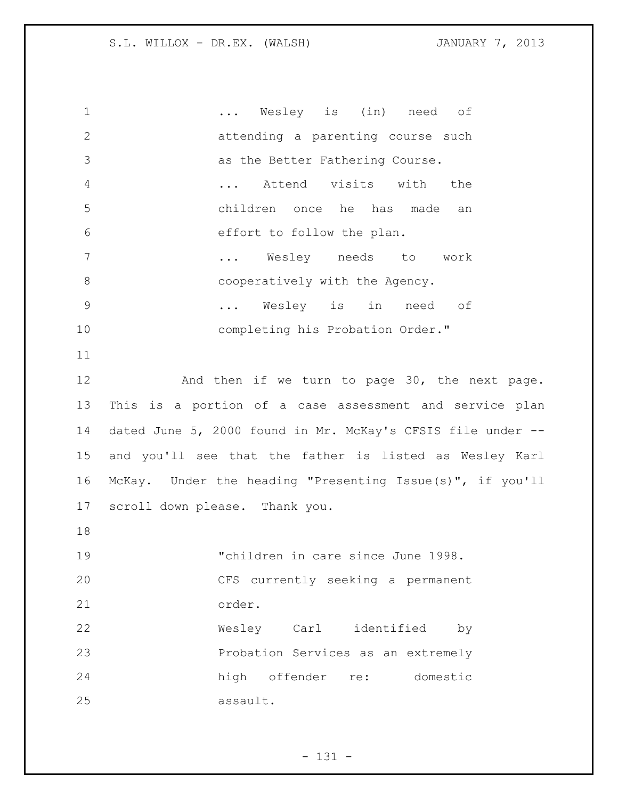... Wesley is (in) need of attending a parenting course such as the Better Fathering Course. ... Attend visits with the children once he has made an effort to follow the plan. ... Wesley needs to work 8 cooperatively with the Agency. ... Wesley is in need of 10 completing his Probation Order." 12 And then if we turn to page 30, the next page. This is a portion of a case assessment and service plan dated June 5, 2000 found in Mr. McKay's CFSIS file under -- and you'll see that the father is listed as Wesley Karl McKay. Under the heading "Presenting Issue(s)", if you'll scroll down please. Thank you. "children in care since June 1998. CFS currently seeking a permanent order. Wesley Carl identified by Probation Services as an extremely high offender re: domestic assault.

- 131 -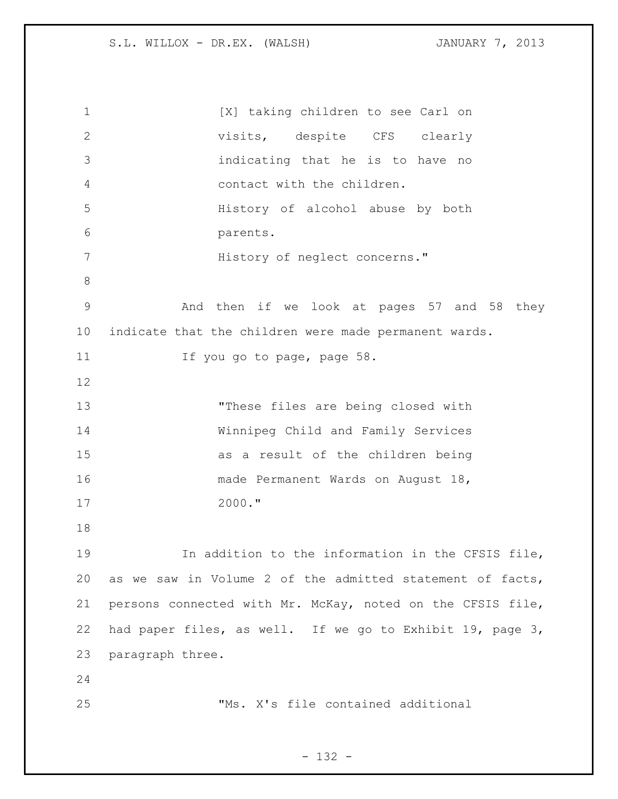S.L. WILLOX - DR.EX. (WALSH) (3.1)

| $\mathbf 1$  | [X] taking children to see Carl on                         |
|--------------|------------------------------------------------------------|
| $\mathbf{2}$ | visits, despite CFS clearly                                |
| 3            | indicating that he is to have no                           |
| 4            | contact with the children.                                 |
| 5            | History of alcohol abuse by both                           |
| 6            | parents.                                                   |
| 7            | History of neglect concerns."                              |
| $8\,$        |                                                            |
| $\mathsf 9$  | And then if we look at pages 57 and 58 they                |
| 10           | indicate that the children were made permanent wards.      |
| 11           | If you go to page, page 58.                                |
| 12           |                                                            |
| 13           | "These files are being closed with                         |
| 14           | Winnipeg Child and Family Services                         |
| 15           | as a result of the children being                          |
| 16           | made Permanent Wards on August 18,                         |
| 17           | 2000."                                                     |
| 18           |                                                            |
| 19           | In addition to the information in the CFSIS file,          |
| 20           | as we saw in Volume 2 of the admitted statement of facts,  |
| 21           | persons connected with Mr. McKay, noted on the CFSIS file, |
| 22           | had paper files, as well. If we go to Exhibit 19, page 3,  |
| 23           | paragraph three.                                           |
| 24           |                                                            |
| 25           | "Ms. X's file contained additional                         |

- 132 -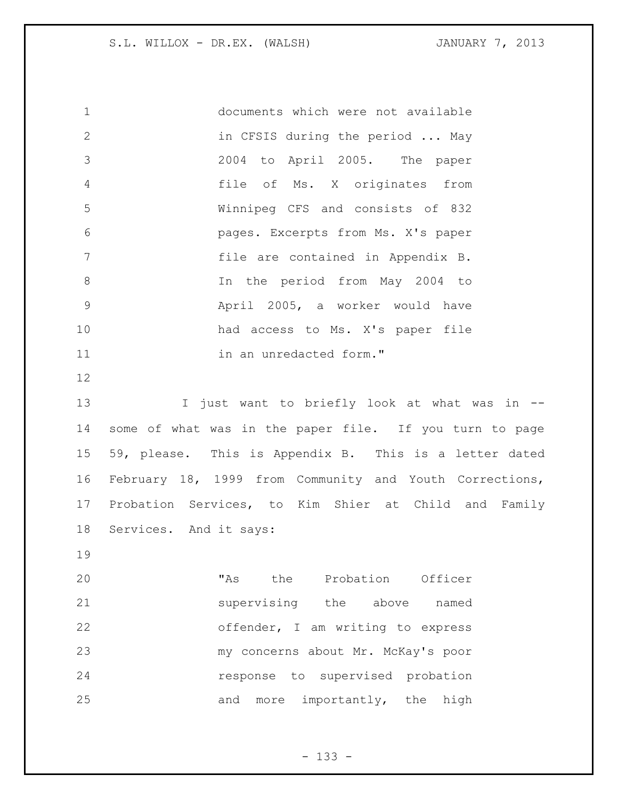documents which were not available in CFSIS during the period ... May 2004 to April 2005. The paper file of Ms. X originates from Winnipeg CFS and consists of 832 pages. Excerpts from Ms. X's paper file are contained in Appendix B. In the period from May 2004 to April 2005, a worker would have had access to Ms. X's paper file 11 in an unredacted form." 13 I just want to briefly look at what was in -- some of what was in the paper file. If you turn to page 59, please. This is Appendix B. This is a letter dated February 18, 1999 from Community and Youth Corrections, Probation Services, to Kim Shier at Child and Family Services. And it says: "As the Probation Officer 21 supervising the above named offender, I am writing to express my concerns about Mr. McKay's poor response to supervised probation 25 and more importantly, the high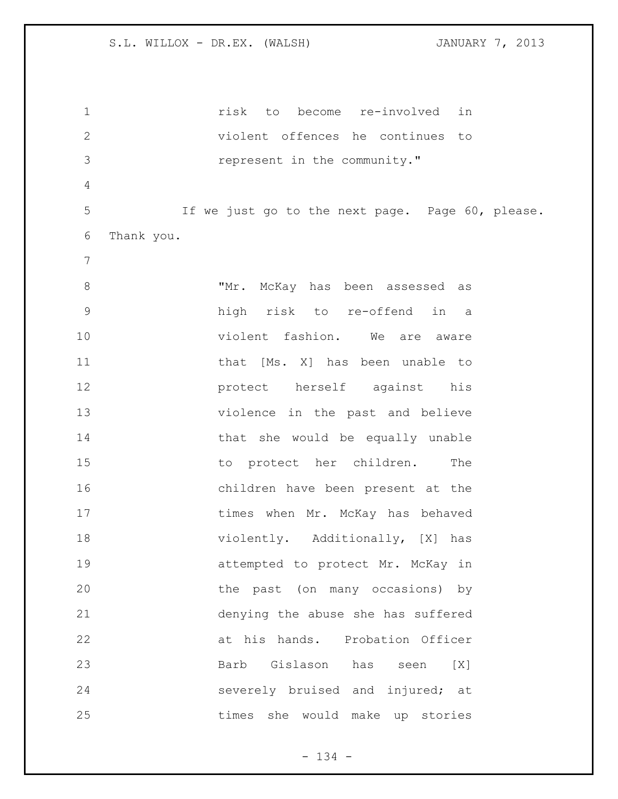risk to become re-involved in violent offences he continues to represent in the community." If we just go to the next page. Page 60, please. Thank you. "Mr. McKay has been assessed as high risk to re-offend in a violent fashion. We are aware 11 that [Ms. X] has been unable to protect herself against his violence in the past and believe 14 that she would be equally unable 15 to protect her children. The children have been present at the 17 times when Mr. McKay has behaved 18 violently. Additionally, [X] has attempted to protect Mr. McKay in the past (on many occasions) by denying the abuse she has suffered at his hands. Probation Officer Barb Gislason has seen [X] severely bruised and injured; at times she would make up stories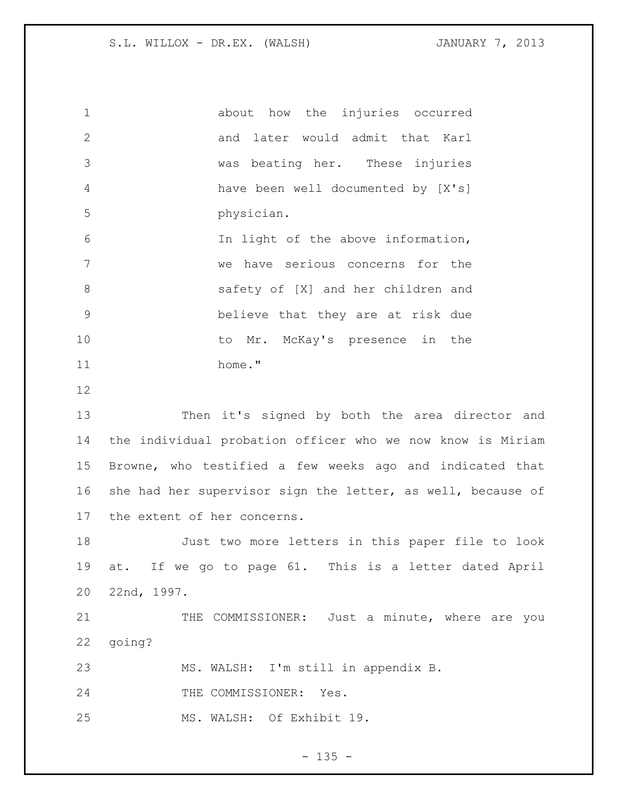| $\mathbf 1$  | about how the injuries occurred                             |
|--------------|-------------------------------------------------------------|
| $\mathbf{2}$ | and later would admit that Karl                             |
| 3            | was beating her. These injuries                             |
| 4            | have been well documented by [X's]                          |
| 5            | physician.                                                  |
| 6            | In light of the above information,                          |
| 7            | have serious concerns for the<br>we                         |
| 8            | safety of [X] and her children and                          |
| 9            | believe that they are at risk due                           |
| 10           | to Mr. McKay's presence in the                              |
| 11           | home."                                                      |
| 12           |                                                             |
| 13           | Then it's signed by both the area director and              |
| 14           | the individual probation officer who we now know is Miriam  |
| 15           | Browne, who testified a few weeks ago and indicated that    |
| 16           | she had her supervisor sign the letter, as well, because of |
| 17           | the extent of her concerns.                                 |
| 18           | Just two more letters in this paper file to look            |
| 19           | at. If we go to page 61. This is a letter dated April       |
| 20           | 22nd, 1997.                                                 |
| 21           | THE COMMISSIONER: Just a minute, where are you              |
| 22           | going?                                                      |
| 23           | MS. WALSH: I'm still in appendix B.                         |
| 24           | THE COMMISSIONER: Yes.                                      |
| 25           | MS. WALSH: Of Exhibit 19.                                   |
|              |                                                             |

- 135 -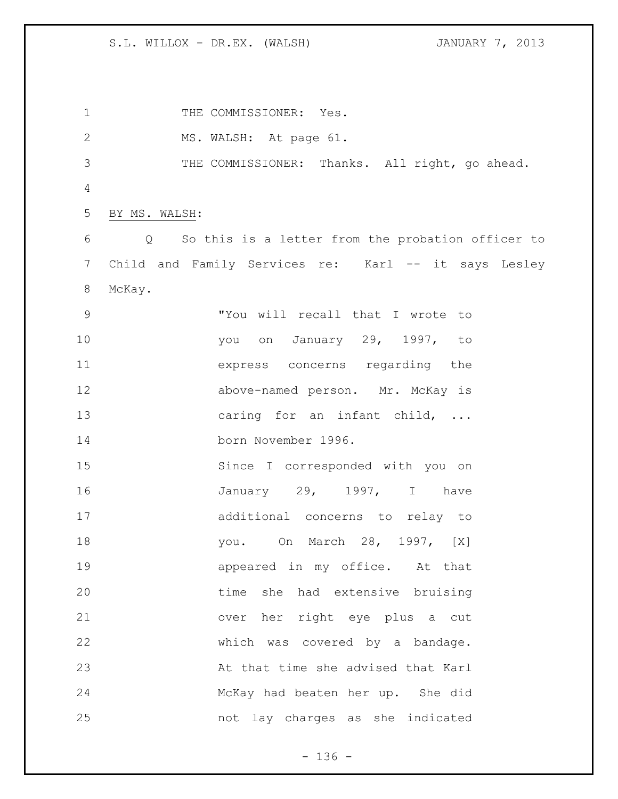1 THE COMMISSIONER: Yes. 2 MS. WALSH: At page 61. THE COMMISSIONER: Thanks. All right, go ahead. BY MS. WALSH: Q So this is a letter from the probation officer to 7 Child and Family Services re: Karl -- it says Lesley McKay. "You will recall that I wrote to you on January 29, 1997, to express concerns regarding the above-named person. Mr. McKay is 13 caring for an infant child, ... born November 1996. Since I corresponded with you on January 29, 1997, I have additional concerns to relay to you. On March 28, 1997, [X] appeared in my office. At that time she had extensive bruising over her right eye plus a cut which was covered by a bandage. At that time she advised that Karl McKay had beaten her up. She did not lay charges as she indicated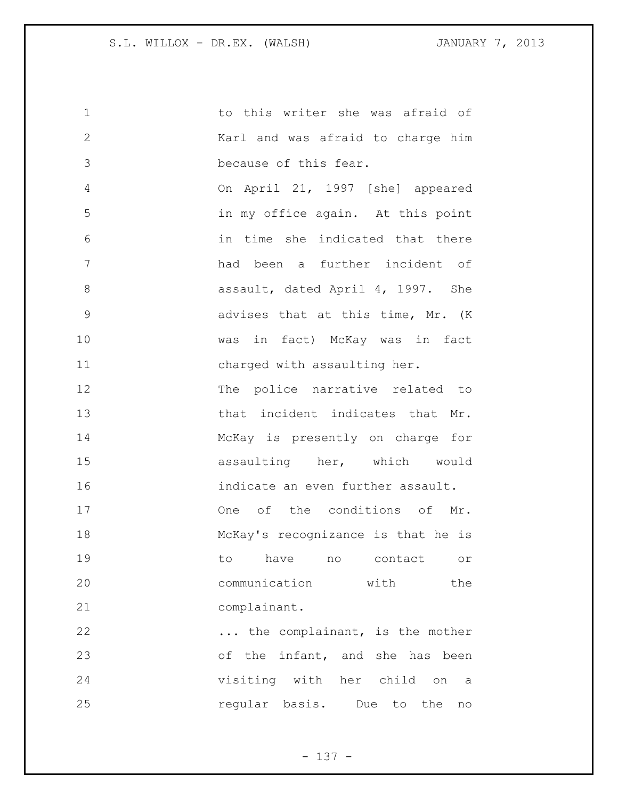| 1             | to this writer she was afraid of   |
|---------------|------------------------------------|
| $\mathbf{2}$  | Karl and was afraid to charge him  |
| 3             | because of this fear.              |
| 4             | On April 21, 1997 [she] appeared   |
| 5             | in my office again. At this point  |
| 6             | in time she indicated that there   |
| 7             | had been a further incident of     |
| 8             | assault, dated April 4, 1997. She  |
| $\mathcal{G}$ | advises that at this time, Mr. (K  |
| 10            | was in fact) McKay was in fact     |
| 11            | charged with assaulting her.       |
| 12            | The police narrative related to    |
| 13            | that incident indicates that Mr.   |
| 14            | McKay is presently on charge for   |
| 15            | assaulting her, which would        |
| 16            | indicate an even further assault.  |
| 17            | One of the conditions of Mr.       |
| 18            | McKay's recognizance is that he is |
| 19            | to have no contact or              |
| 20            | communication with<br>the          |
| 21            | complainant.                       |
| 22            | the complainant, is the mother     |
| 23            | of the infant, and she has been    |
| 24            | visiting with her child on a       |
| 25            | regular basis. Due to the<br>no    |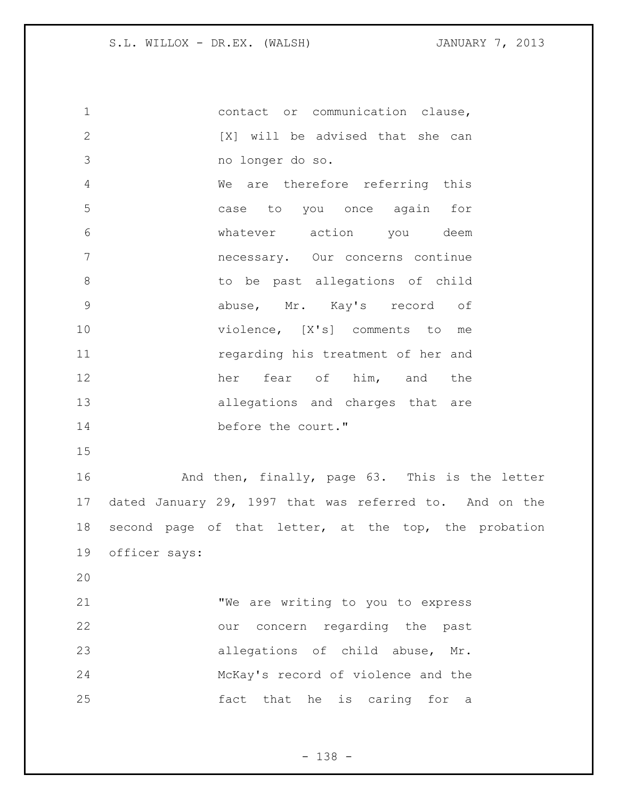contact or communication clause, 2 [X] will be advised that she can no longer do so. We are therefore referring this case to you once again for whatever action you deem necessary. Our concerns continue 8 be past allegations of child abuse, Mr. Kay's record of violence, [X's] comments to me regarding his treatment of her and 12 her fear of him, and the allegations and charges that are 14 before the court." And then, finally, page 63. This is the letter dated January 29, 1997 that was referred to. And on the 18 second page of that letter, at the top, the probation officer says: "We are writing to you to express our concern regarding the past allegations of child abuse, Mr. McKay's record of violence and the fact that he is caring for a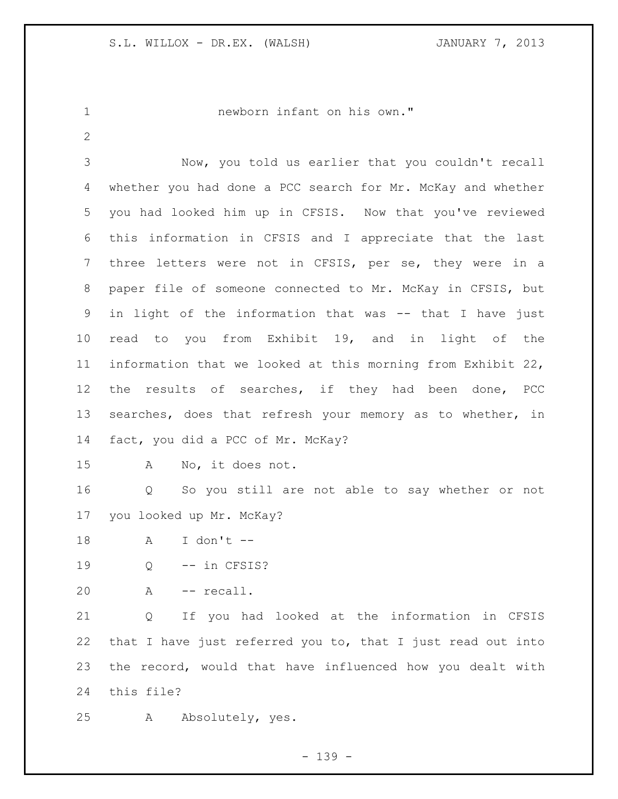newborn infant on his own."

 Now, you told us earlier that you couldn't recall whether you had done a PCC search for Mr. McKay and whether you had looked him up in CFSIS. Now that you've reviewed this information in CFSIS and I appreciate that the last three letters were not in CFSIS, per se, they were in a paper file of someone connected to Mr. McKay in CFSIS, but in light of the information that was -- that I have just read to you from Exhibit 19, and in light of the information that we looked at this morning from Exhibit 22, the results of searches, if they had been done, PCC searches, does that refresh your memory as to whether, in fact, you did a PCC of Mr. McKay?

A No, it does not.

 Q So you still are not able to say whether or not you looked up Mr. McKay?

A I don't --

Q -- in CFSIS?

A -- recall.

 Q If you had looked at the information in CFSIS that I have just referred you to, that I just read out into the record, would that have influenced how you dealt with this file?

A Absolutely, yes.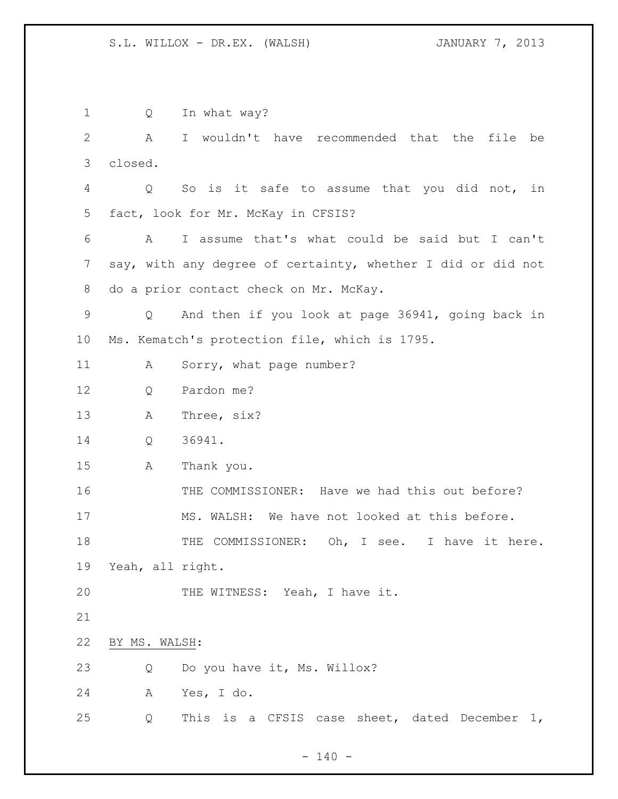1 Q In what way? A I wouldn't have recommended that the file be closed. Q So is it safe to assume that you did not, in fact, look for Mr. McKay in CFSIS? A I assume that's what could be said but I can't say, with any degree of certainty, whether I did or did not do a prior contact check on Mr. McKay. Q And then if you look at page 36941, going back in Ms. Kematch's protection file, which is 1795. 11 A Sorry, what page number? 12 0 Pardon me? A Three, six? Q 36941. A Thank you. 16 THE COMMISSIONER: Have we had this out before? MS. WALSH: We have not looked at this before. 18 THE COMMISSIONER: Oh, I see. I have it here. Yeah, all right. 20 THE WITNESS: Yeah, I have it. BY MS. WALSH: Q Do you have it, Ms. Willox? A Yes, I do. Q This is a CFSIS case sheet, dated December 1,

 $- 140 -$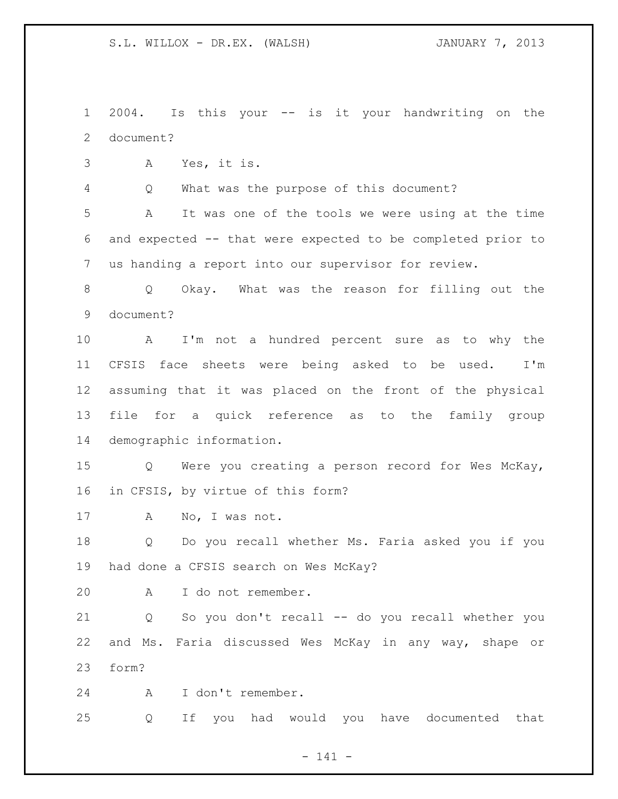2004. Is this your -- is it your handwriting on the document?

A Yes, it is.

Q What was the purpose of this document?

 A It was one of the tools we were using at the time and expected -- that were expected to be completed prior to us handing a report into our supervisor for review.

 Q Okay. What was the reason for filling out the document?

 A I'm not a hundred percent sure as to why the CFSIS face sheets were being asked to be used. I'm assuming that it was placed on the front of the physical file for a quick reference as to the family group demographic information.

 Q Were you creating a person record for Wes McKay, in CFSIS, by virtue of this form?

17 A No, I was not.

 Q Do you recall whether Ms. Faria asked you if you had done a CFSIS search on Wes McKay?

A I do not remember.

 Q So you don't recall -- do you recall whether you and Ms. Faria discussed Wes McKay in any way, shape or form?

A I don't remember.

Q If you had would you have documented that

- 141 -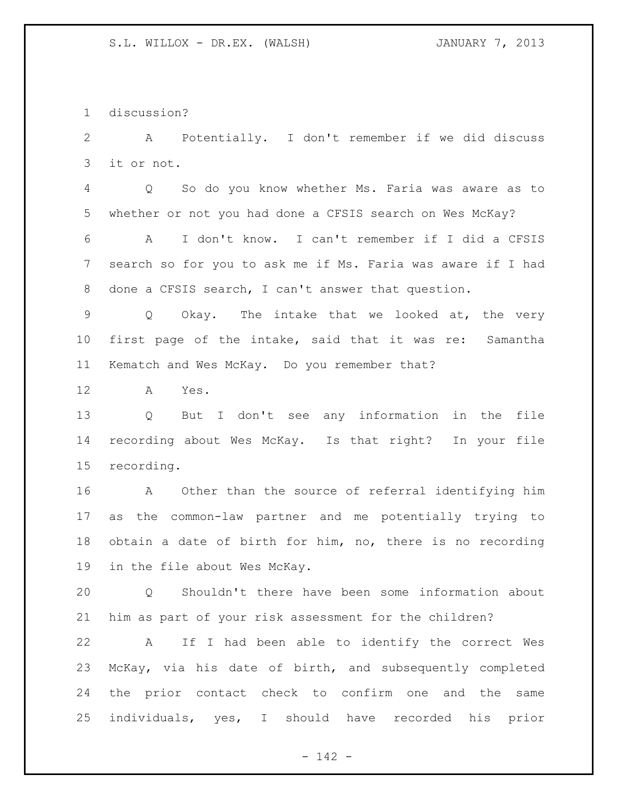discussion?

 A Potentially. I don't remember if we did discuss it or not.

 Q So do you know whether Ms. Faria was aware as to whether or not you had done a CFSIS search on Wes McKay?

 A I don't know. I can't remember if I did a CFSIS search so for you to ask me if Ms. Faria was aware if I had done a CFSIS search, I can't answer that question.

 Q Okay. The intake that we looked at, the very first page of the intake, said that it was re: Samantha Kematch and Wes McKay. Do you remember that?

A Yes.

 Q But I don't see any information in the file recording about Wes McKay. Is that right? In your file recording.

 A Other than the source of referral identifying him as the common-law partner and me potentially trying to obtain a date of birth for him, no, there is no recording in the file about Wes McKay.

 Q Shouldn't there have been some information about him as part of your risk assessment for the children?

 A If I had been able to identify the correct Wes McKay, via his date of birth, and subsequently completed the prior contact check to confirm one and the same individuals, yes, I should have recorded his prior

 $- 142 -$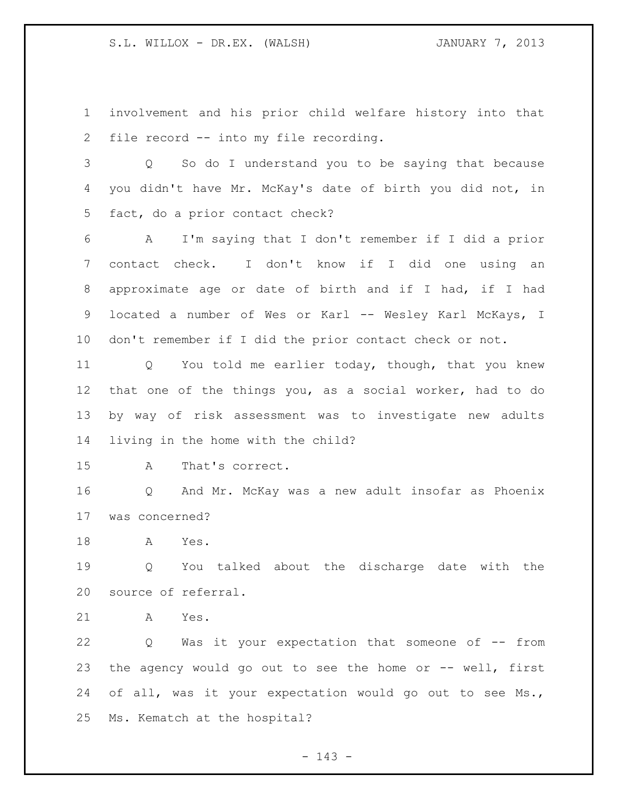involvement and his prior child welfare history into that file record -- into my file recording.

 Q So do I understand you to be saying that because you didn't have Mr. McKay's date of birth you did not, in fact, do a prior contact check?

 A I'm saying that I don't remember if I did a prior contact check. I don't know if I did one using an approximate age or date of birth and if I had, if I had located a number of Wes or Karl -- Wesley Karl McKays, I don't remember if I did the prior contact check or not.

 Q You told me earlier today, though, that you knew that one of the things you, as a social worker, had to do by way of risk assessment was to investigate new adults living in the home with the child?

A That's correct.

 Q And Mr. McKay was a new adult insofar as Phoenix was concerned?

A Yes.

 Q You talked about the discharge date with the source of referral.

A Yes.

 Q Was it your expectation that someone of -- from 23 the agency would go out to see the home or -- well, first of all, was it your expectation would go out to see Ms., Ms. Kematch at the hospital?

- 143 -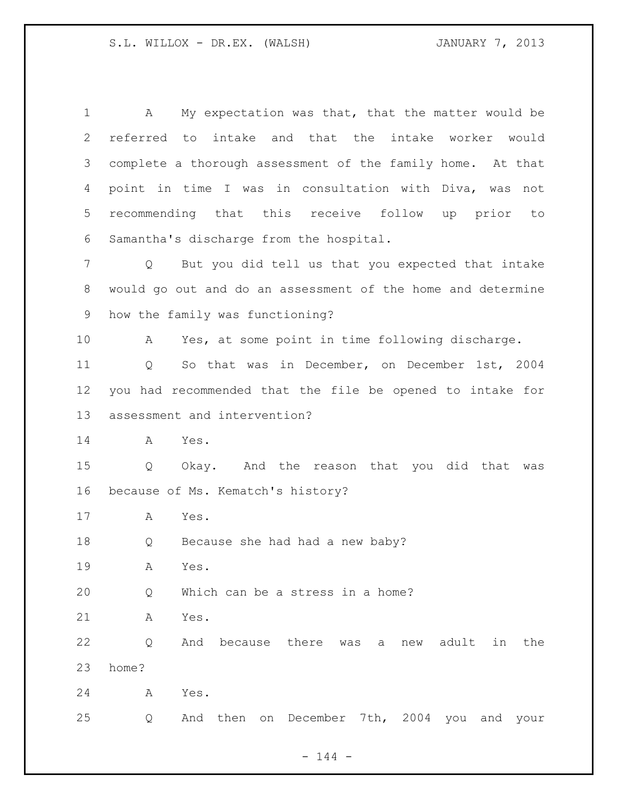| $\mathbf 1$ | My expectation was that, that the matter would be<br>A       |
|-------------|--------------------------------------------------------------|
| 2           | intake and that the intake worker<br>referred<br>to<br>would |
| 3           | complete a thorough assessment of the family home. At that   |
| 4           | point in time I was in consultation with Diva, was not       |
| 5           | recommending that this receive follow up prior<br>to         |
| 6           | Samantha's discharge from the hospital.                      |
| 7           | But you did tell us that you expected that intake<br>Q       |
| 8           | would go out and do an assessment of the home and determine  |
| 9           | how the family was functioning?                              |
| 10          | Yes, at some point in time following discharge.<br>A         |
| 11          | So that was in December, on December 1st, 2004<br>Q          |
| 12          | you had recommended that the file be opened to intake for    |
| 13          | assessment and intervention?                                 |
| 14          | Yes.<br>A                                                    |
| 15          | Okay. And the reason that you did that<br>Q<br>was           |
| 16          | because of Ms. Kematch's history?                            |
| 17          | Yes.<br>A                                                    |
| 18          | Because she had had a new baby?<br>Q                         |
| 19          | Α<br>Yes.                                                    |
| 20          | Which can be a stress in a home?<br>Q                        |
| 21          | Yes.<br>Α                                                    |
| 22          | Q<br>And<br>because there was a<br>the<br>new adult<br>in    |
| 23          | home?                                                        |
| 24          | Yes.<br>A                                                    |
| 25          | on December 7th, 2004 you and<br>And then<br>Q<br>your       |

- 144 -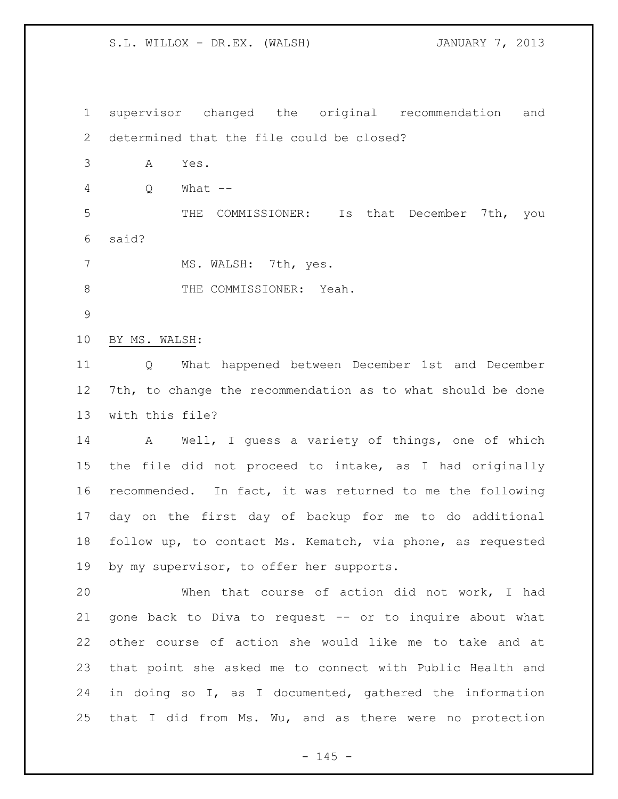supervisor changed the original recommendation and determined that the file could be closed?

A Yes.

Q What --

 THE COMMISSIONER: Is that December 7th, you said?

7 MS. WALSH: 7th, yes.

8 THE COMMISSIONER: Yeah.

BY MS. WALSH:

 Q What happened between December 1st and December 7th, to change the recommendation as to what should be done with this file?

 A Well, I guess a variety of things, one of which the file did not proceed to intake, as I had originally recommended. In fact, it was returned to me the following day on the first day of backup for me to do additional follow up, to contact Ms. Kematch, via phone, as requested 19 by my supervisor, to offer her supports.

 When that course of action did not work, I had gone back to Diva to request -- or to inquire about what other course of action she would like me to take and at that point she asked me to connect with Public Health and in doing so I, as I documented, gathered the information that I did from Ms. Wu, and as there were no protection

 $- 145 -$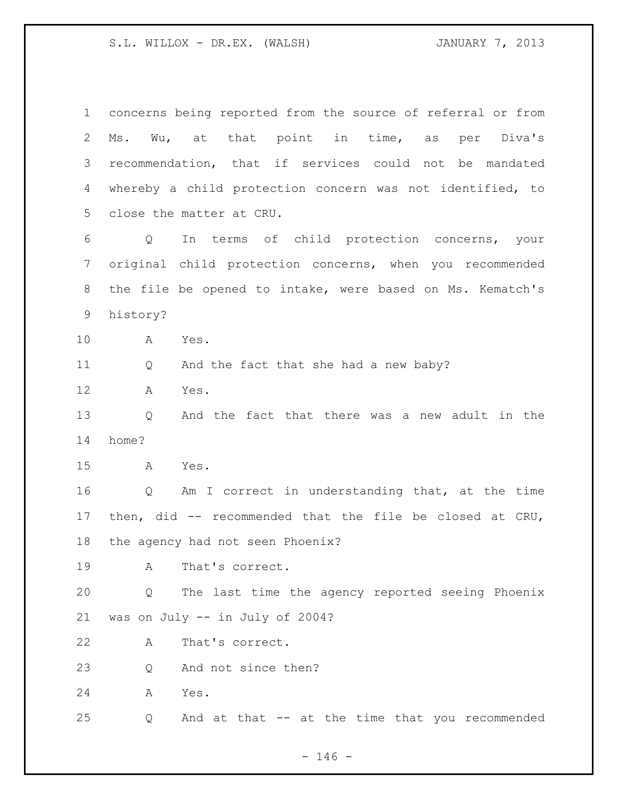concerns being reported from the source of referral or from Ms. Wu, at that point in time, as per Diva's recommendation, that if services could not be mandated whereby a child protection concern was not identified, to close the matter at CRU. Q In terms of child protection concerns, your original child protection concerns, when you recommended the file be opened to intake, were based on Ms. Kematch's history? A Yes. Q And the fact that she had a new baby? A Yes. Q And the fact that there was a new adult in the home? A Yes. Q Am I correct in understanding that, at the time then, did -- recommended that the file be closed at CRU, the agency had not seen Phoenix? A That's correct. Q The last time the agency reported seeing Phoenix was on July -- in July of 2004? A That's correct. 23 0 And not since then? A Yes. Q And at that -- at the time that you recommended

 $- 146 -$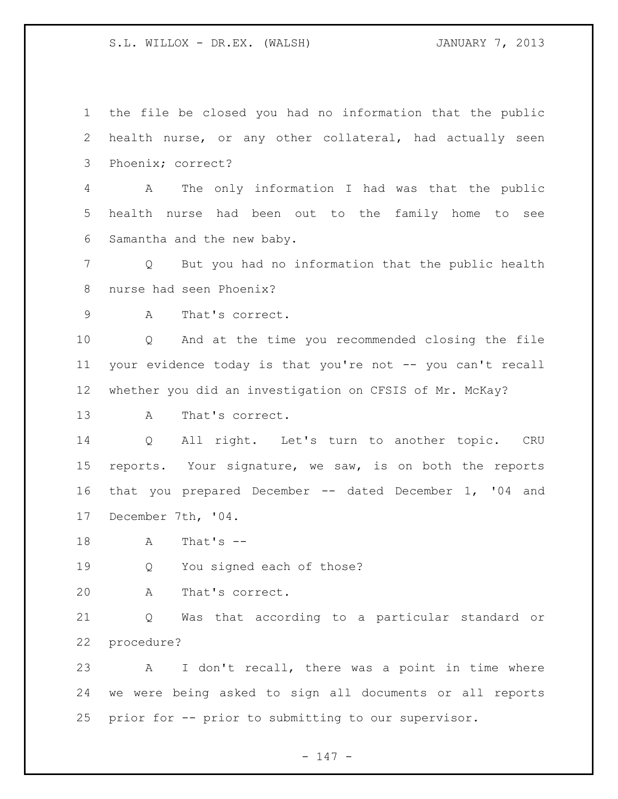the file be closed you had no information that the public health nurse, or any other collateral, had actually seen Phoenix; correct? A The only information I had was that the public health nurse had been out to the family home to see Samantha and the new baby. Q But you had no information that the public health nurse had seen Phoenix? A That's correct. Q And at the time you recommended closing the file your evidence today is that you're not -- you can't recall whether you did an investigation on CFSIS of Mr. McKay? A That's correct. Q All right. Let's turn to another topic. CRU reports. Your signature, we saw, is on both the reports that you prepared December -- dated December 1, '04 and December 7th, '04. A That's -- Q You signed each of those? A That's correct. Q Was that according to a particular standard or procedure? A I don't recall, there was a point in time where we were being asked to sign all documents or all reports prior for -- prior to submitting to our supervisor.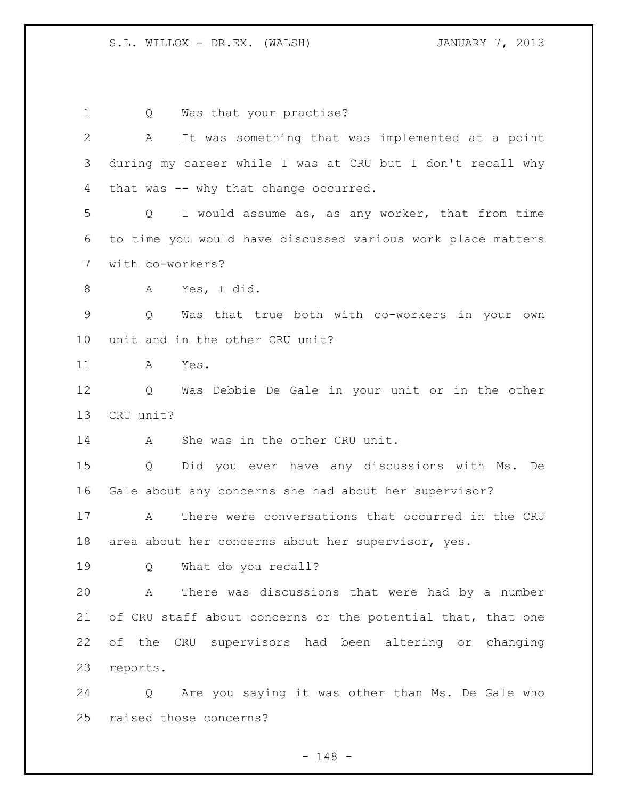1 Q Was that your practise? A It was something that was implemented at a point during my career while I was at CRU but I don't recall why that was -- why that change occurred. Q I would assume as, as any worker, that from time to time you would have discussed various work place matters with co-workers? A Yes, I did. Q Was that true both with co-workers in your own unit and in the other CRU unit? A Yes. Q Was Debbie De Gale in your unit or in the other CRU unit? 14 A She was in the other CRU unit. Q Did you ever have any discussions with Ms. De Gale about any concerns she had about her supervisor? A There were conversations that occurred in the CRU area about her concerns about her supervisor, yes. Q What do you recall? A There was discussions that were had by a number 21 of CRU staff about concerns or the potential that, that one of the CRU supervisors had been altering or changing reports. Q Are you saying it was other than Ms. De Gale who raised those concerns?

- 148 -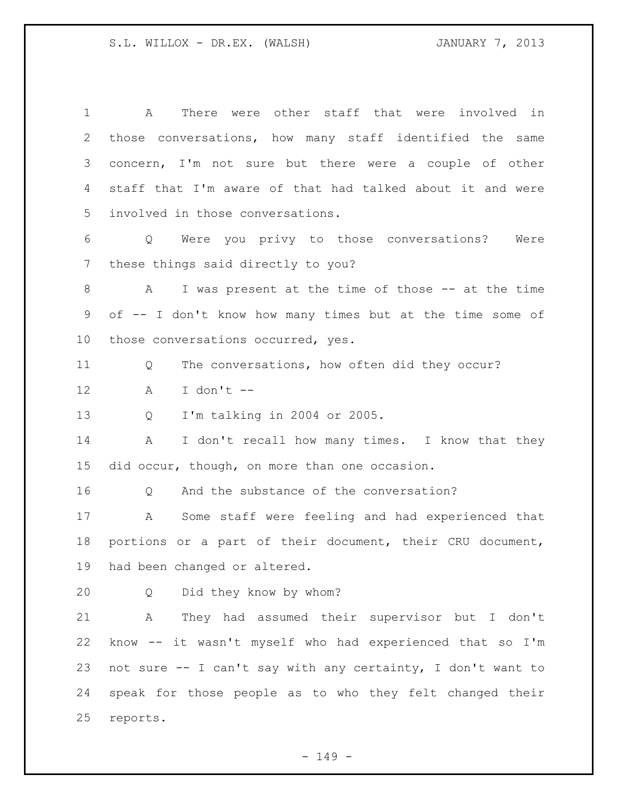A There were other staff that were involved in those conversations, how many staff identified the same concern, I'm not sure but there were a couple of other staff that I'm aware of that had talked about it and were involved in those conversations. Q Were you privy to those conversations? Were these things said directly to you? A I was present at the time of those -- at the time of -- I don't know how many times but at the time some of those conversations occurred, yes. Q The conversations, how often did they occur? A I don't -- Q I'm talking in 2004 or 2005. 14 A I don't recall how many times. I know that they did occur, though, on more than one occasion. 16 0 And the substance of the conversation? A Some staff were feeling and had experienced that portions or a part of their document, their CRU document, had been changed or altered. Q Did they know by whom? A They had assumed their supervisor but I don't know -- it wasn't myself who had experienced that so I'm not sure -- I can't say with any certainty, I don't want to speak for those people as to who they felt changed their reports.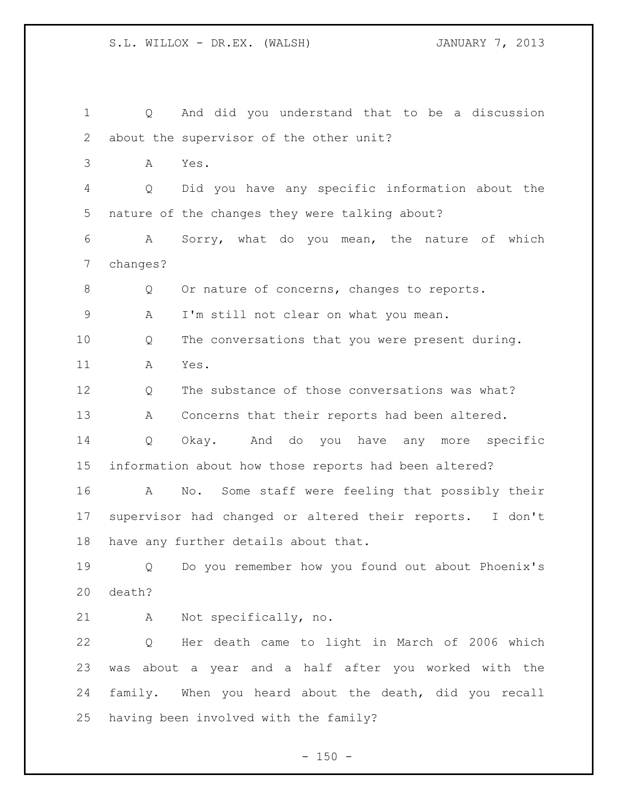Q And did you understand that to be a discussion about the supervisor of the other unit? A Yes. Q Did you have any specific information about the nature of the changes they were talking about? A Sorry, what do you mean, the nature of which changes? 8 Q Or nature of concerns, changes to reports. A I'm still not clear on what you mean. Q The conversations that you were present during. A Yes. Q The substance of those conversations was what? A Concerns that their reports had been altered. Q Okay. And do you have any more specific information about how those reports had been altered? A No. Some staff were feeling that possibly their supervisor had changed or altered their reports. I don't have any further details about that. Q Do you remember how you found out about Phoenix's death? A Not specifically, no. Q Her death came to light in March of 2006 which was about a year and a half after you worked with the family. When you heard about the death, did you recall having been involved with the family?

 $- 150 -$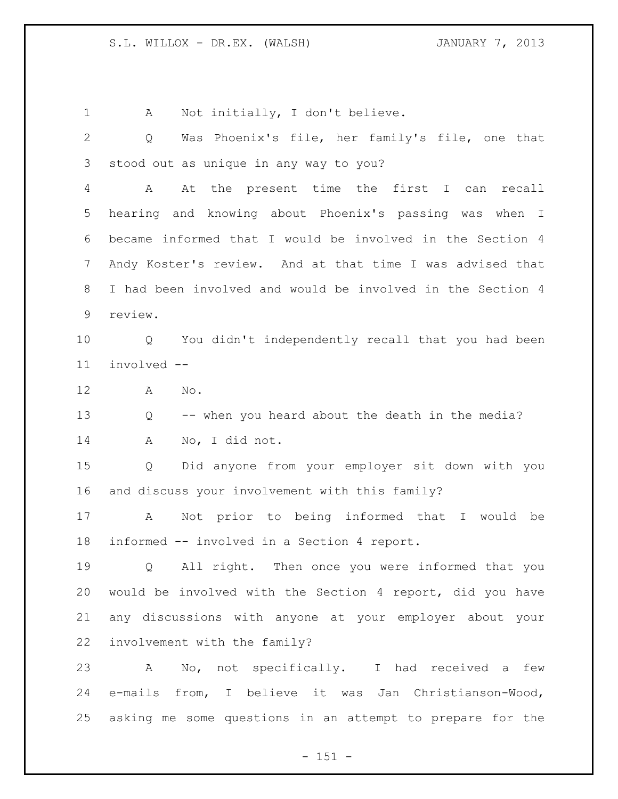1 A Not initially, I don't believe. Q Was Phoenix's file, her family's file, one that stood out as unique in any way to you? A At the present time the first I can recall hearing and knowing about Phoenix's passing was when I became informed that I would be involved in the Section 4 Andy Koster's review. And at that time I was advised that I had been involved and would be involved in the Section 4 review. Q You didn't independently recall that you had been involved -- A No. Q -- when you heard about the death in the media? A No, I did not. Q Did anyone from your employer sit down with you and discuss your involvement with this family? A Not prior to being informed that I would be informed -- involved in a Section 4 report. Q All right. Then once you were informed that you would be involved with the Section 4 report, did you have any discussions with anyone at your employer about your involvement with the family? A No, not specifically. I had received a few e-mails from, I believe it was Jan Christianson-Wood, asking me some questions in an attempt to prepare for the

 $- 151 -$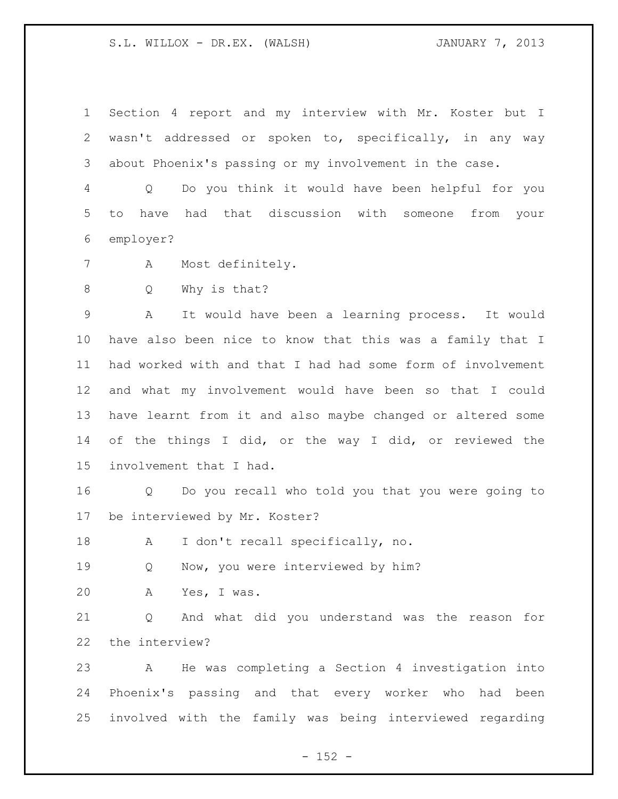Section 4 report and my interview with Mr. Koster but I wasn't addressed or spoken to, specifically, in any way about Phoenix's passing or my involvement in the case.

 Q Do you think it would have been helpful for you to have had that discussion with someone from your employer?

- A Most definitely.
- 
- Q Why is that?

 A It would have been a learning process. It would have also been nice to know that this was a family that I had worked with and that I had had some form of involvement and what my involvement would have been so that I could have learnt from it and also maybe changed or altered some of the things I did, or the way I did, or reviewed the involvement that I had.

 Q Do you recall who told you that you were going to be interviewed by Mr. Koster?

A I don't recall specifically, no.

Q Now, you were interviewed by him?

A Yes, I was.

 Q And what did you understand was the reason for the interview?

 A He was completing a Section 4 investigation into Phoenix's passing and that every worker who had been involved with the family was being interviewed regarding

 $- 152 -$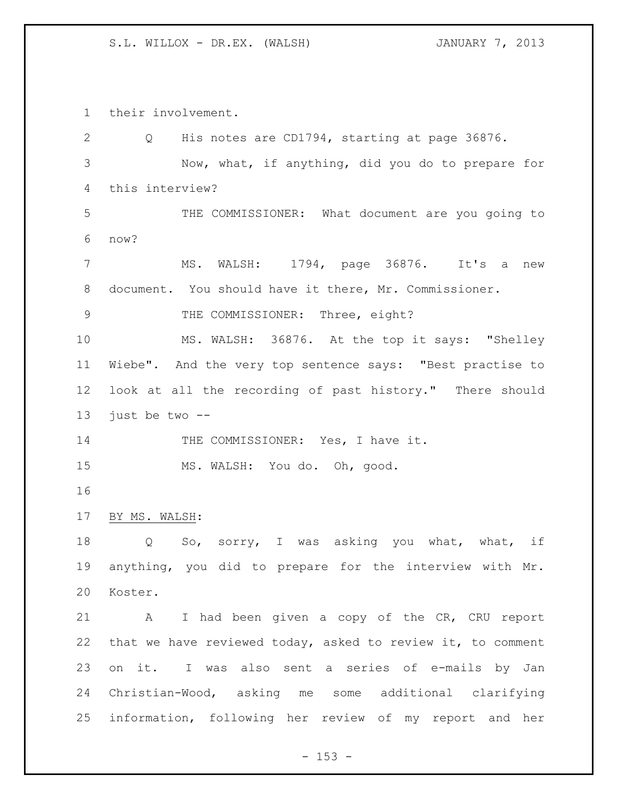their involvement. Q His notes are CD1794, starting at page 36876. Now, what, if anything, did you do to prepare for this interview? THE COMMISSIONER: What document are you going to now? MS. WALSH: 1794, page 36876. It's a new document. You should have it there, Mr. Commissioner. 9 THE COMMISSIONER: Three, eight? MS. WALSH: 36876. At the top it says: "Shelley Wiebe". And the very top sentence says: "Best practise to look at all the recording of past history." There should just be two -- 14 THE COMMISSIONER: Yes, I have it. MS. WALSH: You do. Oh, good. BY MS. WALSH: 18 Q So, sorry, I was asking you what, what, if anything, you did to prepare for the interview with Mr. Koster. A I had been given a copy of the CR, CRU report that we have reviewed today, asked to review it, to comment on it. I was also sent a series of e-mails by Jan Christian-Wood, asking me some additional clarifying information, following her review of my report and her

 $- 153 -$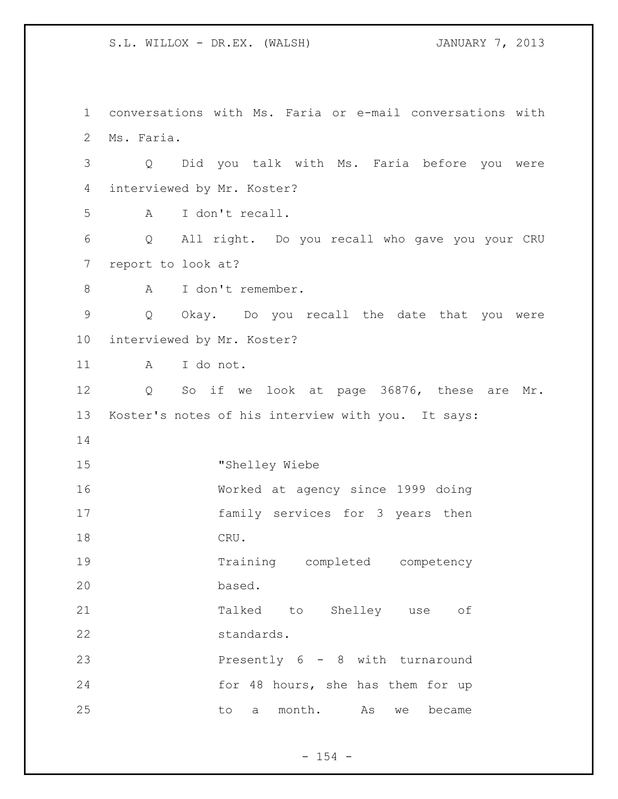conversations with Ms. Faria or e-mail conversations with Ms. Faria. Q Did you talk with Ms. Faria before you were interviewed by Mr. Koster? A I don't recall. Q All right. Do you recall who gave you your CRU report to look at? 8 A I don't remember. Q Okay. Do you recall the date that you were interviewed by Mr. Koster? A I do not. Q So if we look at page 36876, these are Mr. Koster's notes of his interview with you. It says: "Shelley Wiebe Worked at agency since 1999 doing family services for 3 years then CRU. Training completed competency based. Talked to Shelley use of standards. Presently 6 - 8 with turnaround for 48 hours, she has them for up to a month. As we became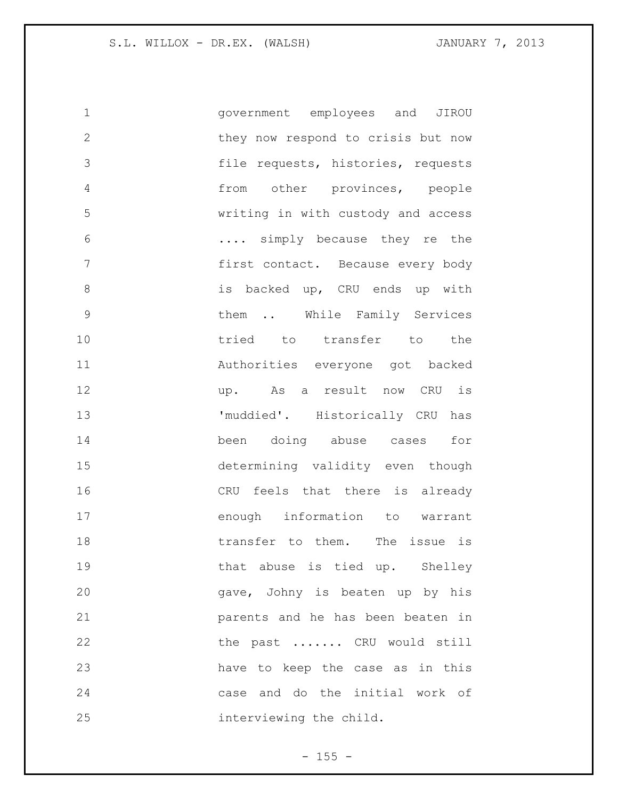| 1            | government employees and JIROU     |
|--------------|------------------------------------|
| $\mathbf{2}$ | they now respond to crisis but now |
| 3            | file requests, histories, requests |
| 4            | from other provinces, people       |
| 5            | writing in with custody and access |
| 6            | simply because they re the         |
| 7            | first contact. Because every body  |
| 8            | is backed up, CRU ends up with     |
| 9            | them  While Family Services        |
| 10           | tried to transfer to the           |
| 11           | Authorities everyone got backed    |
| 12           | up. As a result now CRU is         |
| 13           | 'muddied'. Historically CRU has    |
| 14           | been doing abuse cases<br>for      |
| 15           | determining validity even though   |
| 16           | CRU feels that there is already    |
| 17           | enough information to warrant      |
| 18           | transfer to them. The issue is     |
| 19           | that abuse is tied up. Shelley     |
| 20           | gave, Johny is beaten up by his    |
| 21           | parents and he has been beaten in  |
| 22           | the past  CRU would still          |
| 23           | have to keep the case as in this   |
| 24           | case and do the initial work of    |
| 25           | interviewing the child.            |

- 155 -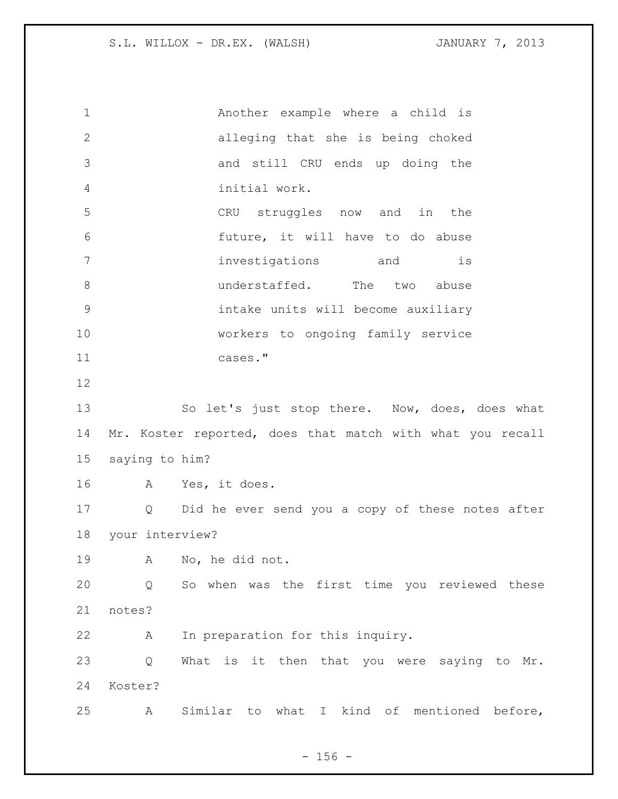Another example where a child is alleging that she is being choked and still CRU ends up doing the initial work. CRU struggles now and in the future, it will have to do abuse investigations and is 8 anderstaffed. The two abuse intake units will become auxiliary workers to ongoing family service cases." So let's just stop there. Now, does, does what Mr. Koster reported, does that match with what you recall saying to him? A Yes, it does. Q Did he ever send you a copy of these notes after your interview? A No, he did not. Q So when was the first time you reviewed these notes? A In preparation for this inquiry. Q What is it then that you were saying to Mr. Koster? A Similar to what I kind of mentioned before,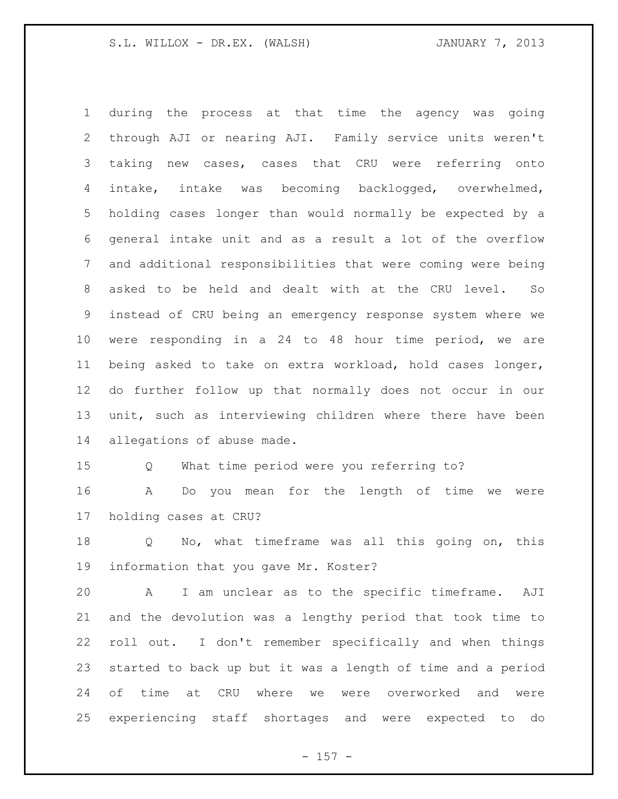during the process at that time the agency was going through AJI or nearing AJI. Family service units weren't taking new cases, cases that CRU were referring onto intake, intake was becoming backlogged, overwhelmed, holding cases longer than would normally be expected by a general intake unit and as a result a lot of the overflow and additional responsibilities that were coming were being asked to be held and dealt with at the CRU level. So instead of CRU being an emergency response system where we were responding in a 24 to 48 hour time period, we are being asked to take on extra workload, hold cases longer, do further follow up that normally does not occur in our unit, such as interviewing children where there have been allegations of abuse made.

Q What time period were you referring to?

 A Do you mean for the length of time we were holding cases at CRU?

 Q No, what timeframe was all this going on, this information that you gave Mr. Koster?

 A I am unclear as to the specific timeframe. AJI and the devolution was a lengthy period that took time to roll out. I don't remember specifically and when things started to back up but it was a length of time and a period of time at CRU where we were overworked and were experiencing staff shortages and were expected to do

 $- 157 -$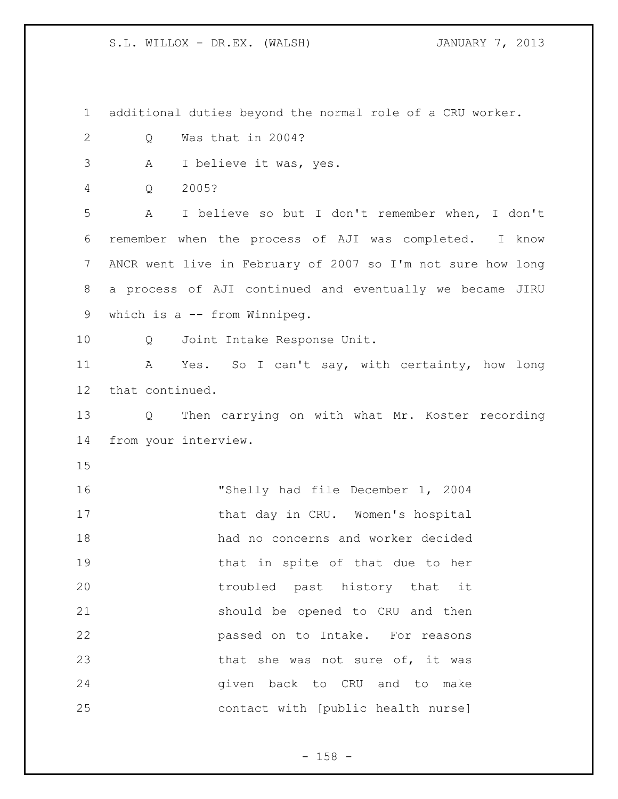additional duties beyond the normal role of a CRU worker. Q Was that in 2004? A I believe it was, yes. Q 2005? A I believe so but I don't remember when, I don't remember when the process of AJI was completed. I know ANCR went live in February of 2007 so I'm not sure how long a process of AJI continued and eventually we became JIRU which is a -- from Winnipeg. Q Joint Intake Response Unit. A Yes. So I can't say, with certainty, how long that continued. Q Then carrying on with what Mr. Koster recording from your interview. "Shelly had file December 1, 2004 17 that day in CRU. Women's hospital had no concerns and worker decided that in spite of that due to her troubled past history that it should be opened to CRU and then passed on to Intake. For reasons 23 that she was not sure of, it was given back to CRU and to make contact with [public health nurse]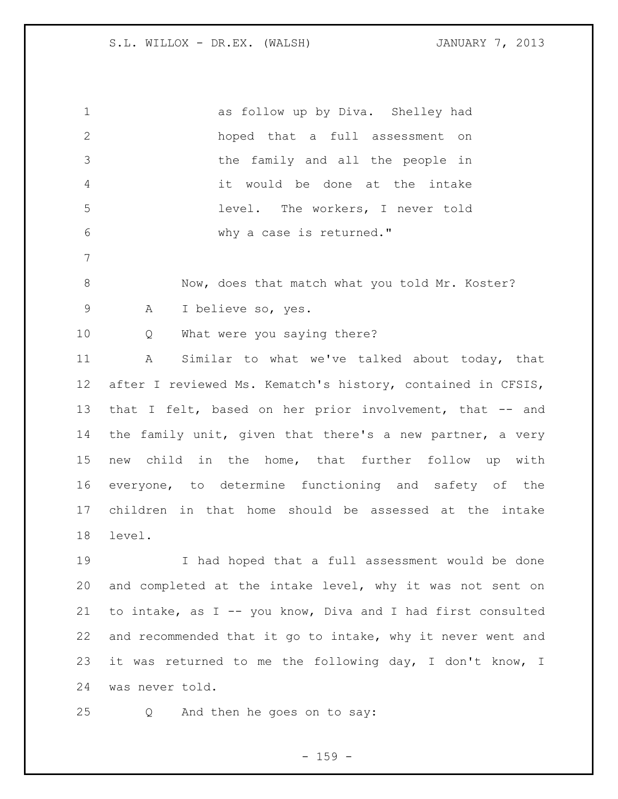as follow up by Diva. Shelley had hoped that a full assessment on the family and all the people in it would be done at the intake level. The workers, I never told why a case is returned." 8 Now, does that match what you told Mr. Koster? A I believe so, yes. Q What were you saying there? A Similar to what we've talked about today, that after I reviewed Ms. Kematch's history, contained in CFSIS, 13 that I felt, based on her prior involvement, that -- and the family unit, given that there's a new partner, a very new child in the home, that further follow up with everyone, to determine functioning and safety of the children in that home should be assessed at the intake level. I had hoped that a full assessment would be done and completed at the intake level, why it was not sent on to intake, as I -- you know, Diva and I had first consulted and recommended that it go to intake, why it never went and it was returned to me the following day, I don't know, I was never told.

Q And then he goes on to say: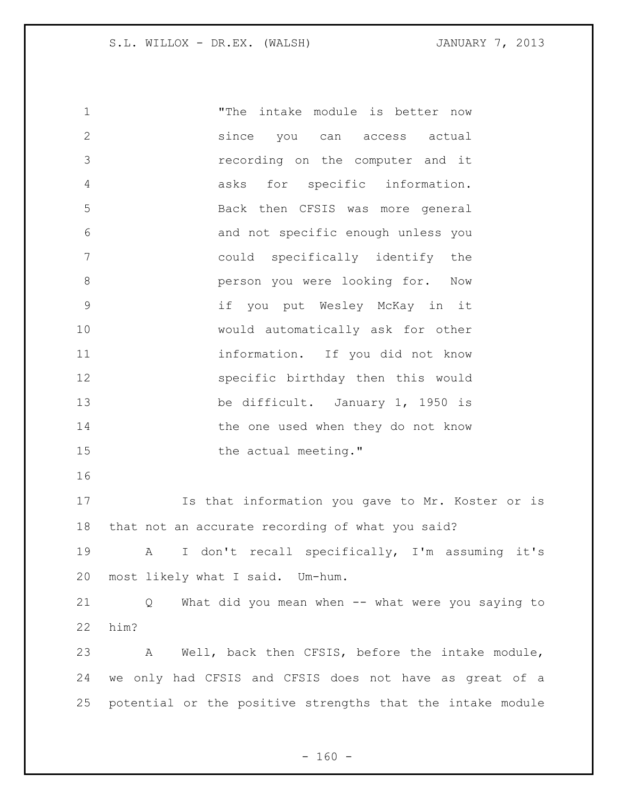"The intake module is better now since you can access actual recording on the computer and it asks for specific information. Back then CFSIS was more general and not specific enough unless you could specifically identify the person you were looking for. Now if you put Wesley McKay in it would automatically ask for other information. If you did not know specific birthday then this would be difficult. January 1, 1950 is 14 the one used when they do not know 15 the actual meeting." Is that information you gave to Mr. Koster or is that not an accurate recording of what you said? A I don't recall specifically, I'm assuming it's most likely what I said. Um-hum. Q What did you mean when -- what were you saying to him? A Well, back then CFSIS, before the intake module, we only had CFSIS and CFSIS does not have as great of a potential or the positive strengths that the intake module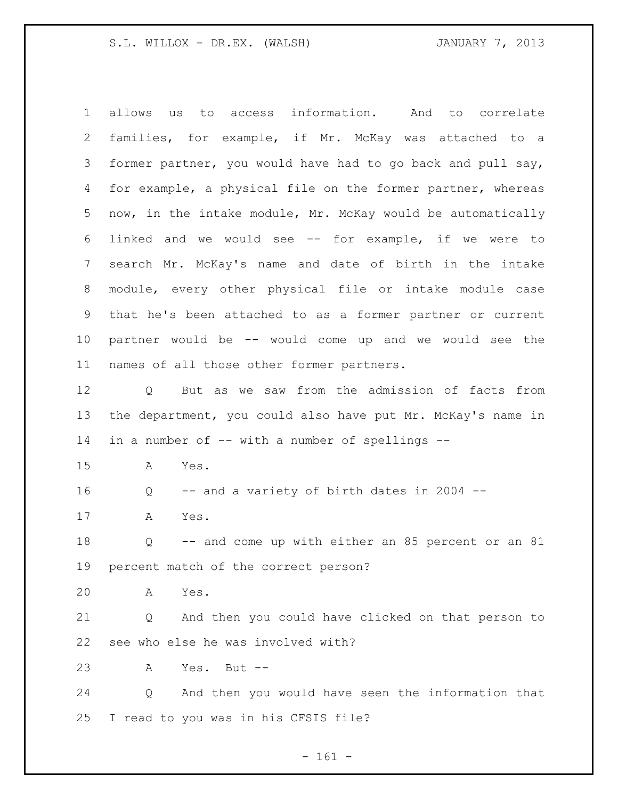allows us to access information. And to correlate families, for example, if Mr. McKay was attached to a former partner, you would have had to go back and pull say, for example, a physical file on the former partner, whereas now, in the intake module, Mr. McKay would be automatically linked and we would see -- for example, if we were to search Mr. McKay's name and date of birth in the intake module, every other physical file or intake module case that he's been attached to as a former partner or current partner would be -- would come up and we would see the names of all those other former partners. Q But as we saw from the admission of facts from the department, you could also have put Mr. McKay's name in in a number of -- with a number of spellings -- A Yes. Q -- and a variety of birth dates in 2004 -- A Yes. Q -- and come up with either an 85 percent or an 81 percent match of the correct person? A Yes. Q And then you could have clicked on that person to see who else he was involved with? A Yes. But -- Q And then you would have seen the information that I read to you was in his CFSIS file?

- 161 -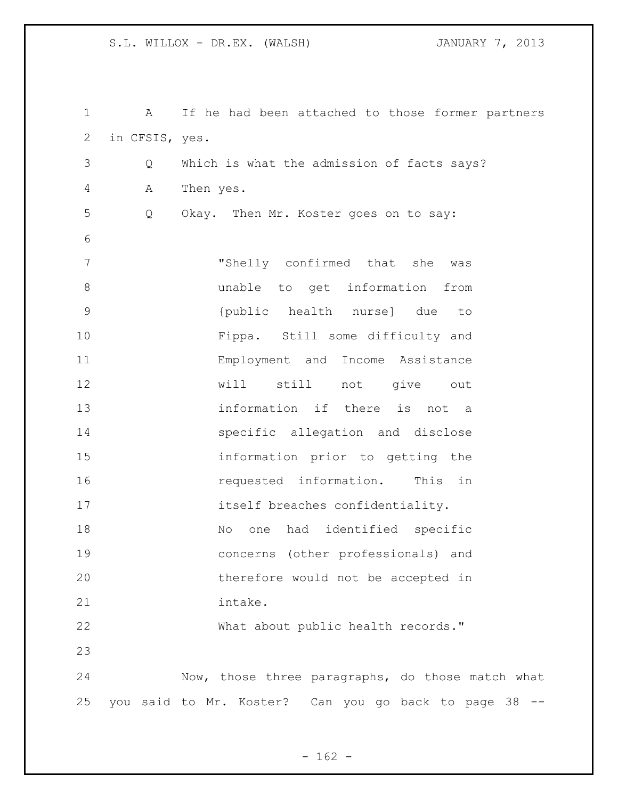| $\mathbf 1$    | А              | If he had been attached to those former partners   |
|----------------|----------------|----------------------------------------------------|
| $\mathbf{2}$   | in CFSIS, yes. |                                                    |
| 3              | Q              | Which is what the admission of facts says?         |
| 4              | A              | Then yes.                                          |
| 5              | Q              | Okay. Then Mr. Koster goes on to say:              |
| 6              |                |                                                    |
| $7\phantom{.}$ |                | "Shelly confirmed that she was                     |
| 8              |                | unable to get information from                     |
| 9              |                | {public health nurse] due<br>to                    |
| 10             |                | Fippa. Still some difficulty and                   |
| 11             |                | Employment and Income Assistance                   |
| 12             |                | will<br>still<br>not give out                      |
| 13             |                | information if there is not a                      |
| 14             |                | specific allegation and disclose                   |
| 15             |                | information prior to getting the                   |
| 16             |                | requested information. This in                     |
| 17             |                | itself breaches confidentiality.                   |
| 18             |                | one had identified specific<br>No                  |
| 19             |                | concerns (other professionals) and                 |
| 20             |                | therefore would not be accepted in                 |
| 21             |                | intake.                                            |
| 22             |                | What about public health records."                 |
| 23             |                |                                                    |
| 24             |                | Now, those three paragraphs, do those match what   |
| 25             |                | you said to Mr. Koster? Can you go back to page 38 |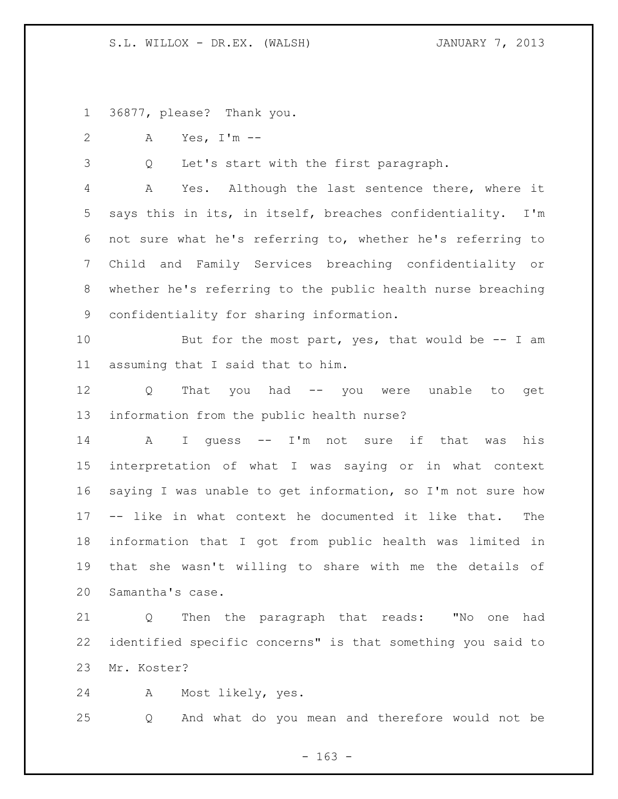36877, please? Thank you.

A Yes, I'm --

Q Let's start with the first paragraph.

 A Yes. Although the last sentence there, where it says this in its, in itself, breaches confidentiality. I'm not sure what he's referring to, whether he's referring to Child and Family Services breaching confidentiality or whether he's referring to the public health nurse breaching confidentiality for sharing information.

10 But for the most part, yes, that would be -- I am assuming that I said that to him.

 Q That you had -- you were unable to get information from the public health nurse?

 A I guess -- I'm not sure if that was his interpretation of what I was saying or in what context saying I was unable to get information, so I'm not sure how -- like in what context he documented it like that. The information that I got from public health was limited in that she wasn't willing to share with me the details of Samantha's case.

 Q Then the paragraph that reads: "No one had identified specific concerns" is that something you said to Mr. Koster?

A Most likely, yes.

Q And what do you mean and therefore would not be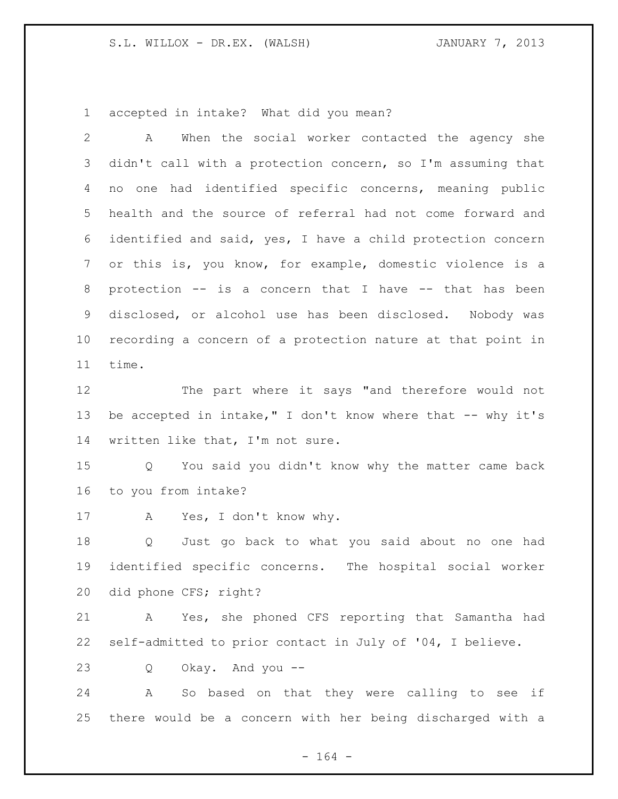accepted in intake? What did you mean?

 A When the social worker contacted the agency she didn't call with a protection concern, so I'm assuming that no one had identified specific concerns, meaning public health and the source of referral had not come forward and identified and said, yes, I have a child protection concern or this is, you know, for example, domestic violence is a protection -- is a concern that I have -- that has been disclosed, or alcohol use has been disclosed. Nobody was recording a concern of a protection nature at that point in time. The part where it says "and therefore would not 13 be accepted in intake," I don't know where that -- why it's

written like that, I'm not sure.

 Q You said you didn't know why the matter came back to you from intake?

A Yes, I don't know why.

 Q Just go back to what you said about no one had identified specific concerns. The hospital social worker did phone CFS; right?

 A Yes, she phoned CFS reporting that Samantha had self-admitted to prior contact in July of '04, I believe.

Q Okay. And you --

 A So based on that they were calling to see if there would be a concern with her being discharged with a

- 164 -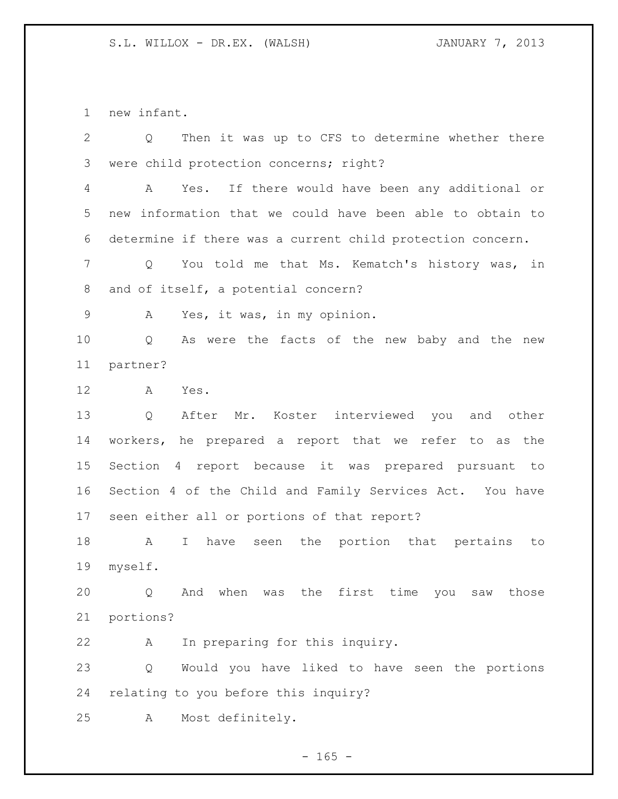new infant.

 $- 165 -$  Q Then it was up to CFS to determine whether there were child protection concerns; right? A Yes. If there would have been any additional or new information that we could have been able to obtain to determine if there was a current child protection concern. Q You told me that Ms. Kematch's history was, in 8 and of itself, a potential concern? A Yes, it was, in my opinion. Q As were the facts of the new baby and the new partner? A Yes. Q After Mr. Koster interviewed you and other workers, he prepared a report that we refer to as the Section 4 report because it was prepared pursuant to Section 4 of the Child and Family Services Act. You have seen either all or portions of that report? A I have seen the portion that pertains to myself. Q And when was the first time you saw those portions? A In preparing for this inquiry. Q Would you have liked to have seen the portions relating to you before this inquiry? A Most definitely.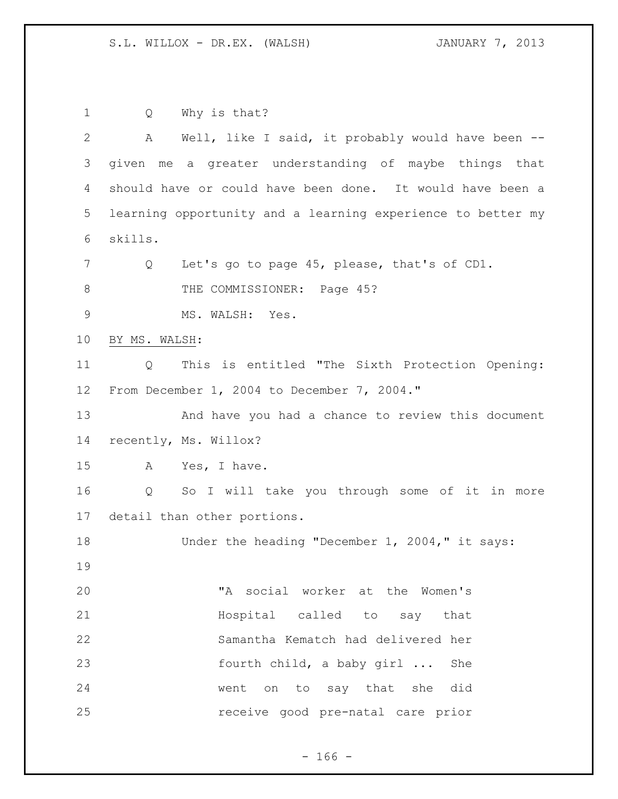Q Why is that? A Well, like I said, it probably would have been -- given me a greater understanding of maybe things that should have or could have been done. It would have been a learning opportunity and a learning experience to better my skills. 7 Q Let's go to page 45, please, that's of CD1. 8 THE COMMISSIONER: Page 45? MS. WALSH: Yes. BY MS. WALSH: Q This is entitled "The Sixth Protection Opening: From December 1, 2004 to December 7, 2004." And have you had a chance to review this document recently, Ms. Willox? A Yes, I have. Q So I will take you through some of it in more detail than other portions. 18 Under the heading "December 1, 2004," it says: "A social worker at the Women's **Hospital** called to say that Samantha Kematch had delivered her fourth child, a baby girl ... She went on to say that she did receive good pre-natal care prior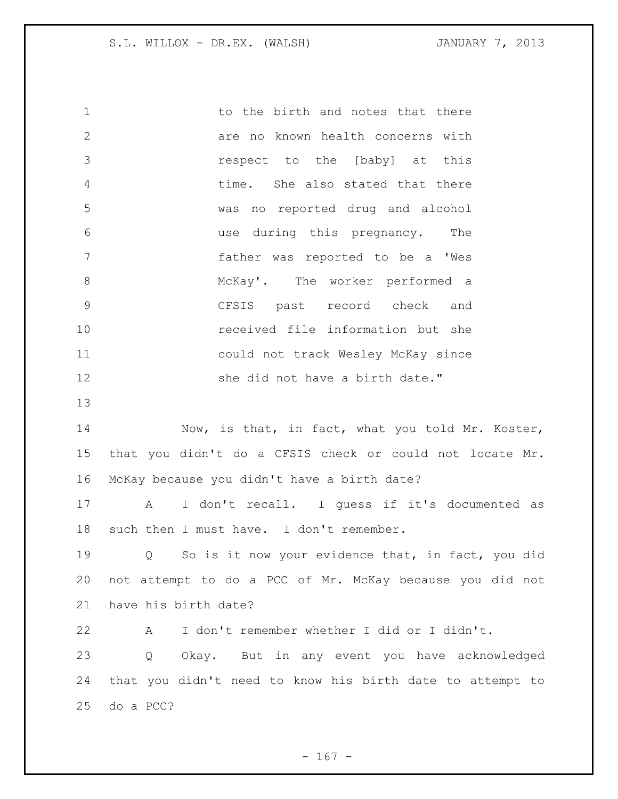1 to the birth and notes that there are no known health concerns with respect to the [baby] at this time. She also stated that there was no reported drug and alcohol use during this pregnancy. The father was reported to be a 'Wes 8 McKay'. The worker performed a CFSIS past record check and received file information but she could not track Wesley McKay since she did not have a birth date." Now, is that, in fact, what you told Mr. Koster, that you didn't do a CFSIS check or could not locate Mr. McKay because you didn't have a birth date? A I don't recall. I guess if it's documented as 18 such then I must have. I don't remember. Q So is it now your evidence that, in fact, you did not attempt to do a PCC of Mr. McKay because you did not have his birth date? A I don't remember whether I did or I didn't. Q Okay. But in any event you have acknowledged that you didn't need to know his birth date to attempt to do a PCC?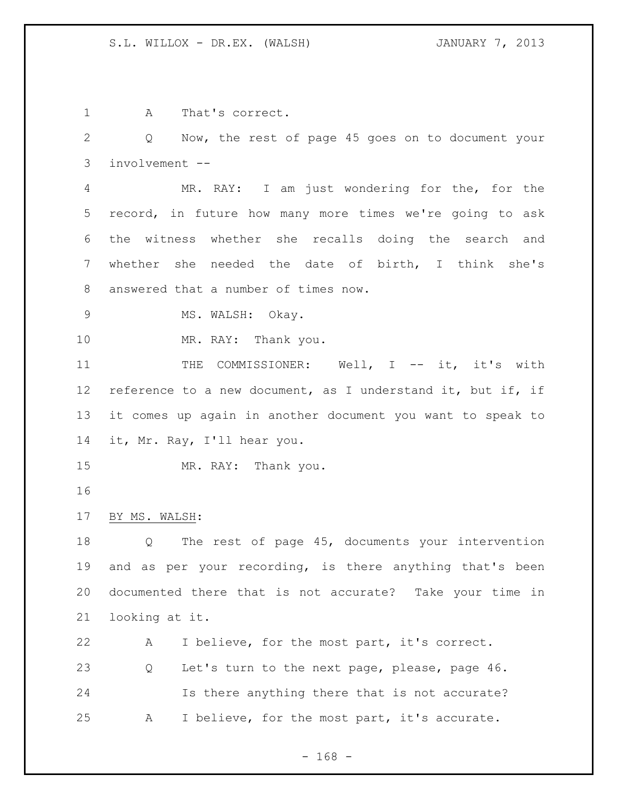A That's correct. Q Now, the rest of page 45 goes on to document your involvement -- MR. RAY: I am just wondering for the, for the record, in future how many more times we're going to ask the witness whether she recalls doing the search and whether she needed the date of birth, I think she's answered that a number of times now. 9 MS. WALSH: Okay. 10 MR. RAY: Thank you. 11 THE COMMISSIONER: Well, I -- it, it's with reference to a new document, as I understand it, but if, if it comes up again in another document you want to speak to it, Mr. Ray, I'll hear you. MR. RAY: Thank you. BY MS. WALSH: Q The rest of page 45, documents your intervention and as per your recording, is there anything that's been documented there that is not accurate? Take your time in looking at it. A I believe, for the most part, it's correct. Q Let's turn to the next page, please, page 46. Is there anything there that is not accurate? A I believe, for the most part, it's accurate.

- 168 -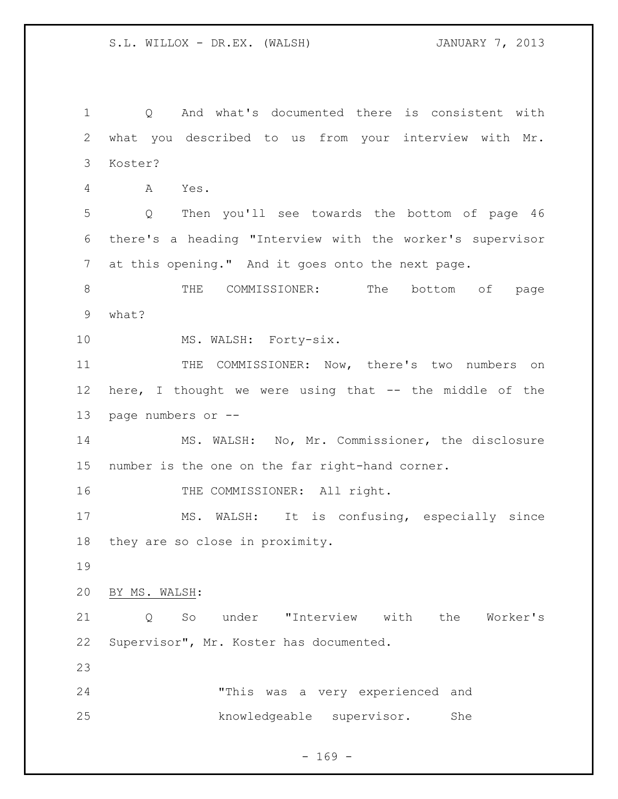Q And what's documented there is consistent with what you described to us from your interview with Mr. Koster? A Yes. Q Then you'll see towards the bottom of page 46 there's a heading "Interview with the worker's supervisor at this opening." And it goes onto the next page. 8 THE COMMISSIONER: The bottom of page what? 10 MS. WALSH: Forty-six. 11 THE COMMISSIONER: Now, there's two numbers on here, I thought we were using that -- the middle of the page numbers or -- MS. WALSH: No, Mr. Commissioner, the disclosure number is the one on the far right-hand corner. 16 THE COMMISSIONER: All right. MS. WALSH: It is confusing, especially since they are so close in proximity. BY MS. WALSH: Q So under "Interview with the Worker's Supervisor", Mr. Koster has documented. "This was a very experienced and knowledgeable supervisor. She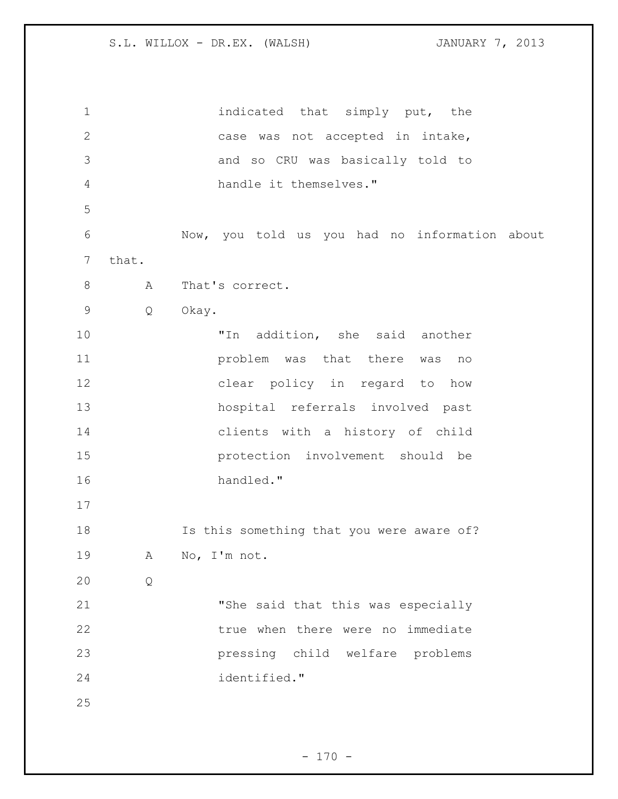| $\mathbf 1$    |              | indicated that simply put, the                |
|----------------|--------------|-----------------------------------------------|
| $\overline{2}$ |              | case was not accepted in intake,              |
| 3              |              | and so CRU was basically told to              |
| $\overline{4}$ |              | handle it themselves."                        |
| 5              |              |                                               |
| 6              |              | Now, you told us you had no information about |
| $\overline{7}$ | that.        |                                               |
| $\,8\,$        | Α            | That's correct.                               |
| $\mathsf 9$    | Q            | Okay.                                         |
| 10             |              | "In addition, she said another                |
| 11             |              | problem was that there was<br>no              |
| 12             |              | clear policy in regard to how                 |
| 13             |              | hospital referrals involved past              |
| 14             |              | clients with a history of child               |
| 15             |              | protection involvement should be              |
| 16             |              | handled."                                     |
| 17             |              |                                               |
| 18             |              | Is this something that you were aware of?     |
| 19             |              | A No, I'm not.                                |
| 20             | $\mathsf{Q}$ |                                               |
| 21             |              | "She said that this was especially            |
| 22             |              | true when there were no immediate             |
| 23             |              | pressing child welfare problems               |
| 24             |              | identified."                                  |
| 25             |              |                                               |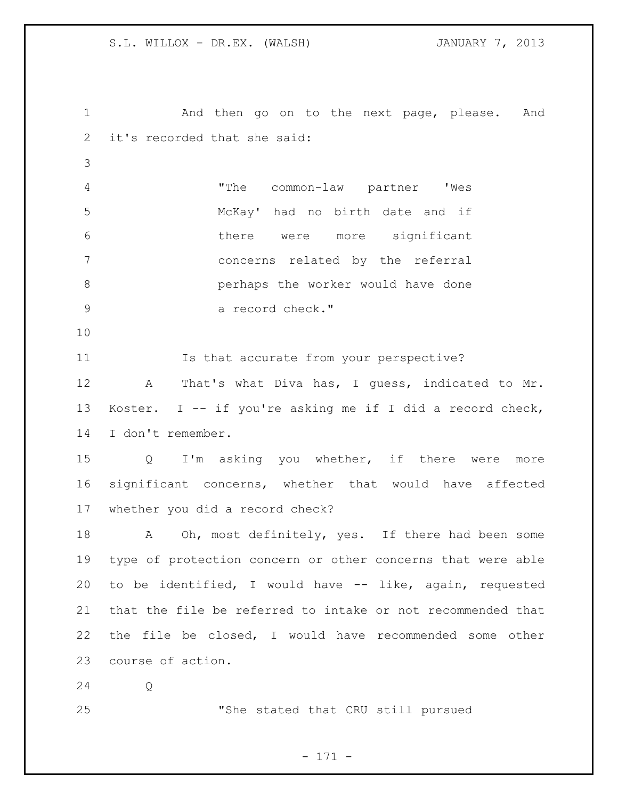And then go on to the next page, please. And it's recorded that she said: "The common-law partner 'Wes McKay' had no birth date and if there were more significant concerns related by the referral perhaps the worker would have done a record check." 11 Is that accurate from your perspective? A That's what Diva has, I guess, indicated to Mr. Koster. I -- if you're asking me if I did a record check, I don't remember. Q I'm asking you whether, if there were more significant concerns, whether that would have affected whether you did a record check? A Oh, most definitely, yes. If there had been some type of protection concern or other concerns that were able to be identified, I would have -- like, again, requested that the file be referred to intake or not recommended that the file be closed, I would have recommended some other course of action. Q "She stated that CRU still pursued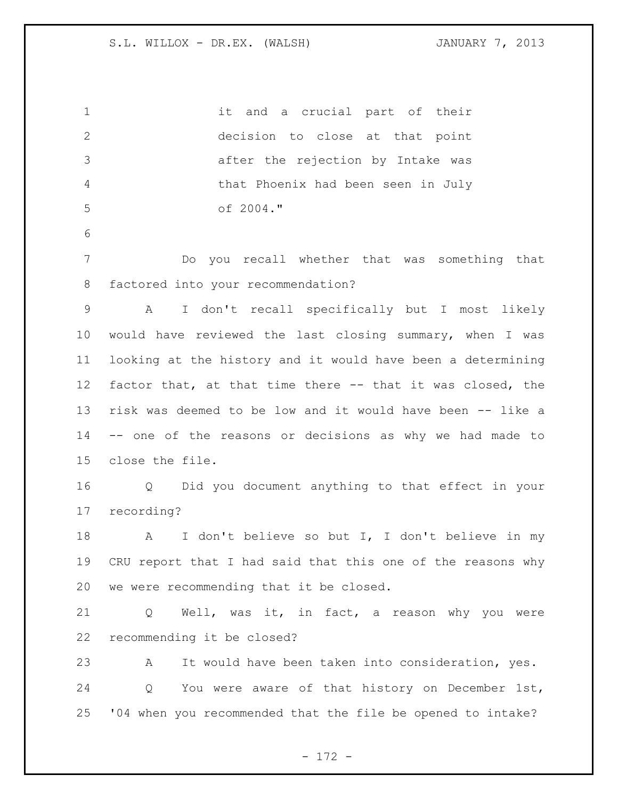it and a crucial part of their decision to close at that point after the rejection by Intake was that Phoenix had been seen in July of 2004." Do you recall whether that was something that factored into your recommendation? A I don't recall specifically but I most likely would have reviewed the last closing summary, when I was looking at the history and it would have been a determining factor that, at that time there -- that it was closed, the risk was deemed to be low and it would have been -- like a -- one of the reasons or decisions as why we had made to close the file. Q Did you document anything to that effect in your recording? A I don't believe so but I, I don't believe in my CRU report that I had said that this one of the reasons why we were recommending that it be closed. Q Well, was it, in fact, a reason why you were recommending it be closed? A It would have been taken into consideration, yes. Q You were aware of that history on December 1st, '04 when you recommended that the file be opened to intake?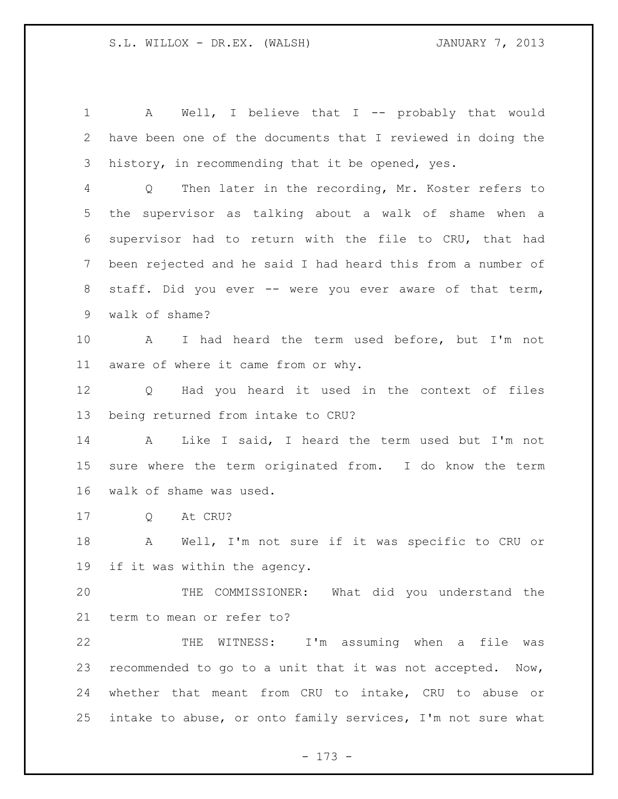1 A Well, I believe that I -- probably that would have been one of the documents that I reviewed in doing the history, in recommending that it be opened, yes. Q Then later in the recording, Mr. Koster refers to the supervisor as talking about a walk of shame when a supervisor had to return with the file to CRU, that had been rejected and he said I had heard this from a number of 8 staff. Did you ever -- were you ever aware of that term, walk of shame? A I had heard the term used before, but I'm not aware of where it came from or why. Q Had you heard it used in the context of files being returned from intake to CRU? A Like I said, I heard the term used but I'm not sure where the term originated from. I do know the term walk of shame was used. Q At CRU? A Well, I'm not sure if it was specific to CRU or if it was within the agency. THE COMMISSIONER: What did you understand the term to mean or refer to? THE WITNESS: I'm assuming when a file was recommended to go to a unit that it was not accepted. Now, whether that meant from CRU to intake, CRU to abuse or intake to abuse, or onto family services, I'm not sure what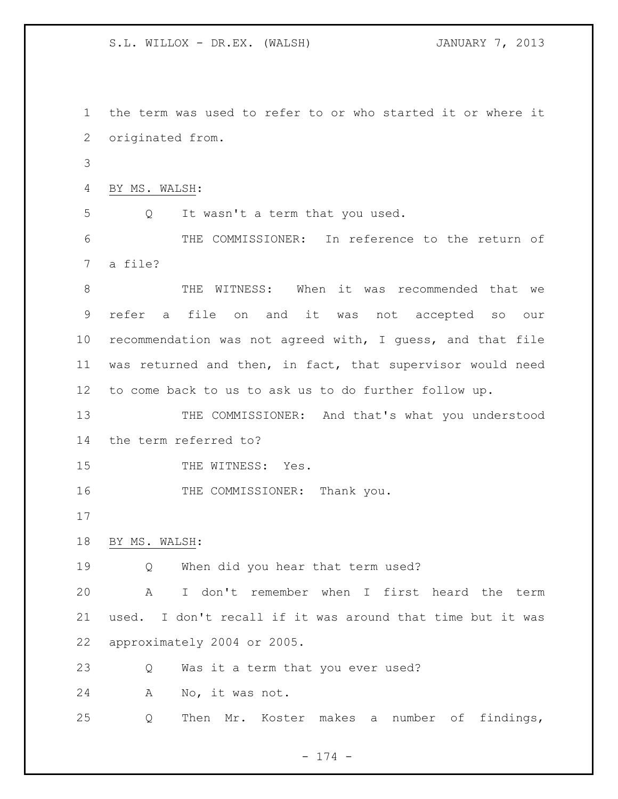the term was used to refer to or who started it or where it originated from. BY MS. WALSH: Q It wasn't a term that you used. THE COMMISSIONER: In reference to the return of a file? THE WITNESS: When it was recommended that we refer a file on and it was not accepted so our recommendation was not agreed with, I guess, and that file was returned and then, in fact, that supervisor would need to come back to us to ask us to do further follow up. 13 THE COMMISSIONER: And that's what you understood the term referred to? 15 THE WITNESS: Yes. 16 THE COMMISSIONER: Thank you. BY MS. WALSH: Q When did you hear that term used? A I don't remember when I first heard the term used. I don't recall if it was around that time but it was approximately 2004 or 2005. Q Was it a term that you ever used? A No, it was not. Q Then Mr. Koster makes a number of findings,

- 174 -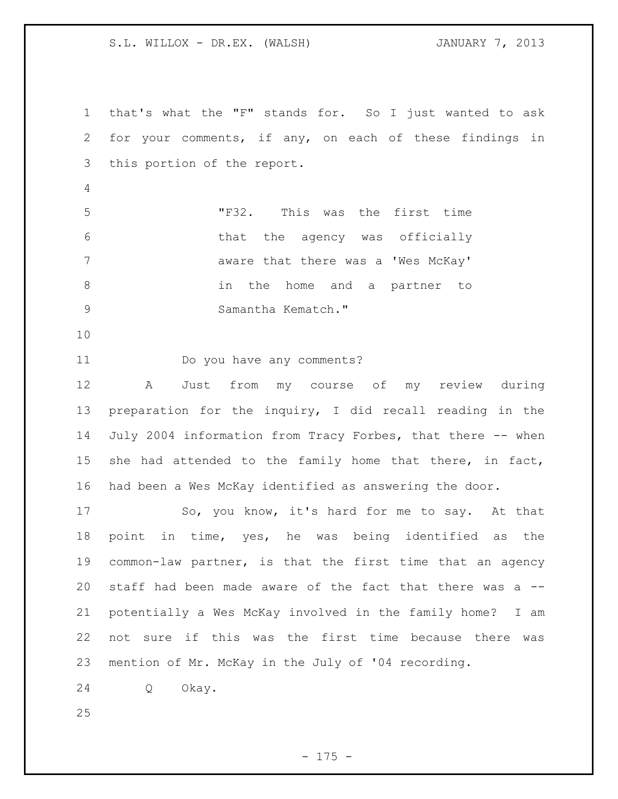that's what the "F" stands for. So I just wanted to ask for your comments, if any, on each of these findings in this portion of the report. "F32. This was the first time that the agency was officially 7 aware that there was a 'Wes McKay' in the home and a partner to Samantha Kematch." Do you have any comments? A Just from my course of my review during preparation for the inquiry, I did recall reading in the July 2004 information from Tracy Forbes, that there -- when 15 she had attended to the family home that there, in fact, had been a Wes McKay identified as answering the door. 17 So, you know, it's hard for me to say. At that point in time, yes, he was being identified as the common-law partner, is that the first time that an agency staff had been made aware of the fact that there was a -- potentially a Wes McKay involved in the family home? I am not sure if this was the first time because there was mention of Mr. McKay in the July of '04 recording. Q Okay.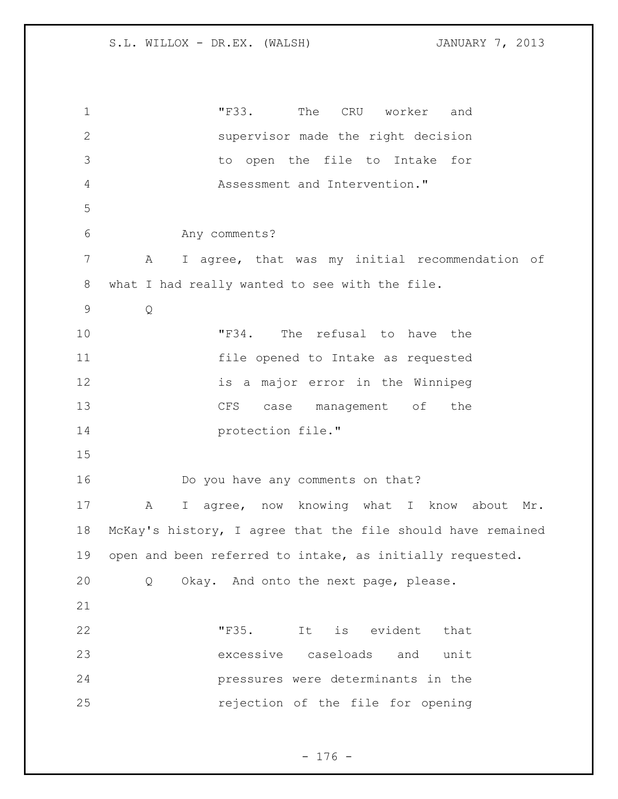"F33. The CRU worker and supervisor made the right decision to open the file to Intake for Assessment and Intervention." Any comments? A I agree, that was my initial recommendation of what I had really wanted to see with the file. Q 10 TF34. The refusal to have the file opened to Intake as requested 12 is a major error in the Winnipeg CFS case management of the protection file." Do you have any comments on that? 17 A I agree, now knowing what I know about Mr. McKay's history, I agree that the file should have remained open and been referred to intake, as initially requested. Q Okay. And onto the next page, please. "F35. It is evident that excessive caseloads and unit pressures were determinants in the rejection of the file for opening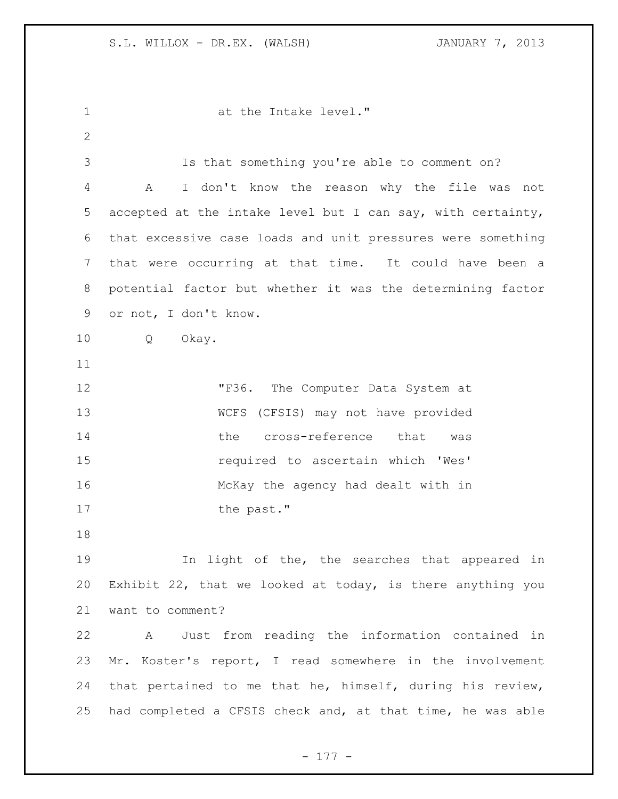| $\mathbf 1$    | at the Intake level."                                         |
|----------------|---------------------------------------------------------------|
| $\mathbf{2}$   |                                                               |
| $\mathfrak{Z}$ | Is that something you're able to comment on?                  |
| $\overline{4}$ | I don't know the reason why the file was not<br>A             |
| 5              | accepted at the intake level but I can say, with certainty,   |
| 6              | that excessive case loads and unit pressures were something   |
| 7              | that were occurring at that time. It could have been a        |
| 8              | potential factor but whether it was the determining factor    |
| $\mathsf 9$    | or not, I don't know.                                         |
| 10             | Okay.<br>Q                                                    |
| 11             |                                                               |
| 12             | "F36.<br>The Computer Data System at                          |
| 13             | WCFS (CFSIS) may not have provided                            |
| 14             | cross-reference<br>that<br>the<br>was                         |
| 15             | required to ascertain which 'Wes'                             |
| 16             | McKay the agency had dealt with in                            |
| 17             | the past."                                                    |
| 18             |                                                               |
| 19             | In light of the, the searches that appeared in                |
| 20             | Exhibit 22, that we looked at today, is there anything you    |
| 21             | want to comment?                                              |
| 22             | Just from reading the information contained in<br>$\mathbb A$ |
| 23             | Mr. Koster's report, I read somewhere in the involvement      |
| 24             | that pertained to me that he, himself, during his review,     |
| 25             | had completed a CFSIS check and, at that time, he was able    |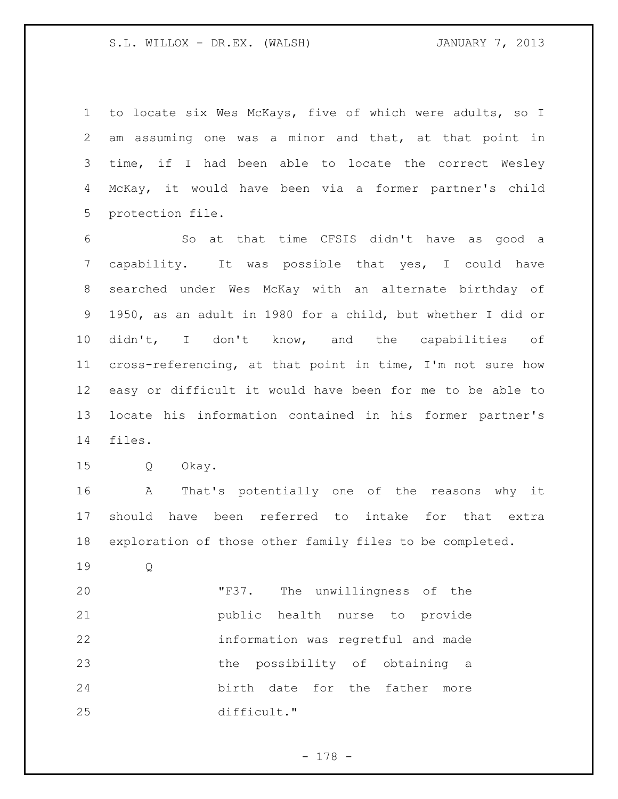to locate six Wes McKays, five of which were adults, so I am assuming one was a minor and that, at that point in time, if I had been able to locate the correct Wesley McKay, it would have been via a former partner's child protection file.

 So at that time CFSIS didn't have as good a capability. It was possible that yes, I could have searched under Wes McKay with an alternate birthday of 1950, as an adult in 1980 for a child, but whether I did or didn't, I don't know, and the capabilities of cross-referencing, at that point in time, I'm not sure how easy or difficult it would have been for me to be able to locate his information contained in his former partner's files.

Q Okay.

 A That's potentially one of the reasons why it should have been referred to intake for that extra exploration of those other family files to be completed.

Q

 "F37. The unwillingness of the public health nurse to provide information was regretful and made the possibility of obtaining a birth date for the father more difficult."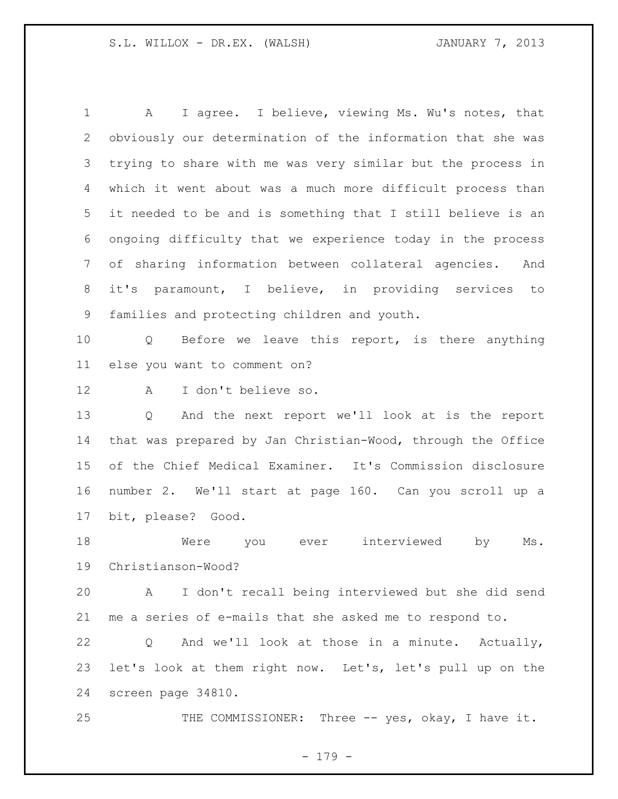1 A I agree. I believe, viewing Ms. Wu's notes, that obviously our determination of the information that she was trying to share with me was very similar but the process in which it went about was a much more difficult process than it needed to be and is something that I still believe is an ongoing difficulty that we experience today in the process of sharing information between collateral agencies. And it's paramount, I believe, in providing services to families and protecting children and youth. Q Before we leave this report, is there anything

else you want to comment on?

A I don't believe so.

 Q And the next report we'll look at is the report that was prepared by Jan Christian-Wood, through the Office of the Chief Medical Examiner. It's Commission disclosure number 2. We'll start at page 160. Can you scroll up a bit, please? Good.

18 Were you ever interviewed by Ms. Christianson-Wood?

 A I don't recall being interviewed but she did send me a series of e-mails that she asked me to respond to.

 Q And we'll look at those in a minute. Actually, let's look at them right now. Let's, let's pull up on the screen page 34810.

25 THE COMMISSIONER: Three -- yes, okay, I have it.

- 179 -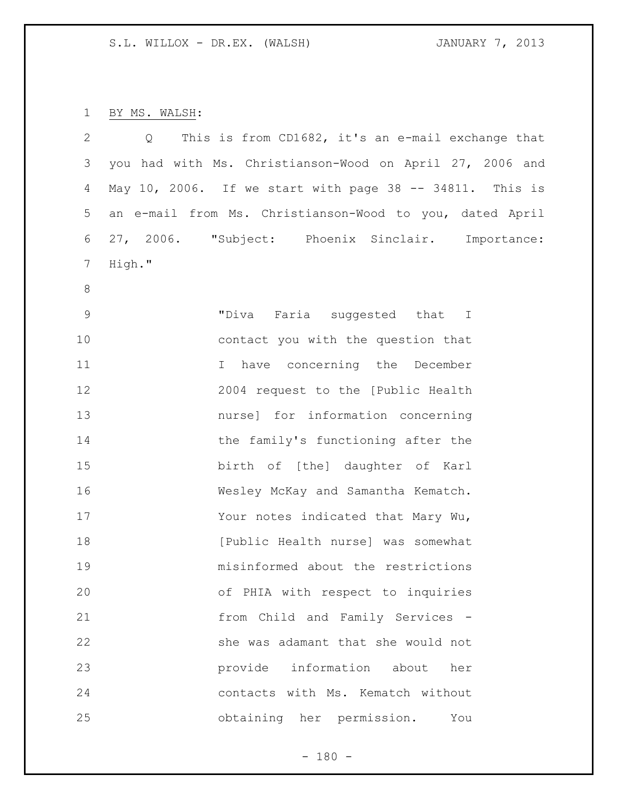BY MS. WALSH:

| $\overline{2}$ |        | Q This is from CD1682, it's an e-mail exchange that      |
|----------------|--------|----------------------------------------------------------|
| 3              |        | you had with Ms. Christianson-Wood on April 27, 2006 and |
| 4              |        | May 10, 2006. If we start with page 38 -- 34811. This is |
| 5              |        | an e-mail from Ms. Christianson-Wood to you, dated April |
| 6              |        | 27, 2006. "Subject: Phoenix Sinclair. Importance:        |
| 7              | High." |                                                          |
| $8\,$          |        |                                                          |
| $\mathsf 9$    |        | "Diva Faria suggested that I                             |
| 10             |        | contact you with the question that                       |
| 11             |        | I have concerning the December                           |
| 12             |        | 2004 request to the [Public Health                       |
| 13             |        | nurse] for information concerning                        |
| 14             |        | the family's functioning after the                       |
| 15             |        | birth of [the] daughter of Karl                          |
| 16             |        | Wesley McKay and Samantha Kematch.                       |
| 17             |        | Your notes indicated that Mary Wu,                       |
| 18             |        | [Public Health nurse] was somewhat                       |
| 19             |        | misinformed about the restrictions                       |
| 20             |        | of PHIA with respect to inquiries                        |
| 21             |        | from Child and Family Services -                         |
| 22             |        | she was adamant that she would not                       |
| 23             |        | provide information about<br>her                         |
| 24             |        | contacts with Ms. Kematch without                        |
| 25             |        | obtaining her permission.<br>You                         |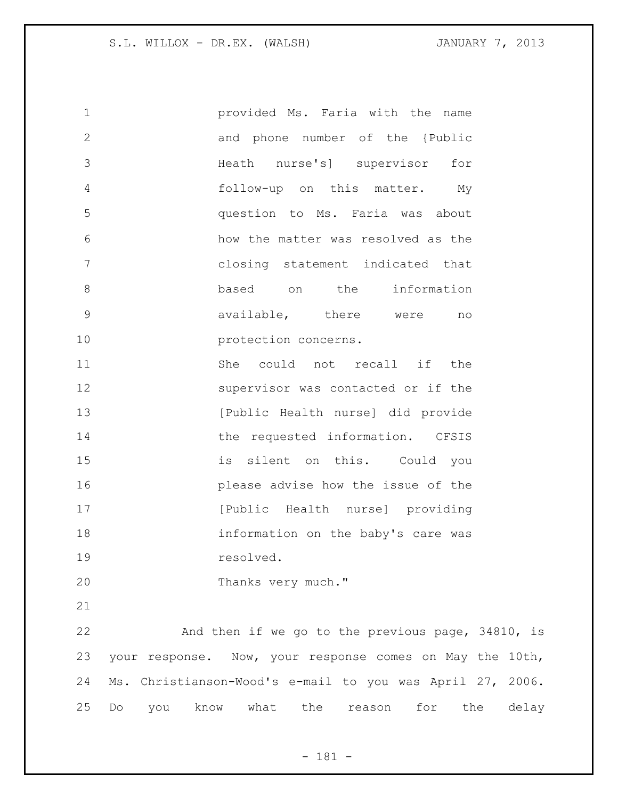provided Ms. Faria with the name and phone number of the {Public Heath nurse's] supervisor for follow-up on this matter. My question to Ms. Faria was about how the matter was resolved as the closing statement indicated that based on the information available, there were no **protection** concerns. She could not recall if the supervisor was contacted or if the [Public Health nurse] did provide 14 the requested information. CFSIS is silent on this. Could you please advise how the issue of the **17** [Public Health nurse] providing information on the baby's care was resolved. 20 Thanks very much." And then if we go to the previous page, 34810, is your response. Now, your response comes on May the 10th, Ms. Christianson-Wood's e-mail to you was April 27, 2006.

Do you know what the reason for the delay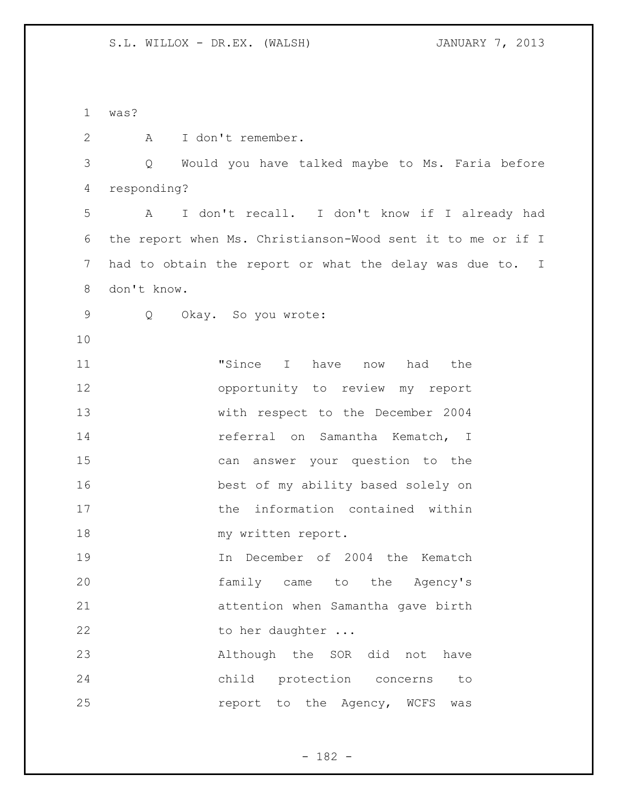was? A I don't remember. Q Would you have talked maybe to Ms. Faria before responding? A I don't recall. I don't know if I already had the report when Ms. Christianson-Wood sent it to me or if I had to obtain the report or what the delay was due to. I don't know. Q Okay. So you wrote: "Since I have now had the opportunity to review my report with respect to the December 2004 **14** referral on Samantha Kematch, I can answer your question to the best of my ability based solely on the information contained within 18 my written report. In December of 2004 the Kematch family came to the Agency's attention when Samantha gave birth 22 to her daughter ... Although the SOR did not have child protection concerns to **report to the Agency, WCFS was**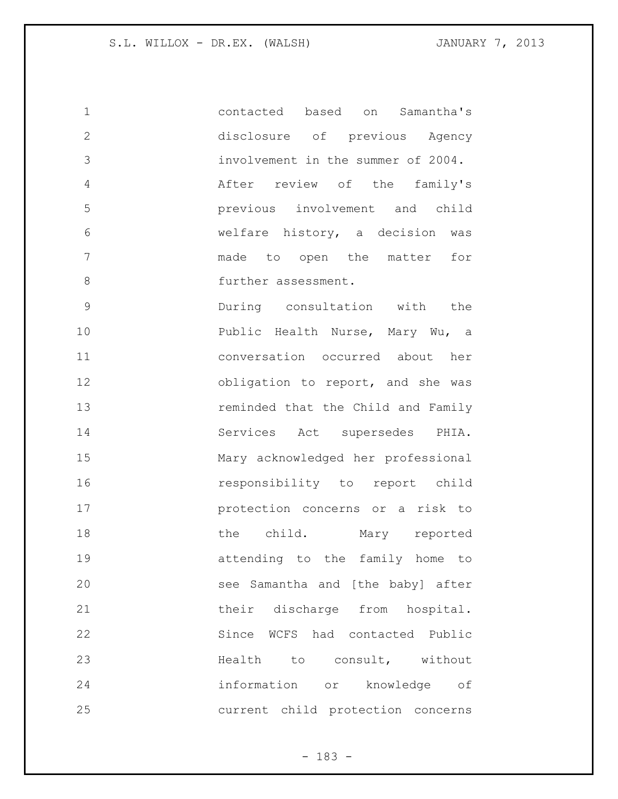contacted based on Samantha's disclosure of previous Agency involvement in the summer of 2004. After review of the family's previous involvement and child welfare history, a decision was made to open the matter for 8 further assessment. During consultation with the **Public Health Nurse, Mary Wu, a**  conversation occurred about her 12 obligation to report, and she was reminded that the Child and Family Services Act supersedes PHIA. Mary acknowledged her professional **16** responsibility to report child protection concerns or a risk to 18 the child. Mary reported attending to the family home to see Samantha and [the baby] after 21 their discharge from hospital. Since WCFS had contacted Public 23 Health to consult, without information or knowledge of current child protection concerns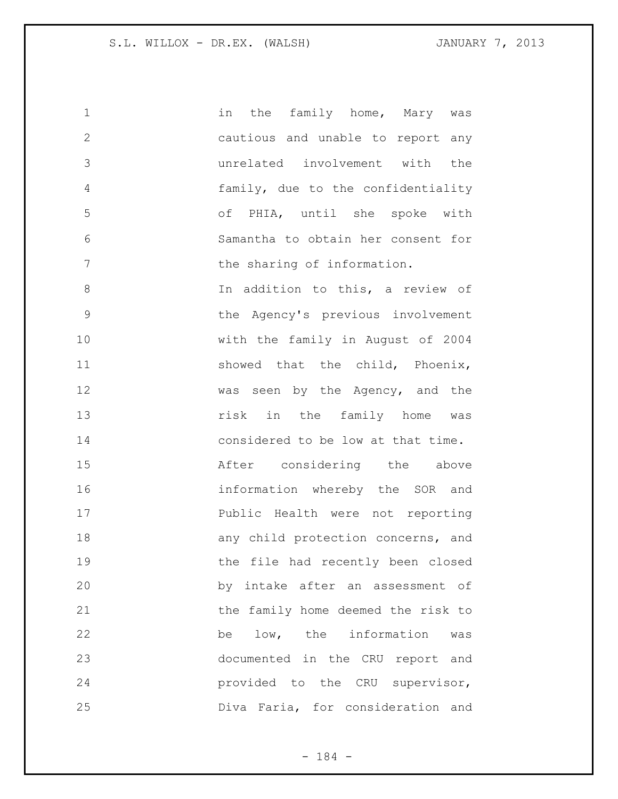| $\mathbf 1$   | in the family home, Mary was       |
|---------------|------------------------------------|
| $\mathbf{2}$  | cautious and unable to report any  |
| 3             | unrelated involvement with the     |
| 4             | family, due to the confidentiality |
| 5             | of PHIA, until she spoke with      |
| 6             | Samantha to obtain her consent for |
| 7             | the sharing of information.        |
| 8             | In addition to this, a review of   |
| $\mathcal{G}$ | the Agency's previous involvement  |
| 10            | with the family in August of 2004  |
| 11            | showed that the child, Phoenix,    |
| 12            | was seen by the Agency, and the    |
| 13            | risk in the family home was        |
| 14            | considered to be low at that time. |
| 15            | After considering the above        |
| 16            | information whereby the SOR and    |
| 17            | Public Health were not reporting   |
| 18            | any child protection concerns, and |
| 19            | the file had recently been closed  |
| 20            | by intake after an assessment of   |
| 21            | the family home deemed the risk to |
| 22            | be low, the information<br>was     |
| 23            | documented in the CRU report and   |
| 24            | provided to the CRU supervisor,    |
| 25            | Diva Faria, for consideration and  |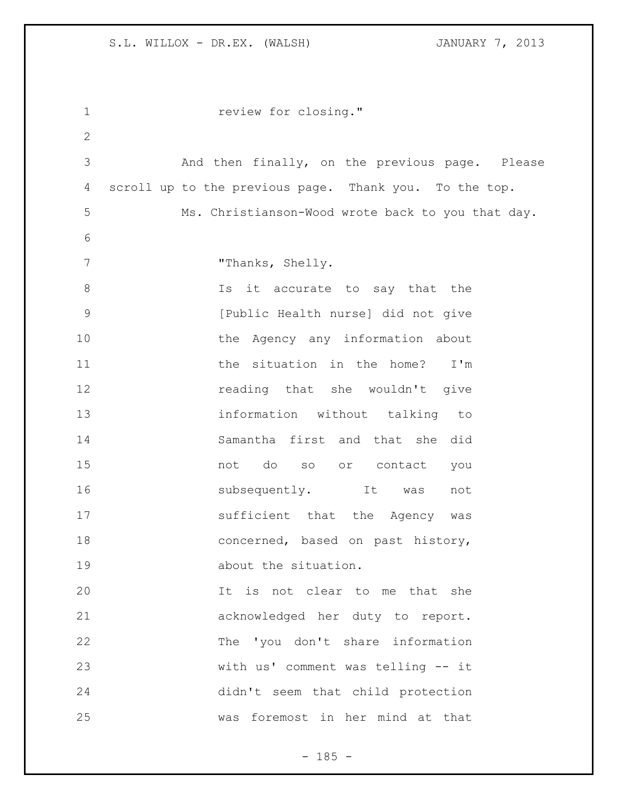| 1              | review for closing."                                   |
|----------------|--------------------------------------------------------|
| $\mathbf{2}$   |                                                        |
| 3              | And then finally, on the previous page. Please         |
| $\overline{4}$ | scroll up to the previous page. Thank you. To the top. |
| 5              | Ms. Christianson-Wood wrote back to you that day.      |
| 6              |                                                        |
| 7              | "Thanks, Shelly.                                       |
| $8\,$          | it accurate to say that the<br>Is                      |
| $\mathsf 9$    | [Public Health nurse] did not give                     |
| 10             | the Agency any information about                       |
| 11             | the situation in the home? I'm                         |
| 12             | reading that she wouldn't give                         |
| 13             | information without talking to                         |
| 14             | Samantha first and that she did                        |
| 15             | not do<br>so or contact you                            |
| 16             | subsequently. It<br>not<br>was                         |
| 17             | sufficient that the Agency was                         |
| 18             | concerned, based on past history,                      |
| 19             | about the situation.                                   |
| 20             | It is not clear to me that she                         |
| 21             | acknowledged her duty to report.                       |
| 22             | The 'you don't share information                       |
| 23             | with us' comment was telling -- it                     |
| 24             | didn't seem that child protection                      |
| 25             | was foremost in her mind at that                       |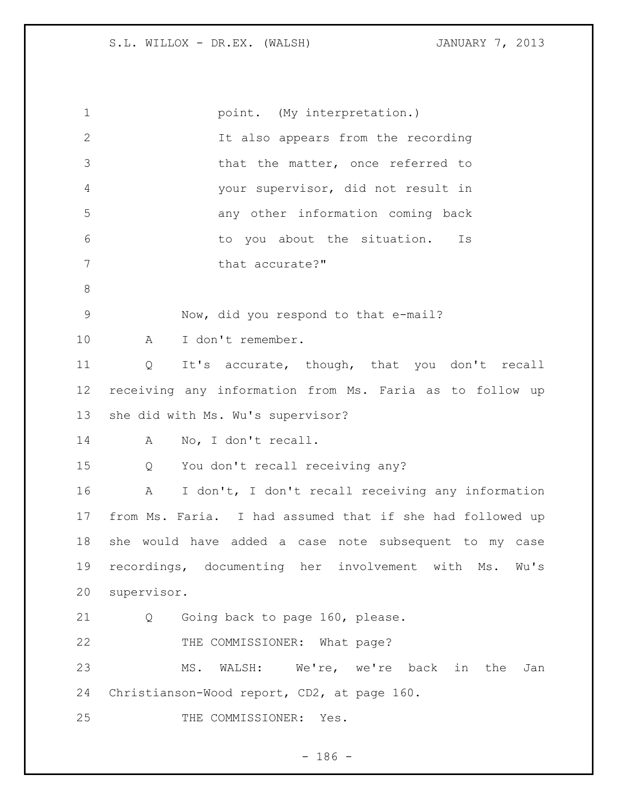S.L. WILLOX - DR.EX. (WALSH) (3.1)

| $\mathbf 1$     | point. (My interpretation.)                               |
|-----------------|-----------------------------------------------------------|
| $\overline{2}$  | It also appears from the recording                        |
| 3               | that the matter, once referred to                         |
| $\overline{4}$  | your supervisor, did not result in                        |
| 5               | any other information coming back                         |
| 6               | to you about the situation.<br>Is                         |
| $7\phantom{.0}$ | that accurate?"                                           |
| $\,8\,$         |                                                           |
| $\mathcal{G}$   | Now, did you respond to that e-mail?                      |
| 10              | I don't remember.<br>A                                    |
| 11              | It's accurate, though, that you don't recall<br>Q         |
| 12              | receiving any information from Ms. Faria as to follow up  |
| 13              | she did with Ms. Wu's supervisor?                         |
| 14              | No, I don't recall.<br>A                                  |
| 15              | You don't recall receiving any?<br>Q                      |
| 16              | I don't, I don't recall receiving any information<br>A    |
| 17              | from Ms. Faria. I had assumed that if she had followed up |
| 18              | she would have added a case note subsequent to my case    |
| 19              | recordings, documenting her involvement with Ms.<br>Wu's  |
| 20              | supervisor.                                               |
| 21              | Going back to page 160, please.<br>Q                      |
| 22              | THE COMMISSIONER: What page?                              |
| 23              | WALSH: We're, we're back<br>MS.<br>in the<br>Jan          |
| 24              | Christianson-Wood report, CD2, at page 160.               |
| 25              | THE COMMISSIONER:<br>Yes.                                 |

- 186 -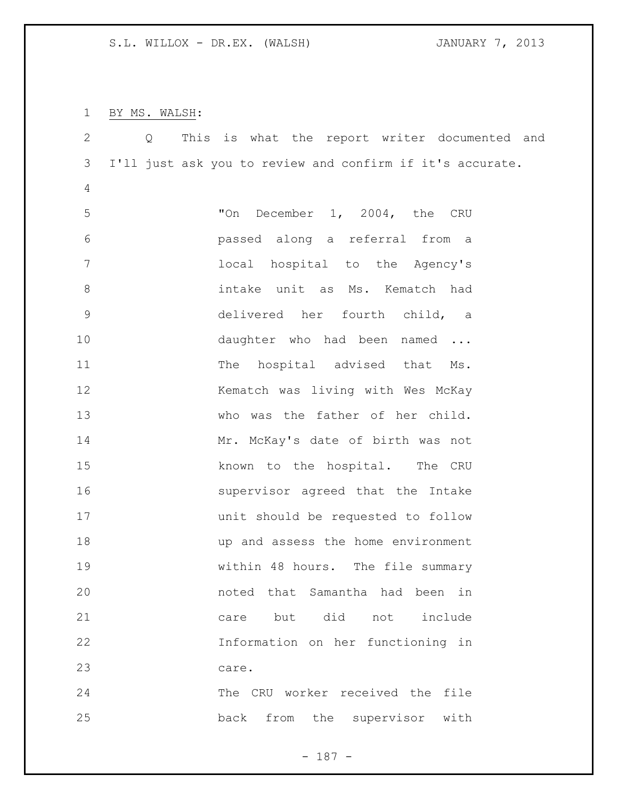BY MS. WALSH:

| $\overline{2}$ | Q | This is what the report writer documented and             |
|----------------|---|-----------------------------------------------------------|
| 3              |   | I'll just ask you to review and confirm if it's accurate. |
| 4              |   |                                                           |
| 5              |   | "On December 1, 2004, the CRU                             |
| 6              |   | passed along a referral from a                            |
| 7              |   | local hospital to the Agency's                            |
| $\,8\,$        |   | intake unit as Ms. Kematch had                            |
| $\mathsf 9$    |   | delivered her fourth child, a                             |
| 10             |   | daughter who had been named                               |
| 11             |   | The hospital advised that Ms.                             |
| 12             |   | Kematch was living with Wes McKay                         |
| 13             |   | who was the father of her child.                          |
| 14             |   | Mr. McKay's date of birth was not                         |
| 15             |   | known to the hospital. The CRU                            |
| 16             |   | supervisor agreed that the Intake                         |
| 17             |   | unit should be requested to follow                        |
| 18             |   | up and assess the home environment                        |
| 19             |   | within 48 hours. The file summary                         |
| 20             |   | noted that Samantha had been in                           |
| 21             |   | did<br>not<br>include<br>care but                         |
| 22             |   | Information on her functioning in                         |
| 23             |   | care.                                                     |
| 24             |   | The CRU worker received the file                          |
| 25             |   | the supervisor<br>back<br>from<br>with                    |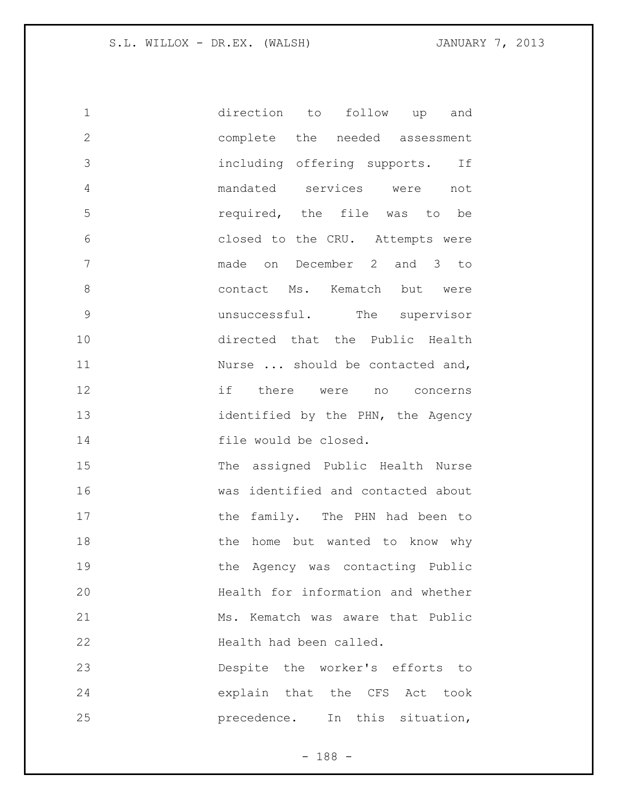S.L. WILLOX - DR.EX. (WALSH) (3.1)

| $\mathbf 1$   | direction to<br>follow up<br>and   |
|---------------|------------------------------------|
| $\mathbf{2}$  | complete the needed assessment     |
| 3             | including offering supports. If    |
| 4             | mandated services were<br>not      |
| 5             | required, the file was to be       |
| 6             | closed to the CRU. Attempts were   |
| 7             | made on December 2 and 3 to        |
| 8             | contact Ms. Kematch but were       |
| $\mathcal{G}$ | unsuccessful. The supervisor       |
| 10            | directed that the Public Health    |
| 11            | Nurse  should be contacted and,    |
| 12            | if there were no concerns          |
| 13            | identified by the PHN, the Agency  |
| 14            | file would be closed.              |
| 15            | The assigned Public Health Nurse   |
| 16            | was identified and contacted about |
| 17            | the family. The PHN had been to    |
| 18            | home but wanted to know why<br>the |
| 19            | the Agency was contacting Public   |
| 20            | Health for information and whether |
| 21            | Ms. Kematch was aware that Public  |
| 22            | Health had been called.            |
| 23            | Despite the worker's efforts to    |
| 24            | explain that the CFS Act took      |
| 25            | precedence. In this situation,     |

- 188 -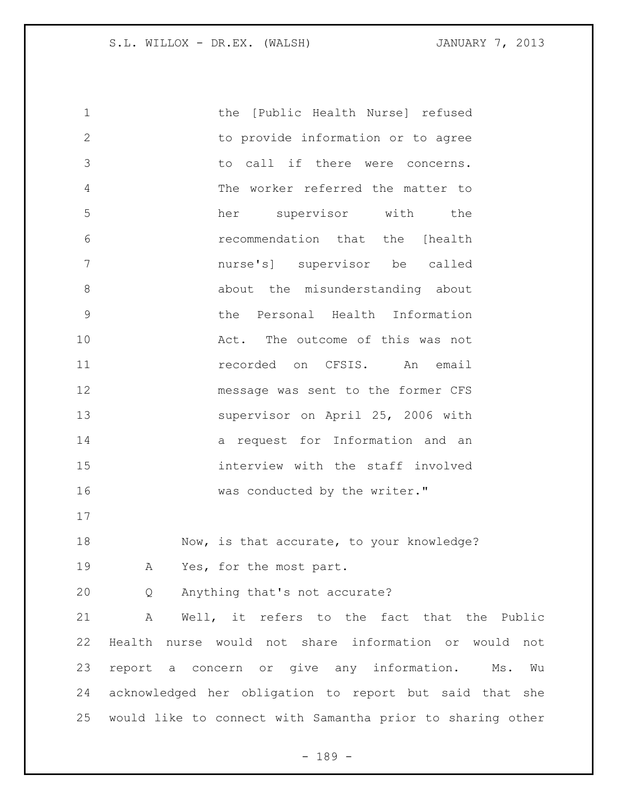the [Public Health Nurse] refused to provide information or to agree to call if there were concerns. The worker referred the matter to her supervisor with the recommendation that the [health nurse's] supervisor be called 8 about the misunderstanding about the Personal Health Information **Act.** The outcome of this was not recorded on CFSIS. An email message was sent to the former CFS supervisor on April 25, 2006 with 14 a request for Information and an interview with the staff involved 16 was conducted by the writer." 18 Now, is that accurate, to your knowledge? A Yes, for the most part. Q Anything that's not accurate? A Well, it refers to the fact that the Public Health nurse would not share information or would not report a concern or give any information. Ms. Wu acknowledged her obligation to report but said that she would like to connect with Samantha prior to sharing other

- 189 -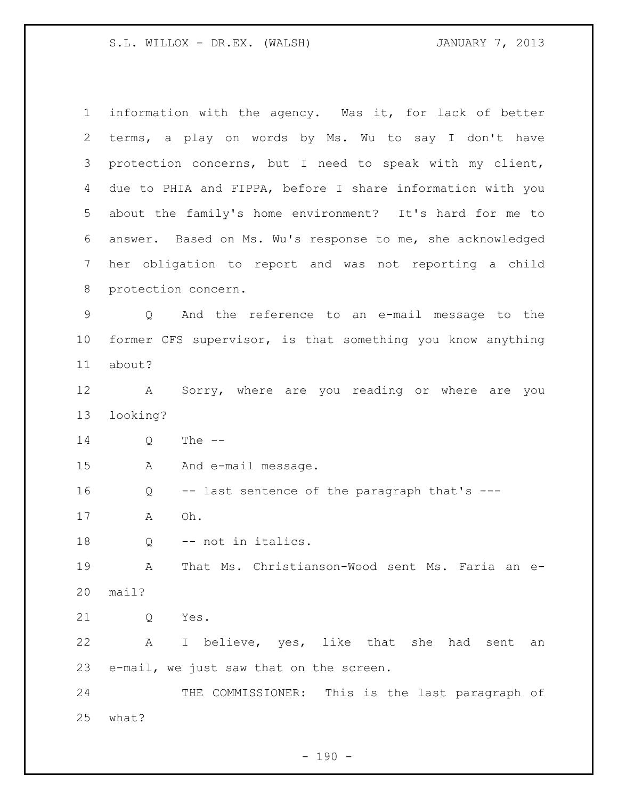information with the agency. Was it, for lack of better terms, a play on words by Ms. Wu to say I don't have protection concerns, but I need to speak with my client, due to PHIA and FIPPA, before I share information with you about the family's home environment? It's hard for me to answer. Based on Ms. Wu's response to me, she acknowledged her obligation to report and was not reporting a child protection concern. Q And the reference to an e-mail message to the former CFS supervisor, is that something you know anything about? A Sorry, where are you reading or where are you looking? Q The -- A And e-mail message. Q -- last sentence of the paragraph that's --- A Oh. 18 Q -- not in italics. A That Ms. Christianson-Wood sent Ms. Faria an e- mail? Q Yes. A I believe, yes, like that she had sent an e-mail, we just saw that on the screen. 24 THE COMMISSIONER: This is the last paragraph of what?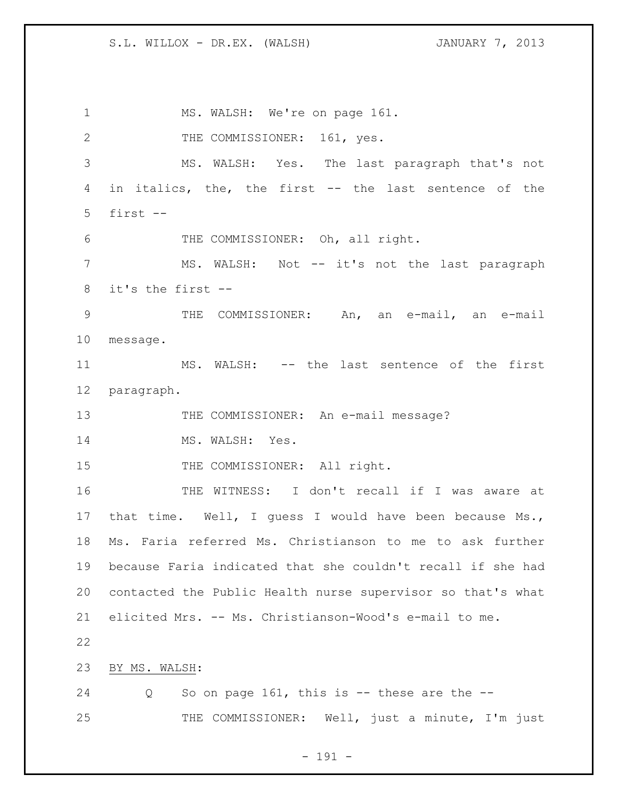1 MS. WALSH: We're on page 161. THE COMMISSIONER: 161, yes. MS. WALSH: Yes. The last paragraph that's not in italics, the, the first -- the last sentence of the first -- THE COMMISSIONER: Oh, all right. 7 MS. WALSH: Not -- it's not the last paragraph it's the first -- THE COMMISSIONER: An, an e-mail, an e-mail message. MS. WALSH: -- the last sentence of the first paragraph. 13 THE COMMISSIONER: An e-mail message? 14 MS. WALSH: Yes. 15 THE COMMISSIONER: All right. THE WITNESS: I don't recall if I was aware at 17 that time. Well, I guess I would have been because Ms., Ms. Faria referred Ms. Christianson to me to ask further because Faria indicated that she couldn't recall if she had contacted the Public Health nurse supervisor so that's what elicited Mrs. -- Ms. Christianson-Wood's e-mail to me. BY MS. WALSH: Q So on page 161, this is -- these are the -- 25 THE COMMISSIONER: Well, just a minute, I'm just

- 191 -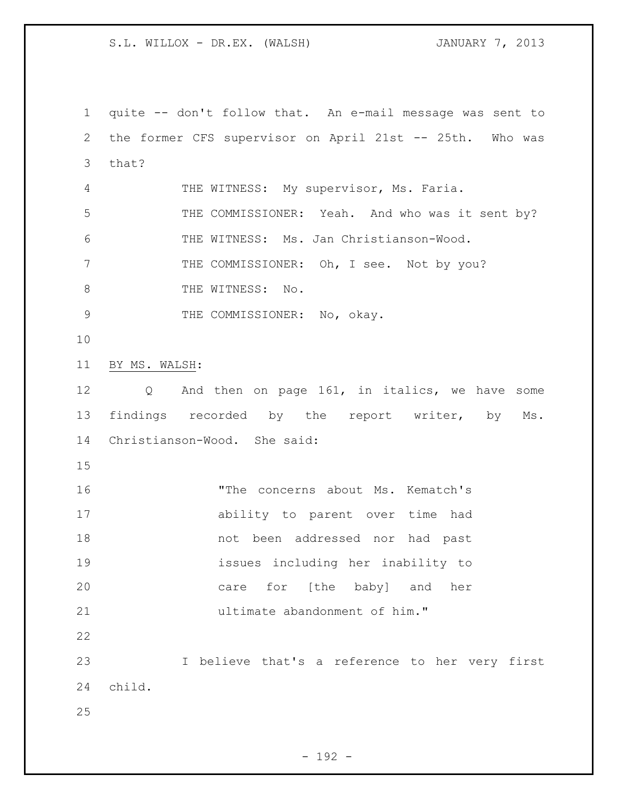quite -- don't follow that. An e-mail message was sent to the former CFS supervisor on April 21st -- 25th. Who was that? THE WITNESS: My supervisor, Ms. Faria. 5 THE COMMISSIONER: Yeah. And who was it sent by? THE WITNESS: Ms. Jan Christianson-Wood. 7 THE COMMISSIONER: Oh, I see. Not by you? 8 THE WITNESS: No. THE COMMISSIONER: No, okay. BY MS. WALSH: Q And then on page 161, in italics, we have some 13 findings recorded by the report writer, by Ms. Christianson-Wood. She said: "The concerns about Ms. Kematch's ability to parent over time had not been addressed nor had past issues including her inability to care for [the baby] and her ultimate abandonment of him." I believe that's a reference to her very first child.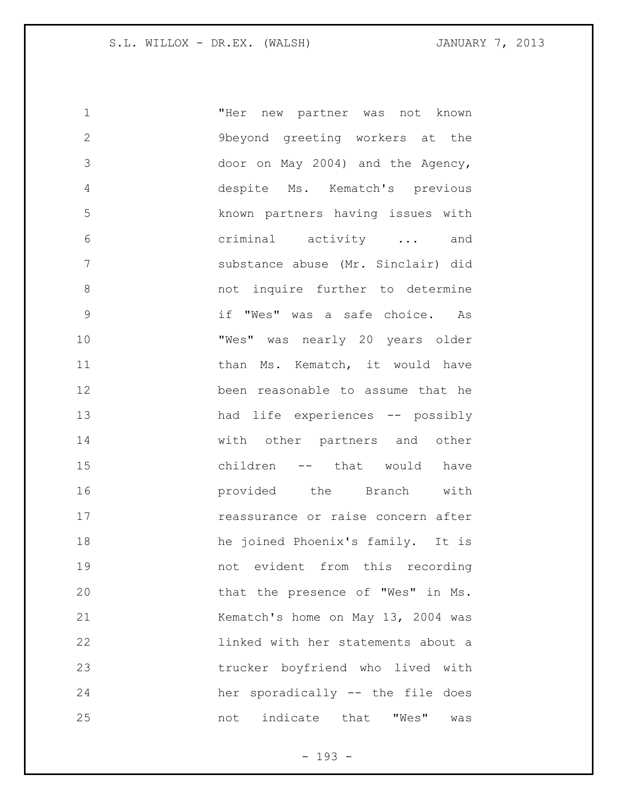| $\mathbf 1$   | "Her new partner was not known     |
|---------------|------------------------------------|
| $\mathbf{2}$  | 9beyond greeting workers at the    |
| 3             | door on May 2004) and the Agency,  |
| 4             | despite Ms. Kematch's previous     |
| 5             | known partners having issues with  |
| 6             | criminal activity  and             |
| 7             | substance abuse (Mr. Sinclair) did |
| 8             | not inquire further to determine   |
| $\mathcal{G}$ | if "Wes" was a safe choice. As     |
| 10            | "Wes" was nearly 20 years older    |
| 11            | than Ms. Kematch, it would have    |
| 12            | been reasonable to assume that he  |
| 13            | had life experiences -- possibly   |
| 14            | with other partners and other      |
| 15            | children -- that would have        |
| 16            | provided the Branch with           |
| 17            | reassurance or raise concern after |
| 18            | he joined Phoenix's family. It is  |
| 19            | not evident from this recording    |
| 20            | that the presence of "Wes" in Ms.  |
| 21            | Kematch's home on May 13, 2004 was |
| 22            | linked with her statements about a |
| 23            | trucker boyfriend who lived with   |
| 24            | her sporadically -- the file does  |
| 25            | indicate that "Wes"<br>not<br>was  |

- 193 -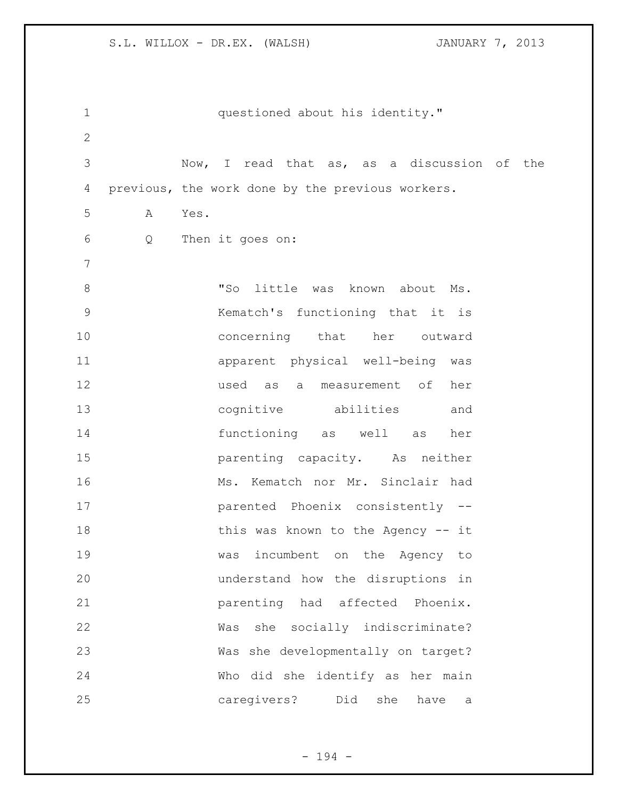| $\mathbf 1$   |   | questioned about his identity."                  |
|---------------|---|--------------------------------------------------|
| $\mathbf{2}$  |   |                                                  |
| 3             |   | Now, I read that as, as a discussion of the      |
| 4             |   | previous, the work done by the previous workers. |
| 5             | A | Yes.                                             |
| 6             | Q | Then it goes on:                                 |
| 7             |   |                                                  |
| 8             |   | "So little was known about Ms.                   |
| $\mathcal{G}$ |   | Kematch's functioning that it is                 |
| 10            |   | concerning that her outward                      |
| 11            |   | apparent physical well-being was                 |
| 12            |   | used as a<br>measurement of<br>her               |
| 13            |   | cognitive abilities<br>and                       |
| 14            |   | functioning as well as<br>her                    |
| 15            |   | parenting capacity. As neither                   |
| 16            |   | Ms. Kematch nor Mr. Sinclair had                 |
| 17            |   | parented Phoenix consistently --                 |
| 18            |   | this was known to the Agency -- it               |
| 19            |   | was incumbent on the Agency to                   |
| 20            |   | understand how the disruptions in                |
| 21            |   | parenting had affected Phoenix.                  |
| 22            |   | she socially indiscriminate?<br>Was              |
| 23            |   | Was she developmentally on target?               |
| 24            |   | Who did she identify as her main                 |
| 25            |   | caregivers?<br>Did<br>she<br>have<br>a           |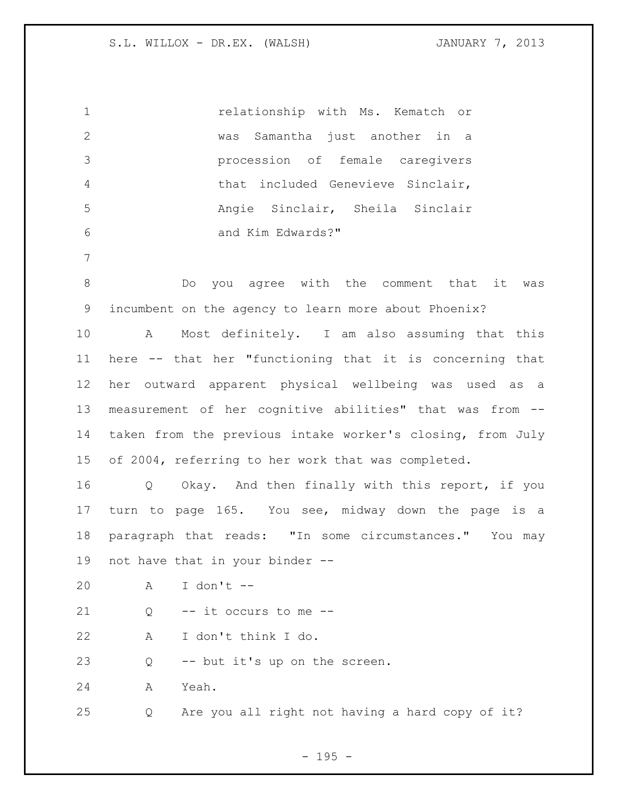| $\mathbf 1$     | relationship with Ms. Kematch or                           |
|-----------------|------------------------------------------------------------|
| $\mathbf{2}$    | was Samantha just another in a                             |
| 3               | procession of female caregivers                            |
| $\overline{4}$  | that included Genevieve Sinclair,                          |
| 5               | Angie Sinclair, Sheila Sinclair                            |
| 6               | and Kim Edwards?"                                          |
| $\overline{7}$  |                                                            |
| $\,8\,$         | Do you agree with the comment that it was                  |
| $\mathsf 9$     | incumbent on the agency to learn more about Phoenix?       |
| 10              | A Most definitely. I am also assuming that this            |
| 11              | here -- that her "functioning that it is concerning that   |
| 12              | her outward apparent physical wellbeing was used as a      |
| 13              | measurement of her cognitive abilities" that was from --   |
| 14              | taken from the previous intake worker's closing, from July |
| 15 <sub>1</sub> | of 2004, referring to her work that was completed.         |
| 16              | Q Okay. And then finally with this report, if you          |
| 17              | turn to page 165. You see, midway down the page is a       |
| 18              | paragraph that reads: "In some circumstances." You may     |
| 19              | not have that in your binder --                            |
| 20              | I don't $--$<br>A                                          |
| 21              | -- it occurs to me --<br>Q                                 |
| 22              | I don't think I do.<br>A                                   |
| 23              | -- but it's up on the screen.<br>Q                         |
| 24              | Yeah.<br>Α                                                 |
|                 |                                                            |
| 25              | Are you all right not having a hard copy of it?<br>Q       |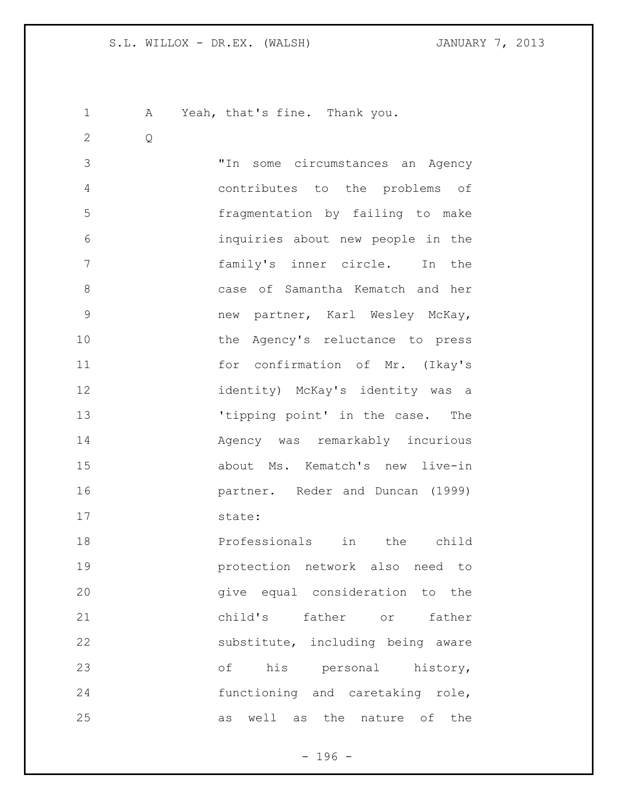- A Yeah, that's fine. Thank you.
- Q

 "In some circumstances an Agency contributes to the problems of fragmentation by failing to make inquiries about new people in the family's inner circle. In the case of Samantha Kematch and her new partner, Karl Wesley McKay, the Agency's reluctance to press for confirmation of Mr. (Ikay's identity) McKay's identity was a 13 The value of tipping point' in the case. The Agency was remarkably incurious about Ms. Kematch's new live-in partner. Reder and Duncan (1999) 17 state:

 Professionals in the child protection network also need to give equal consideration to the child's father or father substitute, including being aware of his personal history, functioning and caretaking role, as well as the nature of the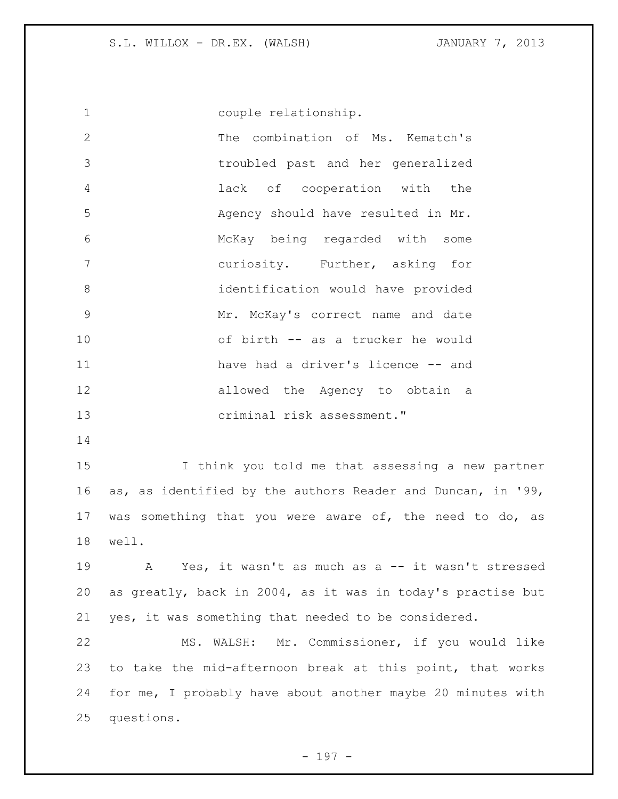couple relationship. The combination of Ms. Kematch's troubled past and her generalized lack of cooperation with the Agency should have resulted in Mr. McKay being regarded with some curiosity. Further, asking for identification would have provided Mr. McKay's correct name and date of birth -- as a trucker he would have had a driver's licence -- and allowed the Agency to obtain a criminal risk assessment."

 I think you told me that assessing a new partner as, as identified by the authors Reader and Duncan, in '99, was something that you were aware of, the need to do, as well.

 A Yes, it wasn't as much as a -- it wasn't stressed as greatly, back in 2004, as it was in today's practise but yes, it was something that needed to be considered.

 MS. WALSH: Mr. Commissioner, if you would like to take the mid-afternoon break at this point, that works for me, I probably have about another maybe 20 minutes with questions.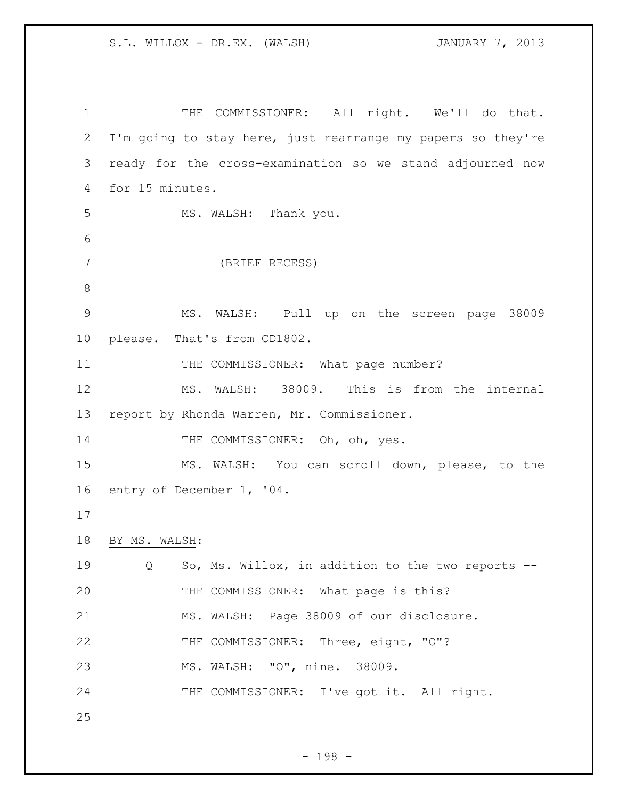1 THE COMMISSIONER: All right. We'll do that. I'm going to stay here, just rearrange my papers so they're ready for the cross-examination so we stand adjourned now for 15 minutes. MS. WALSH: Thank you. (BRIEF RECESS) MS. WALSH: Pull up on the screen page 38009 please. That's from CD1802. 11 THE COMMISSIONER: What page number? MS. WALSH: 38009. This is from the internal report by Rhonda Warren, Mr. Commissioner. 14 THE COMMISSIONER: Oh, oh, yes. MS. WALSH: You can scroll down, please, to the entry of December 1, '04. BY MS. WALSH: Q So, Ms. Willox, in addition to the two reports -- 20 THE COMMISSIONER: What page is this? MS. WALSH: Page 38009 of our disclosure. 22 THE COMMISSIONER: Three, eight, "O"? MS. WALSH: "O", nine. 38009. 24 THE COMMISSIONER: I've got it. All right.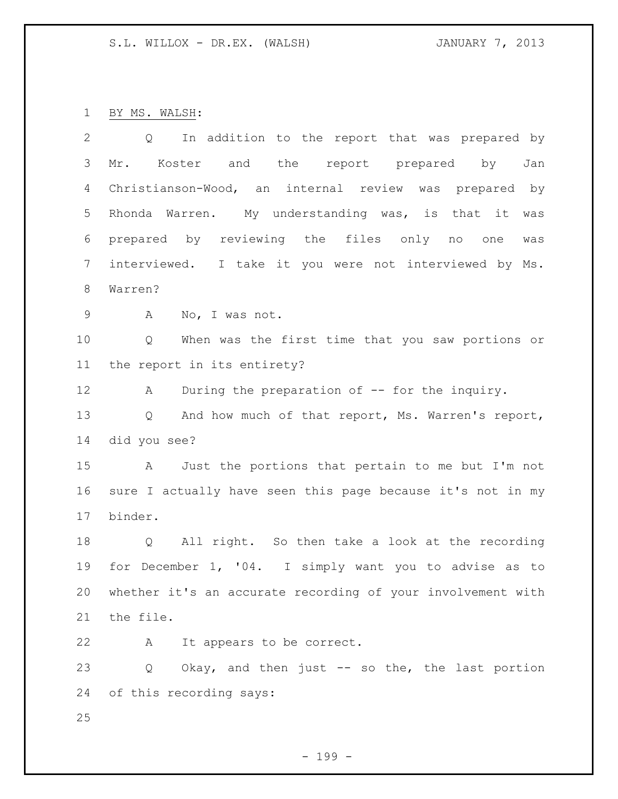BY MS. WALSH:

| $\overline{2}$ | In addition to the report that was prepared by<br>Q                    |
|----------------|------------------------------------------------------------------------|
| 3              | Koster and the report prepared by<br>Mr.<br>Jan                        |
| 4              | Christianson-Wood, an internal review was prepared by                  |
| 5              | Rhonda Warren. My understanding was, is that it was                    |
| 6              | prepared by reviewing the files only no one<br>was                     |
| 7              | interviewed. I take it you were not interviewed by Ms.                 |
| 8              | Warren?                                                                |
| $\mathsf 9$    | No, I was not.<br>A                                                    |
| 10             | When was the first time that you saw portions or<br>$Q \qquad \qquad$  |
| 11             | the report in its entirety?                                            |
| 12             | During the preparation of -- for the inquiry.<br>A                     |
| 13             | And how much of that report, Ms. Warren's report,<br>$Q \qquad \qquad$ |
| 14             | did you see?                                                           |
| 15             | A Just the portions that pertain to me but I'm not                     |
| 16             | sure I actually have seen this page because it's not in my             |
| 17             | binder.                                                                |
| 18             | All right. So then take a look at the recording<br>$Q \qquad \qquad$   |
| 19             | for December 1, '04. I simply want you to advise as to                 |
| 20             | whether it's an accurate recording of your involvement with            |
| 21             | the file.                                                              |
| 22             | It appears to be correct.<br>Α                                         |
| 23             | Okay, and then just -- so the, the last portion<br>Q                   |
| 24             | of this recording says:                                                |
| 25             |                                                                        |

- 199 -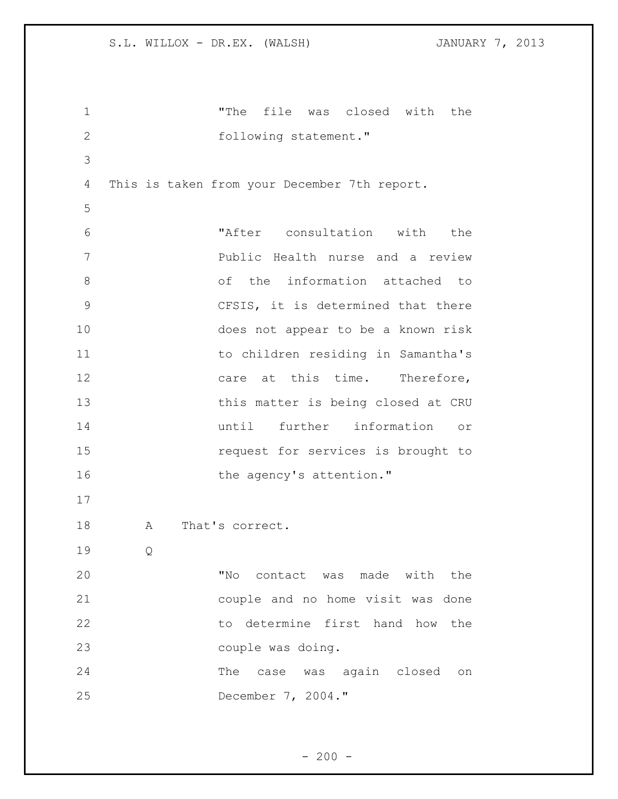```
1 "The file was closed with the 
2 following statement."
3
4 This is taken from your December 7th report.
5
6 "After consultation with the 
7 Public Health nurse and a review 
8 of the information attached to 
9 CFSIS, it is determined that there 
10 does not appear to be a known risk 
11 to children residing in Samantha's 
12 care at this time. Therefore,
13 this matter is being closed at CRU 
14 until further information or 
15 15 request for services is brought to
16 the agency's attention."
17
18 A That's correct.
19 Q
20 "No contact was made with the 
21 couple and no home visit was done 
22 to determine first hand how the 
23 couple was doing. 
24 The case was again closed on 
25 December 7, 2004."
```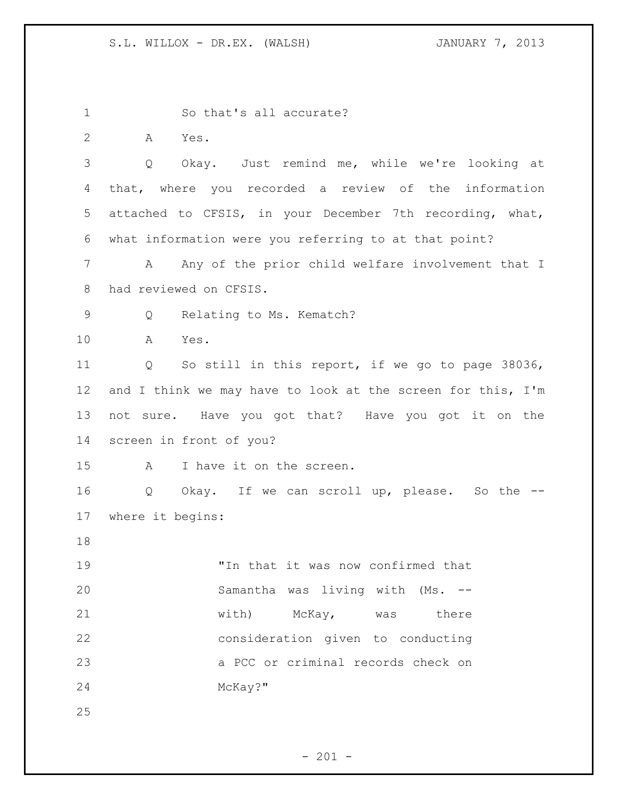So that's all accurate? A Yes. Q Okay. Just remind me, while we're looking at that, where you recorded a review of the information attached to CFSIS, in your December 7th recording, what, what information were you referring to at that point? A Any of the prior child welfare involvement that I had reviewed on CFSIS. Q Relating to Ms. Kematch? A Yes. Q So still in this report, if we go to page 38036, 12 and I think we may have to look at the screen for this, I'm not sure. Have you got that? Have you got it on the screen in front of you? A I have it on the screen. Q Okay. If we can scroll up, please. So the -- where it begins: "In that it was now confirmed that Samantha was living with (Ms. -- 21 with) McKay, was there consideration given to conducting a PCC or criminal records check on McKay?"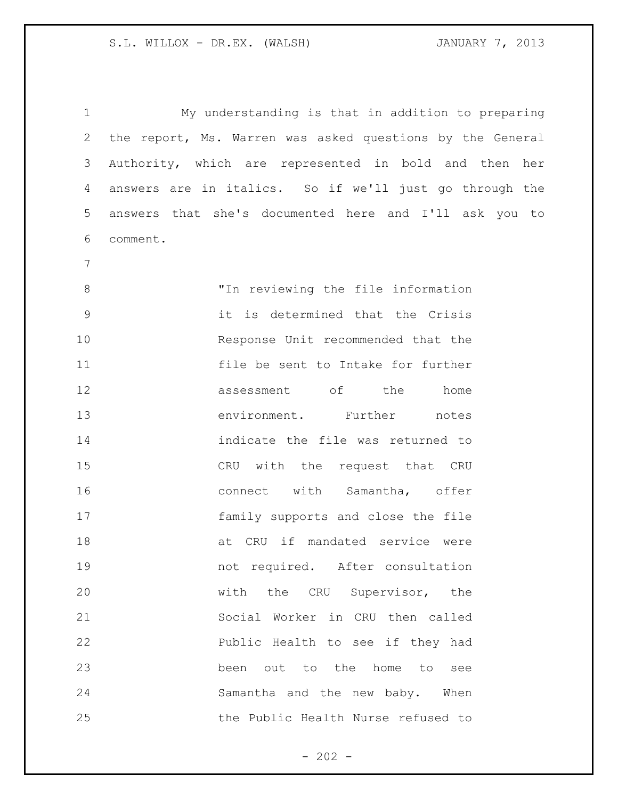My understanding is that in addition to preparing the report, Ms. Warren was asked questions by the General Authority, which are represented in bold and then her answers are in italics. So if we'll just go through the answers that she's documented here and I'll ask you to comment. "In reviewing the file information it is determined that the Crisis Response Unit recommended that the file be sent to Intake for further **assessment** of the home environment. Further notes indicate the file was returned to CRU with the request that CRU 16 connect with Samantha, offer family supports and close the file at CRU if mandated service were not required. After consultation with the CRU Supervisor, the Social Worker in CRU then called Public Health to see if they had been out to the home to see Samantha and the new baby. When the Public Health Nurse refused to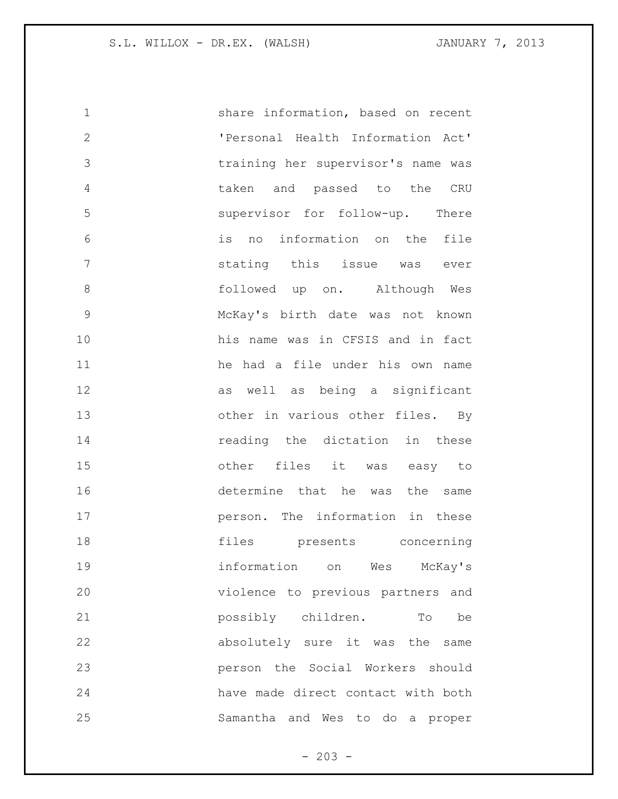share information, based on recent 'Personal Health Information Act' training her supervisor's name was taken and passed to the CRU supervisor for follow-up. There is no information on the file stating this issue was ever followed up on. Although Wes McKay's birth date was not known his name was in CFSIS and in fact he had a file under his own name as well as being a significant other in various other files. By **reading** the dictation in these other files it was easy to determine that he was the same person. The information in these files presents concerning information on Wes McKay's violence to previous partners and possibly children. To be absolutely sure it was the same person the Social Workers should have made direct contact with both Samantha and Wes to do a proper

 $- 203 -$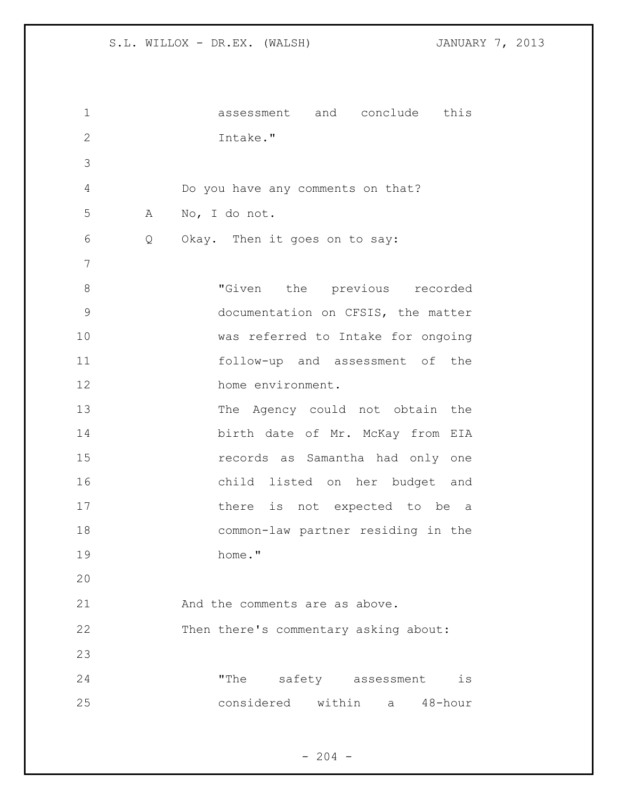| $\mathbf 1$  |   | assessment and conclude this          |
|--------------|---|---------------------------------------|
| $\mathbf{2}$ |   | Intake."                              |
| 3            |   |                                       |
| 4            |   | Do you have any comments on that?     |
| 5            | А | No, I do not.                         |
| 6            | Q | Okay. Then it goes on to say:         |
| 7            |   |                                       |
| $8\,$        |   | "Given the previous recorded          |
| $\mathsf{S}$ |   | documentation on CFSIS, the matter    |
| 10           |   | was referred to Intake for ongoing    |
| 11           |   | follow-up and assessment of the       |
| 12           |   | home environment.                     |
| 13           |   | The Agency could not obtain the       |
| 14           |   | birth date of Mr. McKay from EIA      |
| 15           |   | records as Samantha had only one      |
| 16           |   | child listed on her budget and        |
| 17           |   | there is not expected to be a         |
| 18           |   | common-law partner residing in the    |
| 19           |   | home."                                |
| 20           |   |                                       |
| 21           |   | And the comments are as above.        |
| 22           |   | Then there's commentary asking about: |
| 23           |   |                                       |
| 24           |   | "The safety assessment<br>is          |
| 25           |   | considered within a 48-hour           |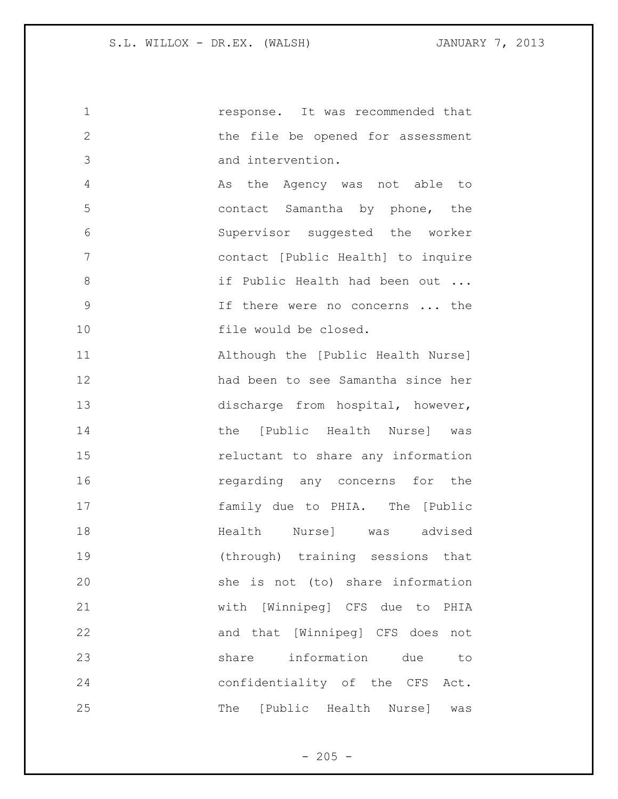response. It was recommended that the file be opened for assessment and intervention. As the Agency was not able to contact Samantha by phone, the Supervisor suggested the worker contact [Public Health] to inquire 8 if Public Health had been out ... If there were no concerns ... the 10 file would be closed. Although the [Public Health Nurse] had been to see Samantha since her 13 discharge from hospital, however, **the [Public Health Nurse] was**  reluctant to share any information **16** regarding any concerns for the family due to PHIA. The [Public Health Nurse] was advised (through) training sessions that she is not (to) share information with [Winnipeg] CFS due to PHIA and that [Winnipeg] CFS does not share information due to confidentiality of the CFS Act. 25 The [Public Health Nurse] was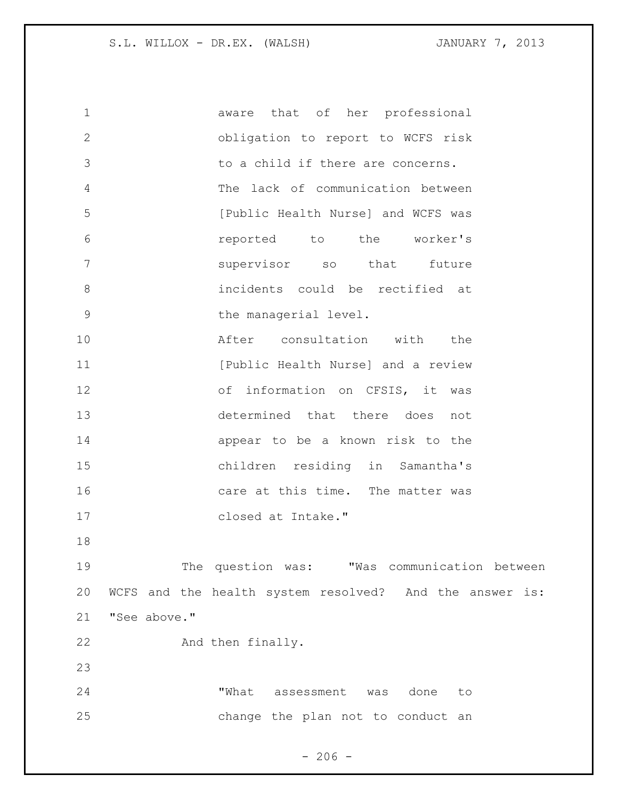aware that of her professional obligation to report to WCFS risk to a child if there are concerns. The lack of communication between [Public Health Nurse] and WCFS was reported to the worker's supervisor so that future incidents could be rectified at 9 blue managerial level. 10 After consultation with the **11** [Public Health Nurse] and a review of information on CFSIS, it was determined that there does not appear to be a known risk to the children residing in Samantha's 16 care at this time. The matter was closed at Intake." The question was: "Was communication between WCFS and the health system resolved? And the answer is: "See above." And then finally. "What assessment was done to change the plan not to conduct an

 $-206 -$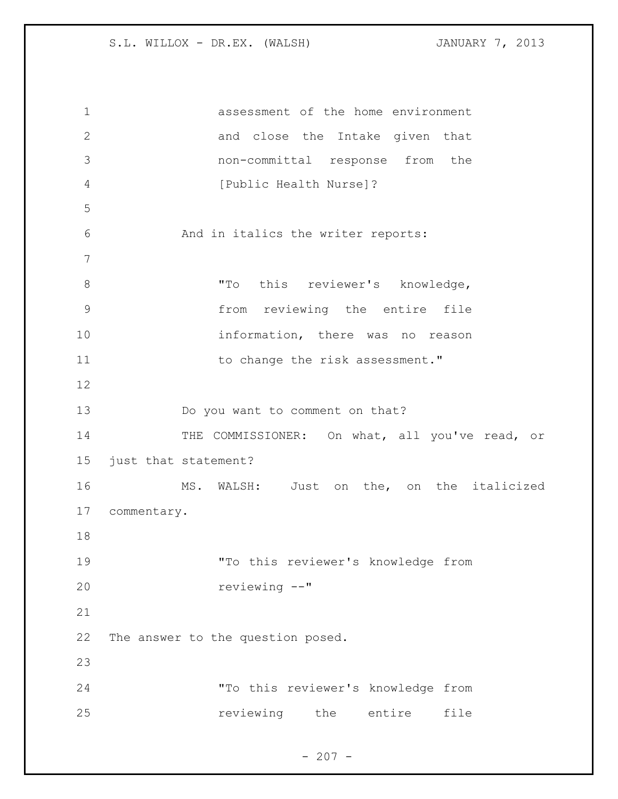assessment of the home environment and close the Intake given that non-committal response from the [Public Health Nurse]? And in italics the writer reports: 8 TTo this reviewer's knowledge, from reviewing the entire file information, there was no reason 11 to change the risk assessment." Do you want to comment on that? 14 THE COMMISSIONER: On what, all you've read, or just that statement? MS. WALSH: Just on the, on the italicized commentary. "To this reviewer's knowledge from reviewing --" The answer to the question posed. "To this reviewer's knowledge from **reviewing** the entire file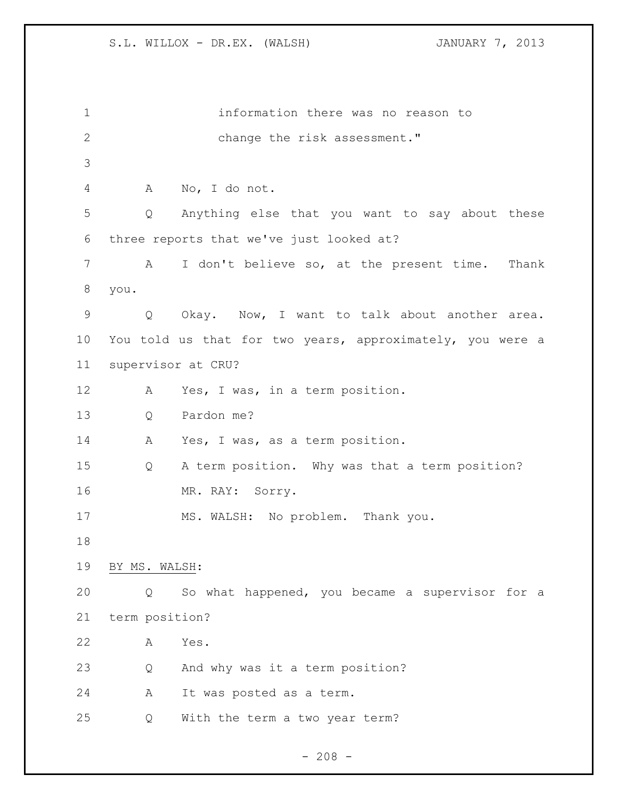| 1              |                   | information there was no reason to                        |
|----------------|-------------------|-----------------------------------------------------------|
| $\mathbf{2}$   |                   | change the risk assessment."                              |
| 3              |                   |                                                           |
| 4              | A                 | No, I do not.                                             |
| 5              | Q                 | Anything else that you want to say about these            |
| 6              |                   | three reports that we've just looked at?                  |
| $\overline{7}$ | A                 | I don't believe so, at the present time.<br>Thank         |
| 8              | you.              |                                                           |
| 9              | $Q \qquad \qquad$ | Okay. Now, I want to talk about another area.             |
| 10             |                   | You told us that for two years, approximately, you were a |
| 11             |                   | supervisor at CRU?                                        |
| 12             | A                 | Yes, I was, in a term position.                           |
| 13             | $\overline{Q}$    | Pardon me?                                                |
| 14             | A                 | Yes, I was, as a term position.                           |
| 15             | Q                 | A term position. Why was that a term position?            |
| 16             |                   | MR. RAY: Sorry.                                           |
| 17             |                   | MS. WALSH: No problem. Thank you.                         |
| 18             |                   |                                                           |
| 19             | BY MS. WALSH:     |                                                           |
| 20             | Q                 | So what happened, you became a supervisor for a           |
| 21             | term position?    |                                                           |
| 22             | Α                 | Yes.                                                      |
| 23             | Q                 | And why was it a term position?                           |
| 24             | A                 | It was posted as a term.                                  |
| 25             | Q                 | With the term a two year term?                            |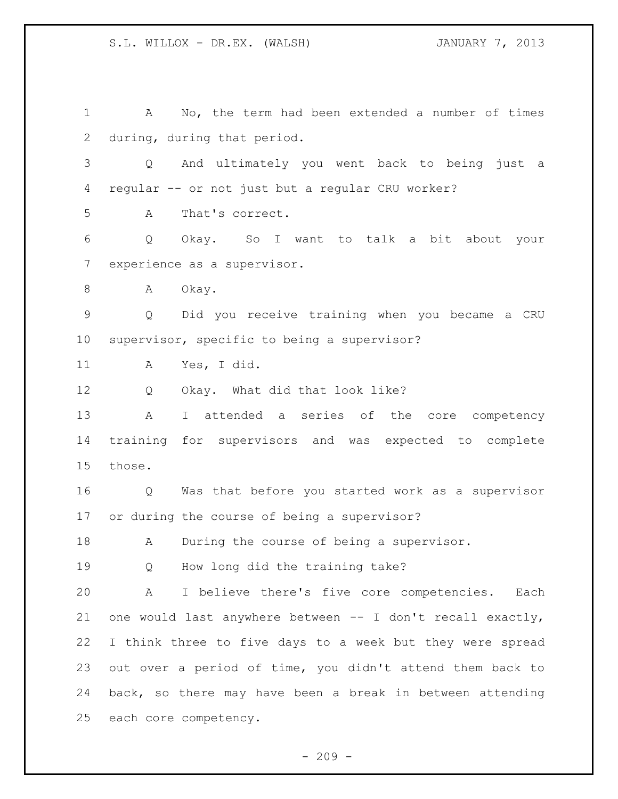A No, the term had been extended a number of times during, during that period. Q And ultimately you went back to being just a regular -- or not just but a regular CRU worker? A That's correct. Q Okay. So I want to talk a bit about your experience as a supervisor. 8 A Okay. Q Did you receive training when you became a CRU supervisor, specific to being a supervisor? A Yes, I did. Q Okay. What did that look like? A I attended a series of the core competency training for supervisors and was expected to complete those. Q Was that before you started work as a supervisor or during the course of being a supervisor? 18 A During the course of being a supervisor. Q How long did the training take? A I believe there's five core competencies. Each one would last anywhere between -- I don't recall exactly, I think three to five days to a week but they were spread out over a period of time, you didn't attend them back to back, so there may have been a break in between attending each core competency.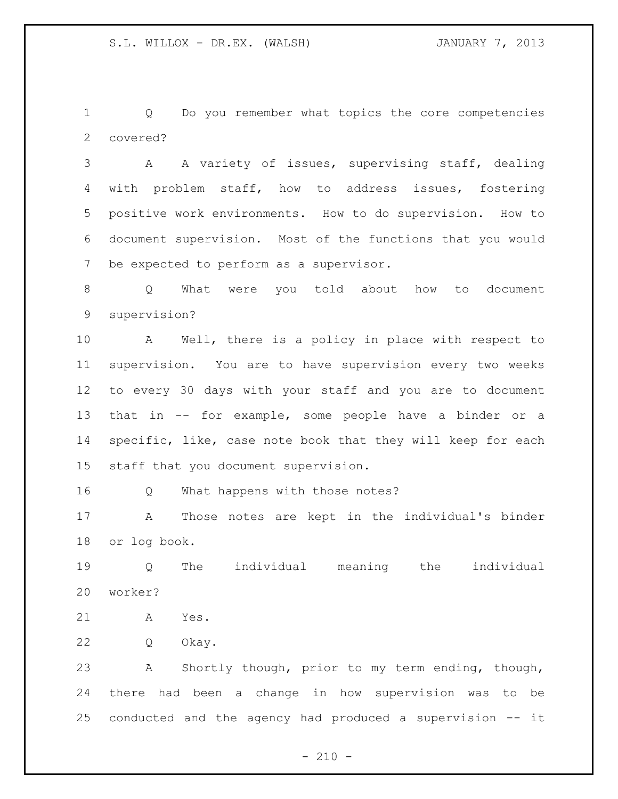Q Do you remember what topics the core competencies covered?

 A A variety of issues, supervising staff, dealing with problem staff, how to address issues, fostering positive work environments. How to do supervision. How to document supervision. Most of the functions that you would be expected to perform as a supervisor.

 Q What were you told about how to document supervision?

 A Well, there is a policy in place with respect to supervision. You are to have supervision every two weeks to every 30 days with your staff and you are to document that in -- for example, some people have a binder or a specific, like, case note book that they will keep for each staff that you document supervision.

Q What happens with those notes?

 A Those notes are kept in the individual's binder or log book.

 Q The individual meaning the individual worker?

A Yes.

Q Okay.

 A Shortly though, prior to my term ending, though, there had been a change in how supervision was to be conducted and the agency had produced a supervision -- it

 $- 210 -$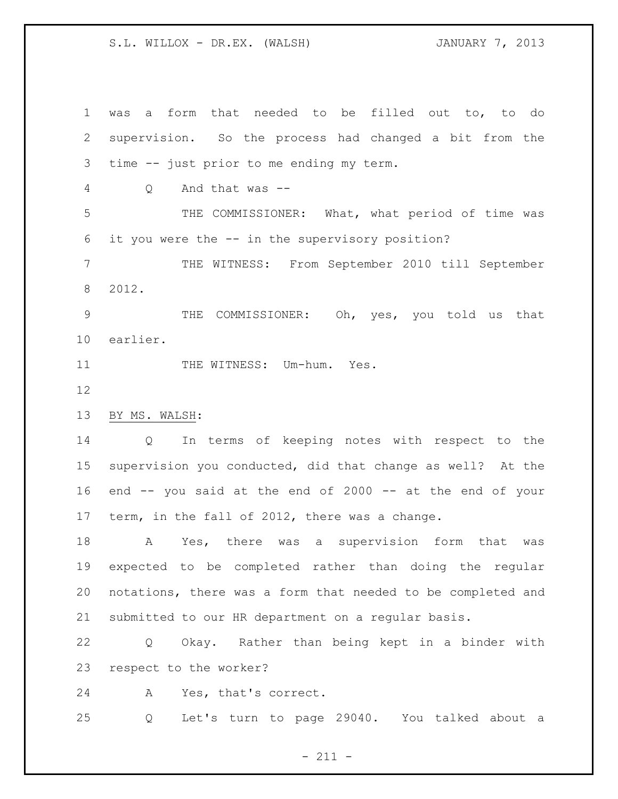was a form that needed to be filled out to, to do supervision. So the process had changed a bit from the time -- just prior to me ending my term. Q And that was -- THE COMMISSIONER: What, what period of time was it you were the -- in the supervisory position? THE WITNESS: From September 2010 till September 2012. THE COMMISSIONER: Oh, yes, you told us that earlier. 11 THE WITNESS: Um-hum. Yes. BY MS. WALSH: Q In terms of keeping notes with respect to the supervision you conducted, did that change as well? At the end -- you said at the end of 2000 -- at the end of your term, in the fall of 2012, there was a change. A Yes, there was a supervision form that was expected to be completed rather than doing the regular notations, there was a form that needed to be completed and submitted to our HR department on a regular basis. Q Okay. Rather than being kept in a binder with respect to the worker? A Yes, that's correct. Q Let's turn to page 29040. You talked about a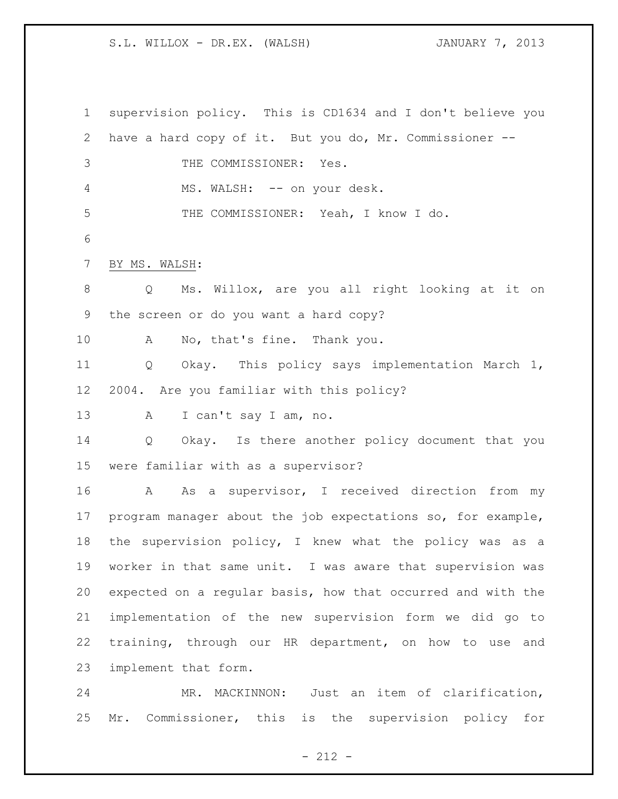supervision policy. This is CD1634 and I don't believe you have a hard copy of it. But you do, Mr. Commissioner -- THE COMMISSIONER: Yes. 4 MS. WALSH: -- on your desk. THE COMMISSIONER: Yeah, I know I do. BY MS. WALSH: Q Ms. Willox, are you all right looking at it on the screen or do you want a hard copy? A No, that's fine. Thank you. Q Okay. This policy says implementation March 1, 2004. Are you familiar with this policy? A I can't say I am, no. Q Okay. Is there another policy document that you were familiar with as a supervisor? A As a supervisor, I received direction from my program manager about the job expectations so, for example, the supervision policy, I knew what the policy was as a worker in that same unit. I was aware that supervision was expected on a regular basis, how that occurred and with the implementation of the new supervision form we did go to training, through our HR department, on how to use and implement that form. MR. MACKINNON: Just an item of clarification,

Mr. Commissioner, this is the supervision policy for

- 212 -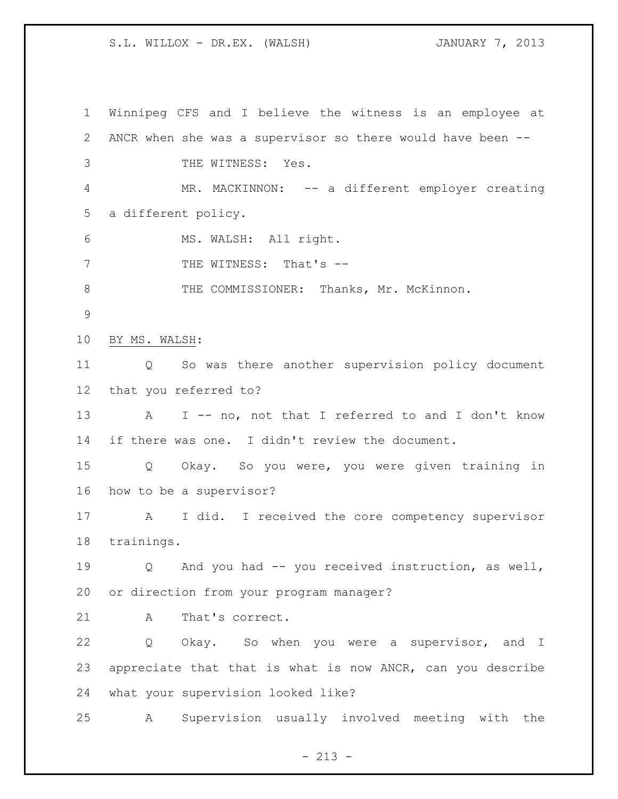Winnipeg CFS and I believe the witness is an employee at ANCR when she was a supervisor so there would have been -- THE WITNESS: Yes. MR. MACKINNON: -- a different employer creating a different policy. MS. WALSH: All right. 7 THE WITNESS: That's --8 THE COMMISSIONER: Thanks, Mr. McKinnon. BY MS. WALSH: Q So was there another supervision policy document that you referred to? 13 A I -- no, not that I referred to and I don't know if there was one. I didn't review the document. Q Okay. So you were, you were given training in how to be a supervisor? A I did. I received the core competency supervisor trainings. Q And you had -- you received instruction, as well, or direction from your program manager? 21 A That's correct. Q Okay. So when you were a supervisor, and I appreciate that that is what is now ANCR, can you describe what your supervision looked like? A Supervision usually involved meeting with the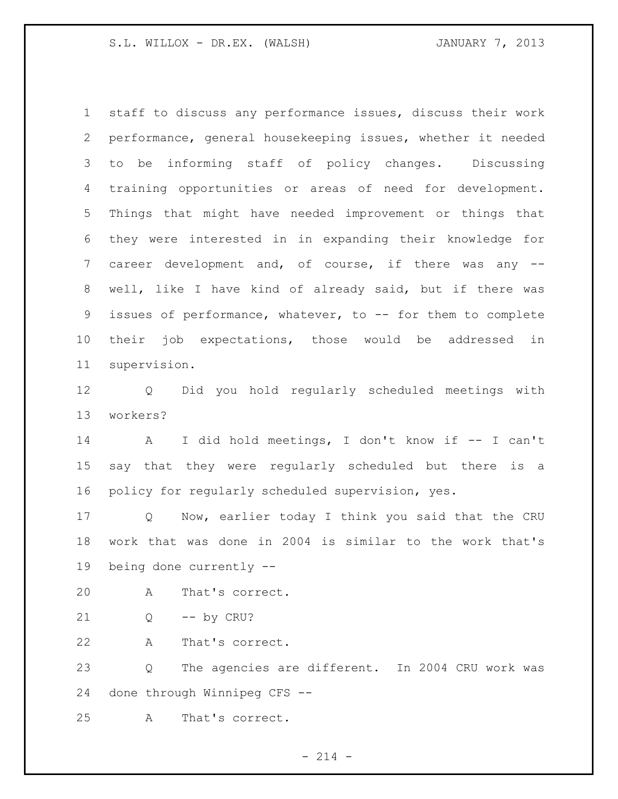staff to discuss any performance issues, discuss their work performance, general housekeeping issues, whether it needed to be informing staff of policy changes. Discussing training opportunities or areas of need for development. Things that might have needed improvement or things that they were interested in in expanding their knowledge for 7 career development and, of course, if there was any -- well, like I have kind of already said, but if there was 9 issues of performance, whatever, to -- for them to complete their job expectations, those would be addressed in supervision.

 Q Did you hold regularly scheduled meetings with workers?

 A I did hold meetings, I don't know if -- I can't say that they were regularly scheduled but there is a policy for regularly scheduled supervision, yes.

 Q Now, earlier today I think you said that the CRU work that was done in 2004 is similar to the work that's being done currently --

A That's correct.

Q -- by CRU?

A That's correct.

 Q The agencies are different. In 2004 CRU work was done through Winnipeg CFS --

A That's correct.

 $- 214 -$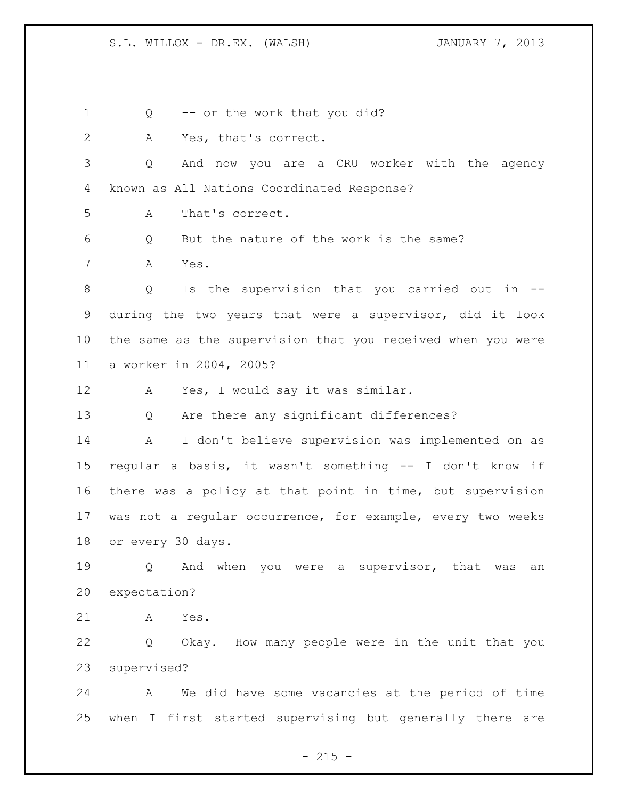1 Q -- or the work that you did?

A Yes, that's correct.

 Q And now you are a CRU worker with the agency known as All Nations Coordinated Response?

A That's correct.

Q But the nature of the work is the same?

A Yes.

 Q Is the supervision that you carried out in -- during the two years that were a supervisor, did it look the same as the supervision that you received when you were a worker in 2004, 2005?

A Yes, I would say it was similar.

Q Are there any significant differences?

 A I don't believe supervision was implemented on as regular a basis, it wasn't something -- I don't know if there was a policy at that point in time, but supervision was not a regular occurrence, for example, every two weeks or every 30 days.

 Q And when you were a supervisor, that was an expectation?

A Yes.

 Q Okay. How many people were in the unit that you supervised?

 A We did have some vacancies at the period of time when I first started supervising but generally there are

 $- 215 -$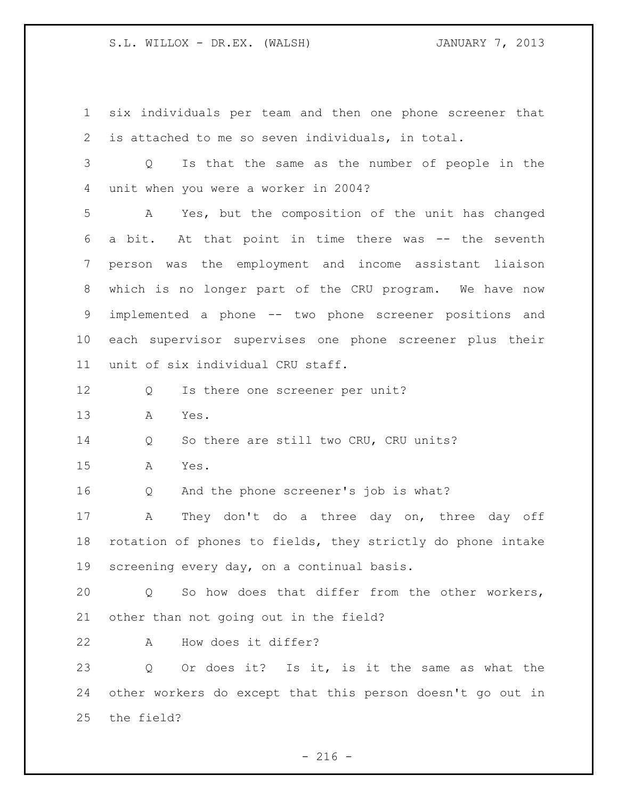six individuals per team and then one phone screener that is attached to me so seven individuals, in total. Q Is that the same as the number of people in the unit when you were a worker in 2004? A Yes, but the composition of the unit has changed a bit. At that point in time there was -- the seventh person was the employment and income assistant liaison which is no longer part of the CRU program. We have now implemented a phone -- two phone screener positions and each supervisor supervises one phone screener plus their unit of six individual CRU staff. 12 Q Is there one screener per unit? A Yes.

14 Q So there are still two CRU, CRU units?

A Yes.

Q And the phone screener's job is what?

 A They don't do a three day on, three day off rotation of phones to fields, they strictly do phone intake screening every day, on a continual basis.

 Q So how does that differ from the other workers, other than not going out in the field?

A How does it differ?

 Q Or does it? Is it, is it the same as what the other workers do except that this person doesn't go out in the field?

 $-216 -$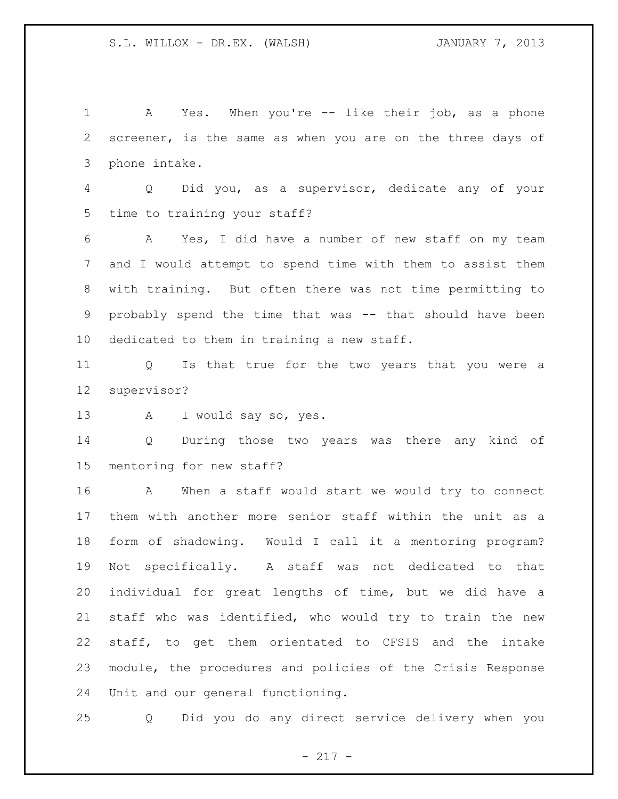A Yes. When you're -- like their job, as a phone 2 screener, is the same as when you are on the three days of phone intake. Q Did you, as a supervisor, dedicate any of your time to training your staff? A Yes, I did have a number of new staff on my team and I would attempt to spend time with them to assist them with training. But often there was not time permitting to probably spend the time that was -- that should have been dedicated to them in training a new staff. Q Is that true for the two years that you were a supervisor? 13 A I would say so, yes. Q During those two years was there any kind of mentoring for new staff? A When a staff would start we would try to connect them with another more senior staff within the unit as a form of shadowing. Would I call it a mentoring program? Not specifically. A staff was not dedicated to that individual for great lengths of time, but we did have a staff who was identified, who would try to train the new staff, to get them orientated to CFSIS and the intake module, the procedures and policies of the Crisis Response Unit and our general functioning.

Q Did you do any direct service delivery when you

- 217 -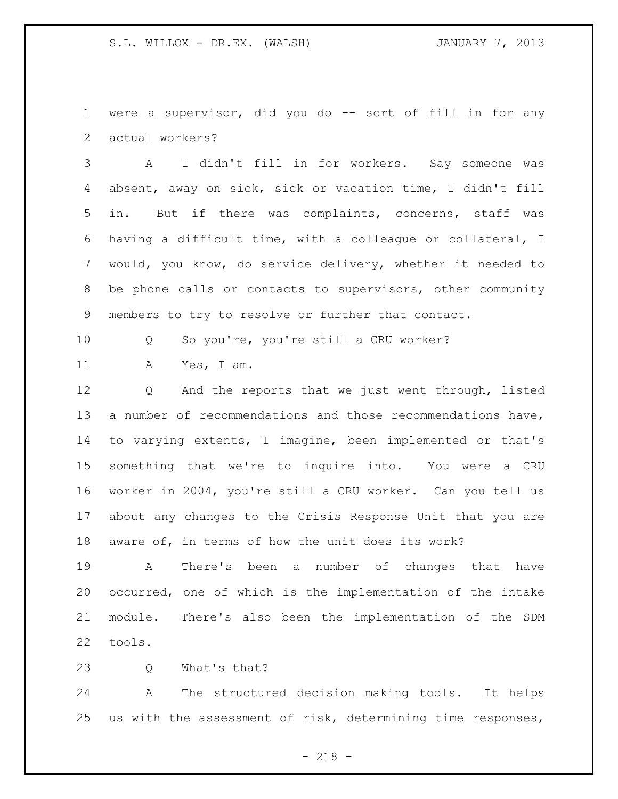were a supervisor, did you do -- sort of fill in for any actual workers?

 A I didn't fill in for workers. Say someone was absent, away on sick, sick or vacation time, I didn't fill in. But if there was complaints, concerns, staff was having a difficult time, with a colleague or collateral, I would, you know, do service delivery, whether it needed to be phone calls or contacts to supervisors, other community members to try to resolve or further that contact.

Q So you're, you're still a CRU worker?

A Yes, I am.

 Q And the reports that we just went through, listed a number of recommendations and those recommendations have, to varying extents, I imagine, been implemented or that's something that we're to inquire into. You were a CRU worker in 2004, you're still a CRU worker. Can you tell us about any changes to the Crisis Response Unit that you are aware of, in terms of how the unit does its work?

 A There's been a number of changes that have occurred, one of which is the implementation of the intake module. There's also been the implementation of the SDM tools.

23 O What's that?

 A The structured decision making tools. It helps us with the assessment of risk, determining time responses,

- 218 -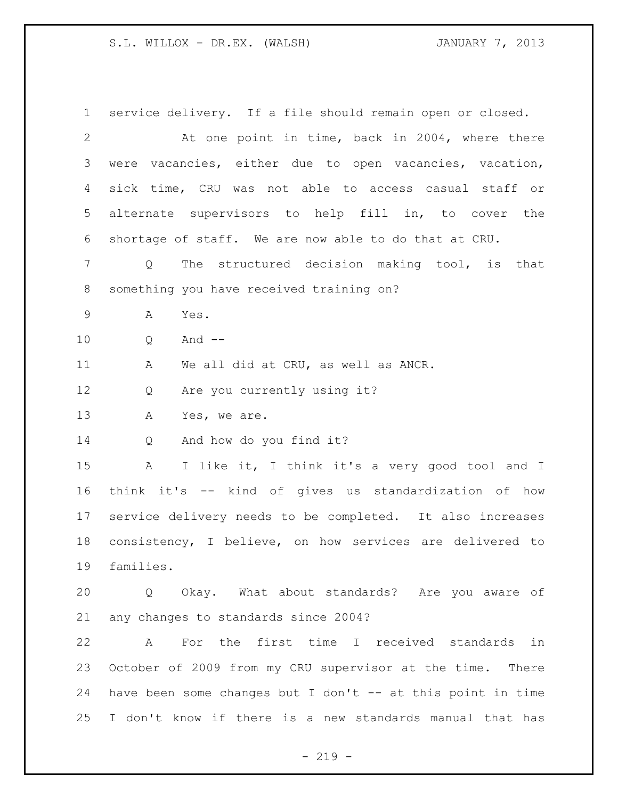service delivery. If a file should remain open or closed. At one point in time, back in 2004, where there were vacancies, either due to open vacancies, vacation, sick time, CRU was not able to access casual staff or alternate supervisors to help fill in, to cover the shortage of staff. We are now able to do that at CRU. Q The structured decision making tool, is that something you have received training on? A Yes. Q And -- A We all did at CRU, as well as ANCR. 12 Q Are you currently using it? 13 A Yes, we are. Q And how do you find it? A I like it, I think it's a very good tool and I think it's -- kind of gives us standardization of how service delivery needs to be completed. It also increases consistency, I believe, on how services are delivered to families. Q Okay. What about standards? Are you aware of any changes to standards since 2004? A For the first time I received standards in October of 2009 from my CRU supervisor at the time. There 24 have been some changes but I don't -- at this point in time I don't know if there is a new standards manual that has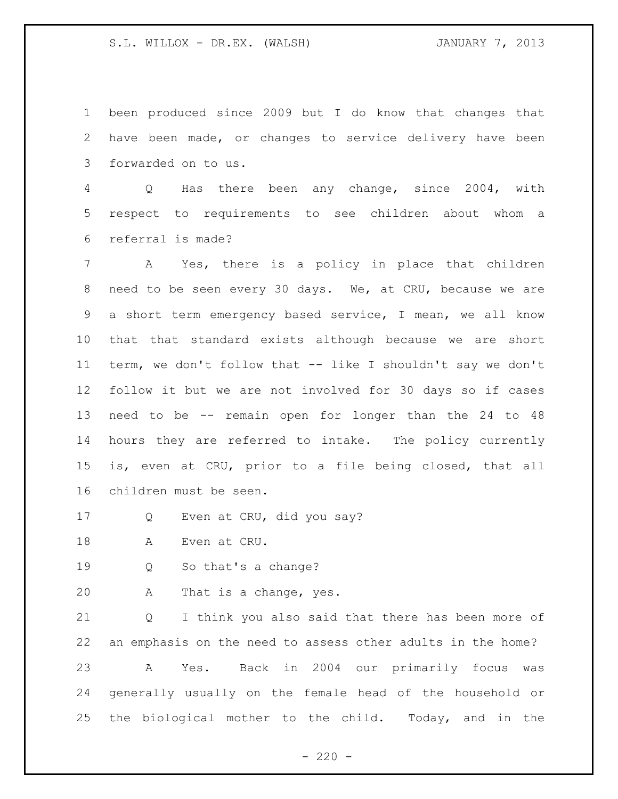been produced since 2009 but I do know that changes that have been made, or changes to service delivery have been forwarded on to us.

 Q Has there been any change, since 2004, with respect to requirements to see children about whom a referral is made?

 A Yes, there is a policy in place that children need to be seen every 30 days. We, at CRU, because we are a short term emergency based service, I mean, we all know that that standard exists although because we are short term, we don't follow that -- like I shouldn't say we don't follow it but we are not involved for 30 days so if cases need to be -- remain open for longer than the 24 to 48 hours they are referred to intake. The policy currently is, even at CRU, prior to a file being closed, that all children must be seen.

17 Q Even at CRU, did you say?

18 A Even at CRU.

Q So that's a change?

A That is a change, yes.

 Q I think you also said that there has been more of an emphasis on the need to assess other adults in the home? A Yes. Back in 2004 our primarily focus was generally usually on the female head of the household or the biological mother to the child. Today, and in the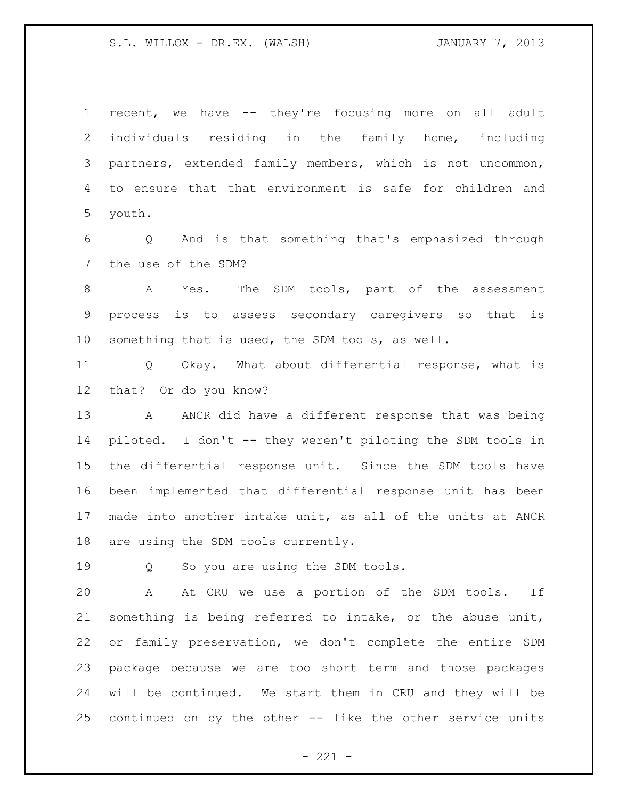recent, we have -- they're focusing more on all adult individuals residing in the family home, including partners, extended family members, which is not uncommon, to ensure that that environment is safe for children and youth.

 Q And is that something that's emphasized through the use of the SDM?

 A Yes. The SDM tools, part of the assessment process is to assess secondary caregivers so that is something that is used, the SDM tools, as well.

 Q Okay. What about differential response, what is that? Or do you know?

13 A ANCR did have a different response that was being piloted. I don't -- they weren't piloting the SDM tools in the differential response unit. Since the SDM tools have been implemented that differential response unit has been made into another intake unit, as all of the units at ANCR are using the SDM tools currently.

Q So you are using the SDM tools.

 A At CRU we use a portion of the SDM tools. If something is being referred to intake, or the abuse unit, or family preservation, we don't complete the entire SDM package because we are too short term and those packages will be continued. We start them in CRU and they will be continued on by the other -- like the other service units

 $- 221 -$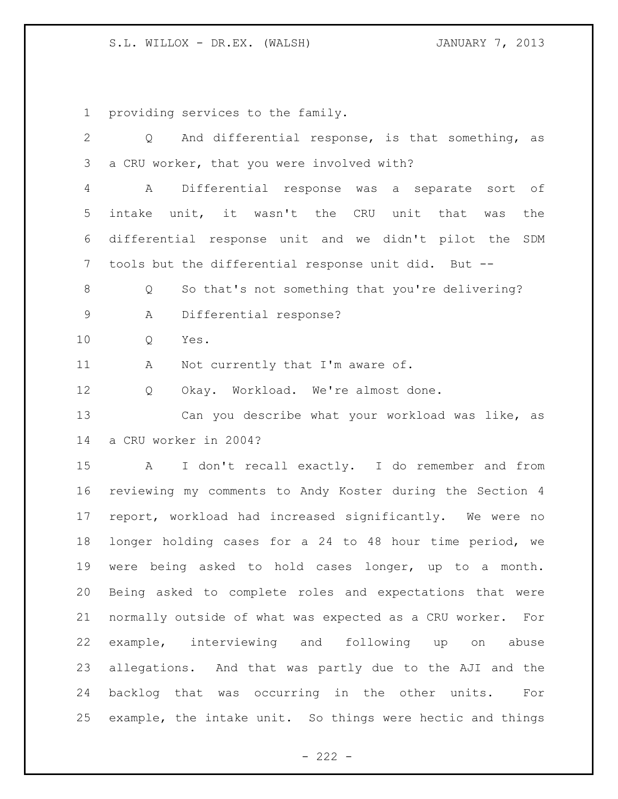providing services to the family.

 Q And differential response, is that something, as a CRU worker, that you were involved with? A Differential response was a separate sort of intake unit, it wasn't the CRU unit that was the differential response unit and we didn't pilot the SDM tools but the differential response unit did. But -- Q So that's not something that you're delivering? A Differential response? Q Yes. 11 A Not currently that I'm aware of. Q Okay. Workload. We're almost done. Can you describe what your workload was like, as a CRU worker in 2004? A I don't recall exactly. I do remember and from reviewing my comments to Andy Koster during the Section 4 report, workload had increased significantly. We were no longer holding cases for a 24 to 48 hour time period, we were being asked to hold cases longer, up to a month. Being asked to complete roles and expectations that were normally outside of what was expected as a CRU worker. For example, interviewing and following up on abuse allegations. And that was partly due to the AJI and the backlog that was occurring in the other units. For example, the intake unit. So things were hectic and things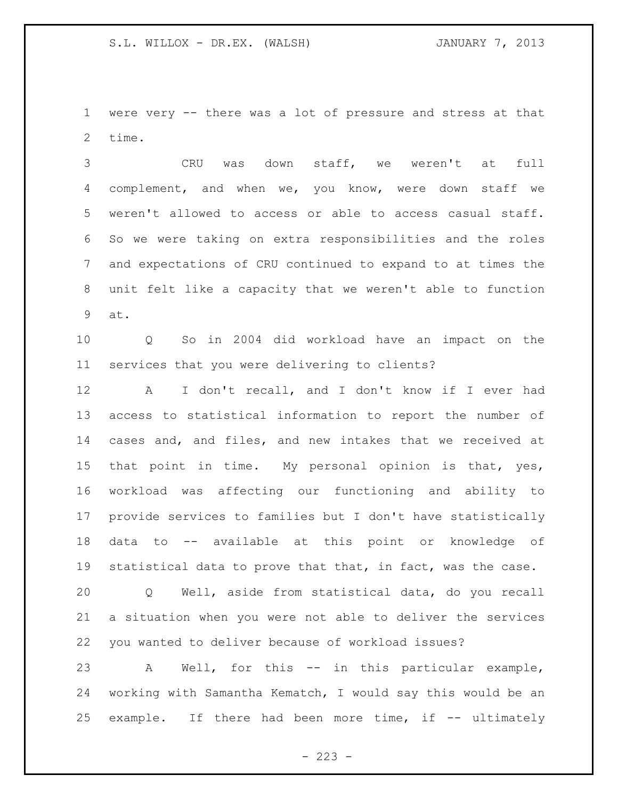were very -- there was a lot of pressure and stress at that time.

 CRU was down staff, we weren't at full complement, and when we, you know, were down staff we weren't allowed to access or able to access casual staff. So we were taking on extra responsibilities and the roles and expectations of CRU continued to expand to at times the unit felt like a capacity that we weren't able to function at.

 Q So in 2004 did workload have an impact on the services that you were delivering to clients?

 A I don't recall, and I don't know if I ever had access to statistical information to report the number of cases and, and files, and new intakes that we received at that point in time. My personal opinion is that, yes, workload was affecting our functioning and ability to provide services to families but I don't have statistically data to -- available at this point or knowledge of statistical data to prove that that, in fact, was the case.

 Q Well, aside from statistical data, do you recall a situation when you were not able to deliver the services you wanted to deliver because of workload issues?

 A Well, for this -- in this particular example, working with Samantha Kematch, I would say this would be an example. If there had been more time, if -- ultimately

 $- 223 -$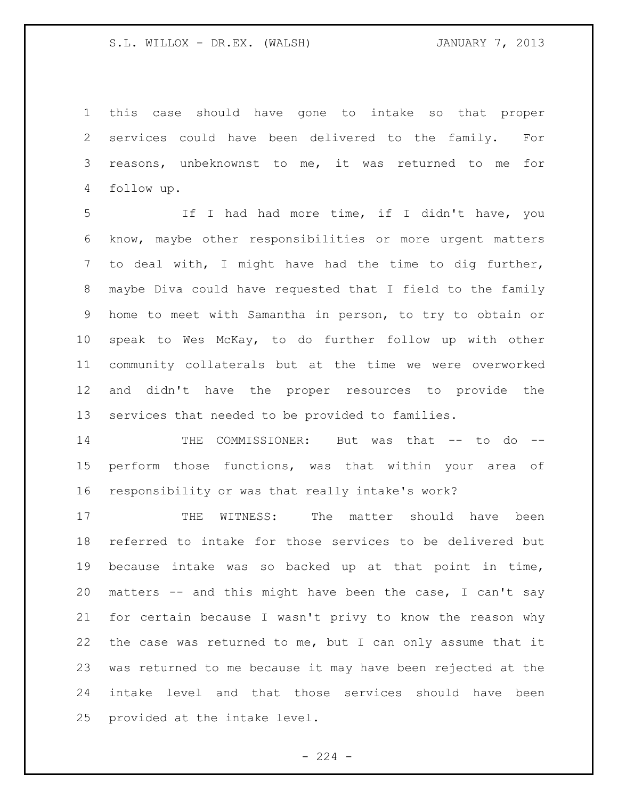this case should have gone to intake so that proper services could have been delivered to the family. For reasons, unbeknownst to me, it was returned to me for follow up.

 If I had had more time, if I didn't have, you know, maybe other responsibilities or more urgent matters to deal with, I might have had the time to dig further, maybe Diva could have requested that I field to the family home to meet with Samantha in person, to try to obtain or speak to Wes McKay, to do further follow up with other community collaterals but at the time we were overworked and didn't have the proper resources to provide the services that needed to be provided to families.

14 THE COMMISSIONER: But was that -- to do -- perform those functions, was that within your area of responsibility or was that really intake's work?

 THE WITNESS: The matter should have been referred to intake for those services to be delivered but because intake was so backed up at that point in time, matters -- and this might have been the case, I can't say for certain because I wasn't privy to know the reason why the case was returned to me, but I can only assume that it was returned to me because it may have been rejected at the intake level and that those services should have been provided at the intake level.

 $-224 -$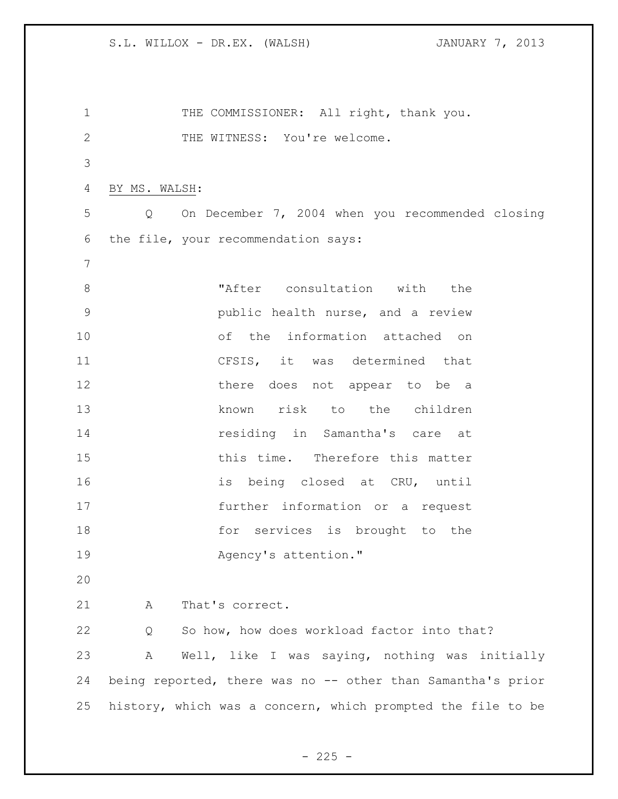S.L. WILLOX - DR.EX. (WALSH) JANUARY 7, 2013 1 THE COMMISSIONER: All right, thank you. 2 THE WITNESS: You're welcome. BY MS. WALSH: Q On December 7, 2004 when you recommended closing the file, your recommendation says: 8 TAfter consultation with the public health nurse, and a review of the information attached on CFSIS, it was determined that 12 there does not appear to be a known risk to the children residing in Samantha's care at this time. Therefore this matter is being closed at CRU, until further information or a request 18 for services is brought to the 19 Agency's attention." 21 A That's correct. Q So how, how does workload factor into that? A Well, like I was saying, nothing was initially being reported, there was no -- other than Samantha's prior history, which was a concern, which prompted the file to be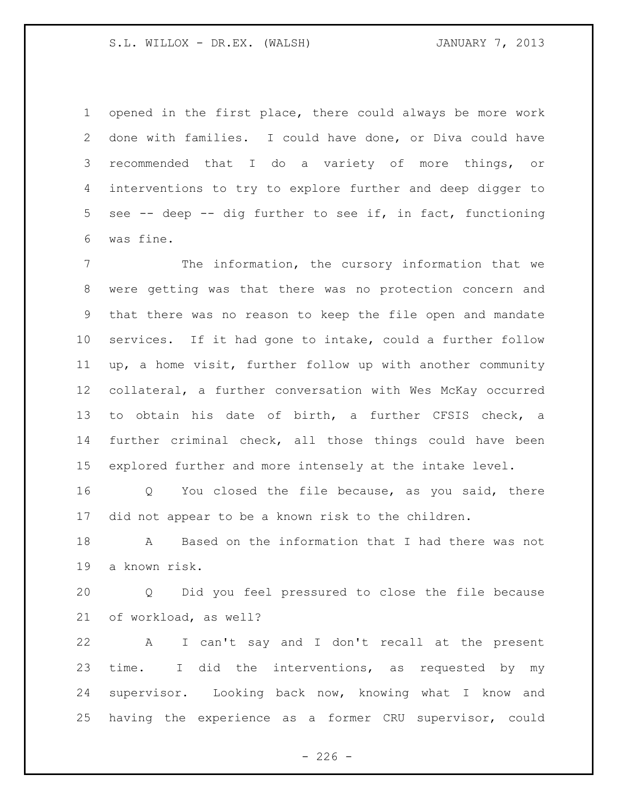opened in the first place, there could always be more work done with families. I could have done, or Diva could have recommended that I do a variety of more things, or interventions to try to explore further and deep digger to see -- deep -- dig further to see if, in fact, functioning was fine.

7 The information, the cursory information that we were getting was that there was no protection concern and that there was no reason to keep the file open and mandate services. If it had gone to intake, could a further follow up, a home visit, further follow up with another community collateral, a further conversation with Wes McKay occurred to obtain his date of birth, a further CFSIS check, a further criminal check, all those things could have been explored further and more intensely at the intake level.

 Q You closed the file because, as you said, there did not appear to be a known risk to the children.

 A Based on the information that I had there was not a known risk.

 Q Did you feel pressured to close the file because of workload, as well?

 A I can't say and I don't recall at the present 23 time. I did the interventions, as requested by my supervisor. Looking back now, knowing what I know and having the experience as a former CRU supervisor, could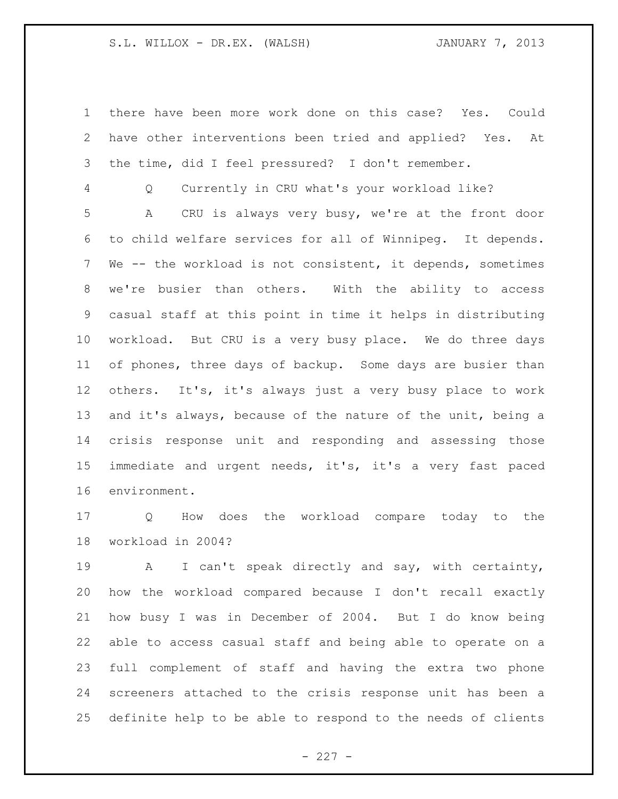there have been more work done on this case? Yes. Could have other interventions been tried and applied? Yes. At the time, did I feel pressured? I don't remember.

Q Currently in CRU what's your workload like?

 A CRU is always very busy, we're at the front door to child welfare services for all of Winnipeg. It depends. We -- the workload is not consistent, it depends, sometimes we're busier than others. With the ability to access casual staff at this point in time it helps in distributing workload. But CRU is a very busy place. We do three days of phones, three days of backup. Some days are busier than others. It's, it's always just a very busy place to work and it's always, because of the nature of the unit, being a crisis response unit and responding and assessing those immediate and urgent needs, it's, it's a very fast paced environment.

 Q How does the workload compare today to the workload in 2004?

19 A I can't speak directly and say, with certainty, how the workload compared because I don't recall exactly how busy I was in December of 2004. But I do know being able to access casual staff and being able to operate on a full complement of staff and having the extra two phone screeners attached to the crisis response unit has been a definite help to be able to respond to the needs of clients

 $- 227 -$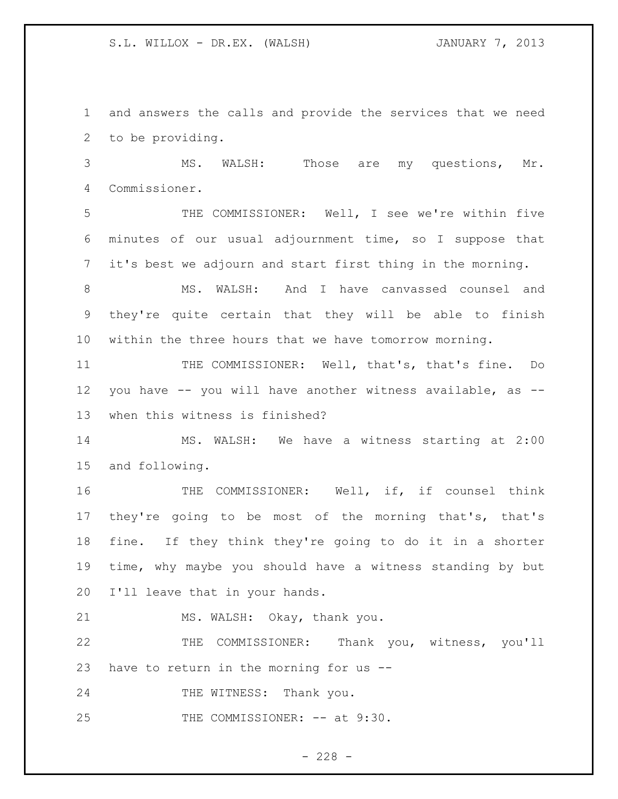and answers the calls and provide the services that we need to be providing.

 MS. WALSH: Those are my questions, Mr. Commissioner.

 THE COMMISSIONER: Well, I see we're within five minutes of our usual adjournment time, so I suppose that it's best we adjourn and start first thing in the morning.

 MS. WALSH: And I have canvassed counsel and they're quite certain that they will be able to finish within the three hours that we have tomorrow morning.

 THE COMMISSIONER: Well, that's, that's fine. Do you have -- you will have another witness available, as -- when this witness is finished?

 MS. WALSH: We have a witness starting at 2:00 and following.

 THE COMMISSIONER: Well, if, if counsel think they're going to be most of the morning that's, that's fine. If they think they're going to do it in a shorter time, why maybe you should have a witness standing by but I'll leave that in your hands.

21 MS. WALSH: Okay, thank you.

 THE COMMISSIONER: Thank you, witness, you'll have to return in the morning for us --

24 THE WITNESS: Thank you.

25 THE COMMISSIONER: -- at 9:30.

 $-228 -$